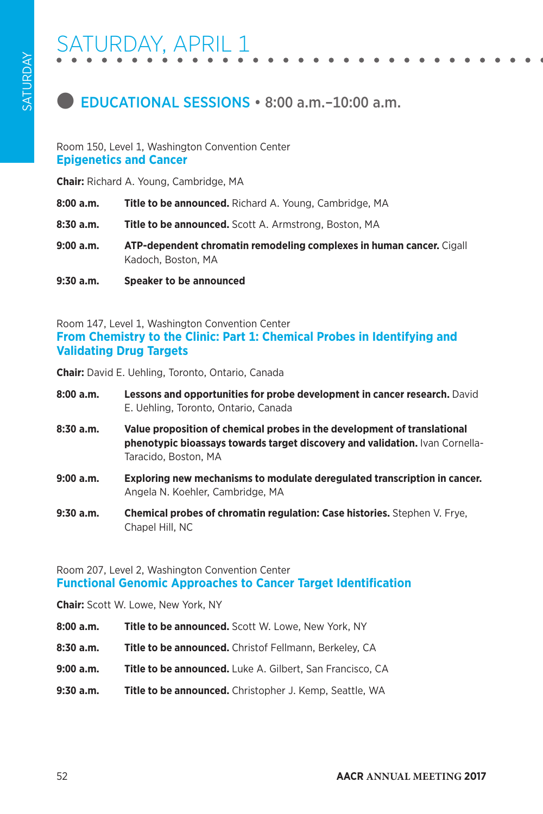

#### Room 150, Level 1, Washington Convention Center **Epigenetics and Cancer**

**Chair:** Richard A. Young, Cambridge, MA

- **8:00 a.m. Title to be announced.** Richard A. Young, Cambridge, MA
- **8:30 a.m. Title to be announced.** Scott A. Armstrong, Boston, MA
- **9:00 a.m. ATP-dependent chromatin remodeling complexes in human cancer.** Cigall Kadoch, Boston, MA
- **9:30 a.m. Speaker to be announced**

Room 147, Level 1, Washington Convention Center **From Chemistry to the Clinic: Part 1: Chemical Probes in Identifying and Validating Drug Targets**

**Chair:** David E. Uehling, Toronto, Ontario, Canada

| 8:00a.m.    | Lessons and opportunities for probe development in cancer research. David<br>E. Uehling, Toronto, Ontario, Canada                                                                |
|-------------|----------------------------------------------------------------------------------------------------------------------------------------------------------------------------------|
| 8:30a.m.    | Value proposition of chemical probes in the development of translational<br>phenotypic bioassays towards target discovery and validation. Ivan Cornella-<br>Taracido, Boston, MA |
| 9:00a.m.    | Exploring new mechanisms to modulate deregulated transcription in cancer.<br>Angela N. Koehler, Cambridge, MA                                                                    |
| $9:30$ a.m. | Chemical probes of chromatin regulation: Case histories. Stephen V. Frye.<br>Chapel Hill, NC                                                                                     |

Room 207, Level 2, Washington Convention Center **Functional Genomic Approaches to Cancer Target Identification**

**Chair:** Scott W. Lowe, New York, NY

- **8:00 a.m. Title to be announced.** Scott W. Lowe, New York, NY
- **8:30 a.m. Title to be announced.** Christof Fellmann, Berkeley, CA
- **9:00 a.m. Title to be announced.** Luke A. Gilbert, San Francisco, CA
- **9:30 a.m. Title to be announced.** Christopher J. Kemp, Seattle, WA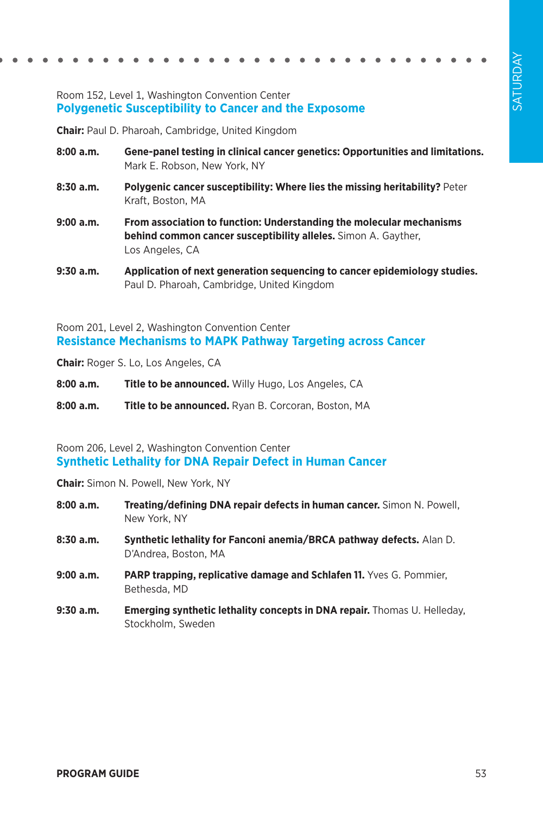### Room 152, Level 1, Washington Convention Center **Polygenetic Susceptibility to Cancer and the Exposome**

**Chair:** Paul D. Pharoah, Cambridge, United Kingdom

- **8:00 a.m. Gene-panel testing in clinical cancer genetics: Opportunities and limitations.**  Mark E. Robson, New York, NY
- **8:30 a.m. Polygenic cancer susceptibility: Where lies the missing heritability?** Peter Kraft, Boston, MA
- **9:00 a.m. From association to function: Understanding the molecular mechanisms behind common cancer susceptibility alleles.** Simon A. Gayther, Los Angeles, CA
- **9:30 a.m. Application of next generation sequencing to cancer epidemiology studies.**  Paul D. Pharoah, Cambridge, United Kingdom

Room 201, Level 2, Washington Convention Center **Resistance Mechanisms to MAPK Pathway Targeting across Cancer**

**Chair:** Roger S. Lo, Los Angeles, CA

- **8:00 a.m. Title to be announced.** Willy Hugo, Los Angeles, CA
- **8:00 a.m. Title to be announced.** Ryan B. Corcoran, Boston, MA

#### Room 206, Level 2, Washington Convention Center **Synthetic Lethality for DNA Repair Defect in Human Cancer**

**Chair:** Simon N. Powell, New York, NY

- **8:00 a.m. Treating/defining DNA repair defects in human cancer.** Simon N. Powell, New York, NY
- **8:30 a.m. Synthetic lethality for Fanconi anemia/BRCA pathway defects.** Alan D. D'Andrea, Boston, MA
- **9:00 a.m. PARP trapping, replicative damage and Schlafen 11.** Yves G. Pommier, Bethesda, MD
- **9:30 a.m. Emerging synthetic lethality concepts in DNA repair.** Thomas U. Helleday, Stockholm, Sweden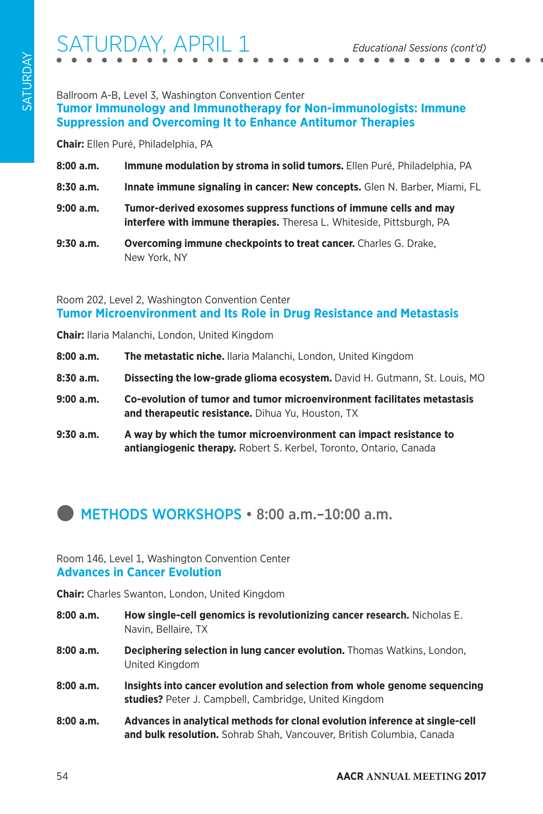# ATURDAY, APRIL 1

### Ballroom A-B, Level 3, Washington Convention Center **Tumor Immunology and Immunotherapy for Non-immunologists: Immune Suppression and Overcoming It to Enhance Antitumor Therapies**

**Chair:** Ellen Puré, Philadelphia, PA

| 8:00 a.m. | Immune modulation by stroma in solid tumors. Ellen Puré, Philadelphia, PA |  |
|-----------|---------------------------------------------------------------------------|--|
|-----------|---------------------------------------------------------------------------|--|

- **8:30 a.m. Innate immune signaling in cancer: New concepts.** Glen N. Barber, Miami, FL
- **9:00 a.m. Tumor-derived exosomes suppress functions of immune cells and may interfere with immune therapies.** Theresa L. Whiteside, Pittsburgh, PA
- **9:30 a.m. Overcoming immune checkpoints to treat cancer.** Charles G. Drake, New York, NY

### Room 202, Level 2, Washington Convention Center **Tumor Microenvironment and Its Role in Drug Resistance and Metastasis**

**Chair:** Ilaria Malanchi, London, United Kingdom

- **8:00 a.m. The metastatic niche.** Ilaria Malanchi, London, United Kingdom
- **8:30 a.m. Dissecting the low-grade glioma ecosystem.** David H. Gutmann, St. Louis, MO
- **9:00 a.m. Co-evolution of tumor and tumor microenvironment facilitates metastasis and therapeutic resistance.** Dihua Yu, Houston, TX
- **9:30 a.m. A way by which the tumor microenvironment can impact resistance to antiangiogenic therapy.** Robert S. Kerbel, Toronto, Ontario, Canada

## **INETHODS WORKSHOPS • 8:00 a.m.–10:00 a.m.**

#### Room 146, Level 1, Washington Convention Center **Advances in Cancer Evolution**

**Chair:** Charles Swanton, London, United Kingdom

- **8:00 a.m. How single-cell genomics is revolutionizing cancer research.** Nicholas E. Navin, Bellaire, TX
- **8:00 a.m. Deciphering selection in lung cancer evolution.** Thomas Watkins, London, United Kingdom
- **8:00 a.m. Insights into cancer evolution and selection from whole genome sequencing studies?** Peter J. Campbell, Cambridge, United Kingdom
- **8:00 a.m. Advances in analytical methods for clonal evolution inference at single-cell and bulk resolution.** Sohrab Shah, Vancouver, British Columbia, Canada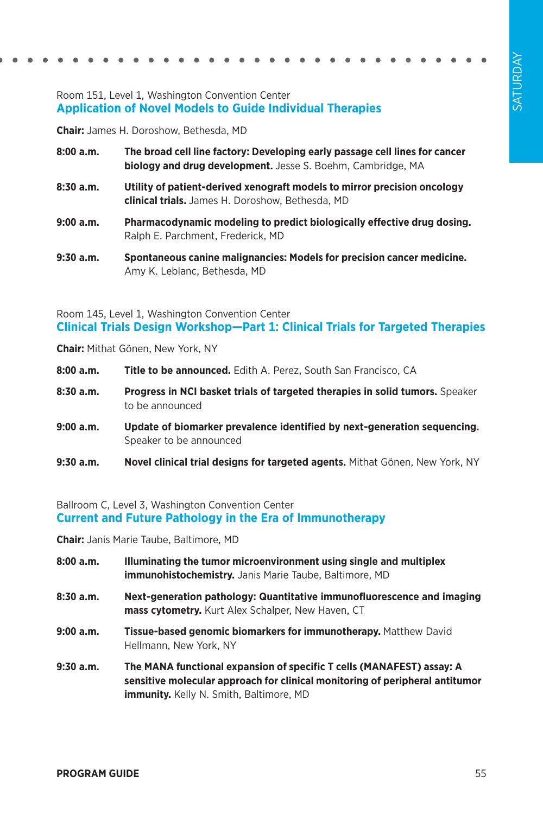### Room 151, Level 1, Washington Convention Center **Application of Novel Models to Guide Individual Therapies**

**Chair:** James H. Doroshow, Bethesda, MD

- **8:00 a.m. The broad cell line factory: Developing early passage cell lines for cancer biology and drug development.** Jesse S. Boehm, Cambridge, MA
- **8:30 a.m. Utility of patient-derived xenograft models to mirror precision oncology clinical trials.** James H. Doroshow, Bethesda, MD
- **9:00 a.m. Pharmacodynamic modeling to predict biologically effective drug dosing.**  Ralph E. Parchment, Frederick, MD
- **9:30 a.m. Spontaneous canine malignancies: Models for precision cancer medicine.**  Amy K. Leblanc, Bethesda, MD

Room 145, Level 1, Washington Convention Center **Clinical Trials Design Workshop—Part 1: Clinical Trials for Targeted Therapies**

**Chair:** Mithat Gönen, New York, NY

- **8:00 a.m. Title to be announced.** Edith A. Perez, South San Francisco, CA
- 8:30 a.m. Progress in NCI basket trials of targeted therapies in solid tumors. Speaker to be announced
- **9:00 a.m. Update of biomarker prevalence identified by next-generation sequencing.**  Speaker to be announced
- **9:30 a.m. Novel clinical trial designs for targeted agents.** Mithat Gönen, New York, NY

#### Ballroom C, Level 3, Washington Convention Center **Current and Future Pathology in the Era of Immunotherapy**

**Chair:** Janis Marie Taube, Baltimore, MD

- **8:00 a.m. Illuminating the tumor microenvironment using single and multiplex immunohistochemistry.** Janis Marie Taube, Baltimore, MD
- **8:30 a.m. Next-generation pathology: Quantitative immunofluorescence and imaging mass cytometry.** Kurt Alex Schalper, New Haven, CT
- **9:00 a.m. Tissue-based genomic biomarkers for immunotherapy.** Matthew David Hellmann, New York, NY
- **9:30 a.m. The MANA functional expansion of specific T cells (MANAFEST) assay: A sensitive molecular approach for clinical monitoring of peripheral antitumor immunity.** Kelly N. Smith, Baltimore, MD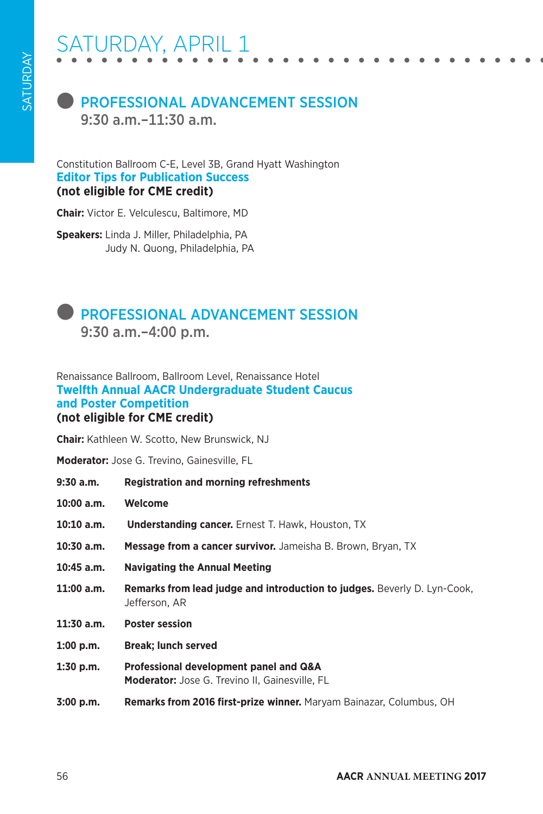# ATURDAY, APRIL 1

### **ROFESSIONAL ADVANCEMENT SESSION** 9:30 a.m.–11:30 a.m.

Constitution Ballroom C-E, Level 3B, Grand Hyatt Washington **Editor Tips for Publication Success (not eligible for CME credit)**

**Chair:** Victor E. Velculescu, Baltimore, MD

**Speakers:** Linda J. Miller, Philadelphia, PA Judy N. Quong, Philadelphia, PA

### **PROFESSIONAL ADVANCEMENT SESSION** 9:30 a.m.–4:00 p.m.

#### Renaissance Ballroom, Ballroom Level, Renaissance Hotel **Twelfth Annual AACR Undergraduate Student Caucus and Poster Competition (not eligible for CME credit)**

**Chair:** Kathleen W. Scotto, New Brunswick, NJ

**Moderator:** Jose G. Trevino, Gainesville, FL

- **9:30 a.m. Registration and morning refreshments**
- **10:00 a.m. Welcome**
- 10:10 a.m. Understanding cancer. Ernest T. Hawk, Houston, TX
- **10:30 a.m. Message from a cancer survivor.** Jameisha B. Brown, Bryan, TX
- **10:45 a.m. Navigating the Annual Meeting**
- **11:00 a.m. Remarks from lead judge and introduction to judges.** Beverly D. Lyn-Cook, Jefferson, AR
- **11:30 a.m. Poster session**
- **1:00 p.m. Break; lunch served**
- **1:30 p.m. Professional development panel and Q&A Moderator:** Jose G. Trevino II, Gainesville, FL
- **3:00 p.m. Remarks from 2016 first-prize winner.** Maryam Bainazar, Columbus, OH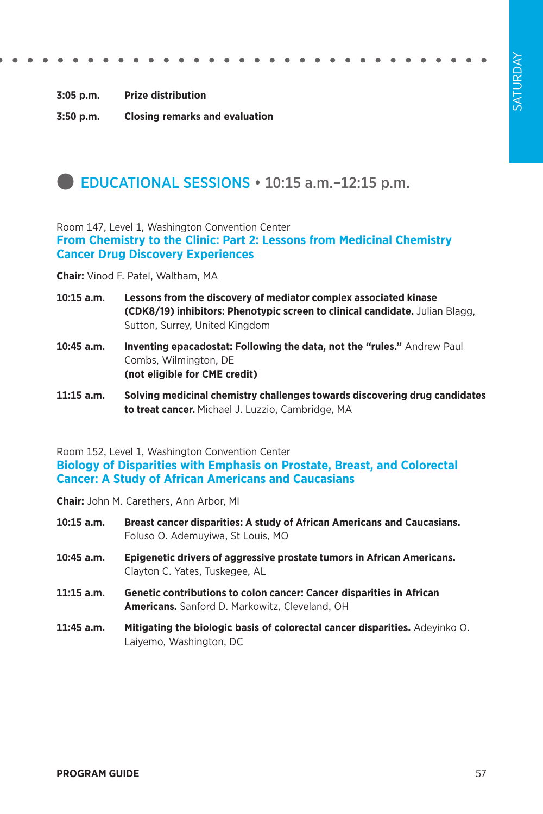**3:05 p.m. Prize distribution**

**3:50 p.m. Closing remarks and evaluation**

### **DEDUCATIONAL SESSIONS • 10:15 a.m.-12:15 p.m.**

Room 147, Level 1, Washington Convention Center

**From Chemistry to the Clinic: Part 2: Lessons from Medicinal Chemistry Cancer Drug Discovery Experiences**

**Chair:** Vinod F. Patel, Waltham, MA

- **10:15 a.m. Lessons from the discovery of mediator complex associated kinase (CDK8/19) inhibitors: Phenotypic screen to clinical candidate.** Julian Blagg, Sutton, Surrey, United Kingdom
- **10:45 a.m. Inventing epacadostat: Following the data, not the "rules."** Andrew Paul Combs, Wilmington, DE **(not eligible for CME credit)**
- **11:15 a.m. Solving medicinal chemistry challenges towards discovering drug candidates to treat cancer.** Michael J. Luzzio, Cambridge, MA

Room 152, Level 1, Washington Convention Center **Biology of Disparities with Emphasis on Prostate, Breast, and Colorectal Cancer: A Study of African Americans and Caucasians**

**Chair:** John M. Carethers, Ann Arbor, MI

- **10:15 a.m. Breast cancer disparities: A study of African Americans and Caucasians.**  Foluso O. Ademuyiwa, St Louis, MO
- **10:45 a.m. Epigenetic drivers of aggressive prostate tumors in African Americans.**  Clayton C. Yates, Tuskegee, AL
- **11:15 a.m. Genetic contributions to colon cancer: Cancer disparities in African Americans.** Sanford D. Markowitz, Cleveland, OH
- **11:45 a.m. Mitigating the biologic basis of colorectal cancer disparities.** Adeyinko O. Laiyemo, Washington, DC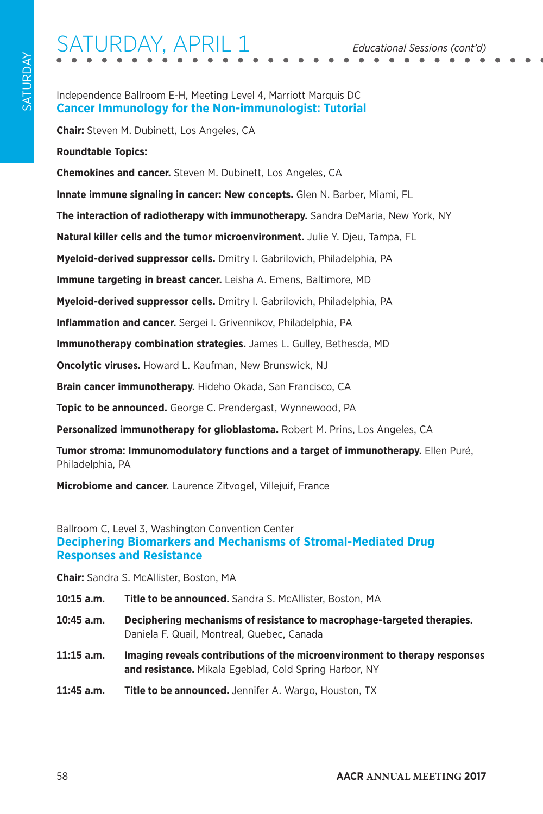# SATURDAY, APRIL 1 *Educational Sessions (cont'd)*

#### Independence Ballroom E-H, Meeting Level 4, Marriott Marquis DC **Cancer Immunology for the Non-immunologist: Tutorial**

**Chair:** Steven M. Dubinett, Los Angeles, CA

**Roundtable Topics:**

**Chemokines and cancer.** Steven M. Dubinett, Los Angeles, CA

**Innate immune signaling in cancer: New concepts.** Glen N. Barber, Miami, FL

**The interaction of radiotherapy with immunotherapy.** Sandra DeMaria, New York, NY

**Natural killer cells and the tumor microenvironment.** Julie Y. Djeu, Tampa, FL

**Myeloid-derived suppressor cells.** Dmitry I. Gabrilovich, Philadelphia, PA

**Immune targeting in breast cancer.** Leisha A. Emens, Baltimore, MD

**Myeloid-derived suppressor cells.** Dmitry I. Gabrilovich, Philadelphia, PA

**Inflammation and cancer.** Sergei I. Grivennikov, Philadelphia, PA

**Immunotherapy combination strategies.** James L. Gulley, Bethesda, MD

**Oncolytic viruses.** Howard L. Kaufman, New Brunswick, NJ

**Brain cancer immunotherapy.** Hideho Okada, San Francisco, CA

**Topic to be announced.** George C. Prendergast, Wynnewood, PA

**Personalized immunotherapy for glioblastoma.** Robert M. Prins, Los Angeles, CA

**Tumor stroma: Immunomodulatory functions and a target of immunotherapy.** Ellen Puré, Philadelphia, PA

**Microbiome and cancer.** Laurence Zitvogel, Villejuif, France

### Ballroom C, Level 3, Washington Convention Center **Deciphering Biomarkers and Mechanisms of Stromal-Mediated Drug Responses and Resistance**

**Chair:** Sandra S. McAllister, Boston, MA

- **10:15 a.m. Title to be announced.** Sandra S. McAllister, Boston, MA
- **10:45 a.m. Deciphering mechanisms of resistance to macrophage-targeted therapies.**  Daniela F. Quail, Montreal, Quebec, Canada
- **11:15 a.m. Imaging reveals contributions of the microenvironment to therapy responses and resistance.** Mikala Egeblad, Cold Spring Harbor, NY
- **11:45 a.m. Title to be announced.** Jennifer A. Wargo, Houston, TX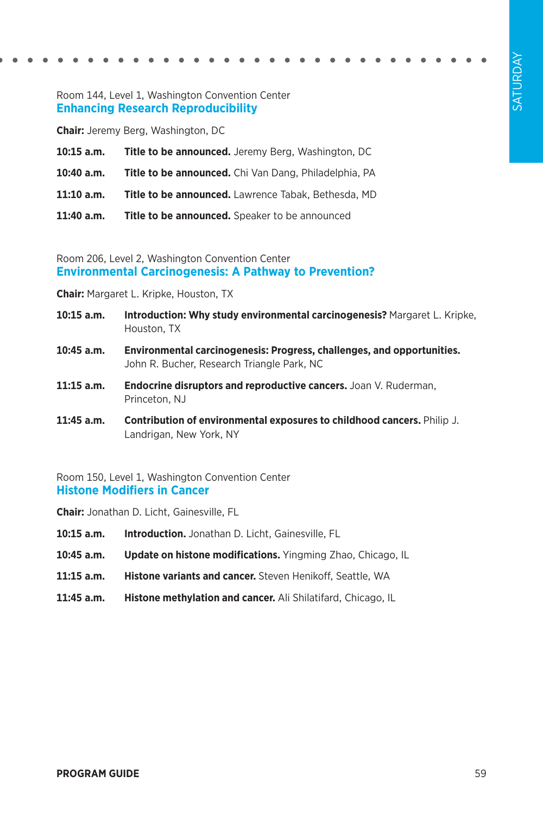#### Room 144, Level 1, Washington Convention Center **Enhancing Research Reproducibility**

**Chair:** Jeremy Berg, Washington, DC

**10:15 a.m. Title to be announced.** Jeremy Berg, Washington, DC **10:40 a.m. Title to be announced.** Chi Van Dang, Philadelphia, PA **11:10 a.m. Title to be announced.** Lawrence Tabak, Bethesda, MD **11:40 a.m. Title to be announced.** Speaker to be announced

Room 206, Level 2, Washington Convention Center **Environmental Carcinogenesis: A Pathway to Prevention?**

**Chair:** Margaret L. Kripke, Houston, TX

- **10:15 a.m. Introduction: Why study environmental carcinogenesis?** Margaret L. Kripke, Houston, TX
- **10:45 a.m. Environmental carcinogenesis: Progress, challenges, and opportunities.**  John R. Bucher, Research Triangle Park, NC
- **11:15 a.m. Endocrine disruptors and reproductive cancers.** Joan V. Ruderman, Princeton, NJ
- **11:45 a.m. Contribution of environmental exposures to childhood cancers.** Philip J. Landrigan, New York, NY

Room 150, Level 1, Washington Convention Center **Histone Modifiers in Cancer**

**Chair:** Jonathan D. Licht, Gainesville, FL

- **10:15 a.m. Introduction.** Jonathan D. Licht, Gainesville, FL
- **10:45 a.m. Update on histone modifications.** Yingming Zhao, Chicago, IL
- **11:15 a.m. Histone variants and cancer.** Steven Henikoff, Seattle, WA
- **11:45 a.m. Histone methylation and cancer.** Ali Shilatifard, Chicago, IL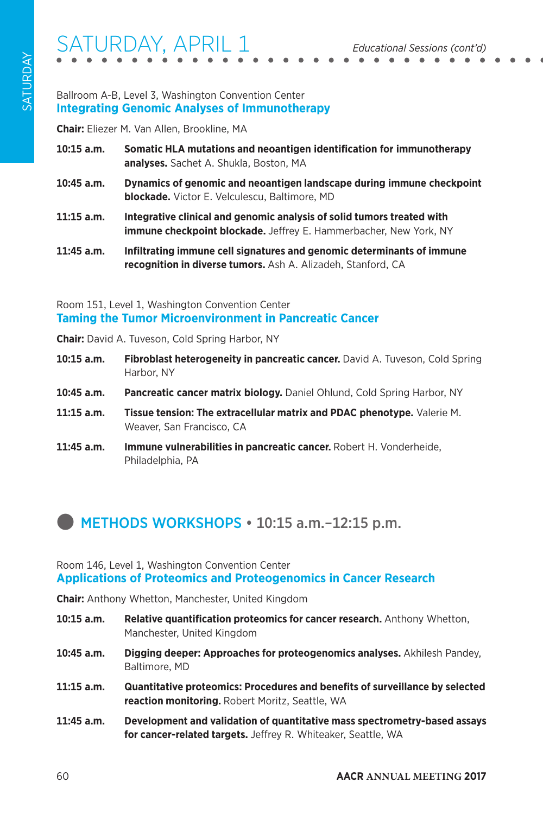# SATURDAY, APRIL 1 *Educational Sessions (cont'd)*

### Ballroom A-B, Level 3, Washington Convention Center **Integrating Genomic Analyses of Immunotherapy**

**Chair:** Eliezer M. Van Allen, Brookline, MA

- **10:15 a.m. Somatic HLA mutations and neoantigen identification for immunotherapy analyses.** Sachet A. Shukla, Boston, MA
- **10:45 a.m. Dynamics of genomic and neoantigen landscape during immune checkpoint blockade.** Victor E. Velculescu, Baltimore, MD
- **11:15 a.m. Integrative clinical and genomic analysis of solid tumors treated with immune checkpoint blockade.** Jeffrey E. Hammerbacher, New York, NY
- **11:45 a.m. Infiltrating immune cell signatures and genomic determinants of immune recognition in diverse tumors.** Ash A. Alizadeh, Stanford, CA

### Room 151, Level 1, Washington Convention Center **Taming the Tumor Microenvironment in Pancreatic Cancer**

**Chair:** David A. Tuveson, Cold Spring Harbor, NY

- **10:15 a.m. Fibroblast heterogeneity in pancreatic cancer.** David A. Tuveson, Cold Spring Harbor, NY
- **10:45 a.m. Pancreatic cancer matrix biology.** Daniel Ohlund, Cold Spring Harbor, NY
- **11:15 a.m. Tissue tension: The extracellular matrix and PDAC phenotype.** Valerie M. Weaver, San Francisco, CA
- **11:45 a.m. Immune vulnerabilities in pancreatic cancer.** Robert H. Vonderheide, Philadelphia, PA

## **METHODS WORKSHOPS • 10:15 a.m.-12:15 p.m.**

#### Room 146, Level 1, Washington Convention Center **Applications of Proteomics and Proteogenomics in Cancer Research**

**Chair:** Anthony Whetton, Manchester, United Kingdom

- **10:15 a.m. Relative quantification proteomics for cancer research.** Anthony Whetton, Manchester, United Kingdom
- **10:45 a.m. Digging deeper: Approaches for proteogenomics analyses.** Akhilesh Pandey, Baltimore, MD
- **11:15 a.m. Quantitative proteomics: Procedures and benefits of surveillance by selected reaction monitoring.** Robert Moritz, Seattle, WA
- **11:45 a.m. Development and validation of quantitative mass spectrometry-based assays for cancer-related targets.** Jeffrey R. Whiteaker, Seattle, WA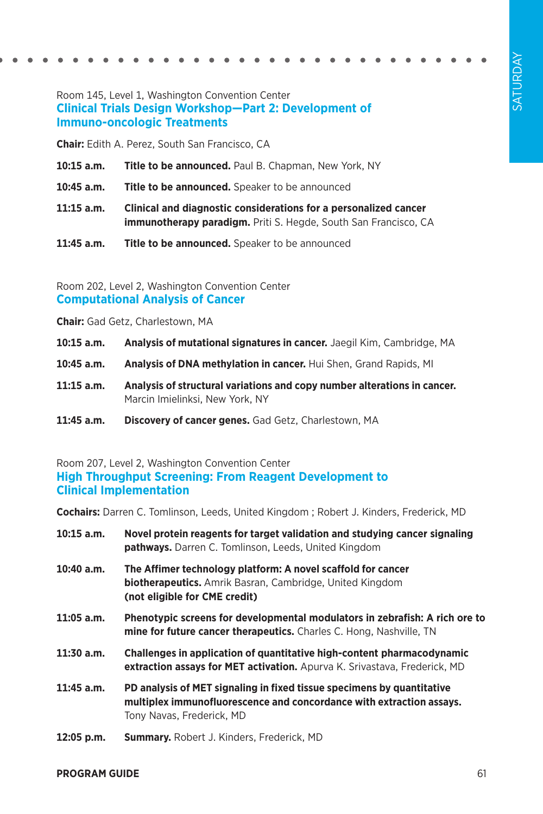### Room 145, Level 1, Washington Convention Center **Clinical Trials Design Workshop—Part 2: Development of Immuno-oncologic Treatments**

**Chair:** Edith A. Perez, South San Francisco, CA

- **10:15 a.m. Title to be announced.** Paul B. Chapman, New York, NY
- **10:45 a.m. Title to be announced.** Speaker to be announced
- **11:15 a.m. Clinical and diagnostic considerations for a personalized cancer immunotherapy paradigm.** Priti S. Hegde, South San Francisco, CA
- **11:45 a.m. Title to be announced.** Speaker to be announced

Room 202, Level 2, Washington Convention Center **Computational Analysis of Cancer**

**Chair:** Gad Getz, Charlestown, MA

- **10:15 a.m. Analysis of mutational signatures in cancer.** Jaegil Kim, Cambridge, MA
- **10:45 a.m. Analysis of DNA methylation in cancer.** Hui Shen, Grand Rapids, MI
- **11:15 a.m. Analysis of structural variations and copy number alterations in cancer.**  Marcin Imielinksi, New York, NY
- **11:45 a.m. Discovery of cancer genes.** Gad Getz, Charlestown, MA

Room 207, Level 2, Washington Convention Center **High Throughput Screening: From Reagent Development to Clinical Implementation**

**Cochairs:** Darren C. Tomlinson, Leeds, United Kingdom ; Robert J. Kinders, Frederick, MD

| $10:15$ a.m. | Novel protein reagents for target validation and studying cancer signaling<br><b>pathways.</b> Darren C. Tomlinson, Leeds, United Kingdom                                   |  |
|--------------|-----------------------------------------------------------------------------------------------------------------------------------------------------------------------------|--|
| 10:40 a.m.   | The Affimer technology platform: A novel scaffold for cancer<br><b>biotherapeutics.</b> Amrik Basran, Cambridge, United Kingdom<br>(not eligible for CME credit)            |  |
| 11:05 a.m.   | Phenotypic screens for developmental modulators in zebrafish: A rich ore to<br>mine for future cancer therapeutics. Charles C. Hong, Nashville, TN                          |  |
| 11:30 a.m.   | Challenges in application of quantitative high-content pharmacodynamic<br>extraction assays for MET activation. Apurva K. Srivastava, Frederick, MD                         |  |
| 11:45 a.m.   | PD analysis of MET signaling in fixed tissue specimens by quantitative<br>multiplex immunofluorescence and concordance with extraction assays.<br>Tony Navas, Frederick, MD |  |
| 12:05 p.m.   | <b>Summary.</b> Robert J. Kinders, Frederick, MD                                                                                                                            |  |
|              |                                                                                                                                                                             |  |

#### **PROGRAM GUIDE** 61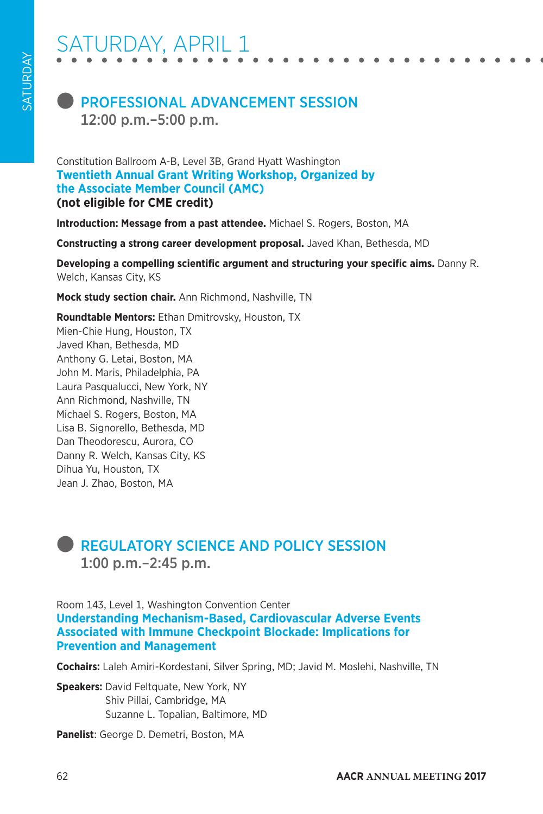# **PROFESSIONAL ADVANCEMENT SESSION** 12:00 p.m.–5:00 p.m.

Constitution Ballroom A-B, Level 3B, Grand Hyatt Washington **Twentieth Annual Grant Writing Workshop, Organized by the Associate Member Council (AMC) (not eligible for CME credit)**

**Introduction: Message from a past attendee.** Michael S. Rogers, Boston, MA

**Constructing a strong career development proposal.** Javed Khan, Bethesda, MD

**Developing a compelling scientific argument and structuring your specific aims.** Danny R. Welch, Kansas City, KS

**Mock study section chair.** Ann Richmond, Nashville, TN

**Roundtable Mentors:** Ethan Dmitrovsky, Houston, TX Mien-Chie Hung, Houston, TX Javed Khan, Bethesda, MD Anthony G. Letai, Boston, MA John M. Maris, Philadelphia, PA Laura Pasqualucci, New York, NY Ann Richmond, Nashville, TN Michael S. Rogers, Boston, MA Lisa B. Signorello, Bethesda, MD Dan Theodorescu, Aurora, CO Danny R. Welch, Kansas City, KS Dihua Yu, Houston, TX Jean J. Zhao, Boston, MA

## l REGULATORY SCIENCE AND POLICY SESSION 1:00 p.m.–2:45 p.m.

Room 143, Level 1, Washington Convention Center **Understanding Mechanism-Based, Cardiovascular Adverse Events Associated with Immune Checkpoint Blockade: Implications for Prevention and Management**

**Cochairs:** Laleh Amiri-Kordestani, Silver Spring, MD; Javid M. Moslehi, Nashville, TN

**Speakers:** David Feltquate, New York, NY Shiv Pillai, Cambridge, MA Suzanne L. Topalian, Baltimore, MD

**Panelist**: George D. Demetri, Boston, MA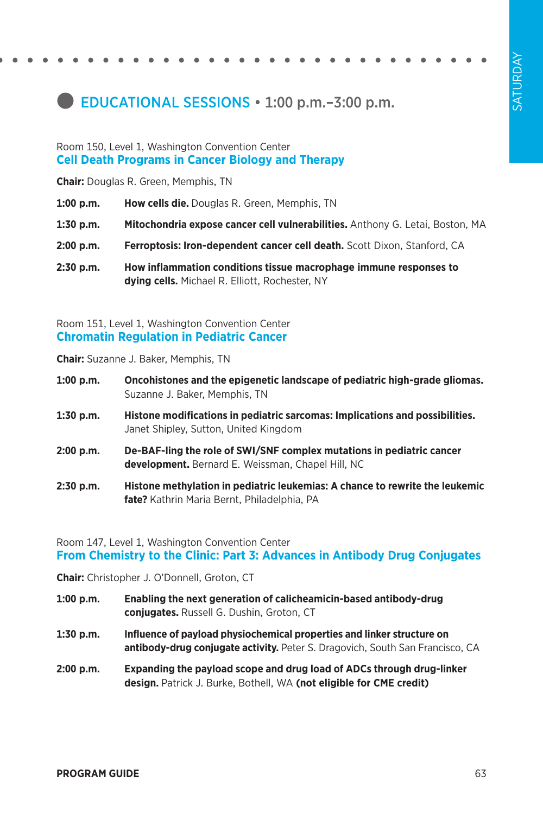# **EDUCATIONAL SESSIONS • 1:00 p.m. - 3:00 p.m.**

#### Room 150, Level 1, Washington Convention Center **Cell Death Programs in Cancer Biology and Therapy**

**Chair:** Douglas R. Green, Memphis, TN

- **1:00 p.m. How cells die.** Douglas R. Green, Memphis, TN
- **1:30 p.m. Mitochondria expose cancer cell vulnerabilities.** Anthony G. Letai, Boston, MA
- **2:00 p.m. Ferroptosis: Iron-dependent cancer cell death.** Scott Dixon, Stanford, CA
- **2:30 p.m. How inflammation conditions tissue macrophage immune responses to dying cells.** Michael R. Elliott, Rochester, NY

Room 151, Level 1, Washington Convention Center **Chromatin Regulation in Pediatric Cancer**

**Chair:** Suzanne J. Baker, Memphis, TN

- **1:00 p.m. Oncohistones and the epigenetic landscape of pediatric high-grade gliomas.**  Suzanne J. Baker, Memphis, TN
- **1:30 p.m. Histone modifications in pediatric sarcomas: Implications and possibilities.**  Janet Shipley, Sutton, United Kingdom
- **2:00 p.m. De-BAF-ling the role of SWI/SNF complex mutations in pediatric cancer development.** Bernard E. Weissman, Chapel Hill, NC
- **2:30 p.m. Histone methylation in pediatric leukemias: A chance to rewrite the leukemic fate?** Kathrin Maria Bernt, Philadelphia, PA

#### Room 147, Level 1, Washington Convention Center **From Chemistry to the Clinic: Part 3: Advances in Antibody Drug Conjugates**

**Chair:** Christopher J. O'Donnell, Groton, CT

- **1:00 p.m. Enabling the next generation of calicheamicin-based antibody-drug conjugates.** Russell G. Dushin, Groton, CT
- **1:30 p.m. Influence of payload physiochemical properties and linker structure on antibody-drug conjugate activity.** Peter S. Dragovich, South San Francisco, CA
- **2:00 p.m. Expanding the payload scope and drug load of ADCs through drug-linker design.** Patrick J. Burke, Bothell, WA **(not eligible for CME credit)**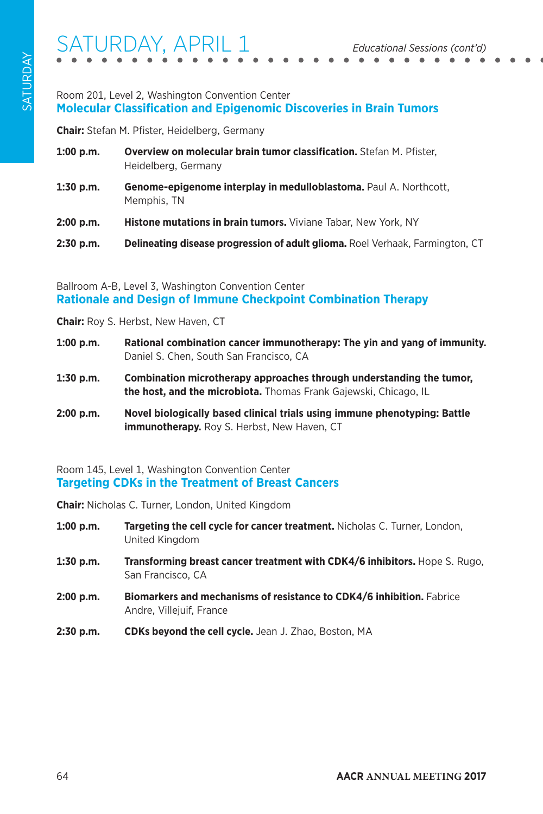### Room 201, Level 2, Washington Convention Center **Molecular Classification and Epigenomic Discoveries in Brain Tumors**

**Chair:** Stefan M. Pfister, Heidelberg, Germany

- **1:00 p.m. Overview on molecular brain tumor classification.** Stefan M. Pfister, Heidelberg, Germany
- **1:30 p.m. Genome-epigenome interplay in medulloblastoma.** Paul A. Northcott, Memphis, TN
- **2:00 p.m. Histone mutations in brain tumors.** Viviane Tabar, New York, NY

**2:30 p.m. Delineating disease progression of adult glioma.** Roel Verhaak, Farmington, CT

Ballroom A-B, Level 3, Washington Convention Center **Rationale and Design of Immune Checkpoint Combination Therapy**

**Chair:** Roy S. Herbst, New Haven, CT

- **1:00 p.m. Rational combination cancer immunotherapy: The yin and yang of immunity.**  Daniel S. Chen, South San Francisco, CA
- **1:30 p.m. Combination microtherapy approaches through understanding the tumor, the host, and the microbiota.** Thomas Frank Gajewski, Chicago, IL
- **2:00 p.m. Novel biologically based clinical trials using immune phenotyping: Battle immunotherapy.** Roy S. Herbst, New Haven, CT

### Room 145, Level 1, Washington Convention Center **Targeting CDKs in the Treatment of Breast Cancers**

**Chair:** Nicholas C. Turner, London, United Kingdom

- **1:00 p.m. Targeting the cell cycle for cancer treatment.** Nicholas C. Turner, London, United Kingdom
- **1:30 p.m. Transforming breast cancer treatment with CDK4/6 inhibitors.** Hope S. Rugo, San Francisco, CA
- **2:00 p.m. Biomarkers and mechanisms of resistance to CDK4/6 inhibition.** Fabrice Andre, Villejuif, France
- **2:30 p.m. CDKs beyond the cell cycle.** Jean J. Zhao, Boston, MA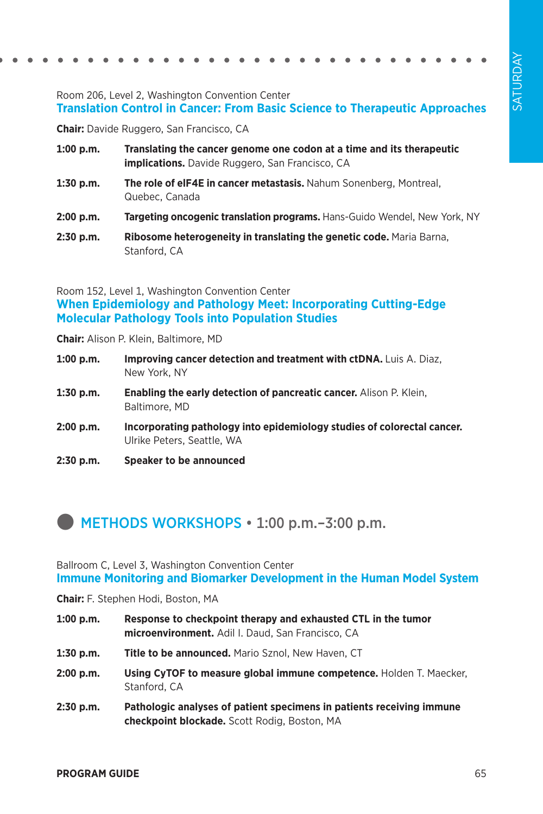### Room 206, Level 2, Washington Convention Center **Translation Control in Cancer: From Basic Science to Therapeutic Approaches**

**Chair:** Davide Ruggero, San Francisco, CA

- **1:00 p.m. Translating the cancer genome one codon at a time and its therapeutic implications.** Davide Ruggero, San Francisco, CA
- **1:30 p.m. The role of elF4E in cancer metastasis.** Nahum Sonenberg, Montreal, Quebec, Canada
- **2:00 p.m. Targeting oncogenic translation programs.** Hans-Guido Wendel, New York, NY
- **2:30 p.m. Ribosome heterogeneity in translating the genetic code.** Maria Barna, Stanford, CA

Room 152, Level 1, Washington Convention Center **When Epidemiology and Pathology Meet: Incorporating Cutting-Edge Molecular Pathology Tools into Population Studies**

**Chair:** Alison P. Klein, Baltimore, MD

- **1:00 p.m. Improving cancer detection and treatment with ctDNA.** Luis A. Diaz, New York, NY
- **1:30 p.m. Enabling the early detection of pancreatic cancer.** Alison P. Klein, Baltimore, MD
- **2:00 p.m. Incorporating pathology into epidemiology studies of colorectal cancer.**  Ulrike Peters, Seattle, WA
- **2:30 p.m. Speaker to be announced**

### **METHODS WORKSHOPS • 1:00 p.m. - 3:00 p.m.**

Ballroom C, Level 3, Washington Convention Center **Immune Monitoring and Biomarker Development in the Human Model System**

**Chair:** F. Stephen Hodi, Boston, MA

- **1:00 p.m. Response to checkpoint therapy and exhausted CTL in the tumor microenvironment.** Adil I. Daud, San Francisco, CA
- **1:30 p.m. Title to be announced.** Mario Sznol, New Haven, CT
- **2:00 p.m. Using CyTOF to measure global immune competence.** Holden T. Maecker, Stanford, CA
- **2:30 p.m. Pathologic analyses of patient specimens in patients receiving immune checkpoint blockade.** Scott Rodig, Boston, MA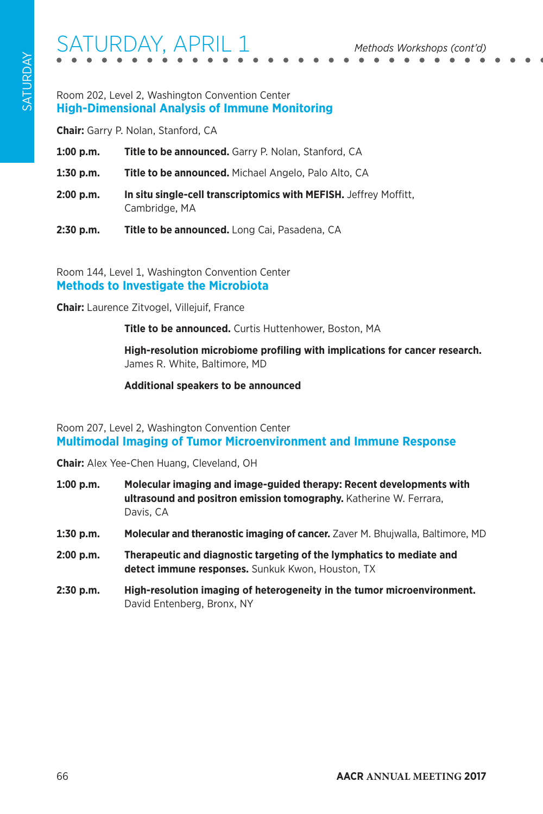### Room 202, Level 2, Washington Convention Center **High-Dimensional Analysis of Immune Monitoring**

**Chair:** Garry P. Nolan, Stanford, CA

- **1:00 p.m. Title to be announced.** Garry P. Nolan, Stanford, CA
- **1:30 p.m. Title to be announced.** Michael Angelo, Palo Alto, CA
- **2:00 p.m. In situ single-cell transcriptomics with MEFISH.** Jeffrey Moffitt, Cambridge, MA
- **2:30 p.m. Title to be announced.** Long Cai, Pasadena, CA

Room 144, Level 1, Washington Convention Center **Methods to Investigate the Microbiota**

**Chair:** Laurence Zitvogel, Villejuif, France

**Title to be announced.** Curtis Huttenhower, Boston, MA

**High-resolution microbiome profiling with implications for cancer research.**  James R. White, Baltimore, MD

**Additional speakers to be announced**

### Room 207, Level 2, Washington Convention Center **Multimodal Imaging of Tumor Microenvironment and Immune Response**

**Chair:** Alex Yee-Chen Huang, Cleveland, OH

- **1:00 p.m. Molecular imaging and image-guided therapy: Recent developments with ultrasound and positron emission tomography.** Katherine W. Ferrara, Davis, CA
- **1:30 p.m. Molecular and theranostic imaging of cancer.** Zaver M. Bhujwalla, Baltimore, MD
- **2:00 p.m. Therapeutic and diagnostic targeting of the lymphatics to mediate and detect immune responses.** Sunkuk Kwon, Houston, TX
- **2:30 p.m. High-resolution imaging of heterogeneity in the tumor microenvironment.**  David Entenberg, Bronx, NY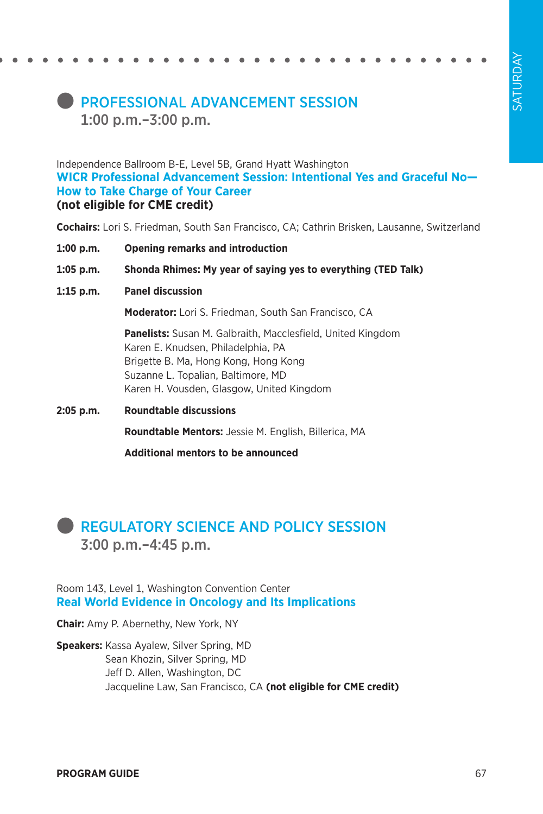## **PROFESSIONAL ADVANCEMENT SESSION** 1:00 p.m.–3:00 p.m.

Independence Ballroom B-E, Level 5B, Grand Hyatt Washington **WICR Professional Advancement Session: Intentional Yes and Graceful No— How to Take Charge of Your Career (not eligible for CME credit)**

**Cochairs:** Lori S. Friedman, South San Francisco, CA; Cathrin Brisken, Lausanne, Switzerland

- **1:00 p.m. Opening remarks and introduction**
- **1:05 p.m. Shonda Rhimes: My year of saying yes to everything (TED Talk)**
- **1:15 p.m. Panel discussion**

**Moderator:** Lori S. Friedman, South San Francisco, CA

**Panelists:** Susan M. Galbraith, Macclesfield, United Kingdom Karen E. Knudsen, Philadelphia, PA Brigette B. Ma, Hong Kong, Hong Kong Suzanne L. Topalian, Baltimore, MD Karen H. Vousden, Glasgow, United Kingdom

**2:05 p.m. Roundtable discussions Roundtable Mentors:** Jessie M. English, Billerica, MA

**Additional mentors to be announced**

## **REGULATORY SCIENCE AND POLICY SESSION** 3:00 p.m.–4:45 p.m.

Room 143, Level 1, Washington Convention Center **Real World Evidence in Oncology and Its Implications**

**Chair:** Amy P. Abernethy, New York, NY

**Speakers:** Kassa Ayalew, Silver Spring, MD Sean Khozin, Silver Spring, MD Jeff D. Allen, Washington, DC Jacqueline Law, San Francisco, CA **(not eligible for CME credit)**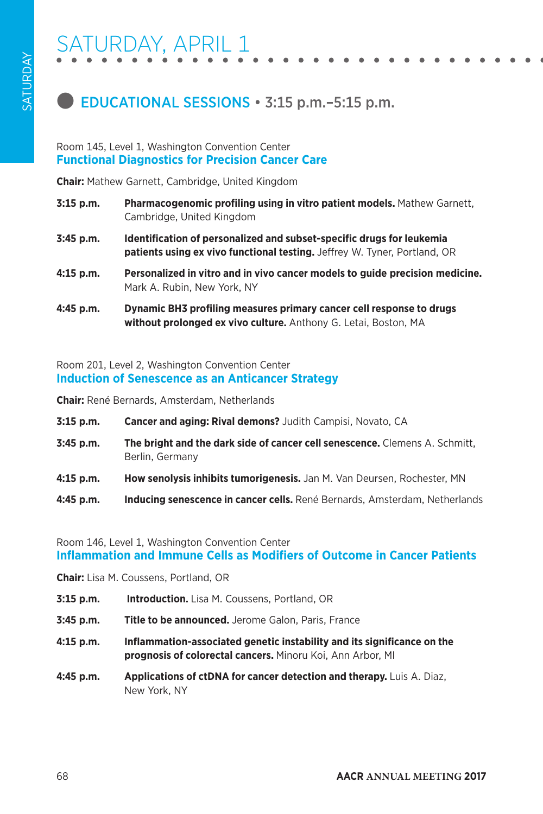

### **EDUCATIONAL SESSIONS • 3:15 p.m. - 5:15 p.m.**

#### Room 145, Level 1, Washington Convention Center **Functional Diagnostics for Precision Cancer Care**

**Chair:** Mathew Garnett, Cambridge, United Kingdom

| $3:15$ p.m. | Pharmacogenomic profiling using in vitro patient models. Mathew Garnett,<br>Cambridge, United Kingdom                                              |
|-------------|----------------------------------------------------------------------------------------------------------------------------------------------------|
| 3:45 p.m.   | Identification of personalized and subset-specific drugs for leukemia<br>patients using ex vivo functional testing. Jeffrey W. Tyner, Portland, OR |
| $4:15$ p.m. | Personalized in vitro and in vivo cancer models to guide precision medicine.<br>Mark A. Rubin, New York, NY                                        |
| 4:45 p.m.   | Dynamic BH3 profiling measures primary cancer cell response to drugs<br>without prolonged ex vivo culture. Anthony G. Letai, Boston, MA            |

#### Room 201, Level 2, Washington Convention Center **Induction of Senescence as an Anticancer Strategy**

**Chair:** René Bernards, Amsterdam, Netherlands

- **3:15 p.m. Cancer and aging: Rival demons?** Judith Campisi, Novato, CA
- **3:45 p.m. The bright and the dark side of cancer cell senescence.** Clemens A. Schmitt, Berlin, Germany
- **4:15 p.m. How senolysis inhibits tumorigenesis.** Jan M. Van Deursen, Rochester, MN
- **4:45 p.m. Inducing senescence in cancer cells.** René Bernards, Amsterdam, Netherlands

### Room 146, Level 1, Washington Convention Center **Inflammation and Immune Cells as Modifiers of Outcome in Cancer Patients**

**Chair:** Lisa M. Coussens, Portland, OR

- **3:15 p.m. Introduction.** Lisa M. Coussens, Portland, OR
- **3:45 p.m. Title to be announced.** Jerome Galon, Paris, France
- **4:15 p.m. Inflammation-associated genetic instability and its significance on the prognosis of colorectal cancers.** Minoru Koi, Ann Arbor, MI
- **4:45 p.m. Applications of ctDNA for cancer detection and therapy.** Luis A. Diaz, New York, NY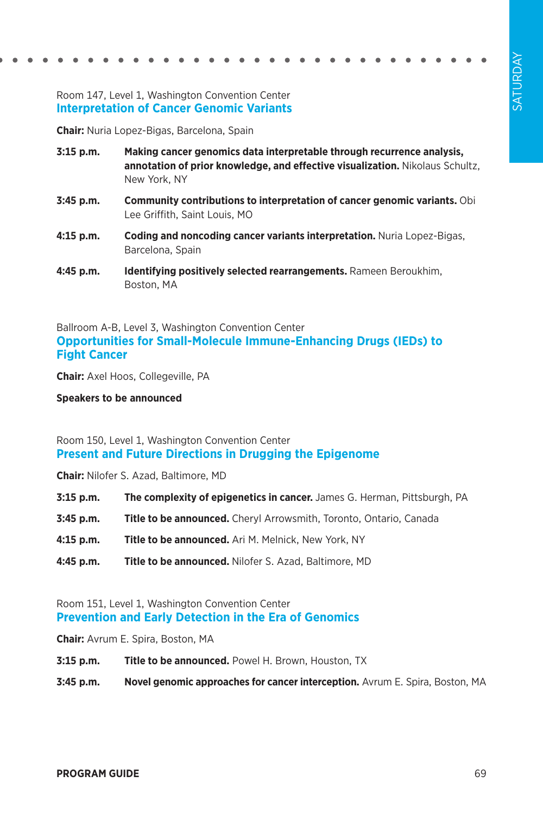### Room 147, Level 1, Washington Convention Center **Interpretation of Cancer Genomic Variants**

**Chair:** Nuria Lopez-Bigas, Barcelona, Spain

- **3:15 p.m. Making cancer genomics data interpretable through recurrence analysis, annotation of prior knowledge, and effective visualization.** Nikolaus Schultz, New York, NY
- **3:45 p.m. Community contributions to interpretation of cancer genomic variants.** Obi Lee Griffith, Saint Louis, MO
- **4:15 p.m. Coding and noncoding cancer variants interpretation.** Nuria Lopez-Bigas, Barcelona, Spain
- **4:45 p.m. Identifying positively selected rearrangements.** Rameen Beroukhim, Boston, MA

Ballroom A-B, Level 3, Washington Convention Center **Opportunities for Small-Molecule Immune-Enhancing Drugs (IEDs) to Fight Cancer**

**Chair:** Axel Hoos, Collegeville, PA

**Speakers to be announced**

#### Room 150, Level 1, Washington Convention Center **Present and Future Directions in Drugging the Epigenome**

**Chair:** Nilofer S. Azad, Baltimore, MD

- **3:15 p.m. The complexity of epigenetics in cancer.** James G. Herman, Pittsburgh, PA
- **3:45 p.m. Title to be announced.** Cheryl Arrowsmith, Toronto, Ontario, Canada
- **4:15 p.m. Title to be announced.** Ari M. Melnick, New York, NY
- **4:45 p.m. Title to be announced.** Nilofer S. Azad, Baltimore, MD

#### Room 151, Level 1, Washington Convention Center **Prevention and Early Detection in the Era of Genomics**

**Chair:** Avrum E. Spira, Boston, MA

- **3:15 p.m. Title to be announced.** Powel H. Brown, Houston, TX
- **3:45 p.m. Novel genomic approaches for cancer interception.** Avrum E. Spira, Boston, MA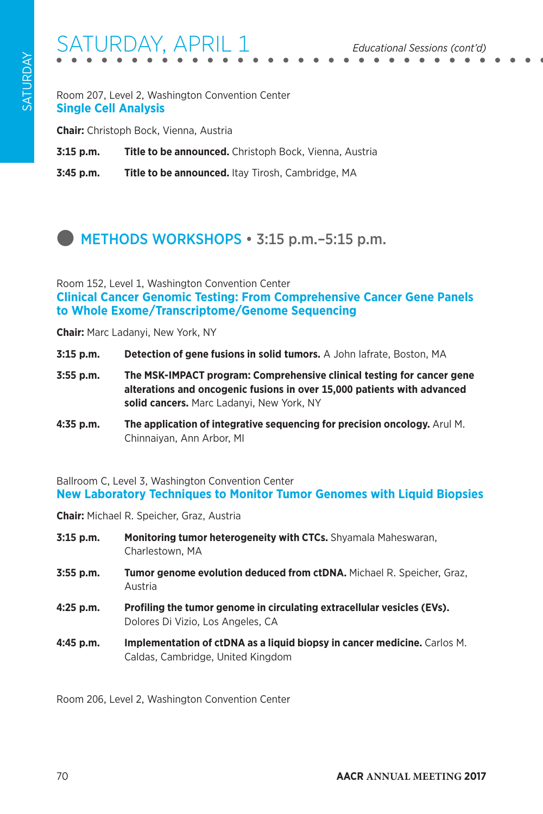# SATURDAY, APRIL 1 *Educational Sessions (cont'd)*

Room 207, Level 2, Washington Convention Center **Single Cell Analysis**

**Chair:** Christoph Bock, Vienna, Austria

**3:15 p.m. Title to be announced.** Christoph Bock, Vienna, Austria

**3:45 p.m. Title to be announced.** Itay Tirosh, Cambridge, MA

# **METHODS WORKSHOPS • 3:15 p.m. - 5:15 p.m.**

Room 152, Level 1, Washington Convention Center **Clinical Cancer Genomic Testing: From Comprehensive Cancer Gene Panels to Whole Exome/Transcriptome/Genome Sequencing**

**Chair:** Marc Ladanyi, New York, NY

- **3:15 p.m. Detection of gene fusions in solid tumors.** A John Iafrate, Boston, MA
- **3:55 p.m. The MSK-IMPACT program: Comprehensive clinical testing for cancer gene alterations and oncogenic fusions in over 15,000 patients with advanced solid cancers.** Marc Ladanyi, New York, NY
- **4:35 p.m. The application of integrative sequencing for precision oncology.** Arul M. Chinnaiyan, Ann Arbor, MI

Ballroom C, Level 3, Washington Convention Center **New Laboratory Techniques to Monitor Tumor Genomes with Liquid Biopsies**

**Chair:** Michael R. Speicher, Graz, Austria

- **3:15 p.m. Monitoring tumor heterogeneity with CTCs.** Shyamala Maheswaran, Charlestown, MA
- **3:55 p.m. Tumor genome evolution deduced from ctDNA.** Michael R. Speicher, Graz, Austria
- **4:25 p.m. Profiling the tumor genome in circulating extracellular vesicles (EVs).**  Dolores Di Vizio, Los Angeles, CA
- **4:45 p.m. Implementation of ctDNA as a liquid biopsy in cancer medicine.** Carlos M. Caldas, Cambridge, United Kingdom

Room 206, Level 2, Washington Convention Center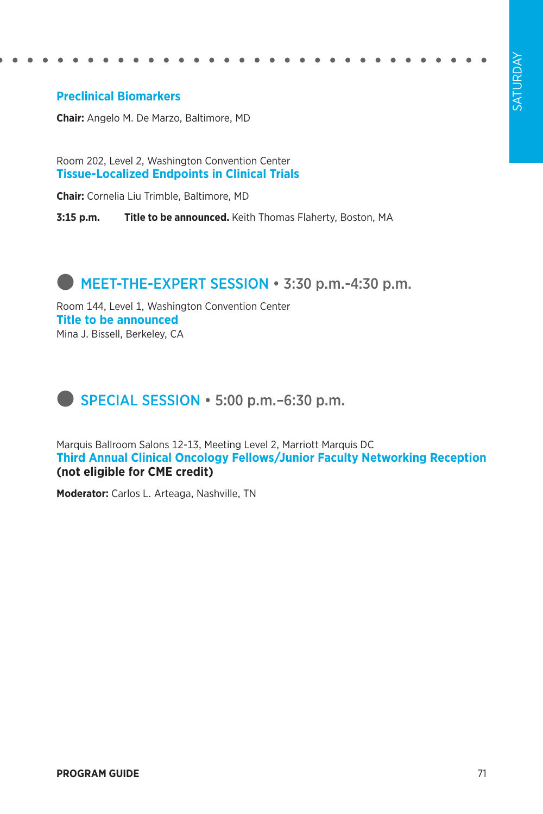### **Preclinical Biomarkers**

**Chair:** Angelo M. De Marzo, Baltimore, MD

Room 202, Level 2, Washington Convention Center **Tissue-Localized Endpoints in Clinical Trials**

**Chair:** Cornelia Liu Trimble, Baltimore, MD

**3:15 p.m. Title to be announced.** Keith Thomas Flaherty, Boston, MA

### **MEET-THE-EXPERT SESSION • 3:30 p.m.-4:30 p.m.**

Room 144, Level 1, Washington Convention Center **Title to be announced** Mina J. Bissell, Berkeley, CA

## **SPECIAL SESSION • 5:00 p.m.–6:30 p.m.**

Marquis Ballroom Salons 12-13, Meeting Level 2, Marriott Marquis DC **Third Annual Clinical Oncology Fellows/Junior Faculty Networking Reception (not eligible for CME credit)**

**Moderator:** Carlos L. Arteaga, Nashville, TN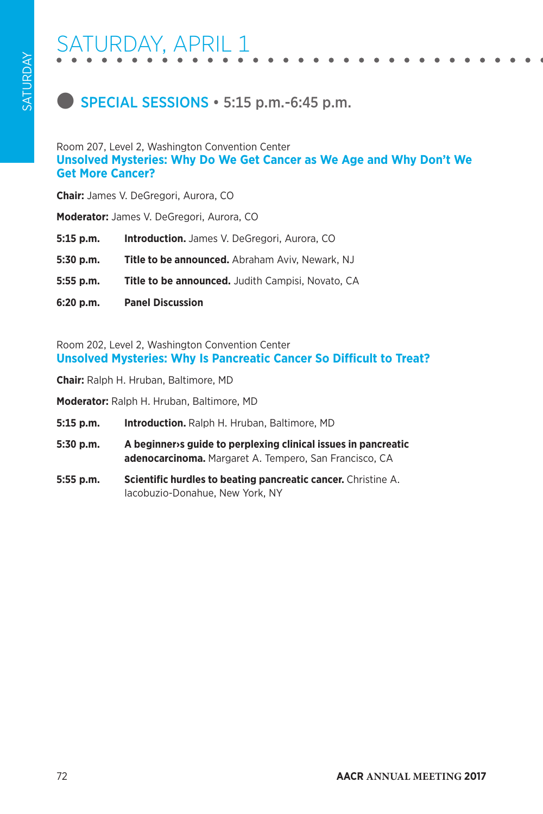## **SPECIAL SESSIONS • 5:15 p.m.-6:45 p.m.**

#### Room 207, Level 2, Washington Convention Center **Unsolved Mysteries: Why Do We Get Cancer as We Age and Why Don't We Get More Cancer?**

**Chair:** James V. DeGregori, Aurora, CO

**Moderator:** James V. DeGregori, Aurora, CO

- **5:15 p.m. Introduction.** James V. DeGregori, Aurora, CO
- **5:30 p.m. Title to be announced.** Abraham Aviv, Newark, NJ
- **5:55 p.m. Title to be announced.** Judith Campisi, Novato, CA
- **6:20 p.m. Panel Discussion**

Room 202, Level 2, Washington Convention Center **Unsolved Mysteries: Why Is Pancreatic Cancer So Difficult to Treat?**

**Chair:** Ralph H. Hruban, Baltimore, MD

**Moderator:** Ralph H. Hruban, Baltimore, MD

- **5:15 p.m. Introduction.** Ralph H. Hruban, Baltimore, MD
- **5:30 p.m. A beginner›s guide to perplexing clinical issues in pancreatic adenocarcinoma.** Margaret A. Tempero, San Francisco, CA
- **5:55 p.m. Scientific hurdles to beating pancreatic cancer.** Christine A. Iacobuzio-Donahue, New York, NY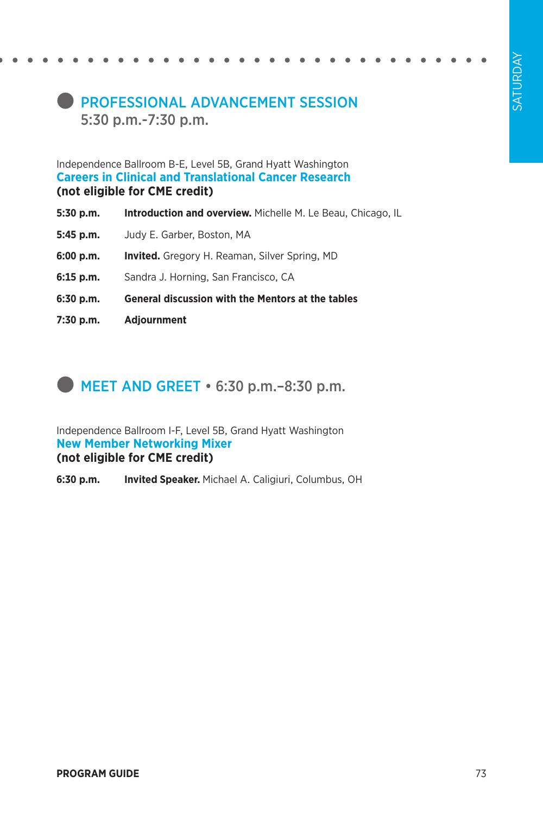### **PROFESSIONAL ADVANCEMENT SESSION** 5:30 p.m.-7:30 p.m.

Independence Ballroom B-E, Level 5B, Grand Hyatt Washington **Careers in Clinical and Translational Cancer Research (not eligible for CME credit)** 

- **5:30 p.m. Introduction and overview.** Michelle M. Le Beau, Chicago, IL
- **5:45 p.m.** Judy E. Garber, Boston, MA
- **6:00 p.m. Invited.** Gregory H. Reaman, Silver Spring, MD
- **6:15 p.m.** Sandra J. Horning, San Francisco, CA
- **6:30 p.m. General discussion with the Mentors at the tables**
- **7:30 p.m. Adjournment**

### $\blacksquare$  MEET AND GREET  $\cdot$  6:30 p.m. –8:30 p.m.

Independence Ballroom I-F, Level 5B, Grand Hyatt Washington **New Member Networking Mixer (not eligible for CME credit)**

**6:30 p.m. Invited Speaker.** Michael A. Caligiuri, Columbus, OH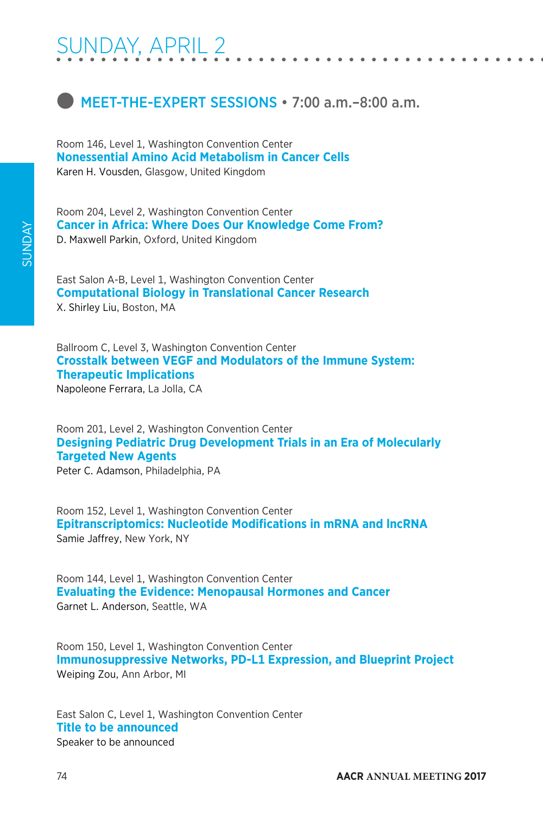# SUNDAY, APRIL 2

### **INEET-THE-EXPERT SESSIONS • 7:00 a.m.–8:00 a.m.**

Room 146, Level 1, Washington Convention Center **Nonessential Amino Acid Metabolism in Cancer Cells** Karen H. Vousden, Glasgow, United Kingdom

Room 204, Level 2, Washington Convention Center **Cancer in Africa: Where Does Our Knowledge Come From?** D. Maxwell Parkin, Oxford, United Kingdom

East Salon A-B, Level 1, Washington Convention Center **Computational Biology in Translational Cancer Research** X. Shirley Liu, Boston, MA

Ballroom C, Level 3, Washington Convention Center **Crosstalk between VEGF and Modulators of the Immune System: Therapeutic Implications** Napoleone Ferrara, La Jolla, CA

Room 201, Level 2, Washington Convention Center **Designing Pediatric Drug Development Trials in an Era of Molecularly Targeted New Agents**

Peter C. Adamson, Philadelphia, PA

Room 152, Level 1, Washington Convention Center **Epitranscriptomics: Nucleotide Modifications in mRNA and lncRNA** Samie Jaffrey, New York, NY

Room 144, Level 1, Washington Convention Center **Evaluating the Evidence: Menopausal Hormones and Cancer** Garnet L. Anderson, Seattle, WA

Room 150, Level 1, Washington Convention Center **Immunosuppressive Networks, PD-L1 Expression, and Blueprint Project** Weiping Zou, Ann Arbor, MI

East Salon C, Level 1, Washington Convention Center **Title to be announced** Speaker to be announced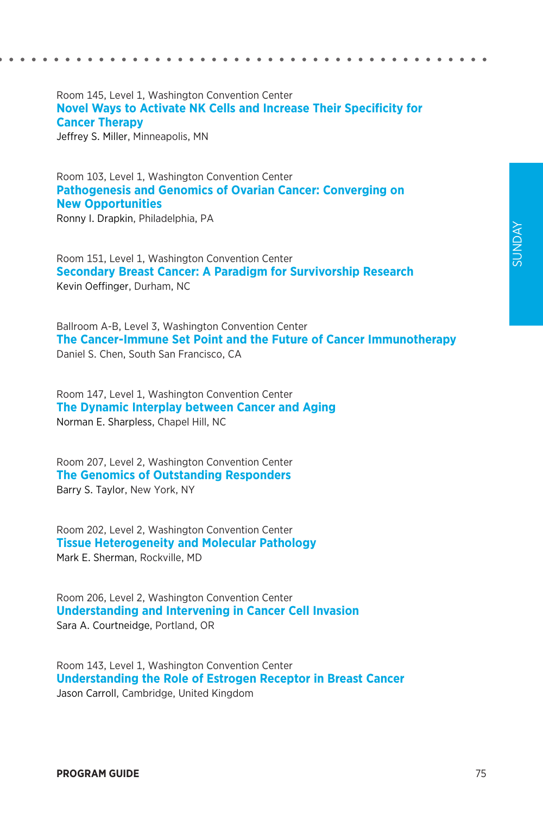#### Room 145, Level 1, Washington Convention Center **Novel Ways to Activate NK Cells and Increase Their Specificity for Cancer Therapy** Jeffrey S. Miller, Minneapolis, MN

Room 103, Level 1, Washington Convention Center **Pathogenesis and Genomics of Ovarian Cancer: Converging on New Opportunities**

Ronny I. Drapkin, Philadelphia, PA

Room 151, Level 1, Washington Convention Center **Secondary Breast Cancer: A Paradigm for Survivorship Research** Kevin Oeffinger, Durham, NC

Ballroom A-B, Level 3, Washington Convention Center **The Cancer-Immune Set Point and the Future of Cancer Immunotherapy** Daniel S. Chen, South San Francisco, CA

Room 147, Level 1, Washington Convention Center **The Dynamic Interplay between Cancer and Aging** Norman E. Sharpless, Chapel Hill, NC

Room 207, Level 2, Washington Convention Center **The Genomics of Outstanding Responders** Barry S. Taylor, New York, NY

Room 202, Level 2, Washington Convention Center **Tissue Heterogeneity and Molecular Pathology** Mark E. Sherman, Rockville, MD

Room 206, Level 2, Washington Convention Center **Understanding and Intervening in Cancer Cell Invasion** Sara A. Courtneidge, Portland, OR

Room 143, Level 1, Washington Convention Center **Understanding the Role of Estrogen Receptor in Breast Cancer** Jason Carroll, Cambridge, United Kingdom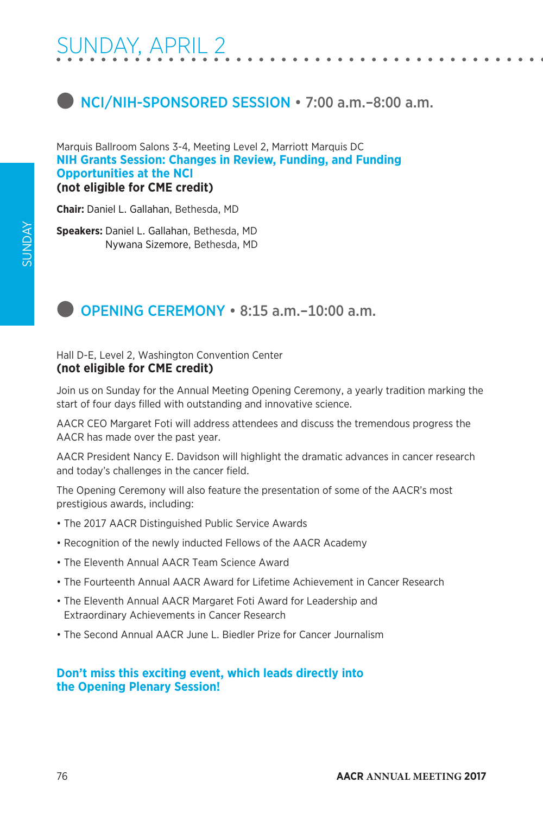## **Inclarge 12 and NCI/NIH-SPONSORED SESSION** • 7:00 a.m. –8:00 a.m.

Marquis Ballroom Salons 3-4, Meeting Level 2, Marriott Marquis DC **NIH Grants Session: Changes in Review, Funding, and Funding Opportunities at the NCI (not eligible for CME credit)**

**Chair:** Daniel L. Gallahan, Bethesda, MD

**Speakers:** Daniel L. Gallahan, Bethesda, MD Nywana Sizemore, Bethesda, MD

### **D** OPENING CEREMONY • 8:15 a.m.-10:00 a.m.

Hall D-E, Level 2, Washington Convention Center **(not eligible for CME credit)**

Join us on Sunday for the Annual Meeting Opening Ceremony, a yearly tradition marking the start of four days filled with outstanding and innovative science.

AACR CEO Margaret Foti will address attendees and discuss the tremendous progress the AACR has made over the past year.

AACR President Nancy E. Davidson will highlight the dramatic advances in cancer research and today's challenges in the cancer field.

The Opening Ceremony will also feature the presentation of some of the AACR's most prestigious awards, including:

- The 2017 AACR Distinguished Public Service Awards
- Recognition of the newly inducted Fellows of the AACR Academy
- The Eleventh Annual AACR Team Science Award
- The Fourteenth Annual AACR Award for Lifetime Achievement in Cancer Research
- The Eleventh Annual AACR Margaret Foti Award for Leadership and Extraordinary Achievements in Cancer Research
- The Second Annual AACR June L. Biedler Prize for Cancer Journalism

### **Don't miss this exciting event, which leads directly into the Opening Plenary Session!**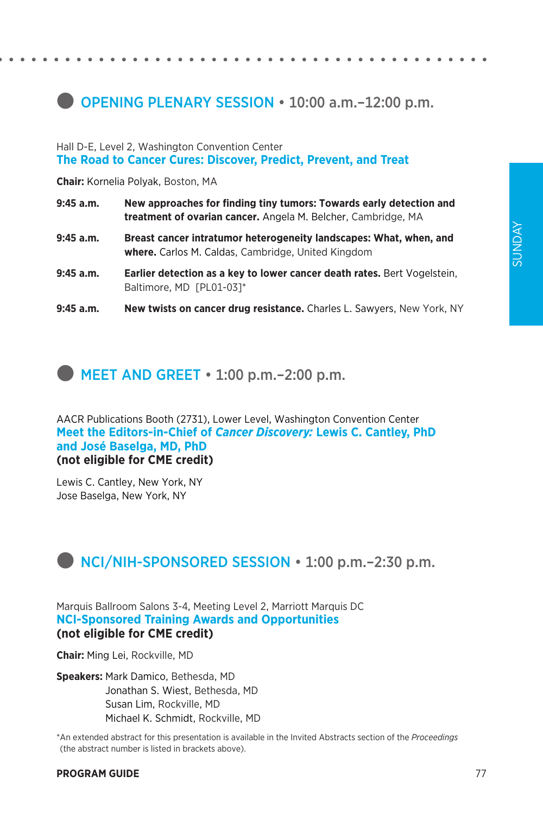### **OPENING PLENARY SESSION • 10:00 a.m.-12:00 p.m.**

Hall D-E, Level 2, Washington Convention Center **The Road to Cancer Cures: Discover, Predict, Prevent, and Treat**

**Chair:** Kornelia Polyak, Boston, MA

- **9:45 a.m. New approaches for finding tiny tumors: Towards early detection and treatment of ovarian cancer.** Angela M. Belcher, Cambridge, MA
- **9:45 a.m. Breast cancer intratumor heterogeneity landscapes: What, when, and where.** Carlos M. Caldas, Cambridge, United Kingdom
- **9:45 a.m. Earlier detection as a key to lower cancer death rates.** Bert Vogelstein, Baltimore, MD [PL01-03]\*
- **9:45 a.m. New twists on cancer drug resistance.** Charles L. Sawyers, New York, NY

### **MEET AND GREET • 1:00 p.m.–2:00 p.m.**

AACR Publications Booth (2731), Lower Level, Washington Convention Center **Meet the Editors-in-Chief of** *Cancer Discovery:* **Lewis C. Cantley, PhD and José Baselga, MD, PhD (not eligible for CME credit)**

Lewis C. Cantley, New York, NY Jose Baselga, New York, NY

### **D** NCI/NIH-SPONSORED SESSION • 1:00 p.m. - 2:30 p.m.

Marquis Ballroom Salons 3-4, Meeting Level 2, Marriott Marquis DC **NCI-Sponsored Training Awards and Opportunities (not eligible for CME credit)**

**Chair:** Ming Lei, Rockville, MD

**Speakers:** Mark Damico, Bethesda, MD Jonathan S. Wiest, Bethesda, MD Susan Lim, Rockville, MD Michael K. Schmidt, Rockville, MD

\*An extended abstract for this presentation is available in the Invited Abstracts section of the *Proceedings* (the abstract number is listed in brackets above).

#### **PROGRAM GUIDE** 77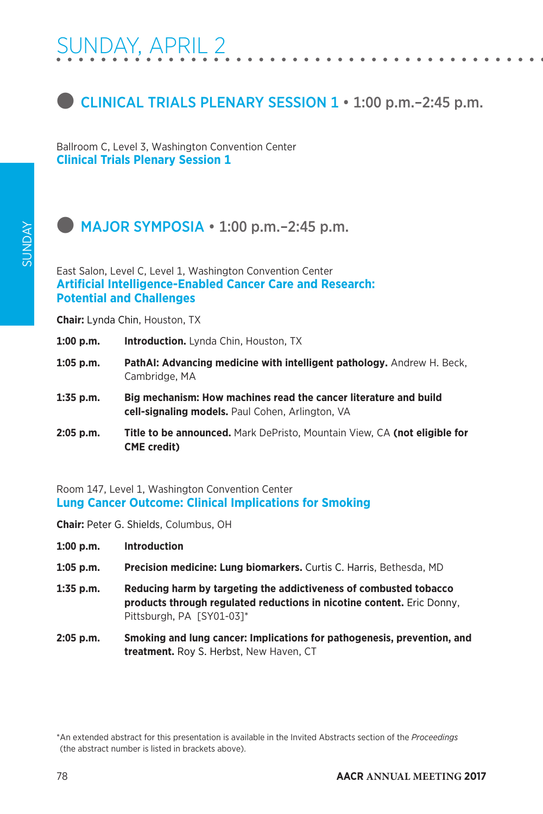

Ballroom C, Level 3, Washington Convention Center **Clinical Trials Plenary Session 1**

### $\bullet$  MAJOR SYMPOSIA  $\cdot$  1:00 p.m. – 2:45 p.m.

East Salon, Level C, Level 1, Washington Convention Center **Artificial Intelligence-Enabled Cancer Care and Research: Potential and Challenges**

**Chair:** Lynda Chin, Houston, TX

- 1:00 p.m. **Introduction.** Lynda Chin, Houston, TX
- **1:05 p.m. PathAI: Advancing medicine with intelligent pathology.** Andrew H. Beck, Cambridge, MA
- **1:35 p.m. Big mechanism: How machines read the cancer literature and build cell-signaling models.** Paul Cohen, Arlington, VA
- **2:05 p.m. Title to be announced.** Mark DePristo, Mountain View, CA **(not eligible for CME credit)**

Room 147, Level 1, Washington Convention Center **Lung Cancer Outcome: Clinical Implications for Smoking**

**Chair:** Peter G. Shields, Columbus, OH

- **1:00 p.m. Introduction**
- **1:05 p.m. Precision medicine: Lung biomarkers.** Curtis C. Harris, Bethesda, MD
- **1:35 p.m. Reducing harm by targeting the addictiveness of combusted tobacco products through regulated reductions in nicotine content.** Eric Donny, Pittsburgh, PA [SY01-03]\*
- **2:05 p.m. Smoking and lung cancer: Implications for pathogenesis, prevention, and treatment.** Roy S. Herbst, New Haven, CT

<sup>\*</sup>An extended abstract for this presentation is available in the Invited Abstracts section of the *Proceedings* (the abstract number is listed in brackets above).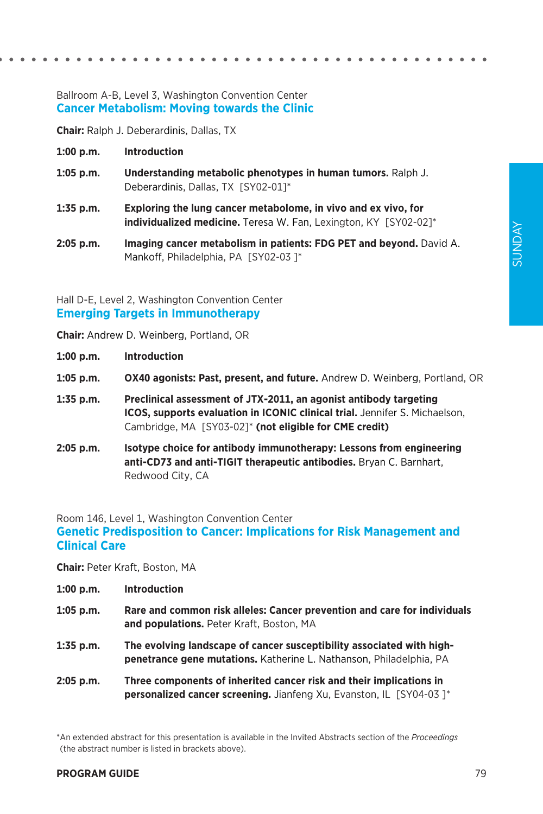### Ballroom A-B, Level 3, Washington Convention Center **Cancer Metabolism: Moving towards the Clinic**

**Chair:** Ralph J. Deberardinis, Dallas, TX

- **1:00 p.m. Introduction**
- **1:05 p.m. Understanding metabolic phenotypes in human tumors.** Ralph J. Deberardinis, Dallas, TX [SY02-01]\*
- **1:35 p.m. Exploring the lung cancer metabolome, in vivo and ex vivo, for individualized medicine.** Teresa W. Fan, Lexington, KY [SY02-02]\*
- **2:05 p.m. Imaging cancer metabolism in patients: FDG PET and beyond.** David A. Mankoff, Philadelphia, PA [SY02-03]\*

Hall D-E, Level 2, Washington Convention Center **Emerging Targets in Immunotherapy**

**Chair:** Andrew D. Weinberg, Portland, OR

- **1:00 p.m. Introduction**
- **1:05 p.m. OX40 agonists: Past, present, and future.** Andrew D. Weinberg, Portland, OR
- **1:35 p.m. Preclinical assessment of JTX-2011, an agonist antibody targeting ICOS, supports evaluation in ICONIC clinical trial.** Jennifer S. Michaelson, Cambridge, MA [SY03-02]\* **(not eligible for CME credit)**
- **2:05 p.m. Isotype choice for antibody immunotherapy: Lessons from engineering anti-CD73 and anti-TIGIT therapeutic antibodies.** Bryan C. Barnhart, Redwood City, CA

### Room 146, Level 1, Washington Convention Center **Genetic Predisposition to Cancer: Implications for Risk Management and Clinical Care**

**Chair:** Peter Kraft, Boston, MA

- **1:05 p.m. Rare and common risk alleles: Cancer prevention and care for individuals and populations.** Peter Kraft, Boston, MA
- **1:35 p.m. The evolving landscape of cancer susceptibility associated with highpenetrance gene mutations.** Katherine L. Nathanson, Philadelphia, PA
- **2:05 p.m. Three components of inherited cancer risk and their implications in personalized cancer screening.** Jianfeng Xu, Evanston, IL [SY04-03 ]\*

\*An extended abstract for this presentation is available in the Invited Abstracts section of the *Proceedings* (the abstract number is listed in brackets above).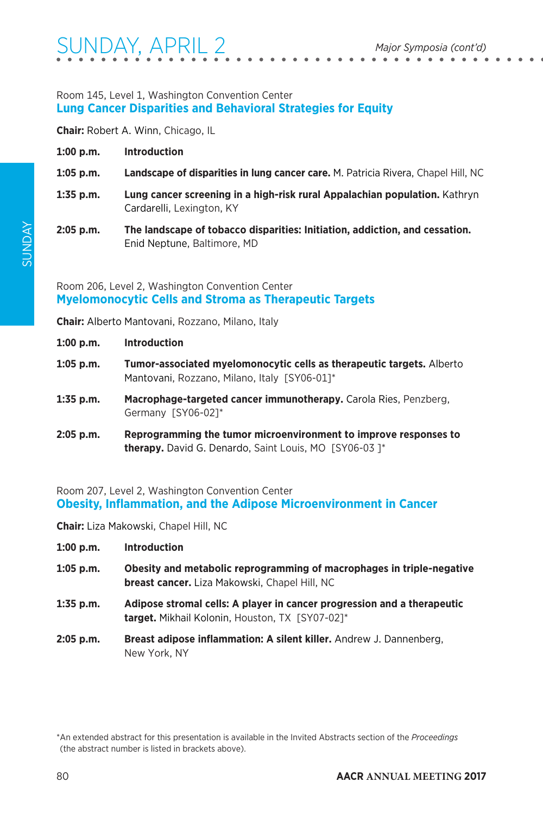### Room 145, Level 1, Washington Convention Center **Lung Cancer Disparities and Behavioral Strategies for Equity**

**Chair:** Robert A. Winn, Chicago, IL

| 1:00 p.m.   | <b>Introduction</b>                                                                                        |
|-------------|------------------------------------------------------------------------------------------------------------|
| $1:05$ p.m. | Landscape of disparities in lung cancer care. M. Patricia Rivera, Chapel Hill, NC                          |
| $1:35$ p.m. | Lung cancer screening in a high-risk rural Appalachian population. Kathryn<br>Cardarelli, Lexington, KY    |
| $2:05$ p.m. | The landscape of tobacco disparities: Initiation, addiction, and cessation.<br>Enid Neptune, Baltimore, MD |

Room 206, Level 2, Washington Convention Center **Myelomonocytic Cells and Stroma as Therapeutic Targets**

**Chair:** Alberto Mantovani, Rozzano, Milano, Italy

|  | 1:00 p.m. | <b>Introduction</b> |
|--|-----------|---------------------|
|--|-----------|---------------------|

- **1:05 p.m. Tumor-associated myelomonocytic cells as therapeutic targets.** Alberto Mantovani, Rozzano, Milano, Italy [SY06-01]\*
- **1:35 p.m. Macrophage-targeted cancer immunotherapy.** Carola Ries, Penzberg, Germany [SY06-02]\*
- **2:05 p.m. Reprogramming the tumor microenvironment to improve responses to therapy.** David G. Denardo, Saint Louis, MO [SY06-03 ]\*

Room 207, Level 2, Washington Convention Center **Obesity, Inflammation, and the Adipose Microenvironment in Cancer**

**Chair:** Liza Makowski, Chapel Hill, NC

- **1:00 p.m. Introduction**
- **1:05 p.m. Obesity and metabolic reprogramming of macrophages in triple-negative breast cancer.** Liza Makowski, Chapel Hill, NC
- **1:35 p.m. Adipose stromal cells: A player in cancer progression and a therapeutic target.** Mikhail Kolonin, Houston, TX [SY07-02]\*
- **2:05 p.m. Breast adipose inflammation: A silent killer.** Andrew J. Dannenberg, New York, NY

<sup>\*</sup>An extended abstract for this presentation is available in the Invited Abstracts section of the *Proceedings* (the abstract number is listed in brackets above).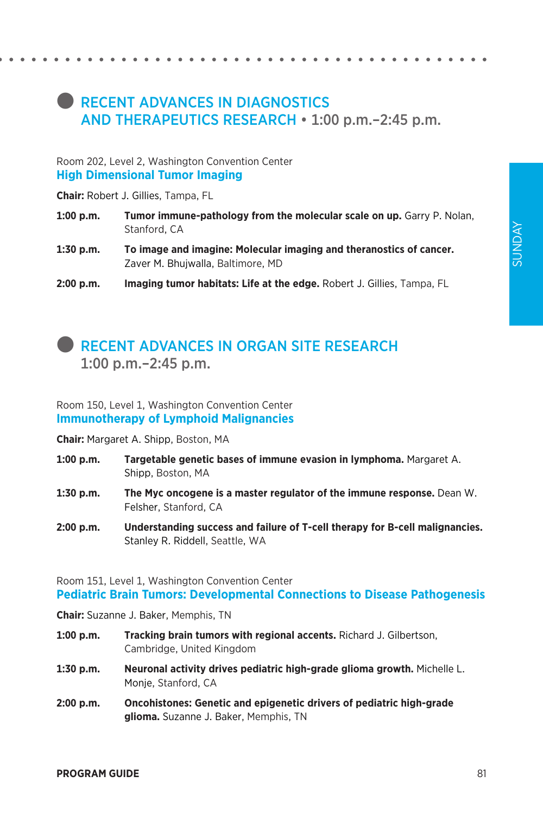## **RECENT ADVANCES IN DIAGNOSTICS** AND THERAPEUTICS RESEARCH • 1:00 p.m.–2:45 p.m.

#### Room 202, Level 2, Washington Convention Center **High Dimensional Tumor Imaging**

**Chair:** Robert J. Gillies, Tampa, FL

- **1:00 p.m. Tumor immune-pathology from the molecular scale on up.** Garry P. Nolan, Stanford, CA
- **1:30 p.m. To image and imagine: Molecular imaging and theranostics of cancer.**  Zaver M. Bhujwalla, Baltimore, MD
- **2:00 p.m. Imaging tumor habitats: Life at the edge.** Robert J. Gillies, Tampa, FL

### l RECENT ADVANCES IN ORGAN SITE RESEARCH 1:00 p.m.–2:45 p.m.

Room 150, Level 1, Washington Convention Center **Immunotherapy of Lymphoid Malignancies**

**Chair:** Margaret A. Shipp, Boston, MA

- **1:00 p.m. Targetable genetic bases of immune evasion in lymphoma.** Margaret A. Shipp, Boston, MA
- **1:30 p.m. The Myc oncogene is a master regulator of the immune response.** Dean W. Felsher, Stanford, CA
- **2:00 p.m. Understanding success and failure of T-cell therapy for B-cell malignancies.**  Stanley R. Riddell, Seattle, WA

Room 151, Level 1, Washington Convention Center **Pediatric Brain Tumors: Developmental Connections to Disease Pathogenesis**

**Chair:** Suzanne J. Baker, Memphis, TN

- **1:00 p.m. Tracking brain tumors with regional accents.** Richard J. Gilbertson, Cambridge, United Kingdom
- **1:30 p.m. Neuronal activity drives pediatric high-grade glioma growth.** Michelle L. Monje, Stanford, CA
- **2:00 p.m. Oncohistones: Genetic and epigenetic drivers of pediatric high-grade glioma.** Suzanne J. Baker, Memphis, TN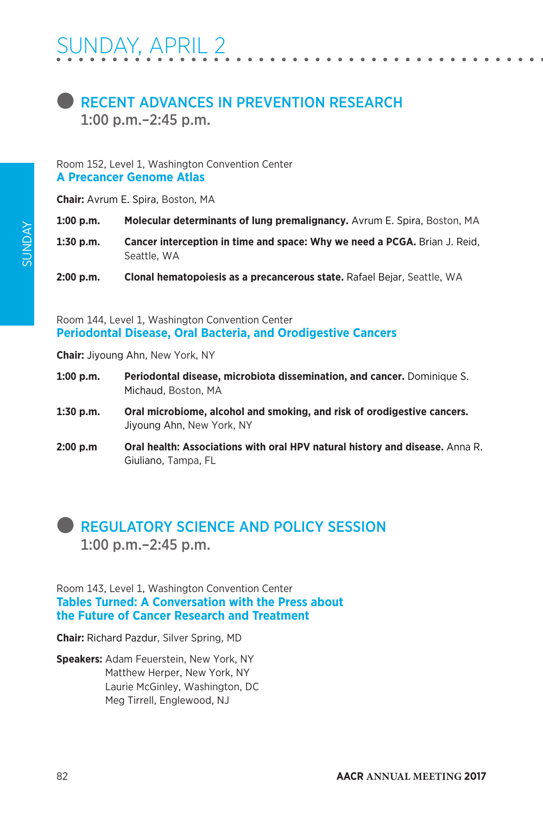

#### Room 152, Level 1, Washington Convention Center **A Precancer Genome Atlas**

**Chair:** Avrum E. Spira, Boston, MA

**1:00 p.m. Molecular determinants of lung premalignancy.** Avrum E. Spira, Boston, MA

**1:30 p.m. Cancer interception in time and space: Why we need a PCGA.** Brian J. Reid, Seattle, WA

**2:00 p.m. Clonal hematopoiesis as a precancerous state.** Rafael Bejar, Seattle, WA

Room 144, Level 1, Washington Convention Center **Periodontal Disease, Oral Bacteria, and Orodigestive Cancers**

**Chair:** Jiyoung Ahn, New York, NY

- **1:00 p.m. Periodontal disease, microbiota dissemination, and cancer.** Dominique S. Michaud, Boston, MA
- **1:30 p.m. Oral microbiome, alcohol and smoking, and risk of orodigestive cancers.**  Jiyoung Ahn, New York, NY
- **2:00 p.m Oral health: Associations with oral HPV natural history and disease.** Anna R. Giuliano, Tampa, FL

### **REGULATORY SCIENCE AND POLICY SESSION** 1:00 p.m.–2:45 p.m.

Room 143, Level 1, Washington Convention Center **Tables Turned: A Conversation with the Press about the Future of Cancer Research and Treatment**

**Chair:** Richard Pazdur, Silver Spring, MD

**Speakers:** Adam Feuerstein, New York, NY Matthew Herper, New York, NY Laurie McGinley, Washington, DC Meg Tirrell, Englewood, NJ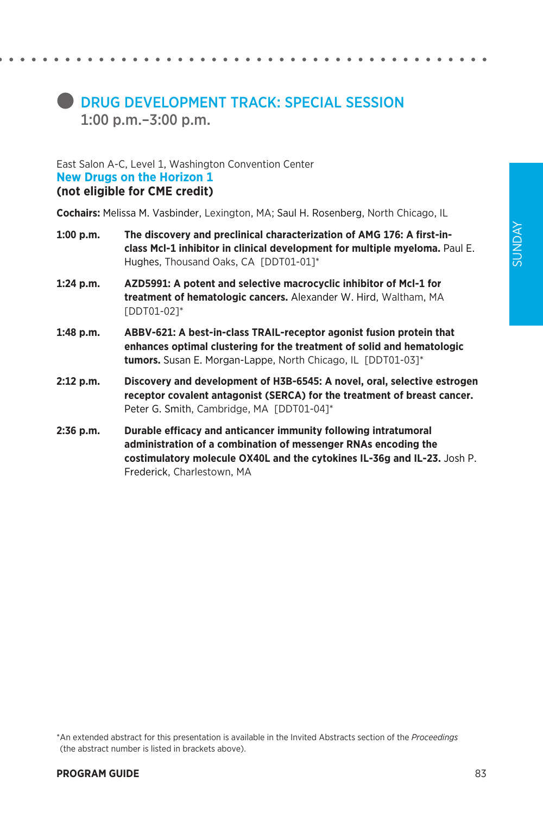## **CONDRUG DEVELOPMENT TRACK: SPECIAL SESSION** 1:00 p.m.–3:00 p.m.

#### East Salon A-C, Level 1, Washington Convention Center **New Drugs on the Horizon 1 (not eligible for CME credit)**

**Cochairs:** Melissa M. Vasbinder, Lexington, MA; Saul H. Rosenberg, North Chicago, IL

- **1:00 p.m. The discovery and preclinical characterization of AMG 176: A first-inclass Mcl-1 inhibitor in clinical development for multiple myeloma.** Paul E. Hughes, Thousand Oaks, CA [DDT01-01]\*
- **1:24 p.m. AZD5991: A potent and selective macrocyclic inhibitor of Mcl-1 for treatment of hematologic cancers.** Alexander W. Hird, Waltham, MA [DDT01-02]\*
- **1:48 p.m. ABBV-621: A best-in-class TRAIL-receptor agonist fusion protein that enhances optimal clustering for the treatment of solid and hematologic tumors.** Susan E. Morgan-Lappe, North Chicago, IL [DDT01-03]\*
- **2:12 p.m. Discovery and development of H3B-6545: A novel, oral, selective estrogen receptor covalent antagonist (SERCA) for the treatment of breast cancer.**  Peter G. Smith, Cambridge, MA [DDT01-04]\*
- **2:36 p.m. Durable efficacy and anticancer immunity following intratumoral administration of a combination of messenger RNAs encoding the costimulatory molecule OX40L and the cytokines IL-36g and IL-23.** Josh P. Frederick, Charlestown, MA

\*An extended abstract for this presentation is available in the Invited Abstracts section of the *Proceedings* (the abstract number is listed in brackets above).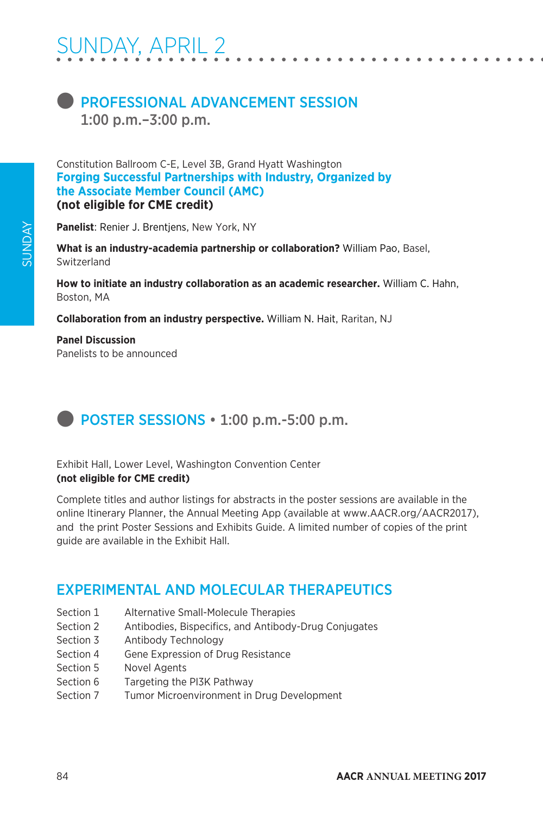

Constitution Ballroom C-E, Level 3B, Grand Hyatt Washington **Forging Successful Partnerships with Industry, Organized by the Associate Member Council (AMC) (not eligible for CME credit)**

**Panelist**: Renier J. Brentjens, New York, NY

**What is an industry-academia partnership or collaboration?** William Pao, Basel, **Switzerland** 

**How to initiate an industry collaboration as an academic researcher.** William C. Hahn, Boston, MA

**Collaboration from an industry perspective.** William N. Hait, Raritan, NJ

**Panel Discussion** Panelists to be announced

# **D** POSTER SESSIONS  $\cdot$  1:00 p.m.-5:00 p.m.

### Exhibit Hall, Lower Level, Washington Convention Center **(not eligible for CME credit)**

Complete titles and author listings for abstracts in the poster sessions are available in the online Itinerary Planner, the Annual Meeting App (available at www.AACR.org/AACR2017), and the print Poster Sessions and Exhibits Guide. A limited number of copies of the print guide are available in the Exhibit Hall.

### EXPERIMENTAL AND MOLECULAR THERAPEUTICS

- Section 1 Alternative Small-Molecule Therapies
- Section 2 Antibodies, Bispecifics, and Antibody-Drug Conjugates
- Section 3 Antibody Technology
- Section 4 Gene Expression of Drug Resistance
- Section 5 Novel Agents
- Section 6 Targeting the PI3K Pathway
- Section 7 Tumor Microenvironment in Drug Development

SUNDAY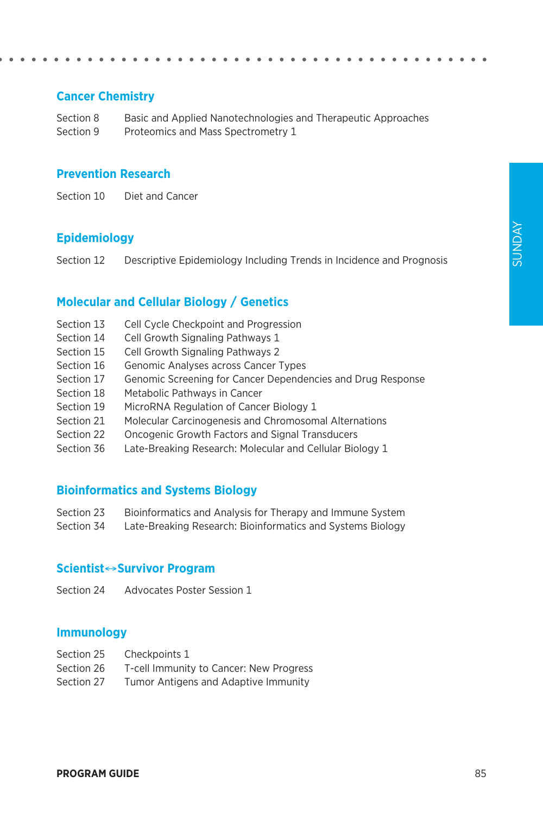### **Cancer Chemistry**

Section 8 Basic and Applied Nanotechnologies and Therapeutic Approaches Section 9 Proteomics and Mass Spectrometry 1

#### **Prevention Research**

Section 10 Diet and Cancer

### **Epidemiology**

Section 12 Descriptive Epidemiology Including Trends in Incidence and Prognosis

### **Molecular and Cellular Biology / Genetics**

- Section 13 Cell Cycle Checkpoint and Progression
- Section 14 Cell Growth Signaling Pathways 1
- Section 15 Cell Growth Signaling Pathways 2
- Section 16 Genomic Analyses across Cancer Types
- Section 17 Genomic Screening for Cancer Dependencies and Drug Response
- Section 18 Metabolic Pathways in Cancer
- Section 19 MicroRNA Regulation of Cancer Biology 1
- Section 21 Molecular Carcinogenesis and Chromosomal Alternations
- Section 22 Oncogenic Growth Factors and Signal Transducers
- Section 36 Late-Breaking Research: Molecular and Cellular Biology 1

### **Bioinformatics and Systems Biology**

- Section 23 Bioinformatics and Analysis for Therapy and Immune System
- Section 34 Late-Breaking Research: Bioinformatics and Systems Biology

#### **Scientist**↔**Survivor Program**

Section 24 Advocates Poster Session 1

### **Immunology**

- Section 25 Checkpoints 1
- Section 26 T-cell Immunity to Cancer: New Progress
- Section 27 Tumor Antigens and Adaptive Immunity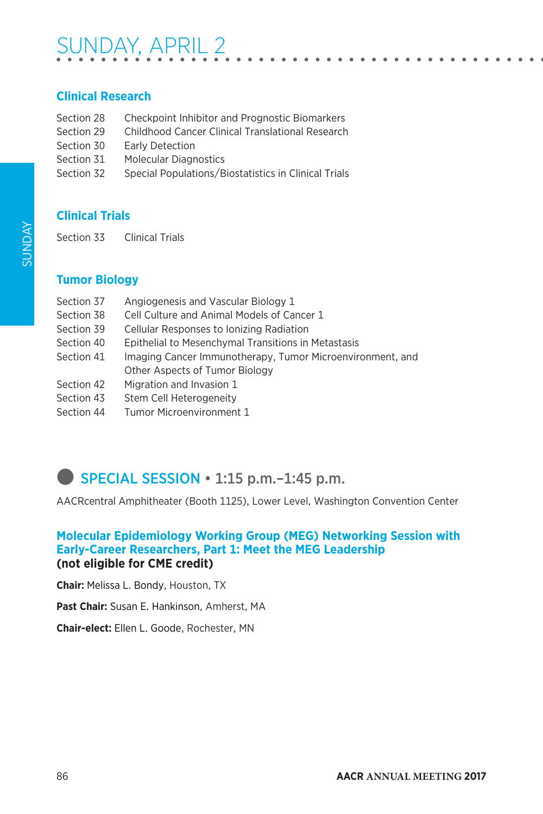# SUNDAY, APRIL 2

### **Clinical Research**

- Section 28 Checkpoint Inhibitor and Prognostic Biomarkers
- Section 29 Childhood Cancer Clinical Translational Research
- Section 30 Early Detection
- Section 31 Molecular Diagnostics
- Section 32 Special Populations/Biostatistics in Clinical Trials

### **Clinical Trials**

Section 33 Clinical Trials

### **Tumor Biology**

| Section 37 | Angiogenesis and Vascular Biology 1                       |  |  |
|------------|-----------------------------------------------------------|--|--|
| Section 38 | Cell Culture and Animal Models of Cancer 1                |  |  |
| Section 39 | Cellular Responses to Ionizing Radiation                  |  |  |
| Section 40 | Epithelial to Mesenchymal Transitions in Metastasis       |  |  |
| Section 41 | Imaging Cancer Immunotherapy, Tumor Microenvironment, and |  |  |
|            | Other Aspects of Tumor Biology                            |  |  |
| Section 42 | Migration and Invasion 1                                  |  |  |
| Section 43 | Stem Cell Heterogeneity                                   |  |  |
| Section 44 | Tumor Microenvironment 1                                  |  |  |

# **SPECIAL SESSION • 1:15 p.m.**–1:45 p.m.

AACRcentral Amphitheater (Booth 1125), Lower Level, Washington Convention Center

### **Molecular Epidemiology Working Group (MEG) Networking Session with Early-Career Researchers, Part 1: Meet the MEG Leadership (not eligible for CME credit)**

**Chair:** Melissa L. Bondy, Houston, TX

**Past Chair:** Susan E. Hankinson, Amherst, MA

**Chair-elect:** Ellen L. Goode, Rochester, MN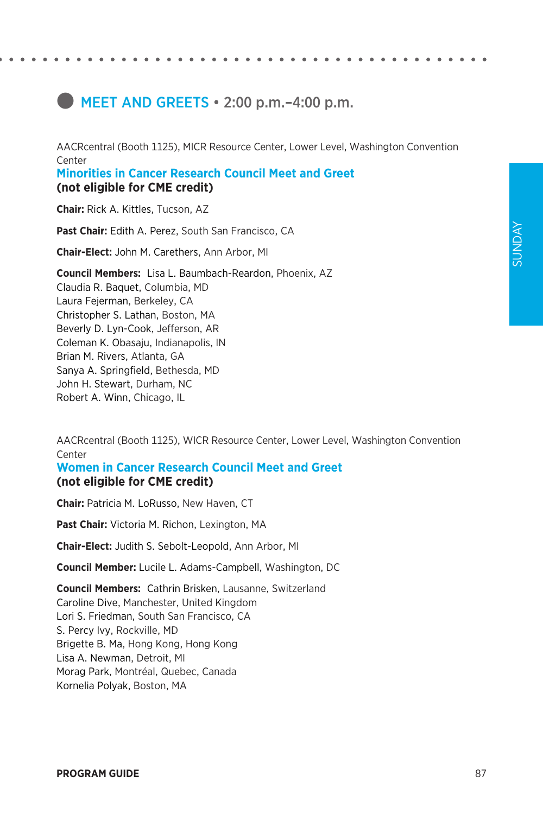# **IMEET AND GREETS • 2:00 p.m. -4:00 p.m.**

AACRcentral (Booth 1125), MICR Resource Center, Lower Level, Washington Convention Center **Minorities in Cancer Research Council Meet and Greet**

**(not eligible for CME credit)**

**Chair:** Rick A. Kittles, Tucson, AZ

**Past Chair:** Edith A. Perez, South San Francisco, CA

**Chair-Elect:** John M. Carethers, Ann Arbor, MI

**Council Members:** Lisa L. Baumbach-Reardon, Phoenix, AZ Claudia R. Baquet, Columbia, MD Laura Fejerman, Berkeley, CA Christopher S. Lathan, Boston, MA Beverly D. Lyn-Cook, Jefferson, AR Coleman K. Obasaju, Indianapolis, IN Brian M. Rivers, Atlanta, GA Sanya A. Springfield, Bethesda, MD John H. Stewart, Durham, NC Robert A. Winn, Chicago, IL

AACRcentral (Booth 1125), WICR Resource Center, Lower Level, Washington Convention **Center** 

### **Women in Cancer Research Council Meet and Greet (not eligible for CME credit)**

**Chair:** Patricia M. LoRusso, New Haven, CT

**Past Chair:** Victoria M. Richon, Lexington, MA

**Chair-Elect:** Judith S. Sebolt-Leopold, Ann Arbor, MI

**Council Member:** Lucile L. Adams-Campbell, Washington, DC

**Council Members:** Cathrin Brisken, Lausanne, Switzerland Caroline Dive, Manchester, United Kingdom Lori S. Friedman, South San Francisco, CA S. Percy Ivy, Rockville, MD Brigette B. Ma, Hong Kong, Hong Kong Lisa A. Newman, Detroit, MI Morag Park, Montréal, Quebec, Canada Kornelia Polyak, Boston, MA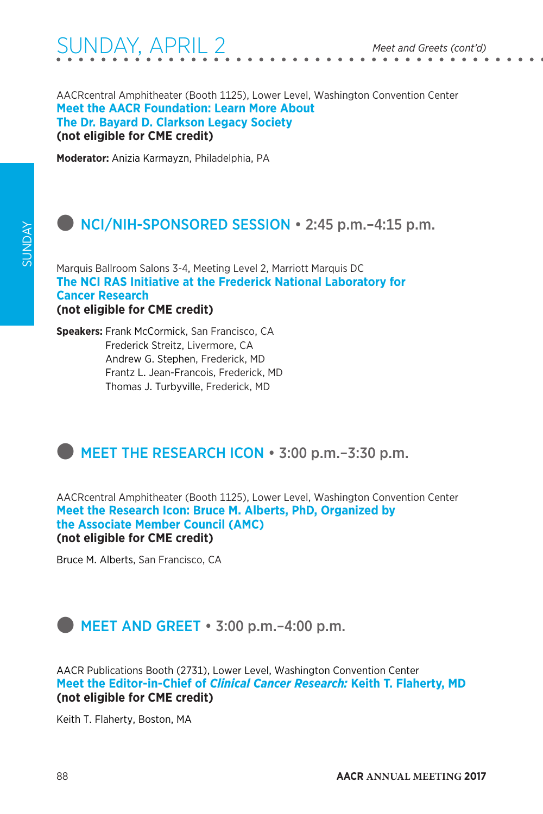AACRcentral Amphitheater (Booth 1125), Lower Level, Washington Convention Center **Meet the AACR Foundation: Learn More About The Dr. Bayard D. Clarkson Legacy Society (not eligible for CME credit)**

**Moderator:** Anizia Karmayzn, Philadelphia, PA

### $\bullet$  NCI/NIH-SPONSORED SESSION  $\cdot$  2:45 p.m. –4:15 p.m.

Marquis Ballroom Salons 3-4, Meeting Level 2, Marriott Marquis DC **The NCI RAS Initiative at the Frederick National Laboratory for Cancer Research (not eligible for CME credit)**

**Speakers:** Frank McCormick, San Francisco, CA Frederick Streitz, Livermore, CA Andrew G. Stephen, Frederick, MD Frantz L. Jean-Francois, Frederick, MD Thomas J. Turbyville, Frederick, MD

### **EXECT THE RESEARCH ICON • 3:00 p.m. - 3:30 p.m.**

AACRcentral Amphitheater (Booth 1125), Lower Level, Washington Convention Center **Meet the Research Icon: Bruce M. Alberts, PhD, Organized by the Associate Member Council (AMC) (not eligible for CME credit)**

Bruce M. Alberts, San Francisco, CA



AACR Publications Booth (2731), Lower Level, Washington Convention Center **Meet the Editor-in-Chief of** *Clinical Cancer Research:* **Keith T. Flaherty, MD (not eligible for CME credit)**

Keith T. Flaherty, Boston, MA

SUNDAY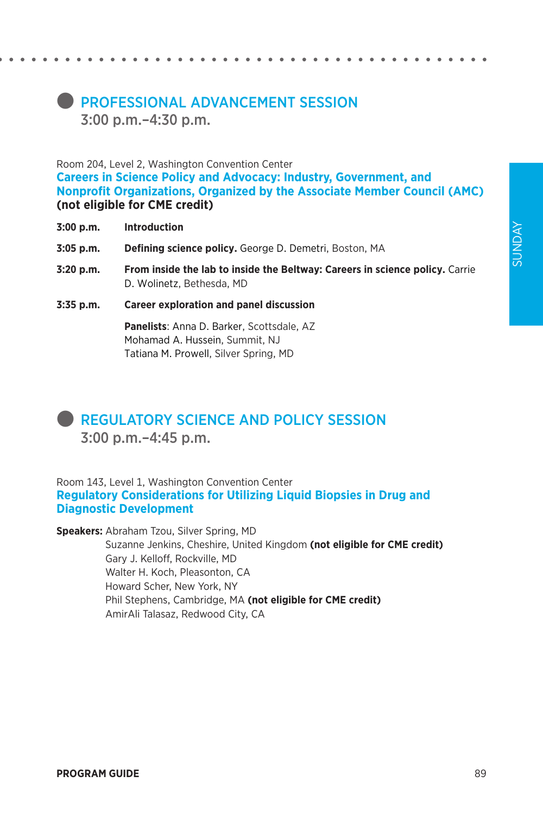### **PROFESSIONAL ADVANCEMENT SESSION** 3:00 p.m.–4:30 p.m.

Room 204, Level 2, Washington Convention Center **Careers in Science Policy and Advocacy: Industry, Government, and Nonprofit Organizations, Organized by the Associate Member Council (AMC) (not eligible for CME credit)**

- **3:00 p.m. Introduction**
- **3:05 p.m. Defining science policy.** George D. Demetri, Boston, MA
- **3:20 p.m. From inside the lab to inside the Beltway: Careers in science policy.** Carrie D. Wolinetz, Bethesda, MD
- **3:35 p.m. Career exploration and panel discussion**

**Panelists**: Anna D. Barker, Scottsdale, AZ Mohamad A. Hussein, Summit, NJ Tatiana M. Prowell, Silver Spring, MD



### **REGULATORY SCIENCE AND POLICY SESSION** 3:00 p.m.–4:45 p.m.

Room 143, Level 1, Washington Convention Center **Regulatory Considerations for Utilizing Liquid Biopsies in Drug and Diagnostic Development**

**Speakers:** Abraham Tzou, Silver Spring, MD

Suzanne Jenkins, Cheshire, United Kingdom **(not eligible for CME credit)** Gary J. Kelloff, Rockville, MD Walter H. Koch, Pleasonton, CA Howard Scher, New York, NY Phil Stephens, Cambridge, MA **(not eligible for CME credit)** AmirAli Talasaz, Redwood City, CA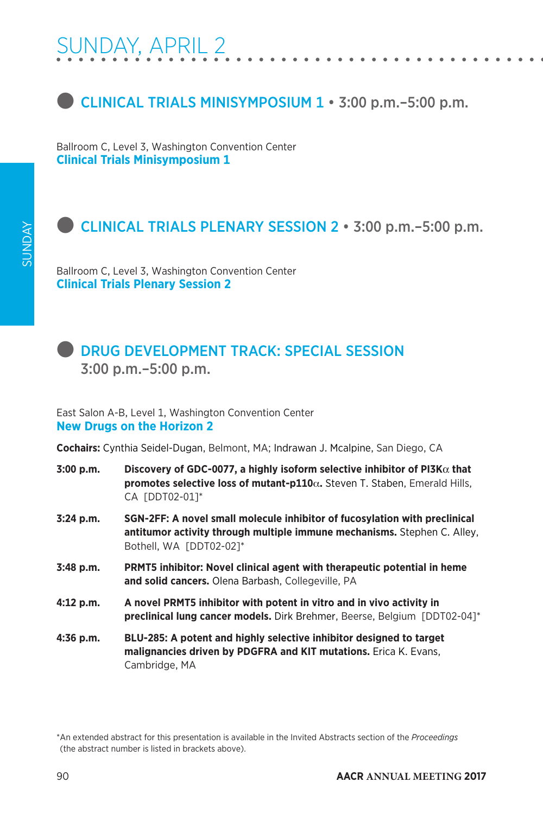

Ballroom C, Level 3, Washington Convention Center **Clinical Trials Minisymposium 1**

### l CLINICAL TRIALS PLENARY SESSION 2 • 3:00 p.m.–5:00 p.m.

Ballroom C, Level 3, Washington Convention Center **Clinical Trials Plenary Session 2**



### l DRUG DEVELOPMENT TRACK: SPECIAL SESSION 3:00 p.m.–5:00 p.m.

East Salon A-B, Level 1, Washington Convention Center **New Drugs on the Horizon 2**

**Cochairs:** Cynthia Seidel-Dugan, Belmont, MA; Indrawan J. Mcalpine, San Diego, CA

- **3:00 p.m. Discovery of GDC-0077, a highly isoform selective inhibitor of PI3K**α **that promotes selective loss of mutant-p110**α**.** Steven T. Staben, Emerald Hills, CA [DDT02-01]\*
- **3:24 p.m. SGN-2FF: A novel small molecule inhibitor of fucosylation with preclinical antitumor activity through multiple immune mechanisms.** Stephen C. Alley, Bothell, WA [DDT02-02]\*
- **3:48 p.m. PRMT5 inhibitor: Novel clinical agent with therapeutic potential in heme and solid cancers.** Olena Barbash, Collegeville, PA
- **4:12 p.m. A novel PRMT5 inhibitor with potent in vitro and in vivo activity in preclinical lung cancer models.** Dirk Brehmer, Beerse, Belgium [DDT02-04]\*
- **4:36 p.m. BLU-285: A potent and highly selective inhibitor designed to target malignancies driven by PDGFRA and KIT mutations.** Erica K. Evans, Cambridge, MA

<sup>\*</sup>An extended abstract for this presentation is available in the Invited Abstracts section of the *Proceedings* (the abstract number is listed in brackets above).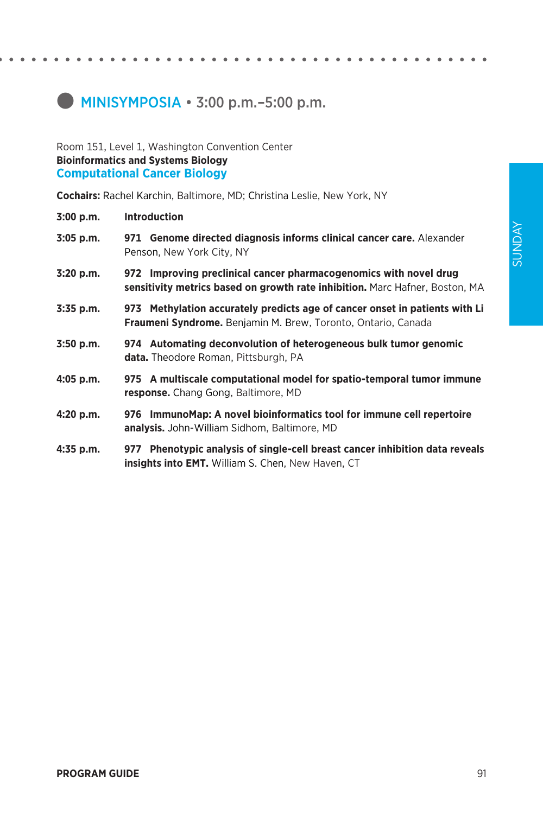# **MINISYMPOSIA • 3:00 p.m. – 5:00 p.m.**

#### Room 151, Level 1, Washington Convention Center **Bioinformatics and Systems Biology Computational Cancer Biology**

**Cochairs:** Rachel Karchin, Baltimore, MD; Christina Leslie, New York, NY

| 3:00 p.m.   | <b>Introduction</b>                                                                                                                                 |
|-------------|-----------------------------------------------------------------------------------------------------------------------------------------------------|
| $3:05$ p.m. | 971 Genome directed diagnosis informs clinical cancer care. Alexander<br>Penson, New York City, NY                                                  |
| 3:20 p.m.   | 972 Improving preclinical cancer pharmacogenomics with novel drug<br>sensitivity metrics based on growth rate inhibition. Marc Hafner, Boston, MA   |
| 3:35 p.m.   | 973 Methylation accurately predicts age of cancer onset in patients with Li<br><b>Fraumeni Syndrome.</b> Benjamin M. Brew, Toronto, Ontario, Canada |
| $3:50$ p.m. | 974 Automating deconvolution of heterogeneous bulk tumor genomic<br><b>data.</b> Theodore Roman, Pittsburgh, PA                                     |
| $4:05$ p.m. | 975 A multiscale computational model for spatio-temporal tumor immune<br>response. Chang Gong, Baltimore, MD                                        |
| 4:20 p.m.   | 976 ImmunoMap: A novel bioinformatics tool for immune cell repertoire<br>analysis. John-William Sidhom, Baltimore, MD                               |
| $4:35$ p.m. | 977 Phenotypic analysis of single-cell breast cancer inhibition data reveals<br><b>insights into EMT.</b> William S. Chen, New Haven, CT            |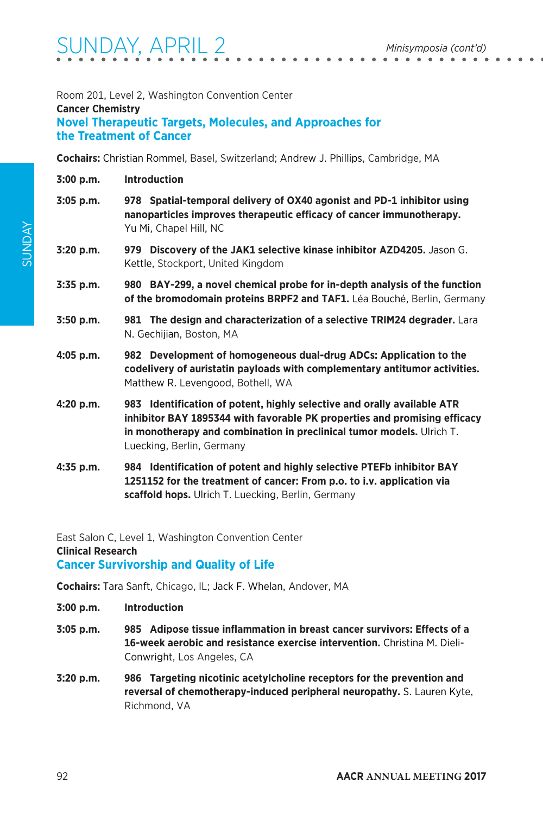#### Room 201, Level 2, Washington Convention Center

### **Cancer Chemistry**

#### **Novel Therapeutic Targets, Molecules, and Approaches for the Treatment of Cancer**

**Cochairs:** Christian Rommel, Basel, Switzerland; Andrew J. Phillips, Cambridge, MA

| 3:00 p.m.          | <b>Introduction</b>                                                                                                                                                                                                                                        |
|--------------------|------------------------------------------------------------------------------------------------------------------------------------------------------------------------------------------------------------------------------------------------------------|
| $3:05$ p.m.        | 978 Spatial-temporal delivery of OX40 agonist and PD-1 inhibitor using<br>nanoparticles improves therapeutic efficacy of cancer immunotherapy.<br>Yu Mi, Chapel Hill, NC                                                                                   |
| $3:20$ p.m.        | 979 Discovery of the JAK1 selective kinase inhibitor AZD4205. Jason G.<br>Kettle, Stockport, United Kingdom                                                                                                                                                |
| 3:35 p.m.          | 980 BAY-299, a novel chemical probe for in-depth analysis of the function<br>of the bromodomain proteins BRPF2 and TAF1. Léa Bouché, Berlin, Germany                                                                                                       |
| $3:50$ p.m.        | 981 The design and characterization of a selective TRIM24 degrader. Lara<br>N. Gechijian, Boston, MA                                                                                                                                                       |
| $4:05$ p.m.        | 982 Development of homogeneous dual-drug ADCs: Application to the<br>codelivery of auristatin payloads with complementary antitumor activities.<br>Matthew R. Levengood, Bothell, WA                                                                       |
| 4:20 p.m.          | 983 Identification of potent, highly selective and orally available ATR<br>inhibitor BAY 1895344 with favorable PK properties and promising efficacy<br>in monotherapy and combination in preclinical tumor models. Ulrich T.<br>Luecking, Berlin, Germany |
| $A.7F \sim \infty$ | 001 - Identification of notant and highly coloctive DTEEh inhibitor DAV                                                                                                                                                                                    |

**4:35 p.m. 984 Identification of potent and highly selective PTEFb inhibitor BAY 1251152 for the treatment of cancer: From p.o. to i.v. application via scaffold hops.** Ulrich T. Luecking, Berlin, Germany

East Salon C, Level 1, Washington Convention Center **Clinical Research Cancer Survivorship and Quality of Life**

**Cochairs:** Tara Sanft, Chicago, IL; Jack F. Whelan, Andover, MA

- **3:00 p.m. Introduction**
- **3:05 p.m. 985 Adipose tissue inflammation in breast cancer survivors: Effects of a 16-week aerobic and resistance exercise intervention.** Christina M. Dieli-Conwright, Los Angeles, CA
- **3:20 p.m. 986 Targeting nicotinic acetylcholine receptors for the prevention and reversal of chemotherapy-induced peripheral neuropathy.** S. Lauren Kyte, Richmond, VA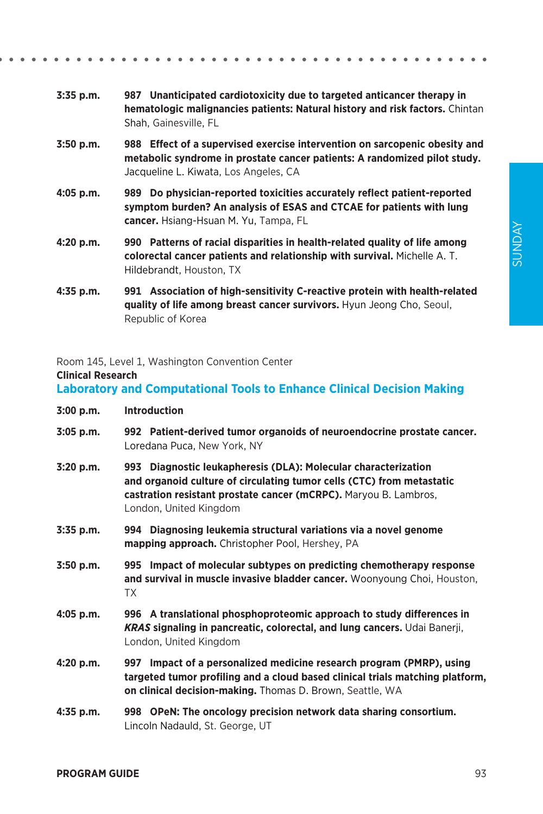- **3:35 p.m. 987 Unanticipated cardiotoxicity due to targeted anticancer therapy in hematologic malignancies patients: Natural history and risk factors.** Chintan Shah, Gainesville, FL
- **3:50 p.m. 988 Effect of a supervised exercise intervention on sarcopenic obesity and metabolic syndrome in prostate cancer patients: A randomized pilot study.**  Jacqueline L. Kiwata, Los Angeles, CA
- **4:05 p.m. 989 Do physician-reported toxicities accurately reflect patient-reported symptom burden? An analysis of ESAS and CTCAE for patients with lung cancer.** Hsiang-Hsuan M. Yu, Tampa, FL
- **4:20 p.m. 990 Patterns of racial disparities in health-related quality of life among colorectal cancer patients and relationship with survival.** Michelle A. T. Hildebrandt, Houston, TX
- **4:35 p.m. 991 Association of high-sensitivity C-reactive protein with health-related quality of life among breast cancer survivors.** Hyun Jeong Cho, Seoul, Republic of Korea

Room 145, Level 1, Washington Convention Center

#### **Clinical Research**

#### **Laboratory and Computational Tools to Enhance Clinical Decision Making**

- **3:00 p.m. Introduction**
- **3:05 p.m. 992 Patient-derived tumor organoids of neuroendocrine prostate cancer.**  Loredana Puca, New York, NY
- **3:20 p.m. 993 Diagnostic leukapheresis (DLA): Molecular characterization and organoid culture of circulating tumor cells (CTC) from metastatic castration resistant prostate cancer (mCRPC).** Maryou B. Lambros, London, United Kingdom
- **3:35 p.m. 994 Diagnosing leukemia structural variations via a novel genome mapping approach.** Christopher Pool, Hershey, PA
- **3:50 p.m. 995 Impact of molecular subtypes on predicting chemotherapy response and survival in muscle invasive bladder cancer.** Woonyoung Choi, Houston, TX
- **4:05 p.m. 996 A translational phosphoproteomic approach to study differences in**  *KRAS* **signaling in pancreatic, colorectal, and lung cancers.** Udai Banerji, London, United Kingdom
- **4:20 p.m. 997 Impact of a personalized medicine research program (PMRP), using targeted tumor profiling and a cloud based clinical trials matching platform, on clinical decision-making.** Thomas D. Brown, Seattle, WA
- **4:35 p.m. 998 OPeN: The oncology precision network data sharing consortium.**  Lincoln Nadauld, St. George, UT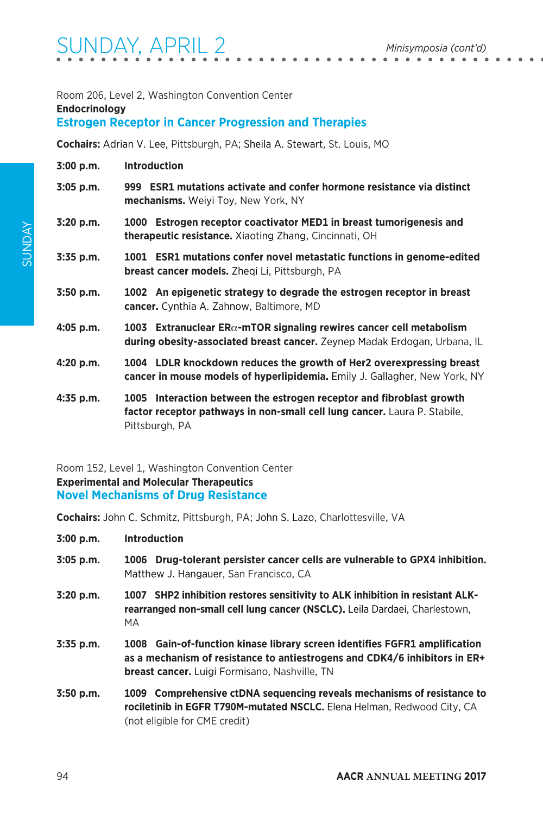#### Room 206, Level 2, Washington Convention Center **Endocrinology**

### **Estrogen Receptor in Cancer Progression and Therapies**

**Cochairs:** Adrian V. Lee, Pittsburgh, PA; Sheila A. Stewart, St. Louis, MO

| 3:00 p.m. | <b>Introduction</b> |
|-----------|---------------------|
|-----------|---------------------|

- **3:05 p.m. 999 ESR1 mutations activate and confer hormone resistance via distinct mechanisms.** Weiyi Toy, New York, NY
- **3:20 p.m. 1000 Estrogen receptor coactivator MED1 in breast tumorigenesis and therapeutic resistance.** Xiaoting Zhang, Cincinnati, OH
- **3:35 p.m. 1001 ESR1 mutations confer novel metastatic functions in genome-edited breast cancer models.** Zheqi Li, Pittsburgh, PA
- **3:50 p.m. 1002 An epigenetic strategy to degrade the estrogen receptor in breast cancer.** Cynthia A. Zahnow, Baltimore, MD
- **4:05 p.m. 1003 Extranuclear ER**α**-mTOR signaling rewires cancer cell metabolism during obesity-associated breast cancer.** Zeynep Madak Erdogan, Urbana, IL
- **4:20 p.m. 1004 LDLR knockdown reduces the growth of Her2 overexpressing breast cancer in mouse models of hyperlipidemia.** Emily J. Gallagher, New York, NY
- **4:35 p.m. 1005 Interaction between the estrogen receptor and fibroblast growth factor receptor pathways in non-small cell lung cancer.** Laura P. Stabile, Pittsburgh, PA

Room 152, Level 1, Washington Convention Center **Experimental and Molecular Therapeutics Novel Mechanisms of Drug Resistance**

**Cochairs:** John C. Schmitz, Pittsburgh, PA; John S. Lazo, Charlottesville, VA

**3:00 p.m. Introduction**

- **3:05 p.m. 1006 Drug-tolerant persister cancer cells are vulnerable to GPX4 inhibition.**  Matthew J. Hangauer, San Francisco, CA
- **3:20 p.m. 1007 SHP2 inhibition restores sensitivity to ALK inhibition in resistant ALKrearranged non-small cell lung cancer (NSCLC).** Leila Dardaei, Charlestown, MA
- **3:35 p.m. 1008 Gain-of-function kinase library screen identifies FGFR1 amplification as a mechanism of resistance to antiestrogens and CDK4/6 inhibitors in ER+ breast cancer.** Luigi Formisano, Nashville, TN
- **3:50 p.m. 1009 Comprehensive ctDNA sequencing reveals mechanisms of resistance to rociletinib in EGFR T790M-mutated NSCLC.** Elena Helman, Redwood City, CA (not eligible for CME credit)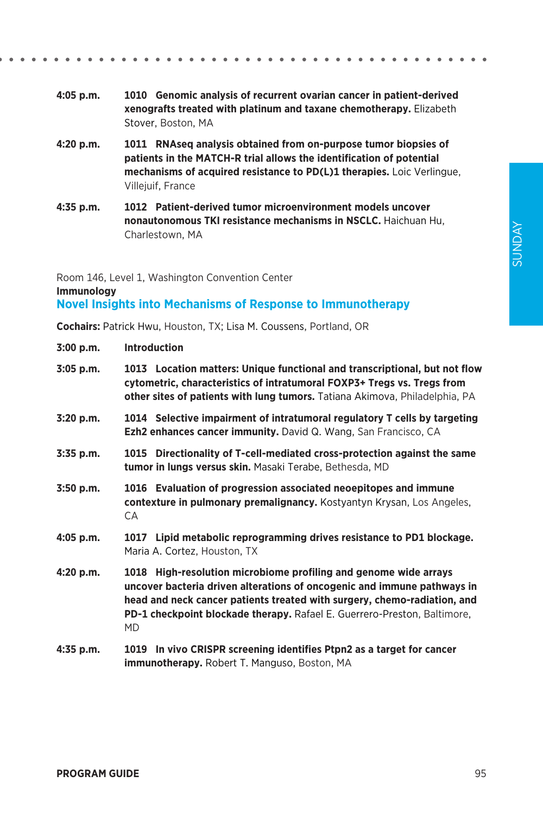- **4:05 p.m. 1010 Genomic analysis of recurrent ovarian cancer in patient-derived xenografts treated with platinum and taxane chemotherapy.** Elizabeth Stover, Boston, MA
- **4:20 p.m. 1011 RNAseq analysis obtained from on-purpose tumor biopsies of patients in the MATCH-R trial allows the identification of potential mechanisms of acquired resistance to PD(L)1 therapies.** Loic Verlingue, Villejuif, France
- **4:35 p.m. 1012 Patient-derived tumor microenvironment models uncover nonautonomous TKI resistance mechanisms in NSCLC.** Haichuan Hu, Charlestown, MA

Room 146, Level 1, Washington Convention Center

**Immunology**

### **Novel Insights into Mechanisms of Response to Immunotherapy**

**Cochairs:** Patrick Hwu, Houston, TX; Lisa M. Coussens, Portland, OR

| 3:00 p.m.   | <b>Introduction</b>                                                                                                                                                                                                                                                                                              |
|-------------|------------------------------------------------------------------------------------------------------------------------------------------------------------------------------------------------------------------------------------------------------------------------------------------------------------------|
| 3:05 p.m.   | 1013 Location matters: Unique functional and transcriptional, but not flow<br>cytometric, characteristics of intratumoral FOXP3+ Tregs vs. Tregs from<br>other sites of patients with lung tumors. Tatiana Akimova, Philadelphia, PA                                                                             |
| 3:20 p.m.   | 1014 Selective impairment of intratumoral regulatory T cells by targeting<br><b>Ezh2 enhances cancer immunity.</b> David Q. Wang, San Francisco, CA                                                                                                                                                              |
| 3:35 p.m.   | 1015 Directionality of T-cell-mediated cross-protection against the same<br>tumor in lungs versus skin. Masaki Terabe, Bethesda, MD                                                                                                                                                                              |
| $3:50$ p.m. | 1016 Evaluation of progression associated neoepitopes and immune<br>contexture in pulmonary premalignancy. Kostyantyn Krysan, Los Angeles,<br>СA                                                                                                                                                                 |
| $4:05$ p.m. | 1017 Lipid metabolic reprogramming drives resistance to PD1 blockage.<br>Maria A. Cortez, Houston, TX                                                                                                                                                                                                            |
| 4:20 p.m.   | 1018 High-resolution microbiome profiling and genome wide arrays<br>uncover bacteria driven alterations of oncogenic and immune pathways in<br>head and neck cancer patients treated with surgery, chemo-radiation, and<br>PD-1 checkpoint blockade therapy. Rafael E. Guerrero-Preston, Baltimore,<br><b>MD</b> |
| 4:35 p.m.   | 1019 In vivo CRISPR screening identifies Ptpn2 as a target for cancer<br><b>immunotherapy.</b> Robert T. Manguso, Boston, MA                                                                                                                                                                                     |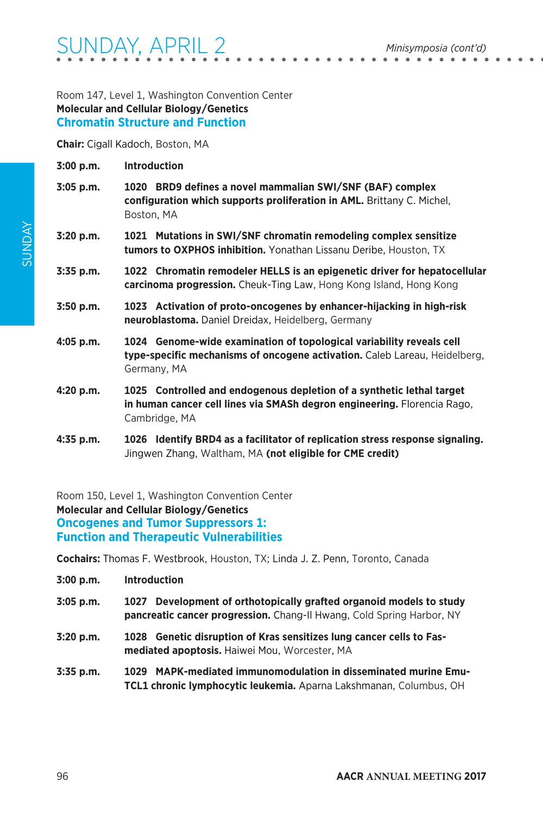Room 147, Level 1, Washington Convention Center **Molecular and Cellular Biology/Genetics Chromatin Structure and Function**

**Chair:** Cigall Kadoch, Boston, MA

- **3:00 p.m. Introduction**
- **3:05 p.m. 1020 BRD9 defines a novel mammalian SWI/SNF (BAF) complex configuration which supports proliferation in AML.** Brittany C. Michel, Boston, MA
- **3:20 p.m. 1021 Mutations in SWI/SNF chromatin remodeling complex sensitize tumors to OXPHOS inhibition.** Yonathan Lissanu Deribe, Houston, TX
- **3:35 p.m. 1022 Chromatin remodeler HELLS is an epigenetic driver for hepatocellular carcinoma progression.** Cheuk-Ting Law, Hong Kong Island, Hong Kong
- **3:50 p.m. 1023 Activation of proto-oncogenes by enhancer-hijacking in high-risk neuroblastoma.** Daniel Dreidax, Heidelberg, Germany
- **4:05 p.m. 1024 Genome-wide examination of topological variability reveals cell type-specific mechanisms of oncogene activation.** Caleb Lareau, Heidelberg, Germany, MA
- **4:20 p.m. 1025 Controlled and endogenous depletion of a synthetic lethal target in human cancer cell lines via SMASh degron engineering.** Florencia Rago, Cambridge, MA
- **4:35 p.m. 1026 Identify BRD4 as a facilitator of replication stress response signaling.**  Jingwen Zhang, Waltham, MA **(not eligible for CME credit)**

Room 150, Level 1, Washington Convention Center **Molecular and Cellular Biology/Genetics Oncogenes and Tumor Suppressors 1: Function and Therapeutic Vulnerabilities**

**Cochairs:** Thomas F. Westbrook, Houston, TX; Linda J. Z. Penn, Toronto, Canada

| 3:00 p.m.   | <b>Introduction</b>                                                                                                                          |
|-------------|----------------------------------------------------------------------------------------------------------------------------------------------|
| $3:05$ p.m. | 1027 Development of orthotopically grafted organoid models to study<br>pancreatic cancer progression. Chang-II Hwang, Cold Spring Harbor, NY |
| 3:20 p.m.   | 1028 Genetic disruption of Kras sensitizes lung cancer cells to Fas-<br>mediated apoptosis. Haiwei Mou, Worcester, MA                        |
| 3:35 p.m.   | 1029 MAPK-mediated immunomodulation in disseminated murine Emu-                                                                              |

**TCL1 chronic lymphocytic leukemia.** Aparna Lakshmanan, Columbus, OH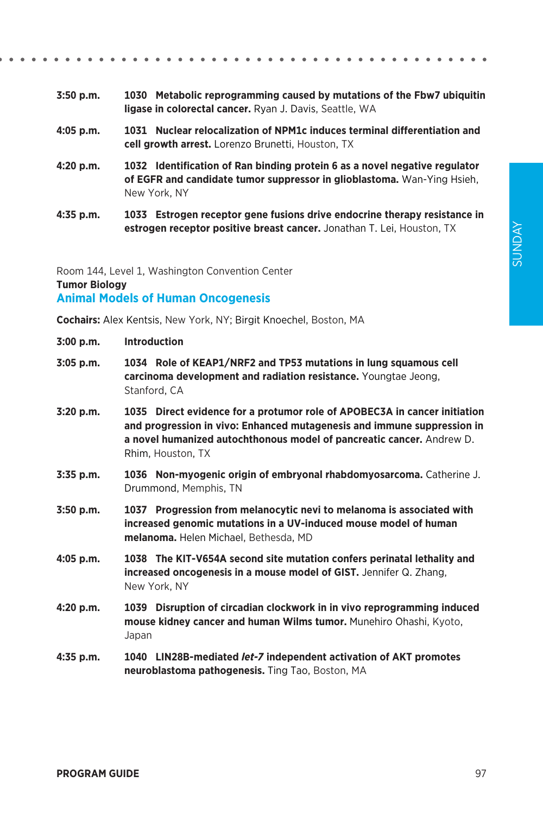- **3:50 p.m. 1030 Metabolic reprogramming caused by mutations of the Fbw7 ubiquitin ligase in colorectal cancer.** Ryan J. Davis, Seattle, WA
- **4:05 p.m. 1031 Nuclear relocalization of NPM1c induces terminal differentiation and cell growth arrest.** Lorenzo Brunetti, Houston, TX
- **4:20 p.m. 1032 Identification of Ran binding protein 6 as a novel negative regulator of EGFR and candidate tumor suppressor in glioblastoma.** Wan-Ying Hsieh, New York, NY
- **4:35 p.m. 1033 Estrogen receptor gene fusions drive endocrine therapy resistance in estrogen receptor positive breast cancer.** Jonathan T. Lei, Houston, TX

Room 144, Level 1, Washington Convention Center **Tumor Biology Animal Models of Human Oncogenesis**

**Cochairs:** Alex Kentsis, New York, NY; Birgit Knoechel, Boston, MA

- **3:05 p.m. 1034 Role of KEAP1/NRF2 and TP53 mutations in lung squamous cell carcinoma development and radiation resistance.** Youngtae Jeong, Stanford, CA
- **3:20 p.m. 1035 Direct evidence for a protumor role of APOBEC3A in cancer initiation and progression in vivo: Enhanced mutagenesis and immune suppression in a novel humanized autochthonous model of pancreatic cancer.** Andrew D. Rhim, Houston, TX
- **3:35 p.m. 1036 Non-myogenic origin of embryonal rhabdomyosarcoma.** Catherine J. Drummond, Memphis, TN
- **3:50 p.m. 1037 Progression from melanocytic nevi to melanoma is associated with increased genomic mutations in a UV-induced mouse model of human melanoma.** Helen Michael, Bethesda, MD
- **4:05 p.m. 1038 The KIT-V654A second site mutation confers perinatal lethality and increased oncogenesis in a mouse model of GIST.** Jennifer Q. Zhang, New York, NY
- **4:20 p.m. 1039 Disruption of circadian clockwork in in vivo reprogramming induced mouse kidney cancer and human Wilms tumor.** Munehiro Ohashi, Kyoto, Japan
- **4:35 p.m. 1040 LIN28B-mediated** *let-7* **independent activation of AKT promotes neuroblastoma pathogenesis.** Ting Tao, Boston, MA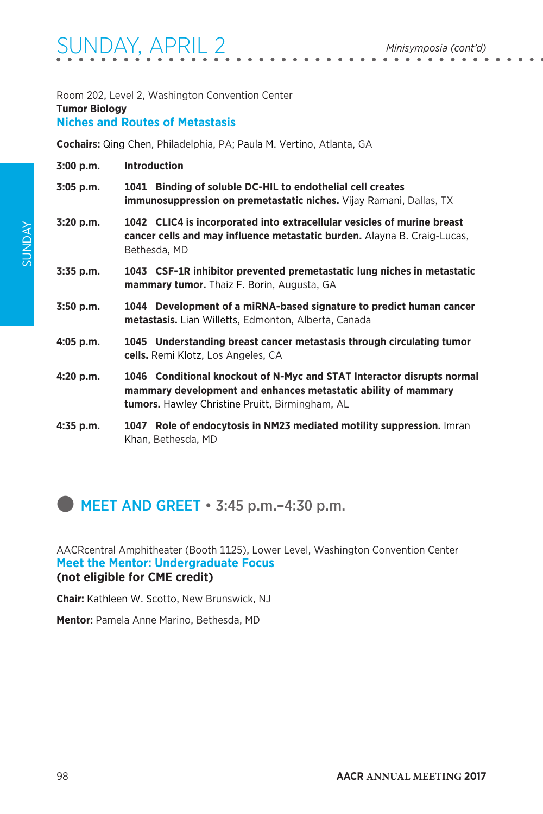Room 202, Level 2, Washington Convention Center

#### **Tumor Biology**

### **Niches and Routes of Metastasis**

**Cochairs:** Qing Chen, Philadelphia, PA; Paula M. Vertino, Atlanta, GA

- **3:00 p.m. Introduction**
- **3:05 p.m. 1041 Binding of soluble DC-HIL to endothelial cell creates immunosuppression on premetastatic niches.** Vijay Ramani, Dallas, TX
- **3:20 p.m. 1042 CLIC4 is incorporated into extracellular vesicles of murine breast cancer cells and may influence metastatic burden.** Alayna B. Craig-Lucas, Bethesda, MD
- **3:35 p.m. 1043 CSF-1R inhibitor prevented premetastatic lung niches in metastatic mammary tumor.** Thaiz F. Borin, Augusta, GA
- **3:50 p.m. 1044 Development of a miRNA-based signature to predict human cancer metastasis.** Lian Willetts, Edmonton, Alberta, Canada
- **4:05 p.m. 1045 Understanding breast cancer metastasis through circulating tumor cells.** Remi Klotz, Los Angeles, CA
- **4:20 p.m. 1046 Conditional knockout of N-Myc and STAT Interactor disrupts normal mammary development and enhances metastatic ability of mammary tumors.** Hawley Christine Pruitt, Birmingham, AL
- **4:35 p.m. 1047 Role of endocytosis in NM23 mediated motility suppression.** Imran Khan, Bethesda, MD

 $\blacksquare$  MEET AND GREET  $\cdot$  3:45 p.m.  $-4:30$  p.m.

AACRcentral Amphitheater (Booth 1125), Lower Level, Washington Convention Center **Meet the Mentor: Undergraduate Focus (not eligible for CME credit)**

**Chair:** Kathleen W. Scotto, New Brunswick, NJ

**Mentor:** Pamela Anne Marino, Bethesda, MD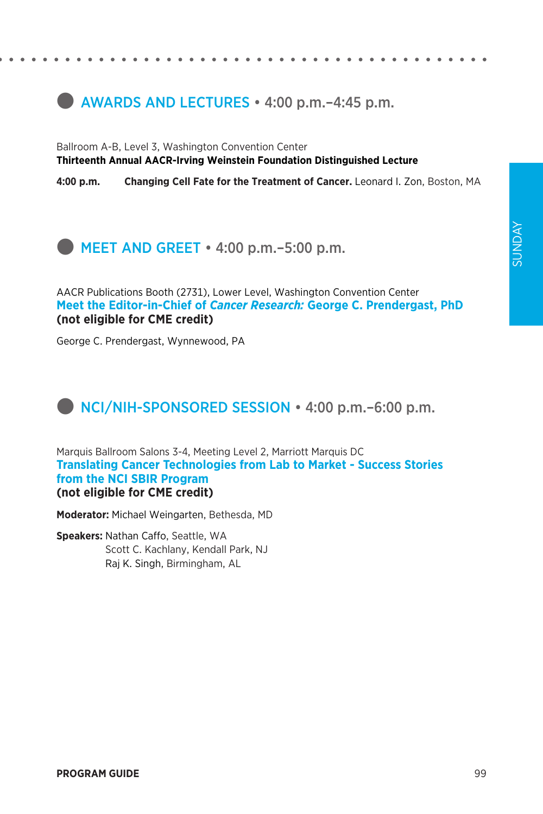### **external AWARDS AND LECTURES** • 4:00 p.m. – 4:45 p.m.

Ballroom A-B, Level 3, Washington Convention Center **Thirteenth Annual AACR-Irving Weinstein Foundation Distinguished Lecture**

**4:00 p.m. Changing Cell Fate for the Treatment of Cancer.** Leonard I. Zon, Boston, MA

 $\bullet$  MEET AND GREET  $\cdot$  4:00 p.m. –5:00 p.m.

AACR Publications Booth (2731), Lower Level, Washington Convention Center **Meet the Editor-in-Chief of** *Cancer Research:* **George C. Prendergast, PhD (not eligible for CME credit)**

George C. Prendergast, Wynnewood, PA

### **NCI/NIH-SPONSORED SESSION** • 4:00 p.m. –6:00 p.m.

Marquis Ballroom Salons 3-4, Meeting Level 2, Marriott Marquis DC **Translating Cancer Technologies from Lab to Market - Success Stories from the NCI SBIR Program (not eligible for CME credit)**

**Moderator:** Michael Weingarten, Bethesda, MD

**Speakers:** Nathan Caffo, Seattle, WA Scott C. Kachlany, Kendall Park, NJ Raj K. Singh, Birmingham, AL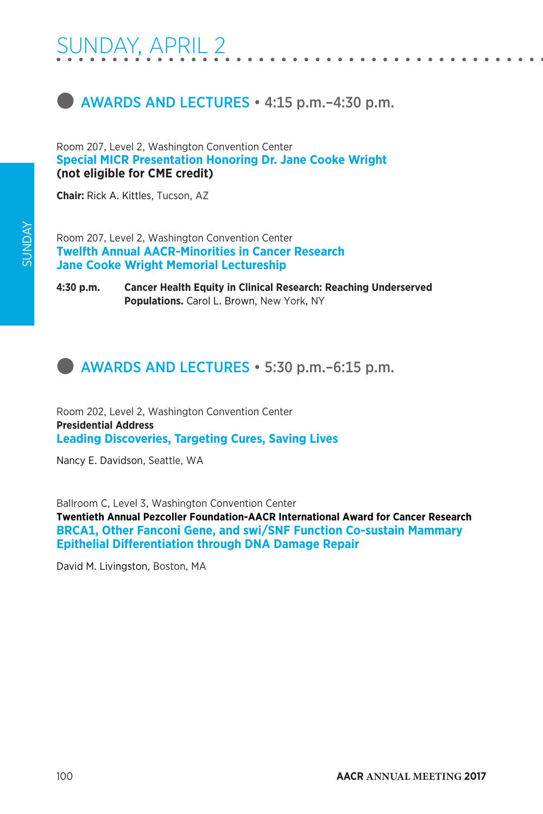



Room 207, Level 2, Washington Convention Center **Special MICR Presentation Honoring Dr. Jane Cooke Wright (not eligible for CME credit)**

**Chair:** Rick A. Kittles, Tucson, AZ

Room 207, Level 2, Washington Convention Center **Twelfth Annual AACR-Minorities in Cancer Research Jane Cooke Wright Memorial Lectureship**

**4:30 p.m. Cancer Health Equity in Clinical Research: Reaching Underserved Populations.** Carol L. Brown, New York, NY

### **external AWARDS AND LECTURES • 5:30 p.m.–6:15 p.m.**

Room 202, Level 2, Washington Convention Center **Presidential Address Leading Discoveries, Targeting Cures, Saving Lives**

Nancy E. Davidson, Seattle, WA

Ballroom C, Level 3, Washington Convention Center

**Twentieth Annual Pezcoller Foundation-AACR International Award for Cancer Research BRCA1, Other Fanconi Gene, and swi/SNF Function Co-sustain Mammary Epithelial Differentiation through DNA Damage Repair**

David M. Livingston, Boston, MA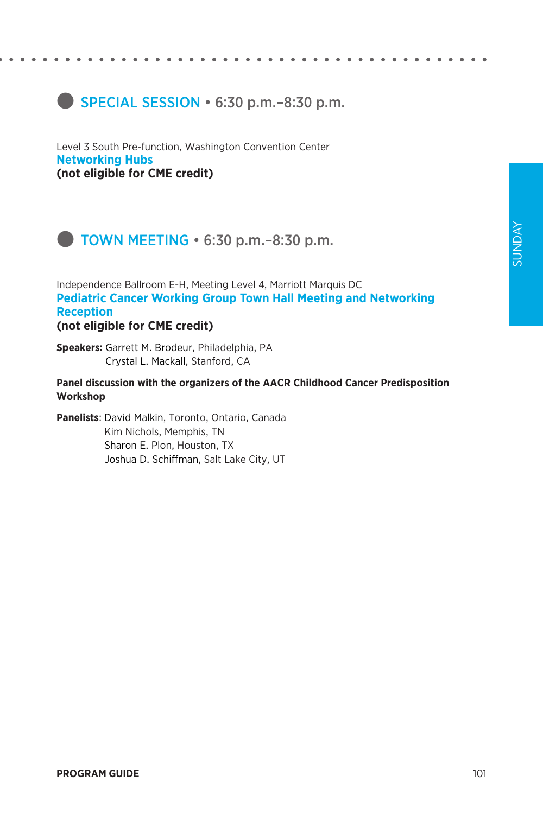### **SPECIAL SESSION • 6:30 p.m. - 8:30 p.m.**

Level 3 South Pre-function, Washington Convention Center **Networking Hubs (not eligible for CME credit)**



Independence Ballroom E-H, Meeting Level 4, Marriott Marquis DC **Pediatric Cancer Working Group Town Hall Meeting and Networking Reception (not eligible for CME credit)**

**Speakers:** Garrett M. Brodeur, Philadelphia, PA Crystal L. Mackall, Stanford, CA

**Panel discussion with the organizers of the AACR Childhood Cancer Predisposition Workshop**

**Panelists**: David Malkin, Toronto, Ontario, Canada Kim Nichols, Memphis, TN Sharon E. Plon, Houston, TX Joshua D. Schiffman, Salt Lake City, UT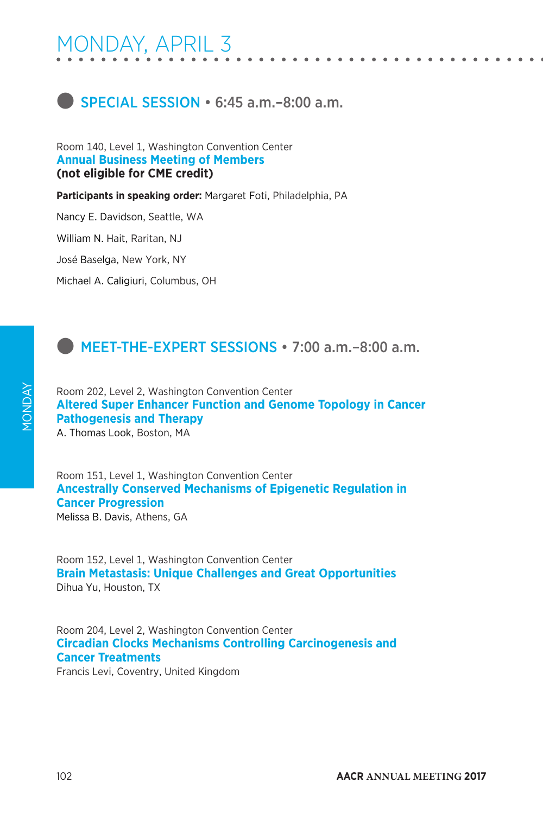

Room 140, Level 1, Washington Convention Center **Annual Business Meeting of Members (not eligible for CME credit)**

**Participants in speaking order:** Margaret Foti, Philadelphia, PA

Nancy E. Davidson, Seattle, WA

William N. Hait, Raritan, NJ

José Baselga, New York, NY

Michael A. Caligiuri, Columbus, OH

### **C** MEET-THE-EXPERT SESSIONS • 7:00 a.m. -8:00 a.m.

Room 202, Level 2, Washington Convention Center **Altered Super Enhancer Function and Genome Topology in Cancer Pathogenesis and Therapy**

A. Thomas Look, Boston, MA

Room 151, Level 1, Washington Convention Center **Ancestrally Conserved Mechanisms of Epigenetic Regulation in Cancer Progression** Melissa B. Davis, Athens, GA

Room 152, Level 1, Washington Convention Center **Brain Metastasis: Unique Challenges and Great Opportunities** Dihua Yu, Houston, TX

Room 204, Level 2, Washington Convention Center **Circadian Clocks Mechanisms Controlling Carcinogenesis and Cancer Treatments**

Francis Levi, Coventry, United Kingdom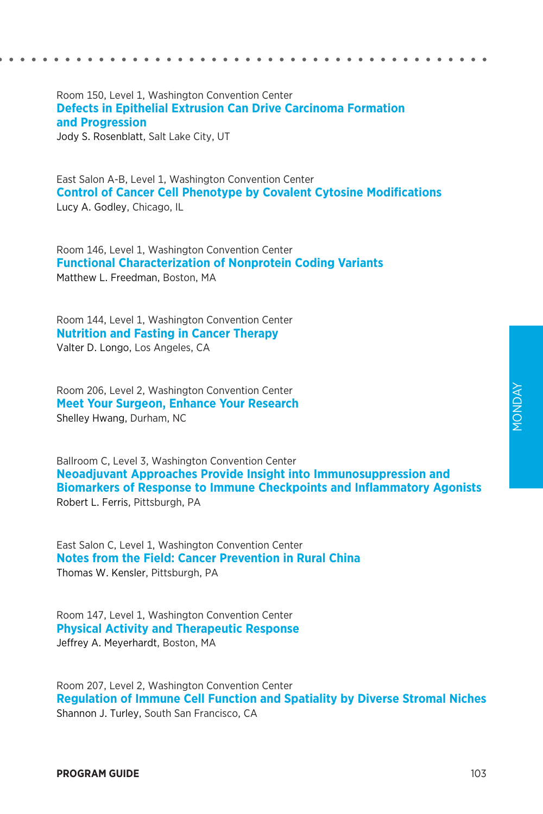Room 150, Level 1, Washington Convention Center **Defects in Epithelial Extrusion Can Drive Carcinoma Formation and Progression** Jody S. Rosenblatt, Salt Lake City, UT

East Salon A-B, Level 1, Washington Convention Center **Control of Cancer Cell Phenotype by Covalent Cytosine Modifications** Lucy A. Godley, Chicago, IL

Room 146, Level 1, Washington Convention Center **Functional Characterization of Nonprotein Coding Variants** Matthew L. Freedman, Boston, MA

Room 144, Level 1, Washington Convention Center **Nutrition and Fasting in Cancer Therapy** Valter D. Longo, Los Angeles, CA

Room 206, Level 2, Washington Convention Center **Meet Your Surgeon, Enhance Your Research** Shelley Hwang, Durham, NC

Ballroom C, Level 3, Washington Convention Center **Neoadjuvant Approaches Provide Insight into Immunosuppression and Biomarkers of Response to Immune Checkpoints and Inflammatory Agonists** Robert L. Ferris, Pittsburgh, PA

East Salon C, Level 1, Washington Convention Center **Notes from the Field: Cancer Prevention in Rural China** Thomas W. Kensler, Pittsburgh, PA

Room 147, Level 1, Washington Convention Center **Physical Activity and Therapeutic Response** Jeffrey A. Meyerhardt, Boston, MA

Room 207, Level 2, Washington Convention Center **Regulation of Immune Cell Function and Spatiality by Diverse Stromal Niches** Shannon J. Turley, South San Francisco, CA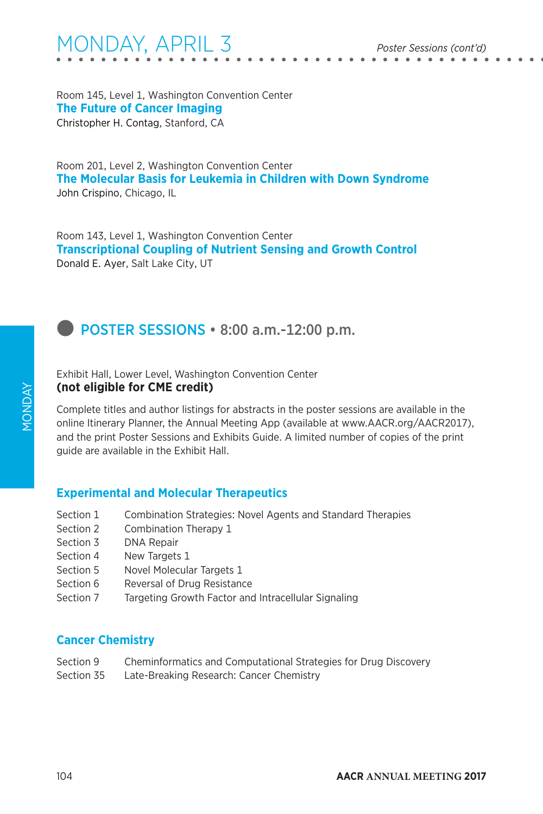Room 145, Level 1, Washington Convention Center **The Future of Cancer Imaging** Christopher H. Contag, Stanford, CA

Room 201, Level 2, Washington Convention Center **The Molecular Basis for Leukemia in Children with Down Syndrome** John Crispino, Chicago, IL

Room 143, Level 1, Washington Convention Center **Transcriptional Coupling of Nutrient Sensing and Growth Control** Donald E. Ayer, Salt Lake City, UT

**D** POSTER SESSIONS • 8:00 a.m.-12:00 p.m.

Exhibit Hall, Lower Level, Washington Convention Center **(not eligible for CME credit)**

Complete titles and author listings for abstracts in the poster sessions are available in the online Itinerary Planner, the Annual Meeting App (available at www.AACR.org/AACR2017), and the print Poster Sessions and Exhibits Guide. A limited number of copies of the print guide are available in the Exhibit Hall.

### **Experimental and Molecular Therapeutics**

- Section 1 Combination Strategies: Novel Agents and Standard Therapies
- Section 2 Combination Therapy 1
- Section 3 DNA Repair
- Section 4 New Targets 1
- Section 5 Novel Molecular Targets 1
- Section 6 Reversal of Drug Resistance
- Section 7 Targeting Growth Factor and Intracellular Signaling

#### **Cancer Chemistry**

- Section 9 Cheminformatics and Computational Strategies for Drug Discovery
- Section 35 Late-Breaking Research: Cancer Chemistry

MONDAY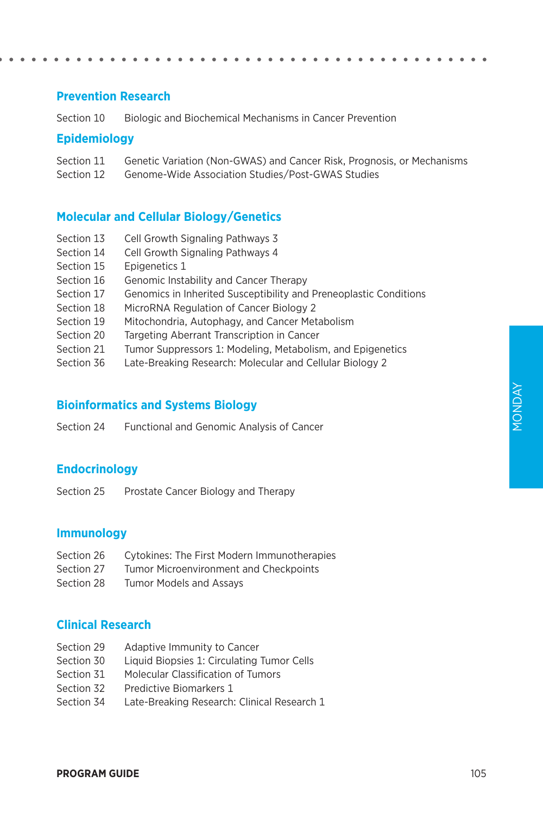### **Prevention Research**

Section 10 Biologic and Biochemical Mechanisms in Cancer Prevention

#### **Epidemiology**

Section 11 Genetic Variation (Non-GWAS) and Cancer Risk, Prognosis, or Mechanisms

Section 12 Genome-Wide Association Studies/Post-GWAS Studies

### **Molecular and Cellular Biology/Genetics**

- Section 13 Cell Growth Signaling Pathways 3
- Section 14 Cell Growth Signaling Pathways 4
- Section 15 Epigenetics 1
- Section 16 Genomic Instability and Cancer Therapy
- Section 17 Genomics in Inherited Susceptibility and Preneoplastic Conditions
- Section 18 MicroRNA Regulation of Cancer Biology 2
- Section 19 Mitochondria, Autophagy, and Cancer Metabolism
- Section 20 Targeting Aberrant Transcription in Cancer
- Section 21 Tumor Suppressors 1: Modeling, Metabolism, and Epigenetics
- Section 36 Late-Breaking Research: Molecular and Cellular Biology 2

#### **Bioinformatics and Systems Biology**

Section 24 Functional and Genomic Analysis of Cancer

### **Endocrinology**

Section 25 Prostate Cancer Biology and Therapy

#### **Immunology**

- Section 26 Cytokines: The First Modern Immunotherapies
- Section 27 Tumor Microenvironment and Checkpoints
- Section 28 Tumor Models and Assays

#### **Clinical Research**

- Section 29 Adaptive Immunity to Cancer
- Section 30 Liquid Biopsies 1: Circulating Tumor Cells
- Section 31 Molecular Classification of Tumors
- Section 32 Predictive Biomarkers 1
- Section 34 Late-Breaking Research: Clinical Research 1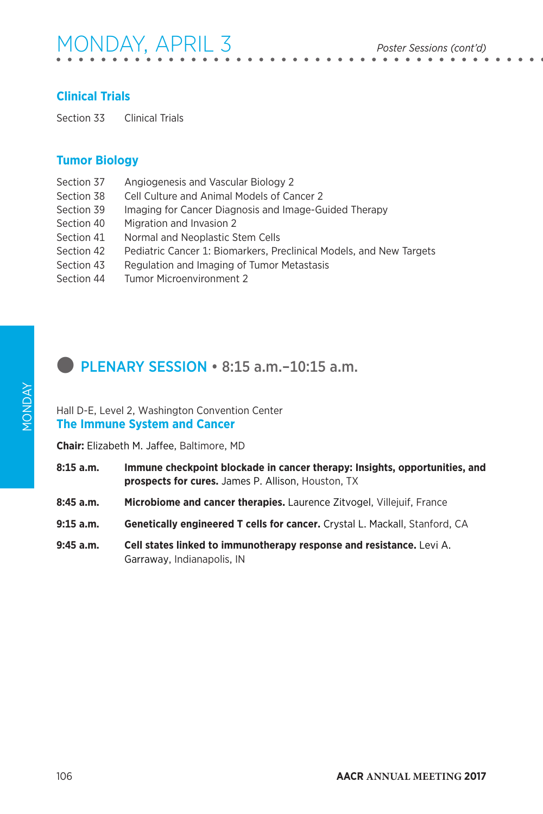# MONDAY, APRIL 3 *Poster Sessions (cont'd)*

### **Clinical Trials**

Section 33 Clinical Trials

### **Tumor Biology**

- Section 37 Angiogenesis and Vascular Biology 2
- Section 38 Cell Culture and Animal Models of Cancer 2
- Section 39 Imaging for Cancer Diagnosis and Image-Guided Therapy
- Section 40 Migration and Invasion 2
- Section 41 Normal and Neoplastic Stem Cells
- Section 42 Pediatric Cancer 1: Biomarkers, Preclinical Models, and New Targets
- Section 43 Regulation and Imaging of Tumor Metastasis
- Section 44 Tumor Microenvironment 2

### l PLENARY SESSION • 8:15 a.m.–10:15 a.m.

#### Hall D-E, Level 2, Washington Convention Center **The Immune System and Cancer**

**Chair:** Elizabeth M. Jaffee, Baltimore, MD

- **8:15 a.m. Immune checkpoint blockade in cancer therapy: Insights, opportunities, and prospects for cures.** James P. Allison, Houston, TX
- **8:45 a.m. Microbiome and cancer therapies.** Laurence Zitvogel, Villejuif, France
- **9:15 a.m. Genetically engineered T cells for cancer.** Crystal L. Mackall, Stanford, CA
- **9:45 a.m. Cell states linked to immunotherapy response and resistance.** Levi A. Garraway, Indianapolis, IN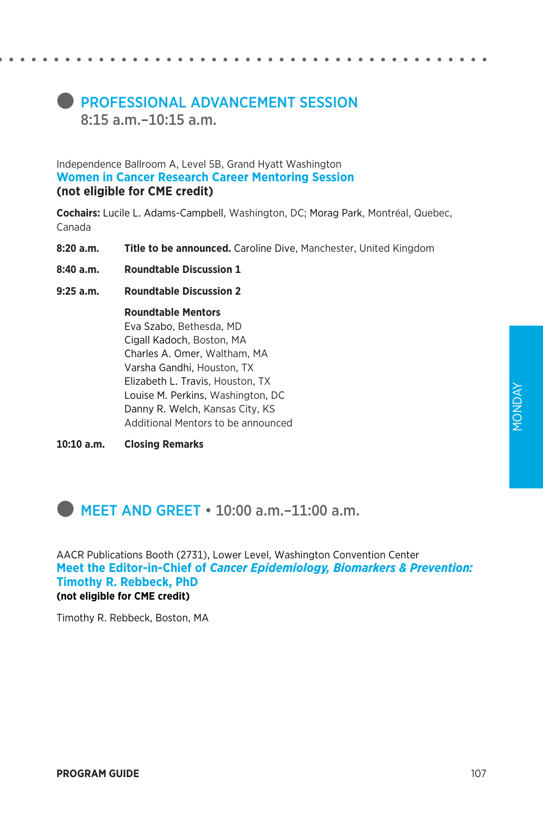### **PROFESSIONAL ADVANCEMENT SESSION** 8:15 a.m.–10:15 a.m.

Independence Ballroom A, Level 5B, Grand Hyatt Washington **Women in Cancer Research Career Mentoring Session (not eligible for CME credit)**

**Cochairs:** Lucile L. Adams-Campbell, Washington, DC; Morag Park, Montréal, Quebec, Canada

- **8:20 a.m. Title to be announced.** Caroline Dive, Manchester, United Kingdom
- **8:40 a.m. Roundtable Discussion 1**
- **9:25 a.m. Roundtable Discussion 2**

 **Roundtable Mentors** Eva Szabo, Bethesda, MD Cigall Kadoch, Boston, MA Charles A. Omer, Waltham, MA Varsha Gandhi, Houston, TX Elizabeth L. Travis, Houston, TX Louise M. Perkins, Washington, DC Danny R. Welch, Kansas City, KS Additional Mentors to be announced

**10:10 a.m. Closing Remarks**

### **MEET AND GREET • 10:00 a.m.-11:00 a.m.**

AACR Publications Booth (2731), Lower Level, Washington Convention Center **Meet the Editor-in-Chief of** *Cancer Epidemiology, Biomarkers & Prevention:*  **Timothy R. Rebbeck, PhD (not eligible for CME credit)**

Timothy R. Rebbeck, Boston, MA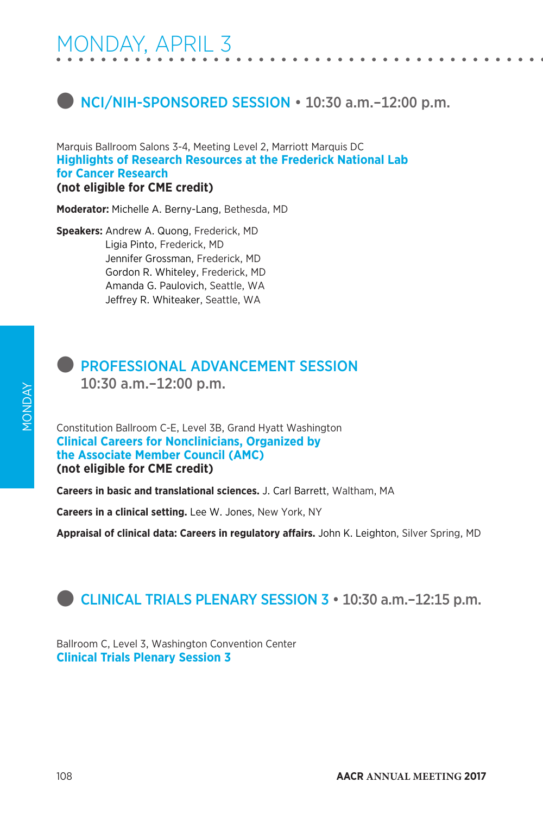### **D** NCI/NIH-SPONSORED SESSION • 10:30 a.m.-12:00 p.m.

Marquis Ballroom Salons 3-4, Meeting Level 2, Marriott Marquis DC **Highlights of Research Resources at the Frederick National Lab for Cancer Research (not eligible for CME credit)**

**Moderator:** Michelle A. Berny-Lang, Bethesda, MD

**Speakers:** Andrew A. Quong, Frederick, MD Ligia Pinto, Frederick, MD Jennifer Grossman, Frederick, MD Gordon R. Whiteley, Frederick, MD Amanda G. Paulovich, Seattle, WA Jeffrey R. Whiteaker, Seattle, WA



### **PROFESSIONAL ADVANCEMENT SESSION**

10:30 a.m.–12:00 p.m.

Constitution Ballroom C-E, Level 3B, Grand Hyatt Washington **Clinical Careers for Nonclinicians, Organized by the Associate Member Council (AMC) (not eligible for CME credit)**

**Careers in basic and translational sciences.** J. Carl Barrett, Waltham, MA

**Careers in a clinical setting.** Lee W. Jones, New York, NY

**Appraisal of clinical data: Careers in regulatory affairs.** John K. Leighton, Silver Spring, MD

### **CLINICAL TRIALS PLENARY SESSION 3 • 10:30 a.m.-12:15 p.m.**

Ballroom C, Level 3, Washington Convention Center **Clinical Trials Plenary Session 3**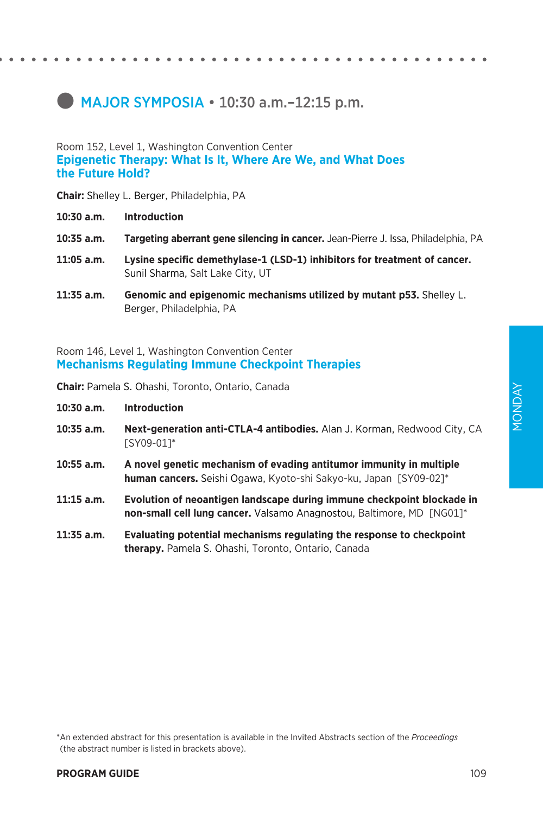# $\bullet$  MAJOR SYMPOSIA  $\cdot$  10:30 a.m. -12:15 p.m.

### Room 152, Level 1, Washington Convention Center **Epigenetic Therapy: What Is It, Where Are We, and What Does**

## **the Future Hold?**

**Chair:** Shelley L. Berger, Philadelphia, PA

- **10:30 a.m. Introduction**
- **10:35 a.m. Targeting aberrant gene silencing in cancer.** Jean-Pierre J. Issa, Philadelphia, PA
- **11:05 a.m. Lysine specific demethylase-1 (LSD-1) inhibitors for treatment of cancer.**  Sunil Sharma, Salt Lake City, UT
- **11:35 a.m. Genomic and epigenomic mechanisms utilized by mutant p53.** Shelley L. Berger, Philadelphia, PA

Room 146, Level 1, Washington Convention Center **Mechanisms Regulating Immune Checkpoint Therapies**

**Chair:** Pamela S. Ohashi, Toronto, Ontario, Canada

- **10:30 a.m. Introduction**
- **10:35 a.m. Next-generation anti-CTLA-4 antibodies.** Alan J. Korman, Redwood City, CA [SY09-01]\*
- **10:55 a.m. A novel genetic mechanism of evading antitumor immunity in multiple human cancers.** Seishi Ogawa, Kyoto-shi Sakyo-ku, Japan [SY09-02]\*
- **11:15 a.m. Evolution of neoantigen landscape during immune checkpoint blockade in non-small cell lung cancer.** Valsamo Anagnostou, Baltimore, MD [NG01]\*
- **11:35 a.m. Evaluating potential mechanisms regulating the response to checkpoint therapy.** Pamela S. Ohashi, Toronto, Ontario, Canada

\*An extended abstract for this presentation is available in the Invited Abstracts section of the *Proceedings*  (the abstract number is listed in brackets above).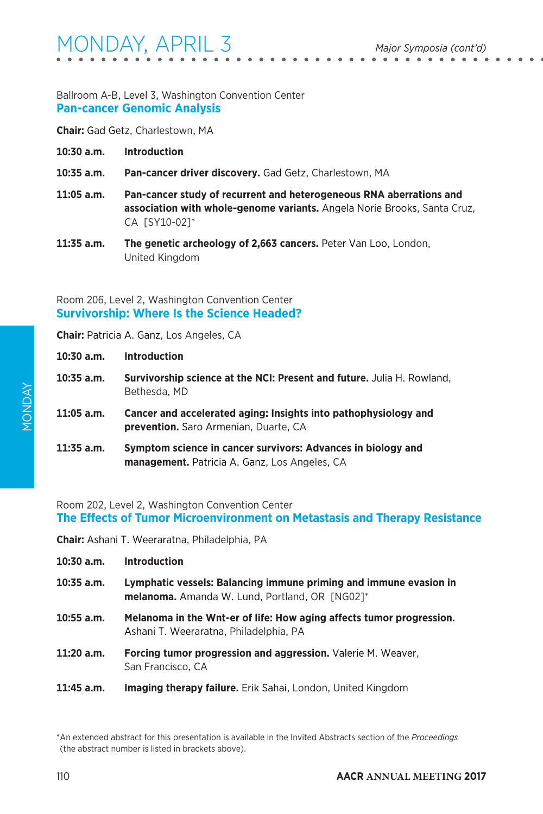#### Ballroom A-B, Level 3, Washington Convention Center **Pan-cancer Genomic Analysis**

**Chair:** Gad Getz, Charlestown, MA

- **10:30 a.m. Introduction**
- **10:35 a.m. Pan-cancer driver discovery.** Gad Getz, Charlestown, MA
- **11:05 a.m. Pan-cancer study of recurrent and heterogeneous RNA aberrations and association with whole-genome variants.** Angela Norie Brooks, Santa Cruz, CA [SY10-02]\*
- **11:35 a.m. The genetic archeology of 2,663 cancers.** Peter Van Loo, London, United Kingdom

#### Room 206, Level 2, Washington Convention Center **Survivorship: Where Is the Science Headed?**

**Chair:** Patricia A. Ganz, Los Angeles, CA

| $10:30$ a.m. | <b>Introduction</b>                                                                                                  |
|--------------|----------------------------------------------------------------------------------------------------------------------|
| $10:35$ a.m. | <b>Survivorship science at the NCI: Present and future.</b> Julia H. Rowland,<br>Bethesda, MD                        |
| $11:05$ a.m. | Cancer and accelerated aging: Insights into pathophysiology and<br><b>prevention.</b> Saro Armenian, Duarte, CA      |
| $11:35$ a.m. | Symptom science in cancer survivors: Advances in biology and<br><b>management.</b> Patricia A. Ganz, Los Angeles, CA |

Room 202, Level 2, Washington Convention Center **The Effects of Tumor Microenvironment on Metastasis and Therapy Resistance**

**Chair:** Ashani T. Weeraratna, Philadelphia, PA

| $10:30$ a.m. | <b>Introduction</b>                                                                                                        |
|--------------|----------------------------------------------------------------------------------------------------------------------------|
| $10:35$ a.m. | Lymphatic vessels: Balancing immune priming and immune evasion in<br><b>melanoma.</b> Amanda W. Lund, Portland, OR [NG02]* |
| $10:55$ a.m. | Melanoma in the Wnt-er of life: How aging affects tumor progression.<br>Ashani T. Weeraratna, Philadelphia, PA             |
| 11:20 a.m.   | <b>Forcing tumor progression and aggression.</b> Valerie M. Weaver,<br>San Francisco, CA                                   |
| 11:45 a.m.   | <b>Imaging therapy failure.</b> Erik Sahai, London, United Kingdom                                                         |

<sup>\*</sup>An extended abstract for this presentation is available in the Invited Abstracts section of the *Proceedings*  (the abstract number is listed in brackets above).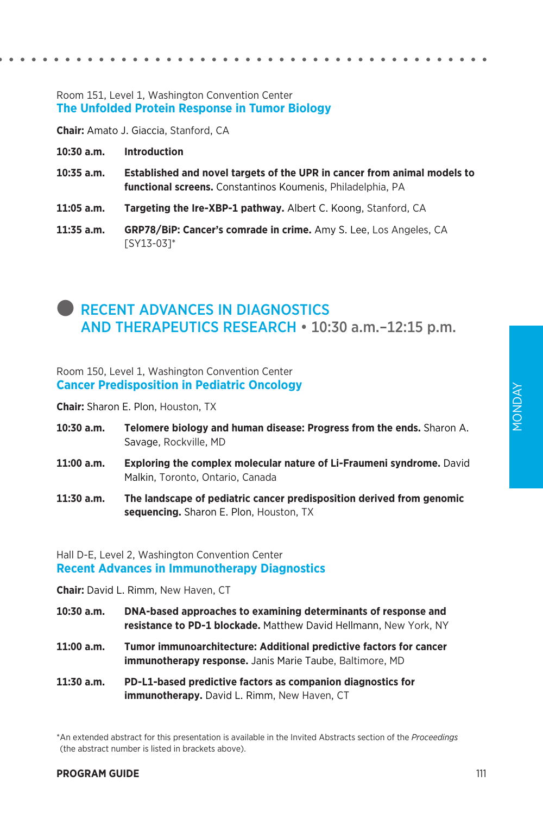#### Room 151, Level 1, Washington Convention Center **The Unfolded Protein Response in Tumor Biology**

**Chair:** Amato J. Giaccia, Stanford, CA

- **10:30 a.m. Introduction**
- **10:35 a.m. Established and novel targets of the UPR in cancer from animal models to functional screens.** Constantinos Koumenis, Philadelphia, PA
- **11:05 a.m. Targeting the Ire-XBP-1 pathway.** Albert C. Koong, Stanford, CA
- **11:35 a.m. GRP78/BiP: Cancer's comrade in crime.** Amy S. Lee, Los Angeles, CA [SY13-03]\*

### **RECENT ADVANCES IN DIAGNOSTICS** AND THERAPEUTICS RESEARCH • 10:30 a.m.–12:15 p.m.

Room 150, Level 1, Washington Convention Center **Cancer Predisposition in Pediatric Oncology**

**Chair:** Sharon E. Plon, Houston, TX

- **10:30 a.m. Telomere biology and human disease: Progress from the ends.** Sharon A. Savage, Rockville, MD
- **11:00 a.m. Exploring the complex molecular nature of Li-Fraumeni syndrome.** David Malkin, Toronto, Ontario, Canada
- **11:30 a.m. The landscape of pediatric cancer predisposition derived from genomic sequencing.** Sharon E. Plon, Houston, TX

#### Hall D-E, Level 2, Washington Convention Center **Recent Advances in Immunotherapy Diagnostics**

**Chair:** David L. Rimm, New Haven, CT

- **10:30 a.m. DNA-based approaches to examining determinants of response and resistance to PD-1 blockade.** Matthew David Hellmann, New York, NY
- **11:00 a.m. Tumor immunoarchitecture: Additional predictive factors for cancer immunotherapy response.** Janis Marie Taube, Baltimore, MD
- **11:30 a.m. PD-L1-based predictive factors as companion diagnostics for immunotherapy.** David L. Rimm, New Haven, CT

\*An extended abstract for this presentation is available in the Invited Abstracts section of the *Proceedings*  (the abstract number is listed in brackets above).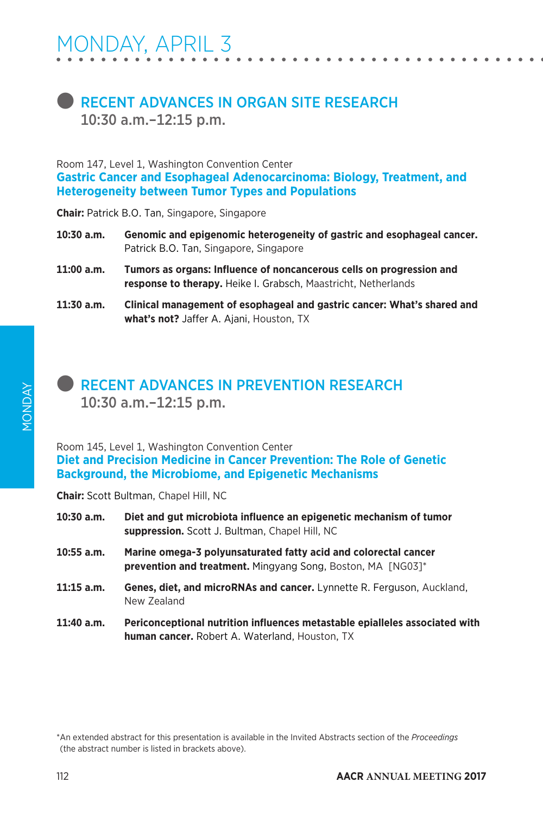### **RECENT ADVANCES IN ORGAN SITE RESEARCH** 10:30 a.m.–12:15 p.m.

Room 147, Level 1, Washington Convention Center **Gastric Cancer and Esophageal Adenocarcinoma: Biology, Treatment, and Heterogeneity between Tumor Types and Populations**

**Chair:** Patrick B.O. Tan, Singapore, Singapore

- **10:30 a.m. Genomic and epigenomic heterogeneity of gastric and esophageal cancer.**  Patrick B.O. Tan, Singapore, Singapore
- **11:00 a.m. Tumors as organs: Influence of noncancerous cells on progression and response to therapy.** Heike I. Grabsch, Maastricht, Netherlands
- **11:30 a.m. Clinical management of esophageal and gastric cancer: What's shared and what's not?** Jaffer A. Ajani, Houston, TX

### **RECENT ADVANCES IN PREVENTION RESEARCH** 10:30 a.m.–12:15 p.m.

Room 145, Level 1, Washington Convention Center **Diet and Precision Medicine in Cancer Prevention: The Role of Genetic Background, the Microbiome, and Epigenetic Mechanisms**

**Chair:** Scott Bultman, Chapel Hill, NC

| $10:30$ a.m. | Diet and gut microbiota influence an epigenetic mechanism of tumor<br>suppression. Scott J. Bultman, Chapel Hill, NC                  |
|--------------|---------------------------------------------------------------------------------------------------------------------------------------|
| $10:55$ a.m. | Marine omega-3 polyunsaturated fatty acid and colorectal cancer<br><b>prevention and treatment.</b> Mingyang Song, Boston, MA [NG03]* |
| $11:15$ a.m. | Genes, diet, and microRNAs and cancer. Lynnette R. Ferguson, Auckland,<br>New Zealand                                                 |
| $11:40$ a.m. | Periconceptional nutrition influences metastable epialleles associated with<br>human cancer. Robert A. Waterland, Houston, TX         |

<sup>\*</sup>An extended abstract for this presentation is available in the Invited Abstracts section of the *Proceedings*  (the abstract number is listed in brackets above).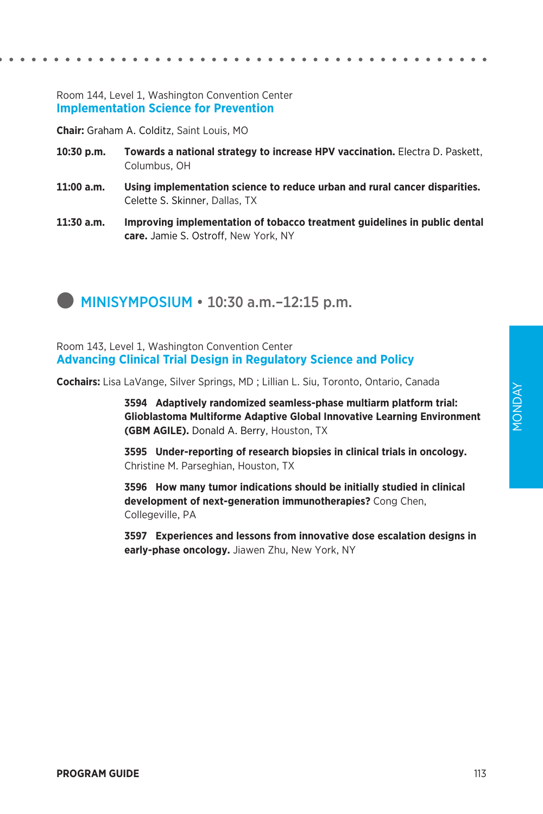#### Room 144, Level 1, Washington Convention Center **Implementation Science for Prevention**

**Chair:** Graham A. Colditz, Saint Louis, MO

- **10:30 p.m. Towards a national strategy to increase HPV vaccination.** Electra D. Paskett, Columbus, OH
- **11:00 a.m. Using implementation science to reduce urban and rural cancer disparities.**  Celette S. Skinner, Dallas, TX
- **11:30 a.m. Improving implementation of tobacco treatment guidelines in public dental care.** Jamie S. Ostroff, New York, NY



Room 143, Level 1, Washington Convention Center **Advancing Clinical Trial Design in Regulatory Science and Policy**

**Cochairs:** Lisa LaVange, Silver Springs, MD ; Lillian L. Siu, Toronto, Ontario, Canada

**3594 Adaptively randomized seamless-phase multiarm platform trial: Glioblastoma Multiforme Adaptive Global Innovative Learning Environment (GBM AGILE).** Donald A. Berry, Houston, TX

 **3595 Under-reporting of research biopsies in clinical trials in oncology.**  Christine M. Parseghian, Houston, TX

**3596 How many tumor indications should be initially studied in clinical development of next-generation immunotherapies?** Cong Chen, Collegeville, PA

 **3597 Experiences and lessons from innovative dose escalation designs in early-phase oncology.** Jiawen Zhu, New York, NY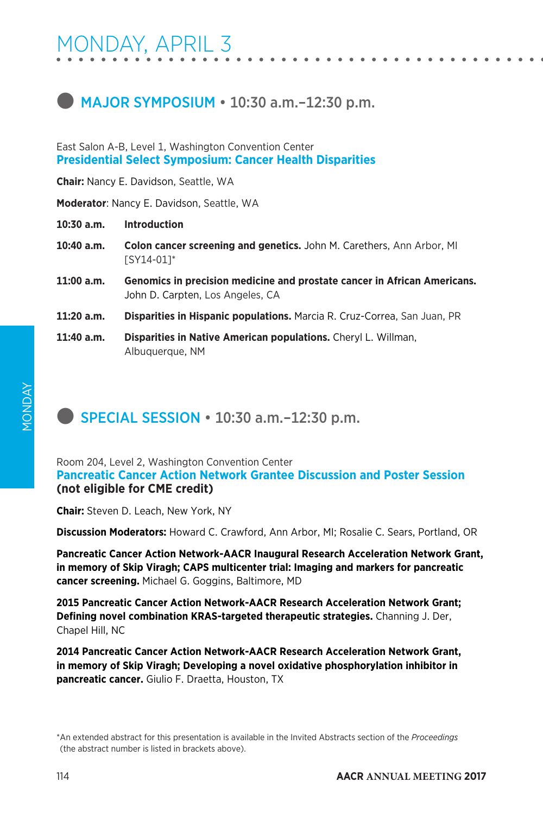### $\blacksquare$  MAJOR SYMPOSIUM  $\cdot$  10:30 a.m. $-12:30$  p.m.

East Salon A-B, Level 1, Washington Convention Center **Presidential Select Symposium: Cancer Health Disparities**

**Chair:** Nancy E. Davidson, Seattle, WA

**Moderator**: Nancy E. Davidson, Seattle, WA

**10:30 a.m. Introduction**

- **10:40 a.m. Colon cancer screening and genetics.** John M. Carethers, Ann Arbor, MI [SY14-01]\*
- **11:00 a.m. Genomics in precision medicine and prostate cancer in African Americans.**  John D. Carpten, Los Angeles, CA
- **11:20 a.m. Disparities in Hispanic populations.** Marcia R. Cruz-Correa, San Juan, PR
- **11:40 a.m. Disparities in Native American populations.** Cheryl L. Willman, Albuquerque, NM

### **SPECIAL SESSION • 10:30 a.m.-12:30 p.m.**

### Room 204, Level 2, Washington Convention Center **Pancreatic Cancer Action Network Grantee Discussion and Poster Session (not eligible for CME credit)**

**Chair:** Steven D. Leach, New York, NY

**Discussion Moderators:** Howard C. Crawford, Ann Arbor, MI; Rosalie C. Sears, Portland, OR

**Pancreatic Cancer Action Network-AACR Inaugural Research Acceleration Network Grant, in memory of Skip Viragh; CAPS multicenter trial: Imaging and markers for pancreatic cancer screening.** Michael G. Goggins, Baltimore, MD

**2015 Pancreatic Cancer Action Network-AACR Research Acceleration Network Grant; Defining novel combination KRAS-targeted therapeutic strategies.** Channing J. Der, Chapel Hill, NC

**2014 Pancreatic Cancer Action Network-AACR Research Acceleration Network Grant, in memory of Skip Viragh; Developing a novel oxidative phosphorylation inhibitor in pancreatic cancer.** Giulio F. Draetta, Houston, TX

\*An extended abstract for this presentation is available in the Invited Abstracts section of the *Proceedings*  (the abstract number is listed in brackets above).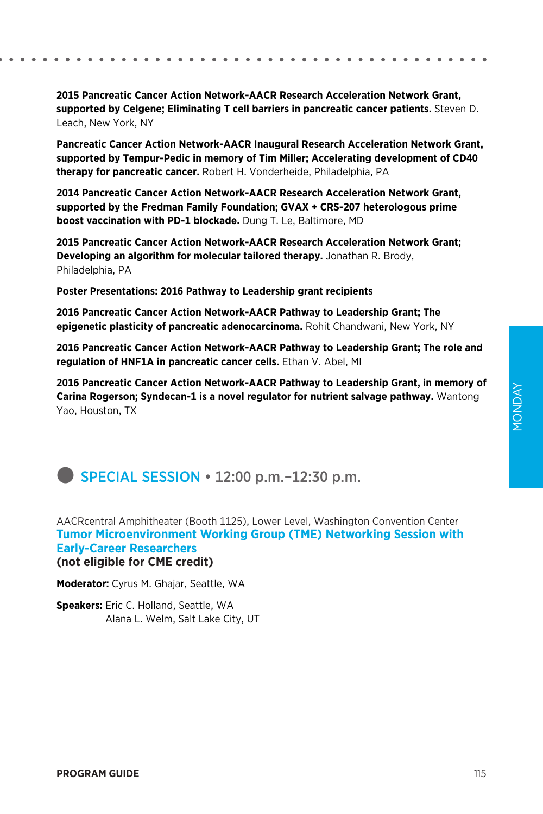#### **2015 Pancreatic Cancer Action Network-AACR Research Acceleration Network Grant, supported by Celgene; Eliminating T cell barriers in pancreatic cancer patients.** Steven D. Leach, New York, NY

**Pancreatic Cancer Action Network-AACR Inaugural Research Acceleration Network Grant, supported by Tempur-Pedic in memory of Tim Miller; Accelerating development of CD40 therapy for pancreatic cancer.** Robert H. Vonderheide, Philadelphia, PA

**2014 Pancreatic Cancer Action Network-AACR Research Acceleration Network Grant, supported by the Fredman Family Foundation; GVAX + CRS-207 heterologous prime boost vaccination with PD-1 blockade.** Dung T. Le, Baltimore, MD

**2015 Pancreatic Cancer Action Network-AACR Research Acceleration Network Grant; Developing an algorithm for molecular tailored therapy.** Jonathan R. Brody, Philadelphia, PA

**Poster Presentations: 2016 Pathway to Leadership grant recipients**

**2016 Pancreatic Cancer Action Network-AACR Pathway to Leadership Grant; The epigenetic plasticity of pancreatic adenocarcinoma.** Rohit Chandwani, New York, NY

**2016 Pancreatic Cancer Action Network-AACR Pathway to Leadership Grant; The role and regulation of HNF1A in pancreatic cancer cells.** Ethan V. Abel, MI

**2016 Pancreatic Cancer Action Network-AACR Pathway to Leadership Grant, in memory of Carina Rogerson; Syndecan-1 is a novel regulator for nutrient salvage pathway.** Wantong Yao, Houston, TX

**SPECIAL SESSION**  $\cdot$  **12:00 p.m. –12:30 p.m.** 

AACRcentral Amphitheater (Booth 1125), Lower Level, Washington Convention Center **Tumor Microenvironment Working Group (TME) Networking Session with Early-Career Researchers (not eligible for CME credit)**

**Moderator:** Cyrus M. Ghajar, Seattle, WA

**Speakers:** Eric C. Holland, Seattle, WA Alana L. Welm, Salt Lake City, UT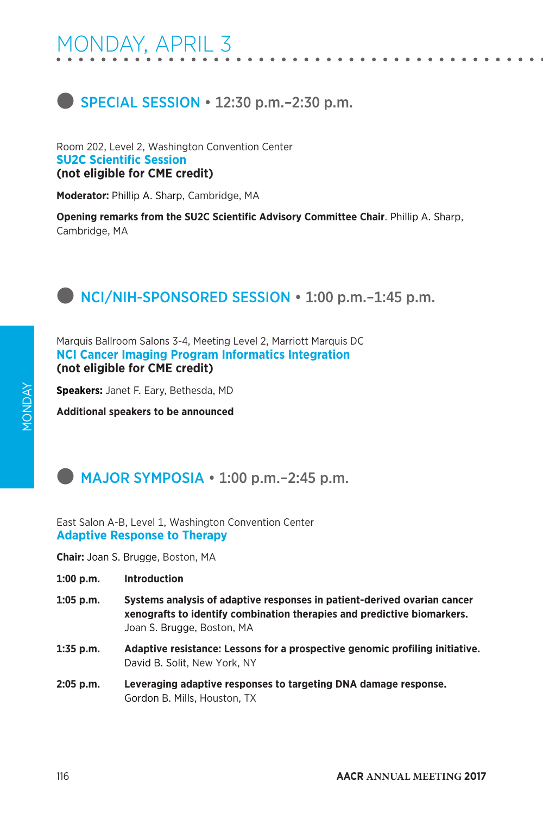### **SPECIAL SESSION**  $\cdot$  **12:30 p.m.**–2:30 p.m.

Room 202, Level 2, Washington Convention Center **SU2C Scientific Session (not eligible for CME credit)**

**Moderator:** Phillip A. Sharp, Cambridge, MA

**Opening remarks from the SU2C Scientific Advisory Committee Chair**. Phillip A. Sharp, Cambridge, MA

### **D** NCI/NIH-SPONSORED SESSION • 1:00 p.m.-1:45 p.m.

Marquis Ballroom Salons 3-4, Meeting Level 2, Marriott Marquis DC **NCI Cancer Imaging Program Informatics Integration (not eligible for CME credit)**

**Speakers:** Janet F. Eary, Bethesda, MD

**Additional speakers to be announced**

### $\blacksquare$  MAJOR SYMPOSIA  $\cdot$  1:00 p.m.–2:45 p.m.

East Salon A-B, Level 1, Washington Convention Center **Adaptive Response to Therapy**

**Chair:** Joan S. Brugge, Boston, MA

- **1:00 p.m. Introduction**
- **1:05 p.m. Systems analysis of adaptive responses in patient-derived ovarian cancer xenografts to identify combination therapies and predictive biomarkers.**  Joan S. Brugge, Boston, MA
- **1:35 p.m. Adaptive resistance: Lessons for a prospective genomic profiling initiative.**  David B. Solit, New York, NY
- **2:05 p.m. Leveraging adaptive responses to targeting DNA damage response.**  Gordon B. Mills, Houston, TX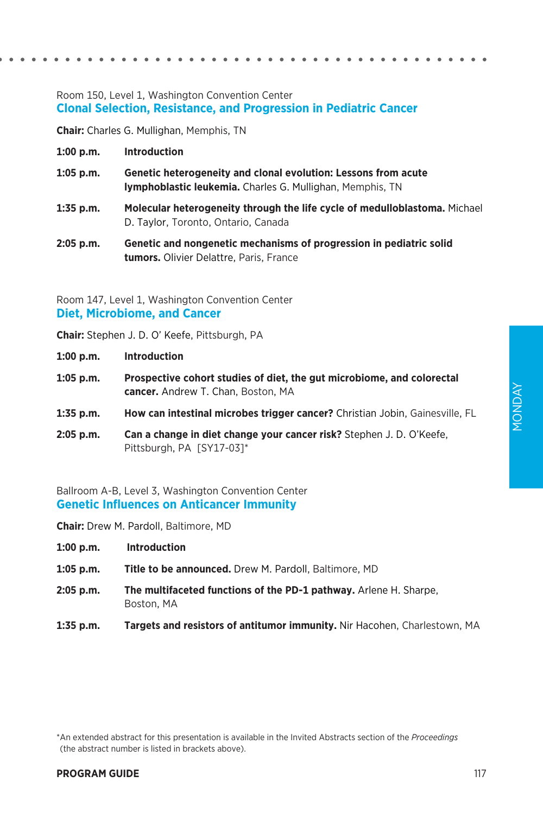#### Room 150, Level 1, Washington Convention Center **Clonal Selection, Resistance, and Progression in Pediatric Cancer**

**Chair:** Charles G. Mullighan, Memphis, TN

- **1:00 p.m. Introduction**
- **1:05 p.m. Genetic heterogeneity and clonal evolution: Lessons from acute lymphoblastic leukemia.** Charles G. Mullighan, Memphis, TN
- **1:35 p.m. Molecular heterogeneity through the life cycle of medulloblastoma.** Michael D. Taylor, Toronto, Ontario, Canada
- **2:05 p.m. Genetic and nongenetic mechanisms of progression in pediatric solid tumors.** Olivier Delattre, Paris, France

Room 147, Level 1, Washington Convention Center **Diet, Microbiome, and Cancer**

**Chair:** Stephen J. D. O' Keefe, Pittsburgh, PA

- **1:00 p.m. Introduction**
- **1:05 p.m. Prospective cohort studies of diet, the gut microbiome, and colorectal cancer.** Andrew T. Chan, Boston, MA
- **1:35 p.m. How can intestinal microbes trigger cancer?** Christian Jobin, Gainesville, FL
- **2:05 p.m. Can a change in diet change your cancer risk?** Stephen J. D. O'Keefe, Pittsburgh, PA [SY17-03]\*

Ballroom A-B, Level 3, Washington Convention Center **Genetic Influences on Anticancer Immunity**

**Chair:** Drew M. Pardoll, Baltimore, MD

- **1:00 p.m. Introduction**
- **1:05 p.m. Title to be announced.** Drew M. Pardoll, Baltimore, MD
- **2:05 p.m. The multifaceted functions of the PD-1 pathway.** Arlene H. Sharpe, Boston, MA
- **1:35 p.m. Targets and resistors of antitumor immunity.** Nir Hacohen, Charlestown, MA

\*An extended abstract for this presentation is available in the Invited Abstracts section of the *Proceedings*  (the abstract number is listed in brackets above).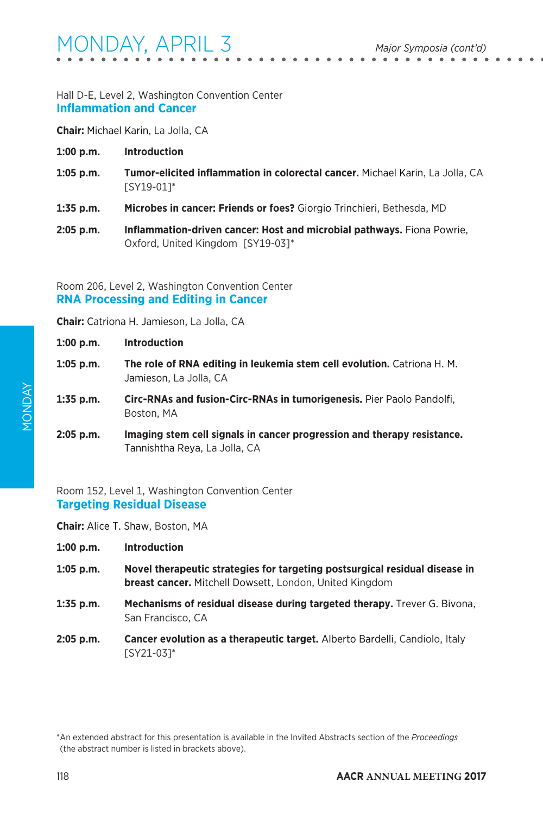#### Hall D-E, Level 2, Washington Convention Center **Inflammation and Cancer**

**Chair:** Michael Karin, La Jolla, CA

- **1:00 p.m. Introduction**
- **1:05 p.m. Tumor-elicited inflammation in colorectal cancer.** Michael Karin, La Jolla, CA [SY19-01]\*
- **1:35 p.m. Microbes in cancer: Friends or foes?** Giorgio Trinchieri, Bethesda, MD
- **2:05 p.m. Inflammation-driven cancer: Host and microbial pathways.** Fiona Powrie, Oxford, United Kingdom [SY19-03]\*

Room 206, Level 2, Washington Convention Center **RNA Processing and Editing in Cancer**

**Chair:** Catriona H. Jamieson, La Jolla, CA

| $1:00$ p.m. | <b>Introduction</b>                                                                                      |  |
|-------------|----------------------------------------------------------------------------------------------------------|--|
| $1:05$ p.m. | The role of RNA editing in leukemia stem cell evolution. Catriona H. M.<br>Jamieson, La Jolla, CA        |  |
| 1:35 p.m.   | Circ-RNAs and fusion-Circ-RNAs in tumorigenesis. Pier Paolo Pandolfi,<br>Boston, MA                      |  |
| 2:05 p.m.   | Imaging stem cell signals in cancer progression and therapy resistance.<br>Tannishtha Reya, La Jolla, CA |  |

Room 152, Level 1, Washington Convention Center **Targeting Residual Disease**

**Chair:** Alice T. Shaw, Boston, MA

- **1:00 p.m. Introduction**
- **1:05 p.m. Novel therapeutic strategies for targeting postsurgical residual disease in breast cancer.** Mitchell Dowsett, London, United Kingdom
- **1:35 p.m. Mechanisms of residual disease during targeted therapy.** Trever G. Bivona, San Francisco, CA
- **2:05 p.m. Cancer evolution as a therapeutic target.** Alberto Bardelli, Candiolo, Italy [SY21-03]\*

<sup>\*</sup>An extended abstract for this presentation is available in the Invited Abstracts section of the *Proceedings*  (the abstract number is listed in brackets above).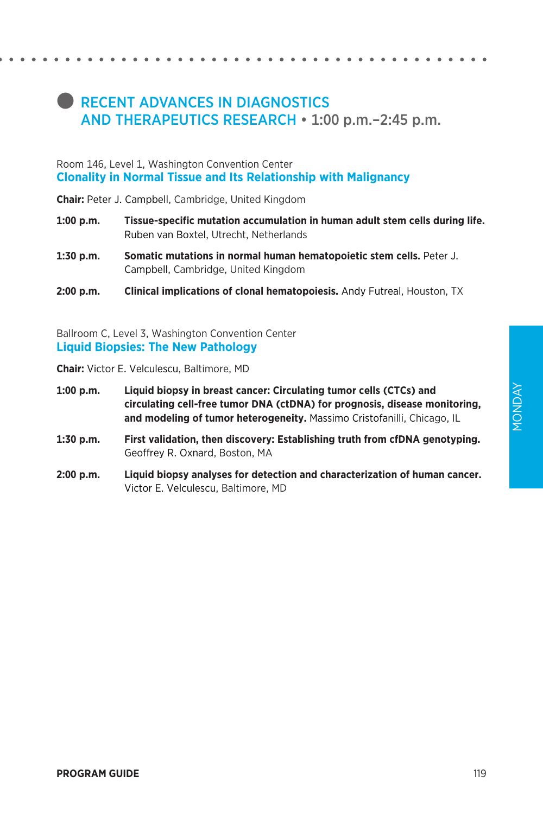### **RECENT ADVANCES IN DIAGNOSTICS** AND THERAPEUTICS RESEARCH • 1:00 p.m.–2:45 p.m.

#### Room 146, Level 1, Washington Convention Center **Clonality in Normal Tissue and Its Relationship with Malignancy**

**Chair:** Peter J. Campbell, Cambridge, United Kingdom

- **1:00 p.m. Tissue-specific mutation accumulation in human adult stem cells during life.**  Ruben van Boxtel, Utrecht, Netherlands
- **1:30 p.m. Somatic mutations in normal human hematopoietic stem cells.** Peter J. Campbell, Cambridge, United Kingdom
- **2:00 p.m. Clinical implications of clonal hematopoiesis.** Andy Futreal, Houston, TX

Ballroom C, Level 3, Washington Convention Center **Liquid Biopsies: The New Pathology**

**Chair:** Victor E. Velculescu, Baltimore, MD

- **1:00 p.m. Liquid biopsy in breast cancer: Circulating tumor cells (CTCs) and circulating cell-free tumor DNA (ctDNA) for prognosis, disease monitoring, and modeling of tumor heterogeneity.** Massimo Cristofanilli, Chicago, IL
- **1:30 p.m. First validation, then discovery: Establishing truth from cfDNA genotyping.**  Geoffrey R. Oxnard, Boston, MA
- **2:00 p.m. Liquid biopsy analyses for detection and characterization of human cancer.**  Victor E. Velculescu, Baltimore, MD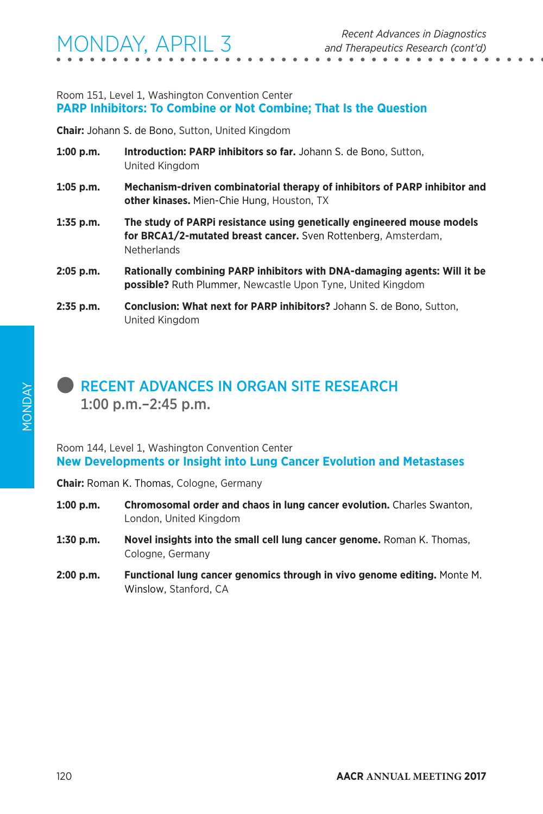#### Room 151, Level 1, Washington Convention Center **PARP Inhibitors: To Combine or Not Combine; That Is the Question**

**Chair:** Johann S. de Bono, Sutton, United Kingdom

- **1:00 p.m. Introduction: PARP inhibitors so far.** Johann S. de Bono, Sutton, United Kingdom
- **1:05 p.m. Mechanism-driven combinatorial therapy of inhibitors of PARP inhibitor and other kinases.** Mien-Chie Hung, Houston, TX
- **1:35 p.m. The study of PARPi resistance using genetically engineered mouse models for BRCA1/2-mutated breast cancer.** Sven Rottenberg, Amsterdam, **Netherlands**
- **2:05 p.m. Rationally combining PARP inhibitors with DNA-damaging agents: Will it be possible?** Ruth Plummer, Newcastle Upon Tyne, United Kingdom
- **2:35 p.m. Conclusion: What next for PARP inhibitors?** Johann S. de Bono, Sutton, United Kingdom

### **RECENT ADVANCES IN ORGAN SITE RESEARCH** 1:00 p.m.–2:45 p.m.

Room 144, Level 1, Washington Convention Center **New Developments or Insight into Lung Cancer Evolution and Metastases**

**Chair:** Roman K. Thomas, Cologne, Germany

- **1:00 p.m. Chromosomal order and chaos in lung cancer evolution.** Charles Swanton, London, United Kingdom
- **1:30 p.m. Novel insights into the small cell lung cancer genome.** Roman K. Thomas, Cologne, Germany
- **2:00 p.m. Functional lung cancer genomics through in vivo genome editing.** Monte M. Winslow, Stanford, CA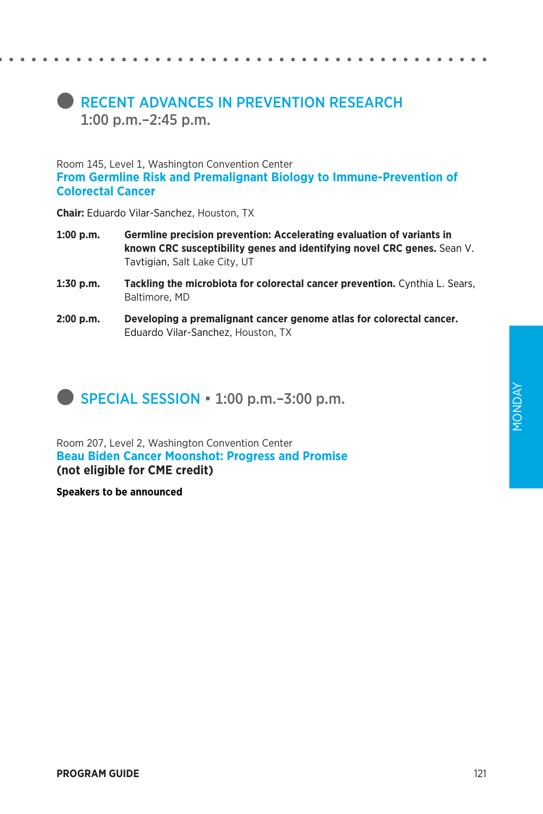### **RECENT ADVANCES IN PREVENTION RESEARCH** 1:00 p.m.–2:45 p.m.

Room 145, Level 1, Washington Convention Center **From Germline Risk and Premalignant Biology to Immune-Prevention of Colorectal Cancer**

**Chair:** Eduardo Vilar-Sanchez, Houston, TX

- **1:00 p.m. Germline precision prevention: Accelerating evaluation of variants in known CRC susceptibility genes and identifying novel CRC genes.** Sean V. Tavtigian, Salt Lake City, UT
- **1:30 p.m. Tackling the microbiota for colorectal cancer prevention.** Cynthia L. Sears, Baltimore, MD
- **2:00 p.m. Developing a premalignant cancer genome atlas for colorectal cancer.**  Eduardo Vilar-Sanchez, Houston, TX

**SPECIAL SESSION**  $\cdot$  **1:00 p.m.–3:00 p.m.** 

Room 207, Level 2, Washington Convention Center **Beau Biden Cancer Moonshot: Progress and Promise (not eligible for CME credit)**

**Speakers to be announced**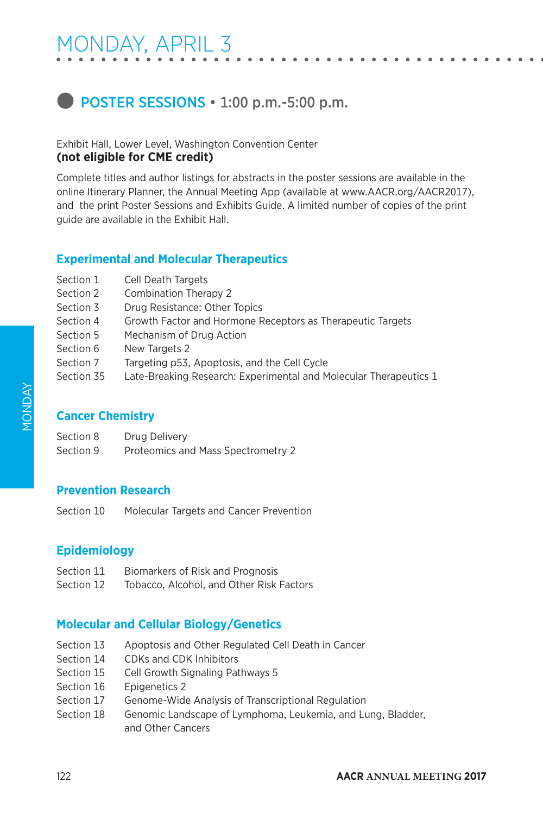### **D** POSTER SESSIONS • 1:00 p.m.-5:00 p.m.

Exhibit Hall, Lower Level, Washington Convention Center **(not eligible for CME credit)**

Complete titles and author listings for abstracts in the poster sessions are available in the online Itinerary Planner, the Annual Meeting App (available at www.AACR.org/AACR2017), and the print Poster Sessions and Exhibits Guide. A limited number of copies of the print guide are available in the Exhibit Hall.

### **Experimental and Molecular Therapeutics**

| Section 1  | <b>Cell Death Targets</b>                                         |
|------------|-------------------------------------------------------------------|
| Section 2  | Combination Therapy 2                                             |
| Section 3  | Drug Resistance: Other Topics                                     |
| Section 4  | Growth Factor and Hormone Receptors as Therapeutic Targets        |
| Section 5  | Mechanism of Drug Action                                          |
| Section 6  | New Targets 2                                                     |
| Section 7  | Targeting p53, Apoptosis, and the Cell Cycle                      |
| Section 35 | Late-Breaking Research: Experimental and Molecular Therapeutics 1 |
|            |                                                                   |

### **Cancer Chemistry**

| Section 8 | Drug Delivery                      |
|-----------|------------------------------------|
| Section 9 | Proteomics and Mass Spectrometry 2 |

### **Prevention Research**

Section 10 Molecular Targets and Cancer Prevention

### **Epidemiology**

- Section 11 Biomarkers of Risk and Prognosis
- Section 12 Tobacco, Alcohol, and Other Risk Factors

### **Molecular and Cellular Biology/Genetics**

- Section 13 Apoptosis and Other Regulated Cell Death in Cancer
- Section 14 CDKs and CDK Inhibitors
- Section 15 Cell Growth Signaling Pathways 5
- Section 16 Epigenetics 2
- Section 17 Genome-Wide Analysis of Transcriptional Regulation
- Section 18 Genomic Landscape of Lymphoma, Leukemia, and Lung, Bladder, and Other Cancers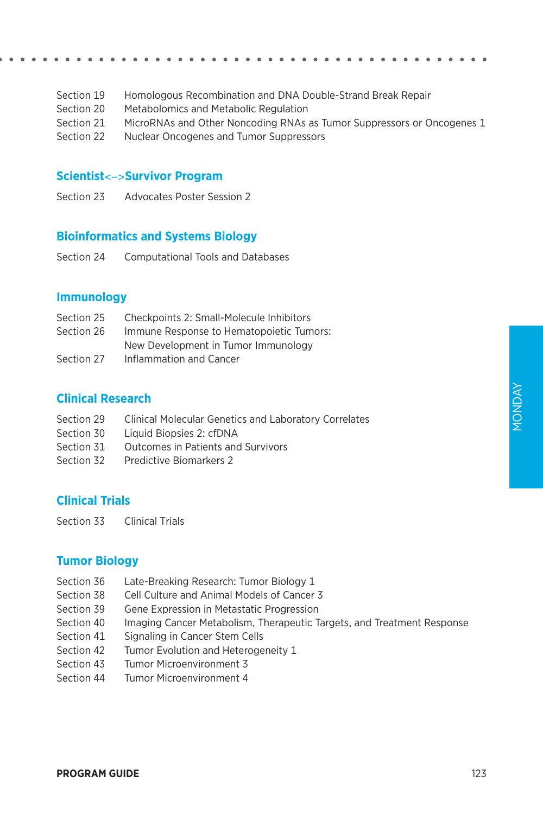- Section 19 Homologous Recombination and DNA Double-Strand Break Repair
- Section 20 Metabolomics and Metabolic Regulation
- Section 21 MicroRNAs and Other Noncoding RNAs as Tumor Suppressors or Oncogenes 1
- Section 22 Nuclear Oncogenes and Tumor Suppressors

#### **Scientist**<->**Survivor Program**

Section 23 Advocates Poster Session 2

#### **Bioinformatics and Systems Biology**

Section 24 Computational Tools and Databases

#### **Immunology**

| Section 25 | Checkpoints 2: Small-Molecule Inhibitors |
|------------|------------------------------------------|
| Section 26 | Immune Response to Hematopoietic Tumors: |
|            | New Development in Tumor Immunology      |
| Section 27 | Inflammation and Cancer                  |

### **Clinical Research**

- Section 29 Clinical Molecular Genetics and Laboratory Correlates
- Section 30 Liquid Biopsies 2: cfDNA
- Section 31 Outcomes in Patients and Survivors
- Section 32 Predictive Biomarkers 2

### **Clinical Trials**

Section 33 Clinical Trials

#### **Tumor Biology**

- Section 36 Late-Breaking Research: Tumor Biology 1
- Section 38 Cell Culture and Animal Models of Cancer 3
- Section 39 Gene Expression in Metastatic Progression
- Section 40 Imaging Cancer Metabolism, Therapeutic Targets, and Treatment Response
- Section 41 Signaling in Cancer Stem Cells
- Section 42 Tumor Evolution and Heterogeneity 1
- Section 43 Tumor Microenvironment 3
- Section 44 Tumor Microenvironment 4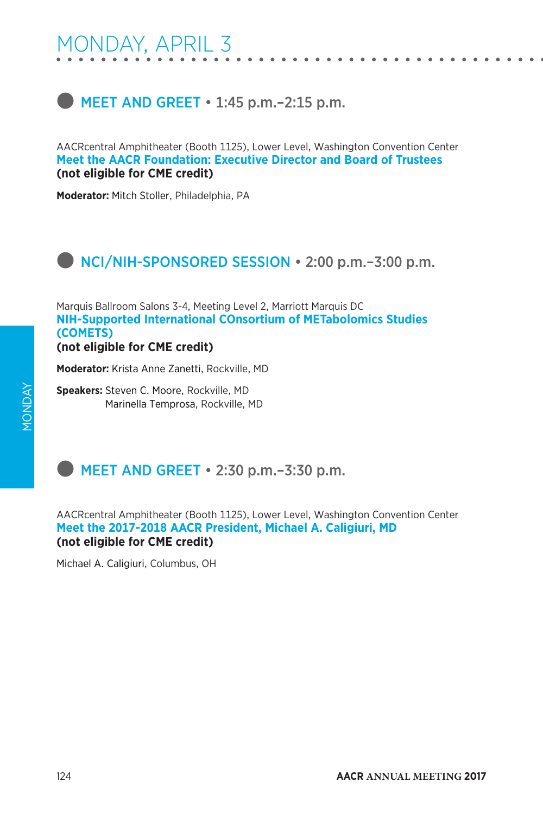# $\bullet$  MEET AND GREET  $\cdot$  1:45 p.m. -2:15 p.m.

AACRcentral Amphitheater (Booth 1125), Lower Level, Washington Convention Center **Meet the AACR Foundation: Executive Director and Board of Trustees (not eligible for CME credit)**

**Moderator:** Mitch Stoller, Philadelphia, PA

# **NCI/NIH-SPONSORED SESSION • 2:00 p.m. - 3:00 p.m.**

Marquis Ballroom Salons 3-4, Meeting Level 2, Marriott Marquis DC **NIH-Supported International COnsortium of METabolomics Studies (COMETS)**

**(not eligible for CME credit)**

**Moderator:** Krista Anne Zanetti, Rockville, MD

**Speakers:** Steven C. Moore, Rockville, MD Marinella Temprosa, Rockville, MD

# MEET AND GREET  $\cdot$  2:30 p.m.–3:30 p.m.

AACRcentral Amphitheater (Booth 1125), Lower Level, Washington Convention Center **Meet the 2017-2018 AACR President, Michael A. Caligiuri, MD (not eligible for CME credit)**

Michael A. Caligiuri, Columbus, OH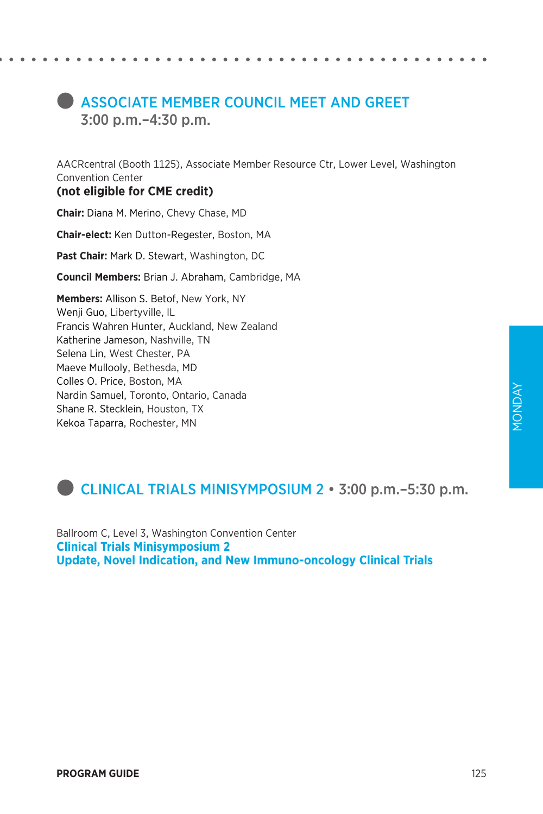# **COUNCIL MESSOCIATE MEMBER COUNCIL MEET AND GREET** 3:00 p.m.–4:30 p.m.

AACRcentral (Booth 1125), Associate Member Resource Ctr, Lower Level, Washington Convention Center

### **(not eligible for CME credit)**

**Chair:** Diana M. Merino, Chevy Chase, MD

**Chair-elect:** Ken Dutton-Regester, Boston, MA

**Past Chair:** Mark D. Stewart, Washington, DC

**Council Members:** Brian J. Abraham, Cambridge, MA

**Members:** Allison S. Betof, New York, NY Wenji Guo, Libertyville, IL Francis Wahren Hunter, Auckland, New Zealand Katherine Jameson, Nashville, TN Selena Lin, West Chester, PA Maeve Mullooly, Bethesda, MD Colles O. Price, Boston, MA Nardin Samuel, Toronto, Ontario, Canada Shane R. Stecklein, Houston, TX Kekoa Taparra, Rochester, MN

# l CLINICAL TRIALS MINISYMPOSIUM 2 • 3:00 p.m.–5:30 p.m.

Ballroom C, Level 3, Washington Convention Center **Clinical Trials Minisymposium 2 Update, Novel Indication, and New Immuno-oncology Clinical Trials**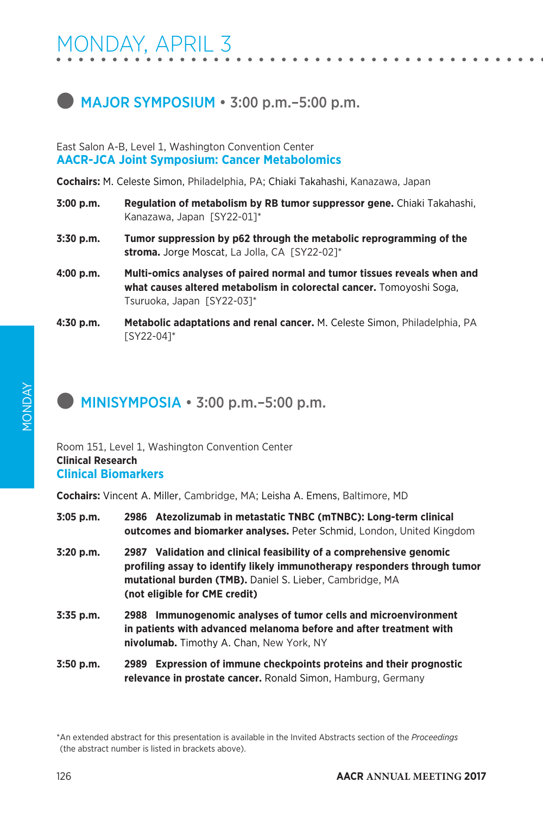# **MAJOR SYMPOSIUM • 3:00 p.m.–5:00 p.m.**

### East Salon A-B, Level 1, Washington Convention Center **AACR-JCA Joint Symposium: Cancer Metabolomics**

**Cochairs:** M. Celeste Simon, Philadelphia, PA; Chiaki Takahashi, Kanazawa, Japan

- **3:00 p.m. Regulation of metabolism by RB tumor suppressor gene.** Chiaki Takahashi, Kanazawa, Japan [SY22-01]\*
- **3:30 p.m. Tumor suppression by p62 through the metabolic reprogramming of the stroma.** Jorge Moscat, La Jolla, CA [SY22-02]\*
- **4:00 p.m. Multi-omics analyses of paired normal and tumor tissues reveals when and what causes altered metabolism in colorectal cancer.** Tomoyoshi Soga, Tsuruoka, Japan [SY22-03]\*
- **4:30 p.m. Metabolic adaptations and renal cancer.** M. Celeste Simon, Philadelphia, PA [SY22-04]\*

# $\blacksquare$  MINISYMPOSIA  $\cdot$  3:00 p.m.–5:00 p.m.

### Room 151, Level 1, Washington Convention Center **Clinical Research Clinical Biomarkers**

**Cochairs:** Vincent A. Miller, Cambridge, MA; Leisha A. Emens, Baltimore, MD

| $3:05$ p.m. | 2986 Atezolizumab in metastatic TNBC (mTNBC): Long-term clinical<br><b>outcomes and biomarker analyses.</b> Peter Schmid, London, United Kingdom                                                                                              |
|-------------|-----------------------------------------------------------------------------------------------------------------------------------------------------------------------------------------------------------------------------------------------|
| 3:20 p.m.   | 2987 Validation and clinical feasibility of a comprehensive genomic<br>profiling assay to identify likely immunotherapy responders through tumor<br>mutational burden (TMB). Daniel S. Lieber, Cambridge, MA<br>(not eligible for CME credit) |
| 3:35 p.m.   | 2988 Immunogenomic analyses of tumor cells and microenvironment<br>in patients with advanced melanoma before and after treatment with<br><b>nivolumab.</b> Timothy A. Chan, New York, NY                                                      |
| $3:50$ p.m. | 2989 Expression of immune checkpoints proteins and their prognostic<br>relevance in prostate cancer. Ronald Simon, Hamburg, Germany                                                                                                           |

\*An extended abstract for this presentation is available in the Invited Abstracts section of the *Proceedings*  (the abstract number is listed in brackets above).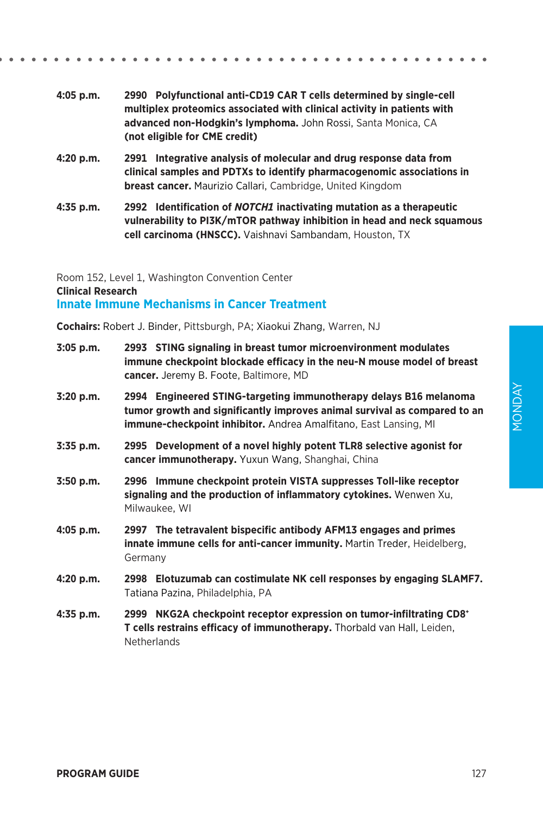YAQNOM MONDAY

- **4:05 p.m. 2990 Polyfunctional anti-CD19 CAR T cells determined by single-cell multiplex proteomics associated with clinical activity in patients with advanced non-Hodgkin's lymphoma.** John Rossi, Santa Monica, CA **(not eligible for CME credit)**
- **4:20 p.m. 2991 Integrative analysis of molecular and drug response data from clinical samples and PDTXs to identify pharmacogenomic associations in breast cancer.** Maurizio Callari, Cambridge, United Kingdom
- **4:35 p.m. 2992 Identification of** *NOTCH1* **inactivating mutation as a therapeutic vulnerability to PI3K/mTOR pathway inhibition in head and neck squamous cell carcinoma (HNSCC).** Vaishnavi Sambandam, Houston, TX

Room 152, Level 1, Washington Convention Center **Clinical Research Innate Immune Mechanisms in Cancer Treatment**

**Cochairs:** Robert J. Binder, Pittsburgh, PA; Xiaokui Zhang, Warren, NJ

| 3:05 p.m.   | 2993 STING signaling in breast tumor microenvironment modulates<br>immune checkpoint blockade efficacy in the neu-N mouse model of breast<br>cancer. Jeremy B. Foote, Baltimore, MD                                       |
|-------------|---------------------------------------------------------------------------------------------------------------------------------------------------------------------------------------------------------------------------|
| 3:20 p.m.   | 2994 Engineered STING-targeting immunotherapy delays B16 melanoma<br>tumor growth and significantly improves animal survival as compared to an<br><b>immune-checkpoint inhibitor.</b> Andrea Amalfitano, East Lansing, MI |
| 3:35 p.m.   | 2995 Development of a novel highly potent TLR8 selective agonist for<br>cancer immunotherapy. Yuxun Wang, Shanghai, China                                                                                                 |
| $3:50$ p.m. | 2996 Immune checkpoint protein VISTA suppresses Toll-like receptor<br>signaling and the production of inflammatory cytokines. Wenwen Xu,<br>Milwaukee, WI                                                                 |
| 4:05 p.m.   | 2997 The tetravalent bispecific antibody AFM13 engages and primes<br><b>innate immune cells for anti-cancer immunity.</b> Martin Treder, Heidelberg,<br>Germany                                                           |
| 4:20 p.m.   | 2998 Elotuzumab can costimulate NK cell responses by engaging SLAMF7.<br>Tatiana Pazina, Philadelphia, PA                                                                                                                 |
| 4:35 p.m.   | 2999 NKG2A checkpoint receptor expression on tumor-infiltrating CD8+<br>T cells restrains efficacy of immunotherapy. Thorbald van Hall, Leiden,<br><b>Netherlands</b>                                                     |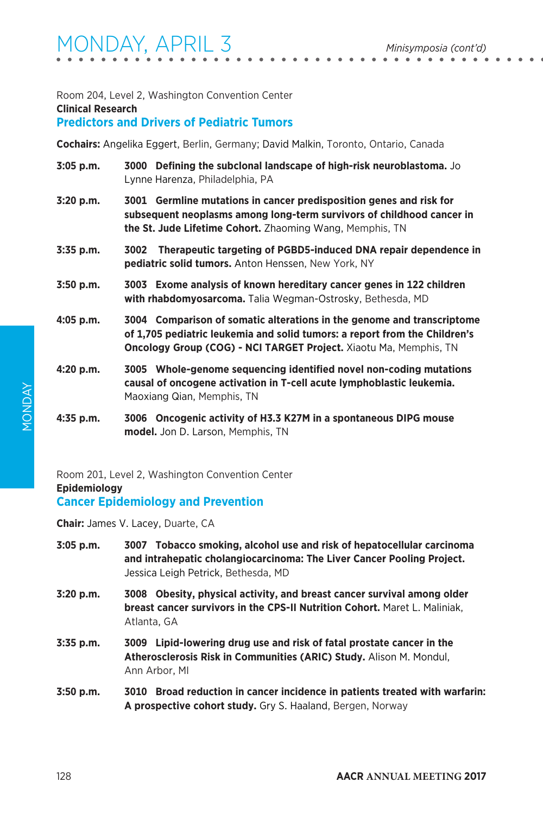### Room 204, Level 2, Washington Convention Center **Clinical Research**

### **Predictors and Drivers of Pediatric Tumors**

**Cochairs:** Angelika Eggert, Berlin, Germany; David Malkin, Toronto, Ontario, Canada

- **3:05 p.m. 3000 Defining the subclonal landscape of high-risk neuroblastoma.** Jo Lynne Harenza, Philadelphia, PA
- **3:20 p.m. 3001 Germline mutations in cancer predisposition genes and risk for subsequent neoplasms among long-term survivors of childhood cancer in the St. Jude Lifetime Cohort.** Zhaoming Wang, Memphis, TN
- **3:35 p.m. 3002 Therapeutic targeting of PGBD5-induced DNA repair dependence in pediatric solid tumors.** Anton Henssen, New York, NY
- **3:50 p.m. 3003 Exome analysis of known hereditary cancer genes in 122 children with rhabdomyosarcoma.** Talia Wegman-Ostrosky, Bethesda, MD
- **4:05 p.m. 3004 Comparison of somatic alterations in the genome and transcriptome of 1,705 pediatric leukemia and solid tumors: a report from the Children's Oncology Group (COG) - NCI TARGET Project.** Xiaotu Ma, Memphis, TN
- **4:20 p.m. 3005 Whole-genome sequencing identified novel non-coding mutations causal of oncogene activation in T-cell acute lymphoblastic leukemia.**  Maoxiang Qian, Memphis, TN
- **4:35 p.m. 3006 Oncogenic activity of H3.3 K27M in a spontaneous DIPG mouse model.** Jon D. Larson, Memphis, TN

Room 201, Level 2, Washington Convention Center **Epidemiology**

**Cancer Epidemiology and Prevention**

**Chair:** James V. Lacey, Duarte, CA

- **3:05 p.m. 3007 Tobacco smoking, alcohol use and risk of hepatocellular carcinoma and intrahepatic cholangiocarcinoma: The Liver Cancer Pooling Project.**  Jessica Leigh Petrick, Bethesda, MD
- **3:20 p.m. 3008 Obesity, physical activity, and breast cancer survival among older breast cancer survivors in the CPS-II Nutrition Cohort.** Maret L. Maliniak, Atlanta, GA
- **3:35 p.m. 3009 Lipid-lowering drug use and risk of fatal prostate cancer in the Atherosclerosis Risk in Communities (ARIC) Study.** Alison M. Mondul, Ann Arbor, MI
- **3:50 p.m. 3010 Broad reduction in cancer incidence in patients treated with warfarin: A prospective cohort study.** Gry S. Haaland, Bergen, Norway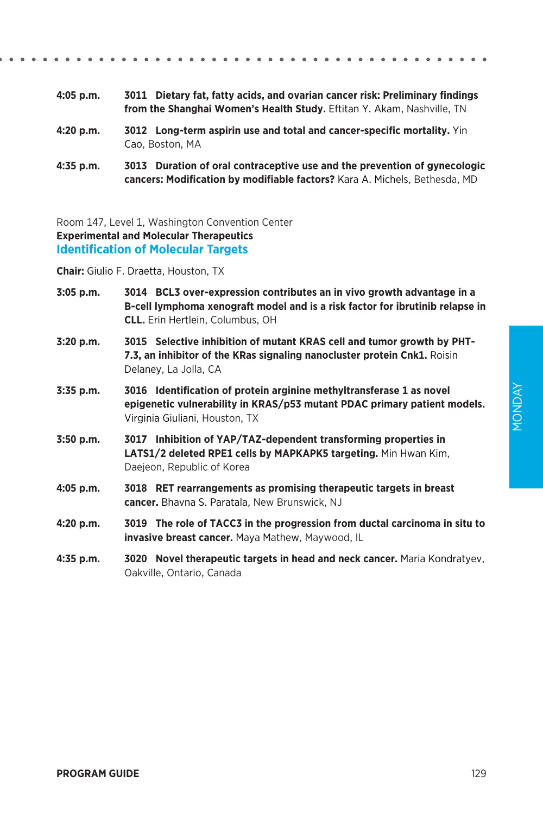- **4:05 p.m. 3011 Dietary fat, fatty acids, and ovarian cancer risk: Preliminary findings from the Shanghai Women's Health Study.** Eftitan Y. Akam, Nashville, TN
- **4:20 p.m. 3012 Long-term aspirin use and total and cancer-specific mortality.** Yin Cao, Boston, MA
- **4:35 p.m. 3013 Duration of oral contraceptive use and the prevention of gynecologic cancers: Modification by modifiable factors?** Kara A. Michels, Bethesda, MD

Room 147, Level 1, Washington Convention Center **Experimental and Molecular Therapeutics Identification of Molecular Targets**

**Chair:** Giulio F. Draetta, Houston, TX

- **3:05 p.m. 3014 BCL3 over-expression contributes an in vivo growth advantage in a B-cell lymphoma xenograft model and is a risk factor for ibrutinib relapse in CLL.** Erin Hertlein, Columbus, OH
- **3:20 p.m. 3015 Selective inhibition of mutant KRAS cell and tumor growth by PHT-7.3, an inhibitor of the KRas signaling nanocluster protein Cnk1.** Roisin Delaney, La Jolla, CA
- **3:35 p.m. 3016 Identification of protein arginine methyltransferase 1 as novel epigenetic vulnerability in KRAS/p53 mutant PDAC primary patient models.**  Virginia Giuliani, Houston, TX
- **3:50 p.m. 3017 Inhibition of YAP/TAZ-dependent transforming properties in LATS1/2 deleted RPE1 cells by MAPKAPK5 targeting.** Min Hwan Kim, Daejeon, Republic of Korea
- **4:05 p.m. 3018 RET rearrangements as promising therapeutic targets in breast cancer.** Bhavna S. Paratala, New Brunswick, NJ
- **4:20 p.m. 3019 The role of TACC3 in the progression from ductal carcinoma in situ to invasive breast cancer.** Maya Mathew, Maywood, IL
- **4:35 p.m. 3020 Novel therapeutic targets in head and neck cancer.** Maria Kondratyev, Oakville, Ontario, Canada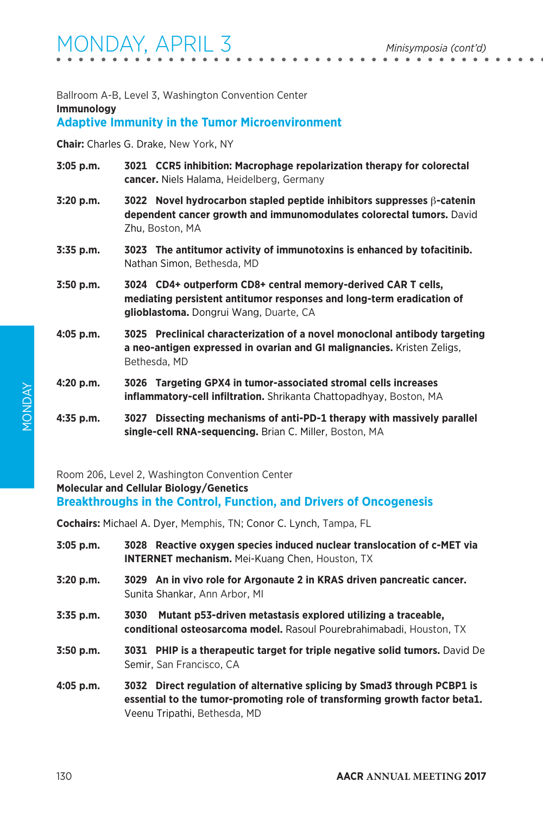Ballroom A-B, Level 3, Washington Convention Center

**Immunology**

### **Adaptive Immunity in the Tumor Microenvironment**

**Chair:** Charles G. Drake, New York, NY

- **3:05 p.m. 3021 CCR5 inhibition: Macrophage repolarization therapy for colorectal cancer.** Niels Halama, Heidelberg, Germany
- **3:20 p.m. 3022 Novel hydrocarbon stapled peptide inhibitors suppresses** β**-catenin dependent cancer growth and immunomodulates colorectal tumors.** David Zhu, Boston, MA
- **3:35 p.m. 3023 The antitumor activity of immunotoxins is enhanced by tofacitinib.**  Nathan Simon, Bethesda, MD
- **3:50 p.m. 3024 CD4+ outperform CD8+ central memory-derived CAR T cells, mediating persistent antitumor responses and long-term eradication of glioblastoma.** Dongrui Wang, Duarte, CA
- **4:05 p.m. 3025 Preclinical characterization of a novel monoclonal antibody targeting a neo-antigen expressed in ovarian and GI malignancies.** Kristen Zeligs, Bethesda, MD
- **4:20 p.m. 3026 Targeting GPX4 in tumor-associated stromal cells increases inflammatory-cell infiltration.** Shrikanta Chattopadhyay, Boston, MA
- **4:35 p.m. 3027 Dissecting mechanisms of anti-PD-1 therapy with massively parallel single-cell RNA-sequencing.** Brian C. Miller, Boston, MA

Room 206, Level 2, Washington Convention Center **Molecular and Cellular Biology/Genetics Breakthroughs in the Control, Function, and Drivers of Oncogenesis**

**Cochairs:** Michael A. Dyer, Memphis, TN; Conor C. Lynch, Tampa, FL

- **3:05 p.m. 3028 Reactive oxygen species induced nuclear translocation of c-MET via INTERNET mechanism.** Mei-Kuang Chen, Houston, TX
- **3:20 p.m. 3029 An in vivo role for Argonaute 2 in KRAS driven pancreatic cancer.**  Sunita Shankar, Ann Arbor, MI
- **3:35 p.m. 3030 Mutant p53-driven metastasis explored utilizing a traceable, conditional osteosarcoma model.** Rasoul Pourebrahimabadi, Houston, TX
- **3:50 p.m. 3031 PHIP is a therapeutic target for triple negative solid tumors.** David De Semir, San Francisco, CA
- **4:05 p.m. 3032 Direct regulation of alternative splicing by Smad3 through PCBP1 is essential to the tumor-promoting role of transforming growth factor beta1.**  Veenu Tripathi, Bethesda, MD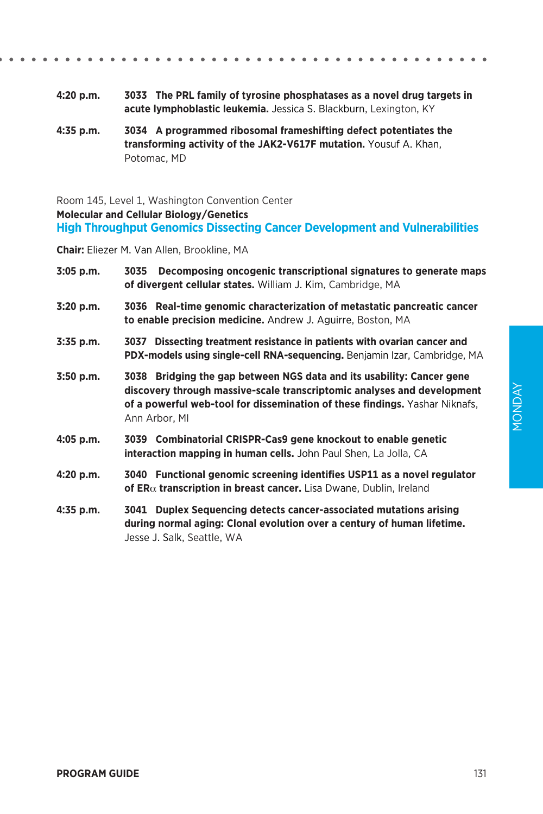|--|--|--|--|--|--|--|--|--|--|--|--|--|--|--|--|--|--|--|--|--|--|--|--|--|--|--|--|--|--|--|--|--|--|--|--|--|--|--|--|--|--|--|--|

- **4:20 p.m. 3033 The PRL family of tyrosine phosphatases as a novel drug targets in acute lymphoblastic leukemia.** Jessica S. Blackburn, Lexington, KY
- **4:35 p.m. 3034 A programmed ribosomal frameshifting defect potentiates the transforming activity of the JAK2-V617F mutation.** Yousuf A. Khan, Potomac, MD

Room 145, Level 1, Washington Convention Center **Molecular and Cellular Biology/Genetics High Throughput Genomics Dissecting Cancer Development and Vulnerabilities**

**Chair:** Eliezer M. Van Allen, Brookline, MA

| $3:05$ p.m. | Decomposing oncogenic transcriptional signatures to generate maps<br>3035<br>of divergent cellular states. William J. Kim, Cambridge, MA                                                                                                         |
|-------------|--------------------------------------------------------------------------------------------------------------------------------------------------------------------------------------------------------------------------------------------------|
| 3:20 p.m.   | 3036 Real-time genomic characterization of metastatic pancreatic cancer<br>to enable precision medicine. Andrew J. Aquirre, Boston, MA                                                                                                           |
| $3:35$ p.m. | 3037 Dissecting treatment resistance in patients with ovarian cancer and<br>PDX-models using single-cell RNA-sequencing. Benjamin Izar, Cambridge, MA                                                                                            |
| $3:50$ p.m. | 3038 Bridging the gap between NGS data and its usability: Cancer gene<br>discovery through massive-scale transcriptomic analyses and development<br>of a powerful web-tool for dissemination of these findings. Yashar Niknafs,<br>Ann Arbor, MI |
| 4:05 p.m.   | 3039 Combinatorial CRISPR-Cas9 gene knockout to enable genetic<br>interaction mapping in human cells. John Paul Shen, La Jolla, CA                                                                                                               |
| 4:20 p.m.   | 3040 Functional genomic screening identifies USP11 as a novel regulator<br>of $ER\alpha$ transcription in breast cancer. Lisa Dwane, Dublin, Ireland                                                                                             |
| 4:35 p.m.   | 3041 Duplex Sequencing detects cancer-associated mutations arising<br>during normal aging: Clonal evolution over a century of human lifetime.<br>Jesse J. Salk, Seattle, WA                                                                      |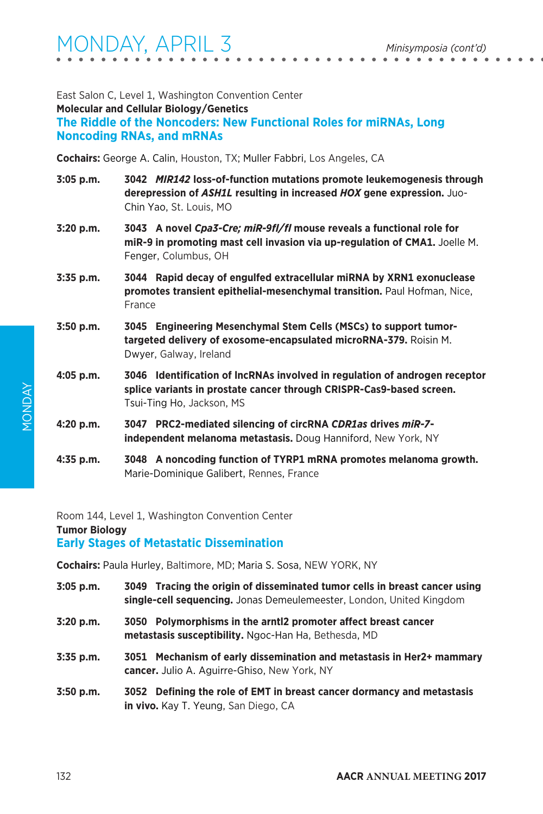| East Salon C. Level 1. Washington Convention Center                |
|--------------------------------------------------------------------|
| <b>Molecular and Cellular Biology/Genetics</b>                     |
| The Riddle of the Noncoders: New Functional Roles for miRNAs. Long |
| <b>Noncoding RNAs, and mRNAs</b>                                   |

**Cochairs:** George A. Calin, Houston, TX; Muller Fabbri, Los Angeles, CA

- **3:05 p.m. 3042** *MIR142* **loss-of-function mutations promote leukemogenesis through derepression of** *ASH1L* **resulting in increased** *HOX* **gene expression.** Juo-Chin Yao, St. Louis, MO
- **3:20 p.m. 3043 A novel** *Cpa3-Cre; miR-9fl/fl* **mouse reveals a functional role for miR-9 in promoting mast cell invasion via up-regulation of CMA1.** Joelle M. Fenger, Columbus, OH
- **3:35 p.m. 3044 Rapid decay of engulfed extracellular miRNA by XRN1 exonuclease promotes transient epithelial-mesenchymal transition.** Paul Hofman, Nice, France
- **3:50 p.m. 3045 Engineering Mesenchymal Stem Cells (MSCs) to support tumortargeted delivery of exosome-encapsulated microRNA-379.** Roisin M. Dwyer, Galway, Ireland
- **4:05 p.m. 3046 Identification of lncRNAs involved in regulation of androgen receptor splice variants in prostate cancer through CRISPR-Cas9-based screen.**  Tsui-Ting Ho, Jackson, MS
- **4:20 p.m. 3047 PRC2-mediated silencing of circRNA** *CDR1as* **drives** *miR-7* **independent melanoma metastasis.** Doug Hanniford, New York, NY
- **4:35 p.m. 3048 A noncoding function of TYRP1 mRNA promotes melanoma growth.**  Marie-Dominique Galibert, Rennes, France

Room 144, Level 1, Washington Convention Center **Tumor Biology Early Stages of Metastatic Dissemination**

**Cochairs:** Paula Hurley, Baltimore, MD; Maria S. Sosa, NEW YORK, NY

- **3:05 p.m. 3049 Tracing the origin of disseminated tumor cells in breast cancer using single-cell sequencing.** Jonas Demeulemeester, London, United Kingdom
- **3:20 p.m. 3050 Polymorphisms in the arntl2 promoter affect breast cancer metastasis susceptibility.** Ngoc-Han Ha, Bethesda, MD
- **3:35 p.m. 3051 Mechanism of early dissemination and metastasis in Her2+ mammary cancer.** Julio A. Aguirre-Ghiso, New York, NY
- **3:50 p.m. 3052 Defining the role of EMT in breast cancer dormancy and metastasis in vivo.** Kay T. Yeung, San Diego, CA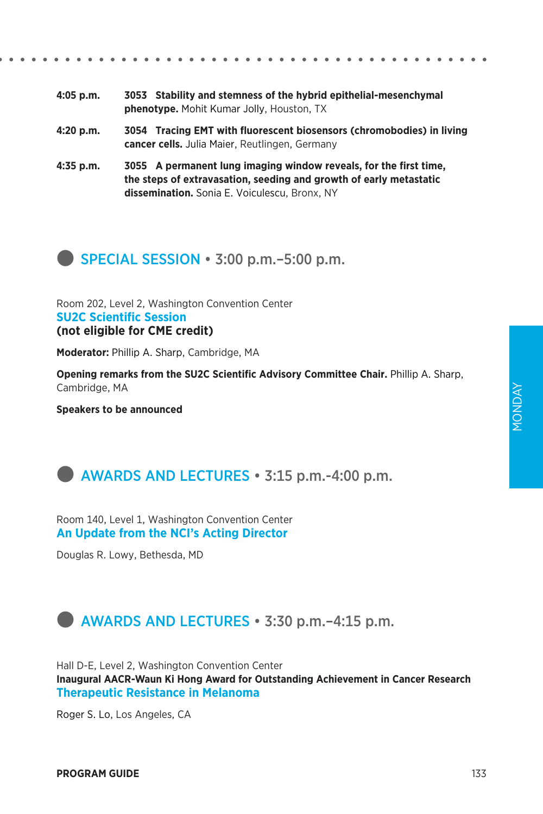| 4:05 p.m. | 3053 Stability and stemness of the hybrid epithelial-mesenchymal |
|-----------|------------------------------------------------------------------|
|           | <b>phenotype.</b> Mohit Kumar Jolly, Houston, TX                 |

- **4:20 p.m. 3054 Tracing EMT with fluorescent biosensors (chromobodies) in living cancer cells.** Julia Maier, Reutlingen, Germany
- **4:35 p.m. 3055 A permanent lung imaging window reveals, for the first time, the steps of extravasation, seeding and growth of early metastatic dissemination.** Sonia E. Voiculescu, Bronx, NY



Room 202, Level 2, Washington Convention Center **SU2C Scientific Session (not eligible for CME credit)**

**Moderator:** Phillip A. Sharp, Cambridge, MA

**Opening remarks from the SU2C Scientific Advisory Committee Chair.** Phillip A. Sharp, Cambridge, MA

**Speakers to be announced**



Room 140, Level 1, Washington Convention Center **An Update from the NCI's Acting Director**

Douglas R. Lowy, Bethesda, MD

# **external AWARDS AND LECTURES** • 3:30 p.m. –4:15 p.m.

Hall D-E, Level 2, Washington Convention Center **Inaugural AACR-Waun Ki Hong Award for Outstanding Achievement in Cancer Research Therapeutic Resistance in Melanoma**

Roger S. Lo, Los Angeles, CA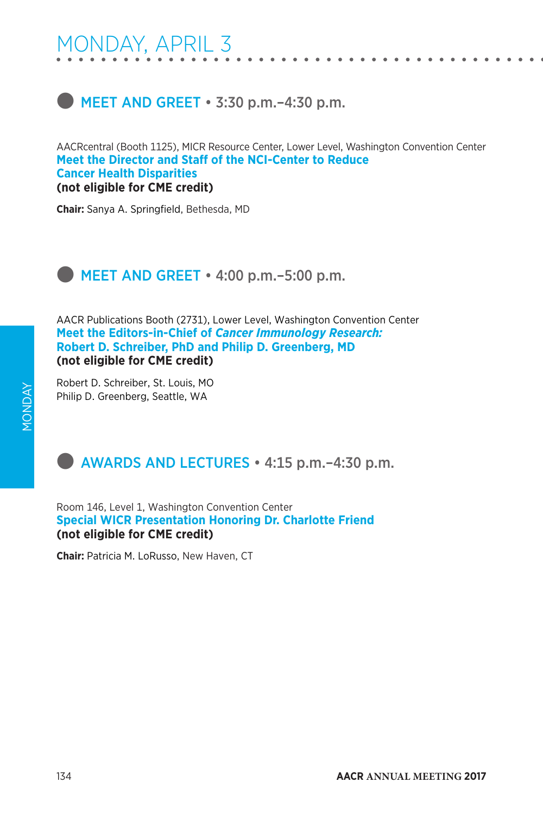# $\blacksquare$  MEET AND GREET  $\cdot$  3:30 p.m. -4:30 p.m.

AACRcentral (Booth 1125), MICR Resource Center, Lower Level, Washington Convention Center **Meet the Director and Staff of the NCI-Center to Reduce Cancer Health Disparities (not eligible for CME credit)**

**Chair:** Sanya A. Springfield, Bethesda, MD

# **MEET AND GREET • 4:00 p.m.–5:00 p.m.**

AACR Publications Booth (2731), Lower Level, Washington Convention Center **Meet the Editors-in-Chief of** *Cancer Immunology Research:*  **Robert D. Schreiber, PhD and Philip D. Greenberg, MD (not eligible for CME credit)**

Robert D. Schreiber, St. Louis, MO Philip D. Greenberg, Seattle, WA

# **Example 2 AWARDS AND LECTURES** • 4:15 p.m. – 4:30 p.m.

Room 146, Level 1, Washington Convention Center **Special WICR Presentation Honoring Dr. Charlotte Friend (not eligible for CME credit)**

**Chair:** Patricia M. LoRusso, New Haven, CT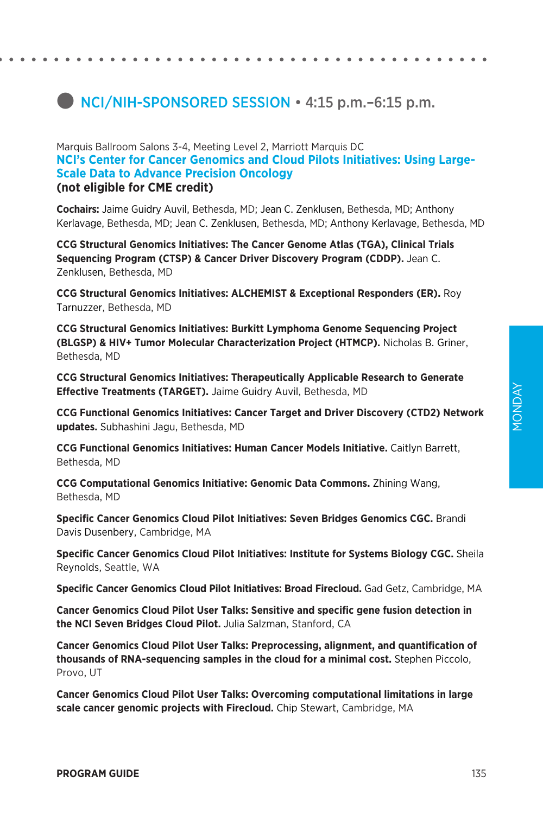# **D** NCI/NIH-SPONSORED SESSION • 4:15 p.m. -6:15 p.m.

### Marquis Ballroom Salons 3-4, Meeting Level 2, Marriott Marquis DC **NCI's Center for Cancer Genomics and Cloud Pilots Initiatives: Using Large-Scale Data to Advance Precision Oncology (not eligible for CME credit)**

**Cochairs:** Jaime Guidry Auvil, Bethesda, MD; Jean C. Zenklusen, Bethesda, MD; Anthony Kerlavage, Bethesda, MD; Jean C. Zenklusen, Bethesda, MD; Anthony Kerlavage, Bethesda, MD

**CCG Structural Genomics Initiatives: The Cancer Genome Atlas (TGA), Clinical Trials Sequencing Program (CTSP) & Cancer Driver Discovery Program (CDDP).** Jean C. Zenklusen, Bethesda, MD

**CCG Structural Genomics Initiatives: ALCHEMIST & Exceptional Responders (ER).** Roy Tarnuzzer, Bethesda, MD

**CCG Structural Genomics Initiatives: Burkitt Lymphoma Genome Sequencing Project (BLGSP) & HIV+ Tumor Molecular Characterization Project (HTMCP).** Nicholas B. Griner, Bethesda, MD

**CCG Structural Genomics Initiatives: Therapeutically Applicable Research to Generate Effective Treatments (TARGET).** Jaime Guidry Auvil, Bethesda, MD

**CCG Functional Genomics Initiatives: Cancer Target and Driver Discovery (CTD2) Network updates.** Subhashini Jagu, Bethesda, MD

**CCG Functional Genomics Initiatives: Human Cancer Models Initiative.** Caitlyn Barrett, Bethesda, MD

**CCG Computational Genomics Initiative: Genomic Data Commons.** Zhining Wang, Bethesda, MD

**Specific Cancer Genomics Cloud Pilot Initiatives: Seven Bridges Genomics CGC.** Brandi Davis Dusenbery, Cambridge, MA

**Specific Cancer Genomics Cloud Pilot Initiatives: Institute for Systems Biology CGC.** Sheila Reynolds, Seattle, WA

**Specific Cancer Genomics Cloud Pilot Initiatives: Broad Firecloud.** Gad Getz, Cambridge, MA

**Cancer Genomics Cloud Pilot User Talks: Sensitive and specific gene fusion detection in the NCI Seven Bridges Cloud Pilot.** Julia Salzman, Stanford, CA

**Cancer Genomics Cloud Pilot User Talks: Preprocessing, alignment, and quantification of thousands of RNA-sequencing samples in the cloud for a minimal cost.** Stephen Piccolo, Provo, UT

**Cancer Genomics Cloud Pilot User Talks: Overcoming computational limitations in large scale cancer genomic projects with Firecloud.** Chip Stewart, Cambridge, MA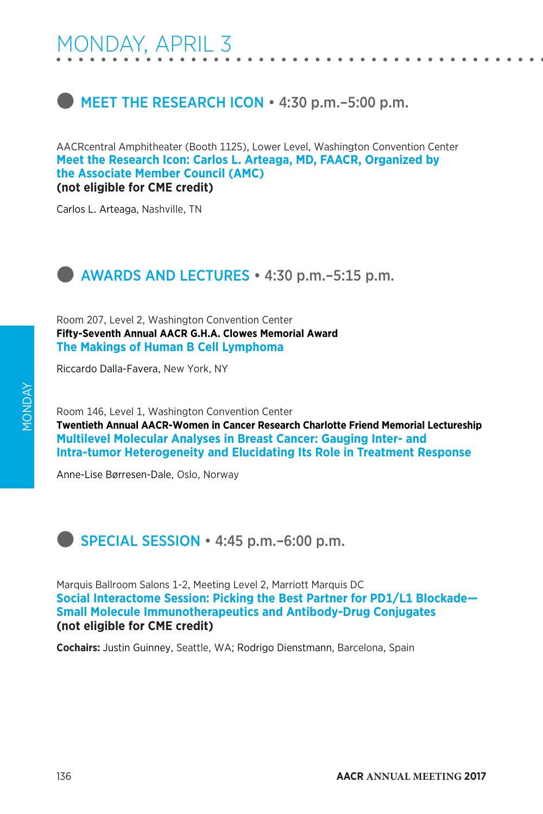# **MEET THE RESEARCH ICON • 4:30 p.m. - 5:00 p.m.**

AACRcentral Amphitheater (Booth 1125), Lower Level, Washington Convention Center **Meet the Research Icon: Carlos L. Arteaga, MD, FAACR, Organized by the Associate Member Council (AMC) (not eligible for CME credit)**

Carlos L. Arteaga, Nashville, TN



Room 207, Level 2, Washington Convention Center **Fifty-Seventh Annual AACR G.H.A. Clowes Memorial Award The Makings of Human B Cell Lymphoma**

Riccardo Dalla-Favera, New York, NY

Room 146, Level 1, Washington Convention Center **Twentieth Annual AACR-Women in Cancer Research Charlotte Friend Memorial Lectureship Multilevel Molecular Analyses in Breast Cancer: Gauging Inter- and Intra-tumor Heterogeneity and Elucidating Its Role in Treatment Response**

Anne-Lise Børresen-Dale, Oslo, Norway

**SPECIAL SESSION • 4:45 p.m.–6:00 p.m.** 

Marquis Ballroom Salons 1-2, Meeting Level 2, Marriott Marquis DC **Social Interactome Session: Picking the Best Partner for PD1/L1 Blockade— Small Molecule Immunotherapeutics and Antibody-Drug Conjugates (not eligible for CME credit)**

**Cochairs:** Justin Guinney, Seattle, WA; Rodrigo Dienstmann, Barcelona, Spain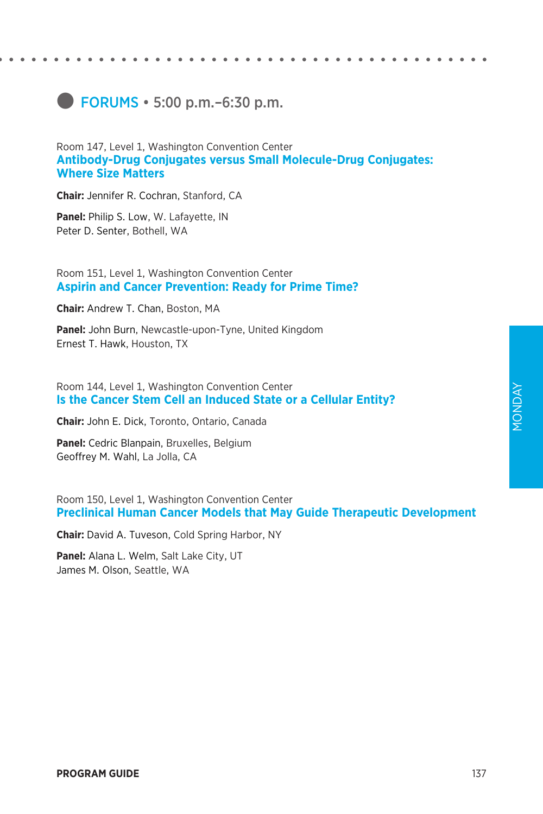# **e** FORUMS • 5:00 p.m.–6:30 p.m.

### Room 147, Level 1, Washington Convention Center **Antibody-Drug Conjugates versus Small Molecule-Drug Conjugates: Where Size Matters**

**Chair:** Jennifer R. Cochran, Stanford, CA

**Panel:** Philip S. Low, W. Lafayette, IN Peter D. Senter, Bothell, WA

### Room 151, Level 1, Washington Convention Center **Aspirin and Cancer Prevention: Ready for Prime Time?**

**Chair:** Andrew T. Chan, Boston, MA

**Panel:** John Burn, Newcastle-upon-Tyne, United Kingdom Ernest T. Hawk, Houston, TX

Room 144, Level 1, Washington Convention Center **Is the Cancer Stem Cell an Induced State or a Cellular Entity?**

**Chair:** John E. Dick, Toronto, Ontario, Canada

**Panel:** Cedric Blanpain, Bruxelles, Belgium Geoffrey M. Wahl, La Jolla, CA

Room 150, Level 1, Washington Convention Center **Preclinical Human Cancer Models that May Guide Therapeutic Development**

**Chair:** David A. Tuveson, Cold Spring Harbor, NY

**Panel:** Alana L. Welm, Salt Lake City, UT James M. Olson, Seattle, WA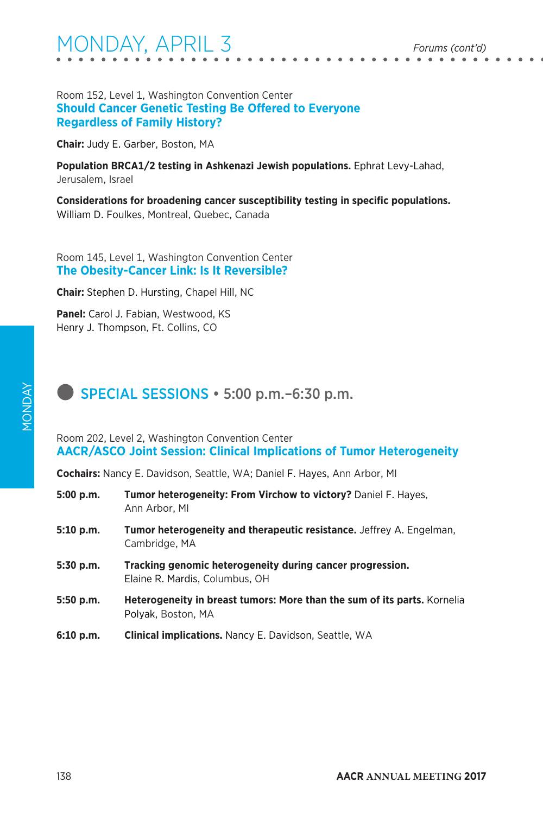### Room 152, Level 1, Washington Convention Center **Should Cancer Genetic Testing Be Offered to Everyone Regardless of Family History?**

**Chair:** Judy E. Garber, Boston, MA

**Population BRCA1/2 testing in Ashkenazi Jewish populations.** Ephrat Levy-Lahad, Jerusalem, Israel

**Considerations for broadening cancer susceptibility testing in specific populations.**  William D. Foulkes, Montreal, Quebec, Canada

Room 145, Level 1, Washington Convention Center **The Obesity-Cancer Link: Is It Reversible?**

**Chair:** Stephen D. Hursting, Chapel Hill, NC

**Panel:** Carol J. Fabian, Westwood, KS Henry J. Thompson, Ft. Collins, CO

# **SPECIAL SESSIONS • 5:00 p.m.–6:30 p.m.**

Room 202, Level 2, Washington Convention Center **AACR/ASCO Joint Session: Clinical Implications of Tumor Heterogeneity**

**Cochairs:** Nancy E. Davidson, Seattle, WA; Daniel F. Hayes, Ann Arbor, MI

| 5:00 p.m.   | Tumor heterogeneity: From Virchow to victory? Daniel F. Hayes,<br>Ann Arbor, MI                       |
|-------------|-------------------------------------------------------------------------------------------------------|
| 5:10 p.m.   | <b>Tumor heterogeneity and therapeutic resistance.</b> Jeffrey A. Engelman,<br>Cambridge, MA          |
| $5:30$ p.m. | Tracking genomic heterogeneity during cancer progression.<br>Elaine R. Mardis, Columbus, OH           |
| 5:50 p.m.   | <b>Heterogeneity in breast tumors: More than the sum of its parts.</b> Kornelia<br>Polyak, Boston, MA |
| 6:10 p.m.   | <b>Clinical implications.</b> Nancy E. Davidson, Seattle, WA                                          |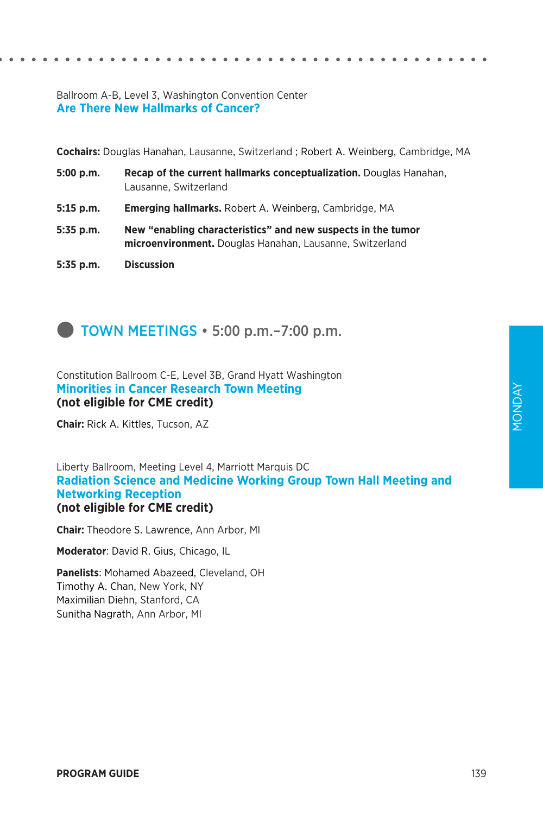### Ballroom A-B, Level 3, Washington Convention Center **Are There New Hallmarks of Cancer?**

**Cochairs:** Douglas Hanahan, Lausanne, Switzerland ; Robert A. Weinberg, Cambridge, MA

- **5:00 p.m. Recap of the current hallmarks conceptualization.** Douglas Hanahan, Lausanne, Switzerland
- **5:15 p.m. Emerging hallmarks.** Robert A. Weinberg, Cambridge, MA
- **5:35 p.m. New "enabling characteristics" and new suspects in the tumor microenvironment.** Douglas Hanahan, Lausanne, Switzerland
- **5:35 p.m. Discussion**



Constitution Ballroom C-E, Level 3B, Grand Hyatt Washington **Minorities in Cancer Research Town Meeting (not eligible for CME credit)**

**Chair:** Rick A. Kittles, Tucson, AZ

Liberty Ballroom, Meeting Level 4, Marriott Marquis DC **Radiation Science and Medicine Working Group Town Hall Meeting and Networking Reception (not eligible for CME credit)**

**Chair:** Theodore S. Lawrence, Ann Arbor, MI

**Moderator**: David R. Gius, Chicago, IL

**Panelists**: Mohamed Abazeed, Cleveland, OH Timothy A. Chan, New York, NY Maximilian Diehn, Stanford, CA Sunitha Nagrath, Ann Arbor, MI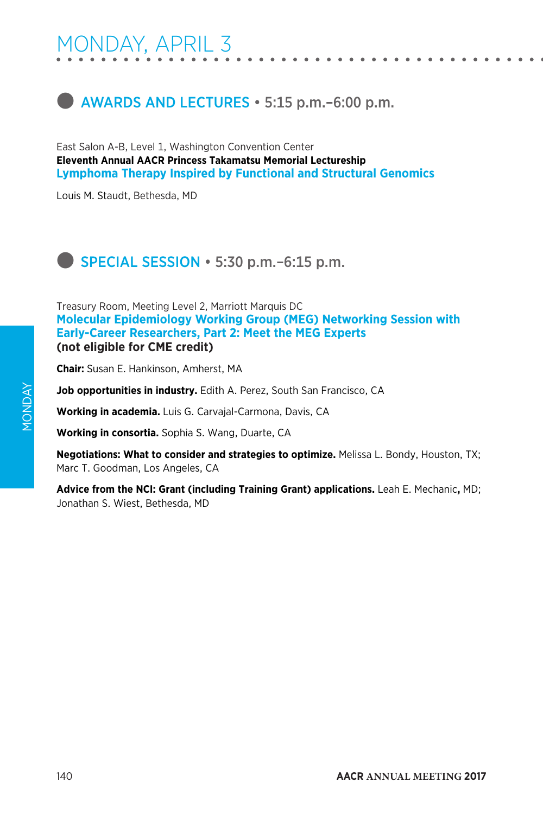

East Salon A-B, Level 1, Washington Convention Center **Eleventh Annual AACR Princess Takamatsu Memorial Lectureship Lymphoma Therapy Inspired by Functional and Structural Genomics**

Louis M. Staudt, Bethesda, MD

**SPECIAL SESSION • 5:30 p.m.–6:15 p.m.** 

Treasury Room, Meeting Level 2, Marriott Marquis DC **Molecular Epidemiology Working Group (MEG) Networking Session with Early-Career Researchers, Part 2: Meet the MEG Experts (not eligible for CME credit)**

**Chair:** Susan E. Hankinson, Amherst, MA

**Job opportunities in industry.** Edith A. Perez, South San Francisco, CA

**Working in academia.** Luis G. Carvajal-Carmona, Davis, CA

**Working in consortia.** Sophia S. Wang, Duarte, CA

**Negotiations: What to consider and strategies to optimize.** Melissa L. Bondy, Houston, TX; Marc T. Goodman, Los Angeles, CA

**Advice from the NCI: Grant (including Training Grant) applications.** Leah E. Mechanic**,** MD; Jonathan S. Wiest, Bethesda, MD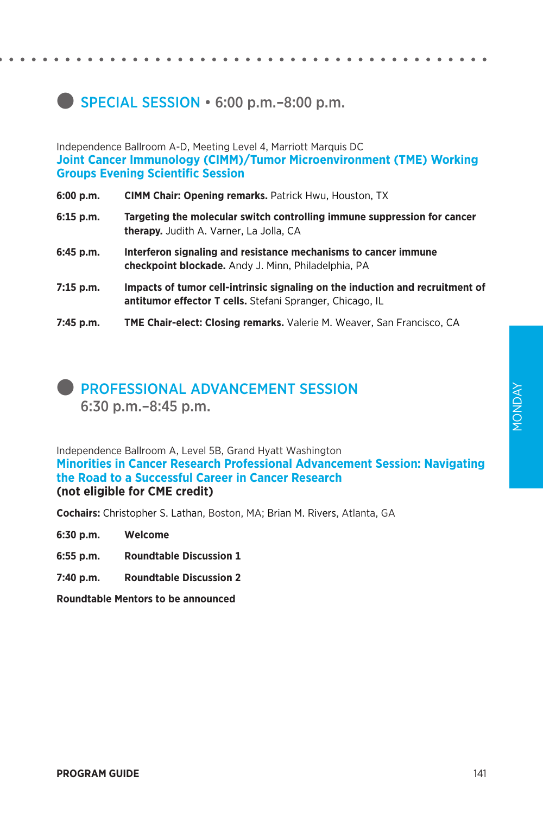# **SPECIAL SESSION • 6:00 p.m.–8:00 p.m.**

Independence Ballroom A-D, Meeting Level 4, Marriott Marquis DC **Joint Cancer Immunology (CIMM)/Tumor Microenvironment (TME) Working Groups Evening Scientific Session**

- **6:00 p.m. CIMM Chair: Opening remarks.** Patrick Hwu, Houston, TX
- **6:15 p.m. Targeting the molecular switch controlling immune suppression for cancer therapy.** Judith A. Varner, La Jolla, CA
- **6:45 p.m. Interferon signaling and resistance mechanisms to cancer immune checkpoint blockade.** Andy J. Minn, Philadelphia, PA
- **7:15 p.m. Impacts of tumor cell-intrinsic signaling on the induction and recruitment of antitumor effector T cells.** Stefani Spranger, Chicago, IL
- **7:45 p.m. TME Chair-elect: Closing remarks.** Valerie M. Weaver, San Francisco, CA

# **PROFESSIONAL ADVANCEMENT SESSION** 6:30 p.m.–8:45 p.m.

Independence Ballroom A, Level 5B, Grand Hyatt Washington **Minorities in Cancer Research Professional Advancement Session: Navigating the Road to a Successful Career in Cancer Research (not eligible for CME credit)**

**Cochairs:** Christopher S. Lathan, Boston, MA; Brian M. Rivers, Atlanta, GA

- **6:30 p.m. Welcome**
- **6:55 p.m. Roundtable Discussion 1**
- **7:40 p.m. Roundtable Discussion 2**

**Roundtable Mentors to be announced**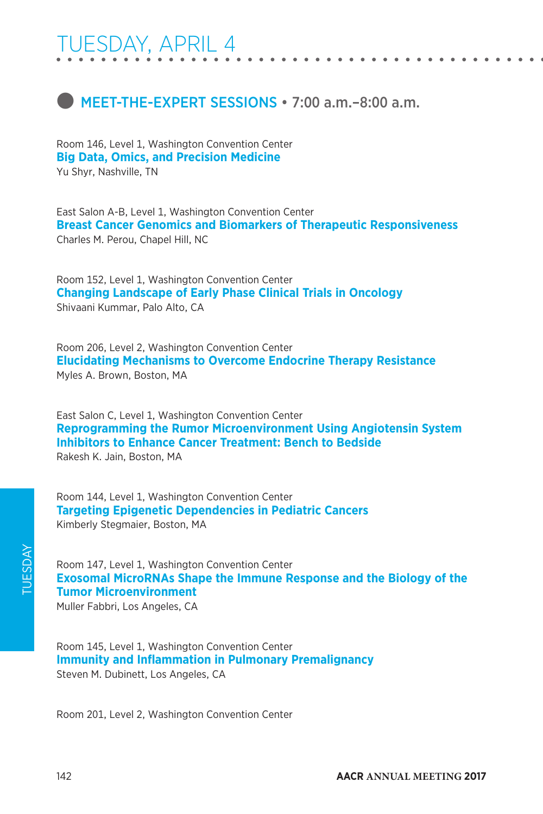# TUESDAY, APRIL 4

# **C** MEET-THE-EXPERT SESSIONS • 7:00 a.m. –8:00 a.m.

Room 146, Level 1, Washington Convention Center **Big Data, Omics, and Precision Medicine** Yu Shyr, Nashville, TN

East Salon A-B, Level 1, Washington Convention Center **Breast Cancer Genomics and Biomarkers of Therapeutic Responsiveness** Charles M. Perou, Chapel Hill, NC

Room 152, Level 1, Washington Convention Center **Changing Landscape of Early Phase Clinical Trials in Oncology** Shivaani Kummar, Palo Alto, CA

Room 206, Level 2, Washington Convention Center **Elucidating Mechanisms to Overcome Endocrine Therapy Resistance** Myles A. Brown, Boston, MA

East Salon C, Level 1, Washington Convention Center **Reprogramming the Rumor Microenvironment Using Angiotensin System Inhibitors to Enhance Cancer Treatment: Bench to Bedside** Rakesh K. Jain, Boston, MA

Room 144, Level 1, Washington Convention Center **Targeting Epigenetic Dependencies in Pediatric Cancers** Kimberly Stegmaier, Boston, MA

Room 147, Level 1, Washington Convention Center **Exosomal MicroRNAs Shape the Immune Response and the Biology of the Tumor Microenvironment**

Muller Fabbri, Los Angeles, CA

Room 145, Level 1, Washington Convention Center **Immunity and Inflammation in Pulmonary Premalignancy** Steven M. Dubinett, Los Angeles, CA

Room 201, Level 2, Washington Convention Center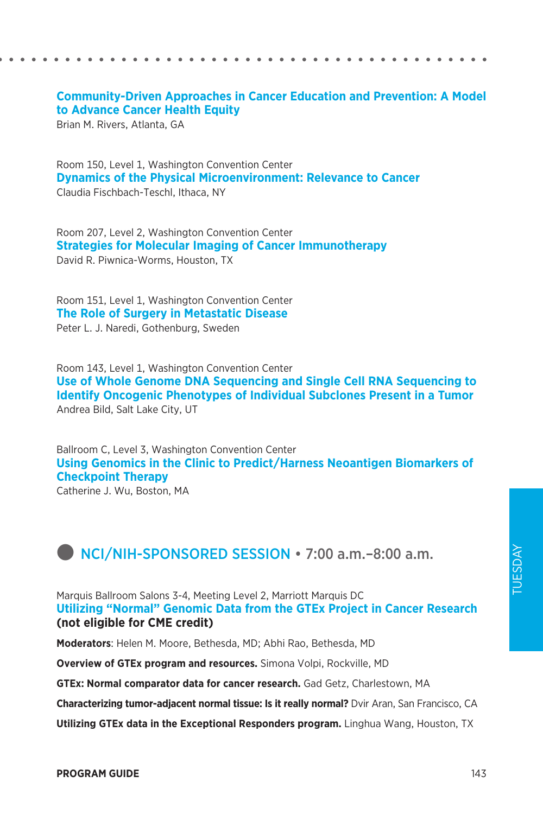### **Community-Driven Approaches in Cancer Education and Prevention: A Model to Advance Cancer Health Equity**

Brian M. Rivers, Atlanta, GA

Room 150, Level 1, Washington Convention Center **Dynamics of the Physical Microenvironment: Relevance to Cancer** Claudia Fischbach-Teschl, Ithaca, NY

Room 207, Level 2, Washington Convention Center **Strategies for Molecular Imaging of Cancer Immunotherapy** David R. Piwnica-Worms, Houston, TX

Room 151, Level 1, Washington Convention Center **The Role of Surgery in Metastatic Disease** Peter L. J. Naredi, Gothenburg, Sweden

Room 143, Level 1, Washington Convention Center **Use of Whole Genome DNA Sequencing and Single Cell RNA Sequencing to Identify Oncogenic Phenotypes of Individual Subclones Present in a Tumor** Andrea Bild, Salt Lake City, UT

Ballroom C, Level 3, Washington Convention Center **Using Genomics in the Clinic to Predict/Harness Neoantigen Biomarkers of Checkpoint Therapy**

Catherine J. Wu, Boston, MA

# **D** NCI/NIH-SPONSORED SESSION • 7:00 a.m.–8:00 a.m.

Marquis Ballroom Salons 3-4, Meeting Level 2, Marriott Marquis DC **Utilizing "Normal" Genomic Data from the GTEx Project in Cancer Research (not eligible for CME credit)**

**Moderators**: Helen M. Moore, Bethesda, MD; Abhi Rao, Bethesda, MD

**Overview of GTEx program and resources.** Simona Volpi, Rockville, MD

**GTEx: Normal comparator data for cancer research.** Gad Getz, Charlestown, MA

**Characterizing tumor-adjacent normal tissue: Is it really normal?** Dvir Aran, San Francisco, CA

**Utilizing GTEx data in the Exceptional Responders program.** Linghua Wang, Houston, TX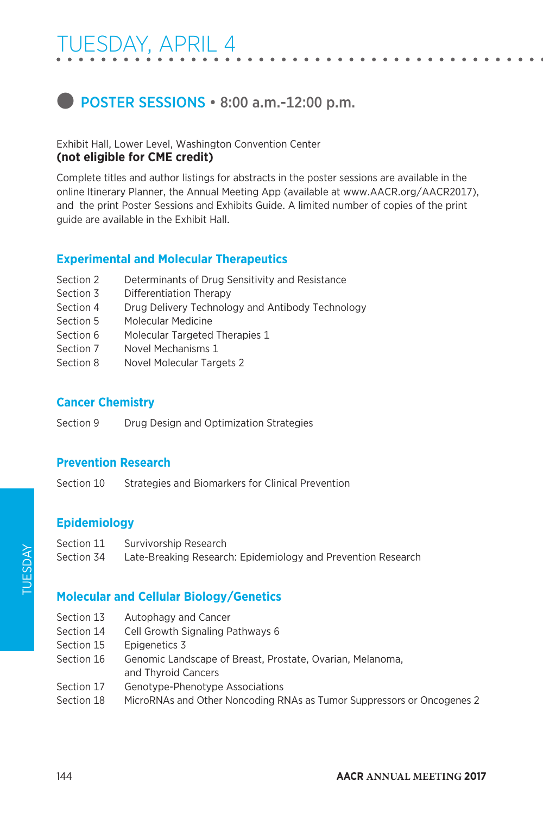# TUESDAY, APRIL 4

# **D** POSTER SESSIONS • 8:00 a.m.-12:00 p.m.

### Exhibit Hall, Lower Level, Washington Convention Center **(not eligible for CME credit)**

Complete titles and author listings for abstracts in the poster sessions are available in the online Itinerary Planner, the Annual Meeting App (available at www.AACR.org/AACR2017), and the print Poster Sessions and Exhibits Guide. A limited number of copies of the print guide are available in the Exhibit Hall.

### **Experimental and Molecular Therapeutics**

- Section 2 Determinants of Drug Sensitivity and Resistance
- Section 3 Differentiation Therapy
- Section 4 Drug Delivery Technology and Antibody Technology
- Section 5 Molecular Medicine
- Section 6 Molecular Targeted Therapies 1
- Section 7 Novel Mechanisms 1
- Section 8 Novel Molecular Targets 2

### **Cancer Chemistry**

Section 9 Drug Design and Optimization Strategies

### **Prevention Research**

Section 10 Strategies and Biomarkers for Clinical Prevention

### **Epidemiology**

- Section 11 Survivorship Research
- Section 34 Late-Breaking Research: Epidemiology and Prevention Research

### **Molecular and Cellular Biology/Genetics**

- Section 13 Autophagy and Cancer
- Section 14 Cell Growth Signaling Pathways 6
- Section 15 Epigenetics 3
- Section 16 Genomic Landscape of Breast, Prostate, Ovarian, Melanoma, and Thyroid Cancers
- Section 17 Genotype-Phenotype Associations
- Section 18 MicroRNAs and Other Noncoding RNAs as Tumor Suppressors or Oncogenes 2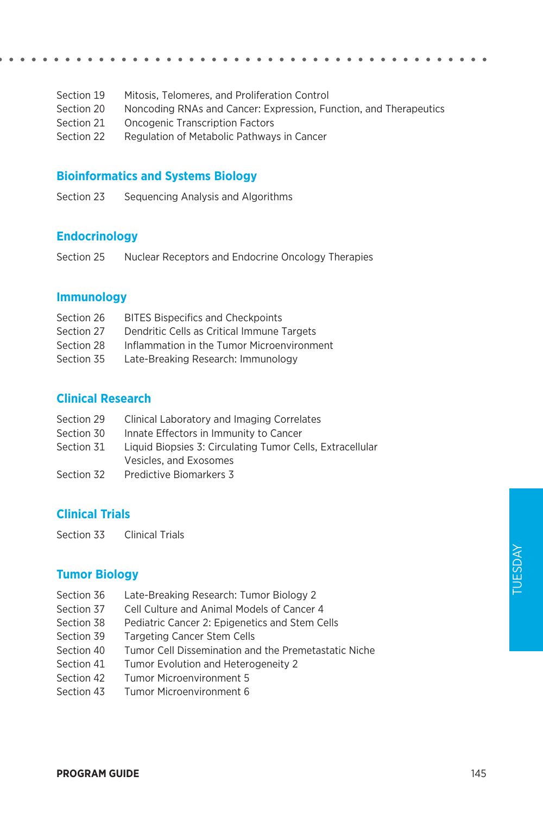| Section 19 | Mitosis, Telomeres, and Proliferation Control                     |
|------------|-------------------------------------------------------------------|
| Section 20 | Noncoding RNAs and Cancer: Expression, Function, and Therapeutics |
| Section 21 | <b>Oncogenic Transcription Factors</b>                            |
| Section 22 | Regulation of Metabolic Pathways in Cancer                        |

### **Bioinformatics and Systems Biology**

Section 23 Sequencing Analysis and Algorithms

### **Endocrinology**

Section 25 Nuclear Receptors and Endocrine Oncology Therapies

### **Immunology**

| Section 26 | <b>BITES Bispecifics and Checkpoints</b>   |
|------------|--------------------------------------------|
| Section 27 | Dendritic Cells as Critical Immune Targets |
| Section 28 | Inflammation in the Tumor Microenvironment |
| Section 35 | Late-Breaking Research: Immunology         |

### **Clinical Research**

| Section 29 | Clinical Laboratory and Imaging Correlates                |
|------------|-----------------------------------------------------------|
| Section 30 | Innate Effectors in Immunity to Cancer                    |
| Section 31 | Liquid Biopsies 3: Circulating Tumor Cells, Extracellular |
|            | Vesicles, and Exosomes                                    |
| Section 32 | Predictive Biomarkers 3                                   |

### **Clinical Trials**

Section 33 Clinical Trials

### **Tumor Biology**

- Section 36 Late-Breaking Research: Tumor Biology 2
- Section 37 Cell Culture and Animal Models of Cancer 4
- Section 38 Pediatric Cancer 2: Epigenetics and Stem Cells
- Section 39 Targeting Cancer Stem Cells
- Section 40 Tumor Cell Dissemination and the Premetastatic Niche
- Section 41 Tumor Evolution and Heterogeneity 2
- Section 42 Tumor Microenvironment 5
- Section 43 Tumor Microenvironment 6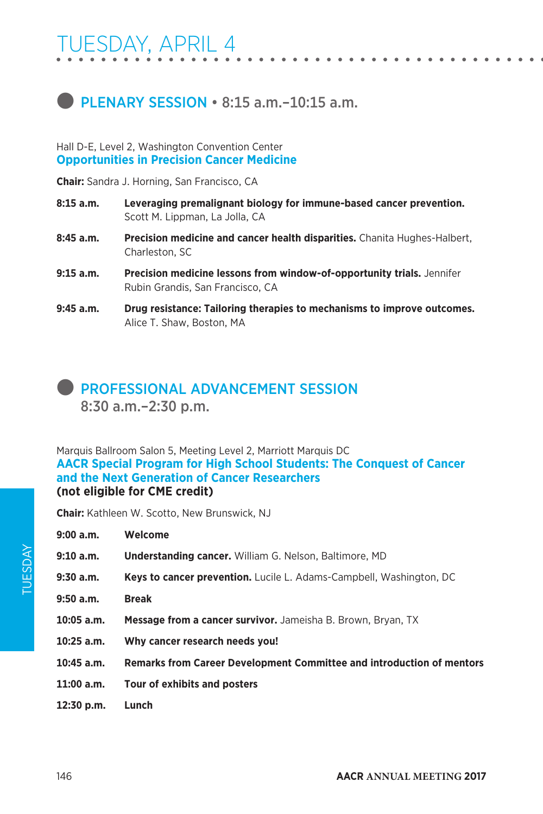# **PLENARY SESSION • 8:15 a.m. -10:15 a.m.**

### Hall D-E, Level 2, Washington Convention Center **Opportunities in Precision Cancer Medicine**

**Chair:** Sandra J. Horning, San Francisco, CA

- **8:15 a.m. Leveraging premalignant biology for immune-based cancer prevention.**  Scott M. Lippman, La Jolla, CA
- **8:45 a.m. Precision medicine and cancer health disparities.** Chanita Hughes-Halbert, Charleston, SC
- **9:15 a.m. Precision medicine lessons from window-of-opportunity trials.** Jennifer Rubin Grandis, San Francisco, CA
- **9:45 a.m. Drug resistance: Tailoring therapies to mechanisms to improve outcomes.**  Alice T. Shaw, Boston, MA

# **PROFESSIONAL ADVANCEMENT SESSION**

8:30 a.m.–2:30 p.m.

Marquis Ballroom Salon 5, Meeting Level 2, Marriott Marquis DC **AACR Special Program for High School Students: The Conquest of Cancer and the Next Generation of Cancer Researchers (not eligible for CME credit)**

**Chair:** Kathleen W. Scotto, New Brunswick, NJ

| 9:00 a.m.  | Welcome                                                                    |
|------------|----------------------------------------------------------------------------|
| 9:10 a.m.  | <b>Understanding cancer.</b> William G. Nelson, Baltimore, MD              |
| 9:30 a.m.  | <b>Keys to cancer prevention.</b> Lucile L. Adams-Campbell, Washington, DC |
| 9:50 a.m.  | <b>Break</b>                                                               |
| 10:05 a.m. | <b>Message from a cancer survivor.</b> Jameisha B. Brown. Brvan. TX        |
| 10:25 a.m. | Why cancer research needs you!                                             |
| 10:45 a.m. | Remarks from Career Development Committee and introduction of mentors      |
| 11:00 a.m. | Tour of exhibits and posters                                               |
| 12:30 p.m. | Lunch                                                                      |
|            |                                                                            |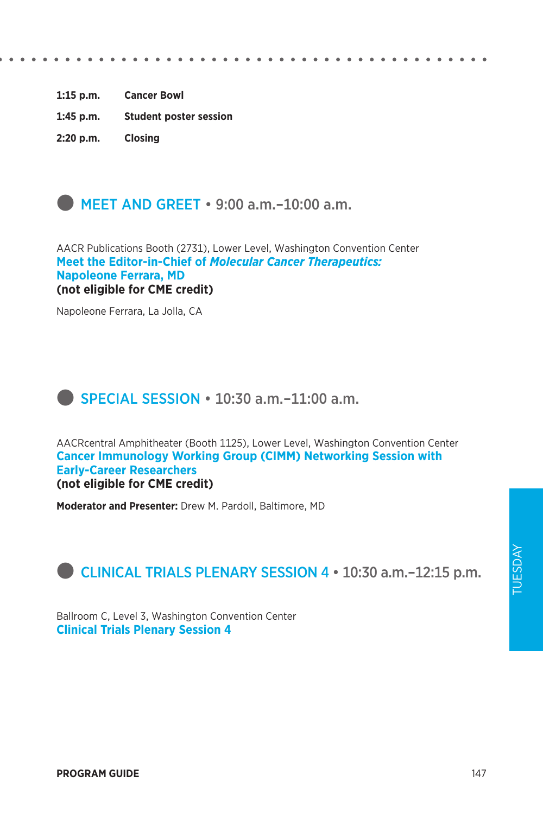**1:15 p.m. Cancer Bowl 1:45 p.m. Student poster session**

**2:20 p.m. Closing**



AACR Publications Booth (2731), Lower Level, Washington Convention Center **Meet the Editor-in-Chief of** *Molecular Cancer Therapeutics:*  **Napoleone Ferrara, MD (not eligible for CME credit)**

Napoleone Ferrara, La Jolla, CA

# **SPECIAL SESSION • 10:30 a.m.–11:00 a.m.**

AACRcentral Amphitheater (Booth 1125), Lower Level, Washington Convention Center **Cancer Immunology Working Group (CIMM) Networking Session with Early-Career Researchers (not eligible for CME credit)**

**Moderator and Presenter:** Drew M. Pardoll, Baltimore, MD



Ballroom C, Level 3, Washington Convention Center **Clinical Trials Plenary Session 4**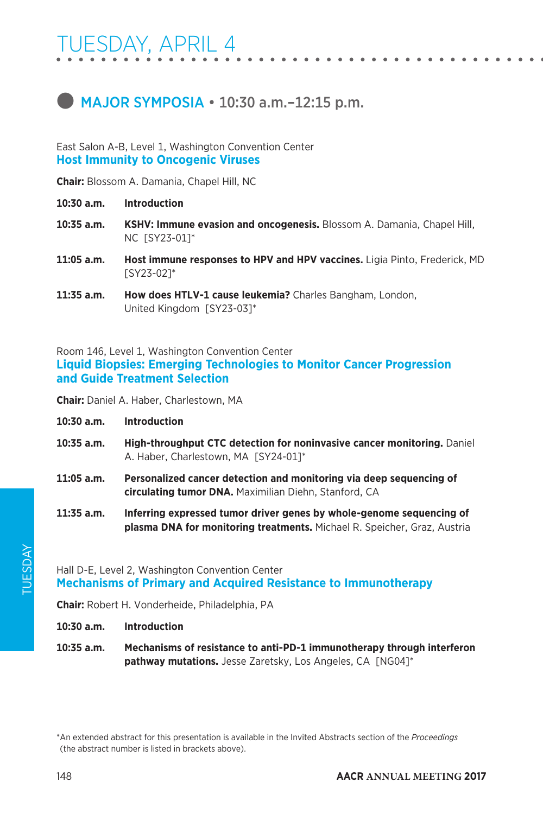# $\bullet$  MAJOR SYMPOSIA  $\cdot$  10:30 a.m.-12:15 p.m.

East Salon A-B, Level 1, Washington Convention Center **Host Immunity to Oncogenic Viruses**

**Chair:** Blossom A. Damania, Chapel Hill, NC

- **10:30 a.m. Introduction**
- **10:35 a.m. KSHV: Immune evasion and oncogenesis.** Blossom A. Damania, Chapel Hill, NC [SY23-01]\*
- **11:05 a.m. Host immune responses to HPV and HPV vaccines.** Ligia Pinto, Frederick, MD [SY23-02]\*
- **11:35 a.m. How does HTLV-1 cause leukemia?** Charles Bangham, London, United Kingdom [SY23-03]\*

Room 146, Level 1, Washington Convention Center **Liquid Biopsies: Emerging Technologies to Monitor Cancer Progression and Guide Treatment Selection**

**Chair:** Daniel A. Haber, Charlestown, MA

- **10:30 a.m. Introduction**
- **10:35 a.m. High-throughput CTC detection for noninvasive cancer monitoring.** Daniel A. Haber, Charlestown, MA [SY24-01]\*
- **11:05 a.m. Personalized cancer detection and monitoring via deep sequencing of circulating tumor DNA.** Maximilian Diehn, Stanford, CA
- **11:35 a.m. Inferring expressed tumor driver genes by whole-genome sequencing of plasma DNA for monitoring treatments.** Michael R. Speicher, Graz, Austria

Hall D-E, Level 2, Washington Convention Center **Mechanisms of Primary and Acquired Resistance to Immunotherapy**

**Chair:** Robert H. Vonderheide, Philadelphia, PA

**10:30 a.m. Introduction**

**10:35 a.m. Mechanisms of resistance to anti-PD-1 immunotherapy through interferon pathway mutations.** Jesse Zaretsky, Los Angeles, CA [NG04]\*

<sup>\*</sup>An extended abstract for this presentation is available in the Invited Abstracts section of the *Proceedings*  (the abstract number is listed in brackets above).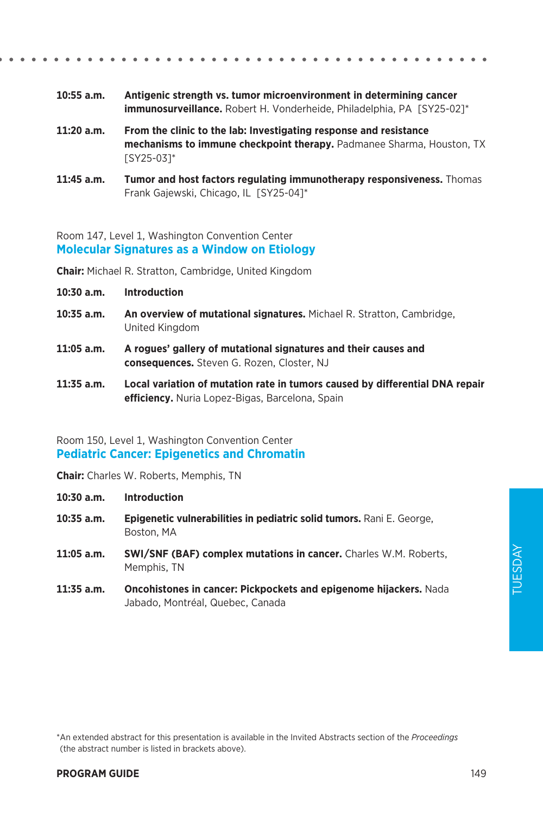TUESDAY TUESDAY

\*An extended abstract for this presentation is available in the Invited Abstracts section of the *Proceedings*  (the abstract number is listed in brackets above).

- **10:55 a.m. Antigenic strength vs. tumor microenvironment in determining cancer immunosurveillance.** Robert H. Vonderheide, Philadelphia, PA [SY25-02]\*
- **11:20 a.m. From the clinic to the lab: Investigating response and resistance mechanisms to immune checkpoint therapy.** Padmanee Sharma, Houston, TX [SY25-03]\*
- **11:45 a.m. Tumor and host factors regulating immunotherapy responsiveness.** Thomas Frank Gajewski, Chicago, IL [SY25-04]\*

Room 147, Level 1, Washington Convention Center **Molecular Signatures as a Window on Etiology**

**Chair:** Michael R. Stratton, Cambridge, United Kingdom

- **10:30 a.m. Introduction**
- **10:35 a.m. An overview of mutational signatures.** Michael R. Stratton, Cambridge, United Kingdom
- **11:05 a.m. A rogues' gallery of mutational signatures and their causes and consequences.** Steven G. Rozen, Closter, NJ
- **11:35 a.m. Local variation of mutation rate in tumors caused by differential DNA repair efficiency.** Nuria Lopez-Bigas, Barcelona, Spain

Room 150, Level 1, Washington Convention Center **Pediatric Cancer: Epigenetics and Chromatin**

**Chair:** Charles W. Roberts, Memphis, TN

**10:30 a.m. Introduction**

- **10:35 a.m. Epigenetic vulnerabilities in pediatric solid tumors.** Rani E. George, Boston, MA
- 11:05 a.m. SWI/SNF (BAF) complex mutations in cancer. Charles W.M. Roberts, Memphis, TN
- **11:35 a.m. Oncohistones in cancer: Pickpockets and epigenome hijackers.** Nada Jabado, Montréal, Quebec, Canada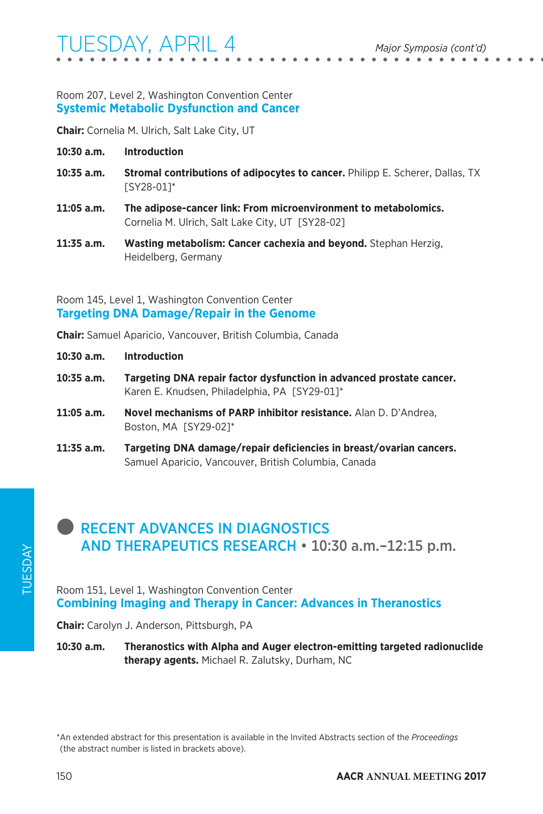### Room 207, Level 2, Washington Convention Center **Systemic Metabolic Dysfunction and Cancer**

**Chair:** Cornelia M. Ulrich, Salt Lake City, UT

- **10:30 a.m. Introduction**
- **10:35 a.m. Stromal contributions of adipocytes to cancer.** Philipp E. Scherer, Dallas, TX [SY28-01]\*
- **11:05 a.m. The adipose-cancer link: From microenvironment to metabolomics.**  Cornelia M. Ulrich, Salt Lake City, UT [SY28-02]
- **11:35 a.m. Wasting metabolism: Cancer cachexia and beyond.** Stephan Herzig, Heidelberg, Germany

### Room 145, Level 1, Washington Convention Center **Targeting DNA Damage/Repair in the Genome**

**Chair:** Samuel Aparicio, Vancouver, British Columbia, Canada

- **10:30 a.m. Introduction**
- **10:35 a.m. Targeting DNA repair factor dysfunction in advanced prostate cancer.**  Karen E. Knudsen, Philadelphia, PA [SY29-01]\*
- **11:05 a.m. Novel mechanisms of PARP inhibitor resistance.** Alan D. D'Andrea, Boston, MA [SY29-02]\*
- **11:35 a.m. Targeting DNA damage/repair deficiencies in breast/ovarian cancers.**  Samuel Aparicio, Vancouver, British Columbia, Canada

# **RECENT ADVANCES IN DIAGNOSTICS** AND THERAPEUTICS RESEARCH • 10:30 a.m.–12:15 p.m.

Room 151, Level 1, Washington Convention Center **Combining Imaging and Therapy in Cancer: Advances in Theranostics**

**Chair:** Carolyn J. Anderson, Pittsburgh, PA

**10:30 a.m. Theranostics with Alpha and Auger electron-emitting targeted radionuclide therapy agents.** Michael R. Zalutsky, Durham, NC

<sup>\*</sup>An extended abstract for this presentation is available in the Invited Abstracts section of the *Proceedings*  (the abstract number is listed in brackets above).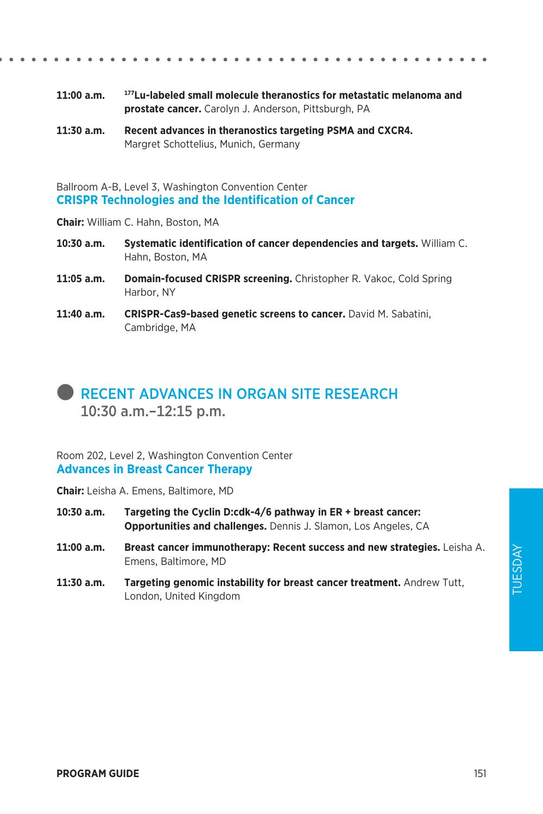- **11:00 a.m. 177Lu-labeled small molecule theranostics for metastatic melanoma and prostate cancer.** Carolyn J. Anderson, Pittsburgh, PA
- **11:30 a.m. Recent advances in theranostics targeting PSMA and CXCR4.**  Margret Schottelius, Munich, Germany

Ballroom A-B, Level 3, Washington Convention Center **CRISPR Technologies and the Identification of Cancer**

**Chair:** William C. Hahn, Boston, MA

- **10:30 a.m. Systematic identification of cancer dependencies and targets.** William C. Hahn, Boston, MA
- **11:05 a.m. Domain-focused CRISPR screening.** Christopher R. Vakoc, Cold Spring Harbor, NY
- 11:40 a.m. **CRISPR-Cas9-based genetic screens to cancer.** David M. Sabatini, Cambridge, MA

# l RECENT ADVANCES IN ORGAN SITE RESEARCH 10:30 a.m.–12:15 p.m.

Room 202, Level 2, Washington Convention Center **Advances in Breast Cancer Therapy**

**Chair:** Leisha A. Emens, Baltimore, MD

- **10:30 a.m. Targeting the Cyclin D:cdk-4/6 pathway in ER + breast cancer: Opportunities and challenges.** Dennis J. Slamon, Los Angeles, CA
- **11:00 a.m. Breast cancer immunotherapy: Recent success and new strategies.** Leisha A. Emens, Baltimore, MD
- **11:30 a.m. Targeting genomic instability for breast cancer treatment.** Andrew Tutt, London, United Kingdom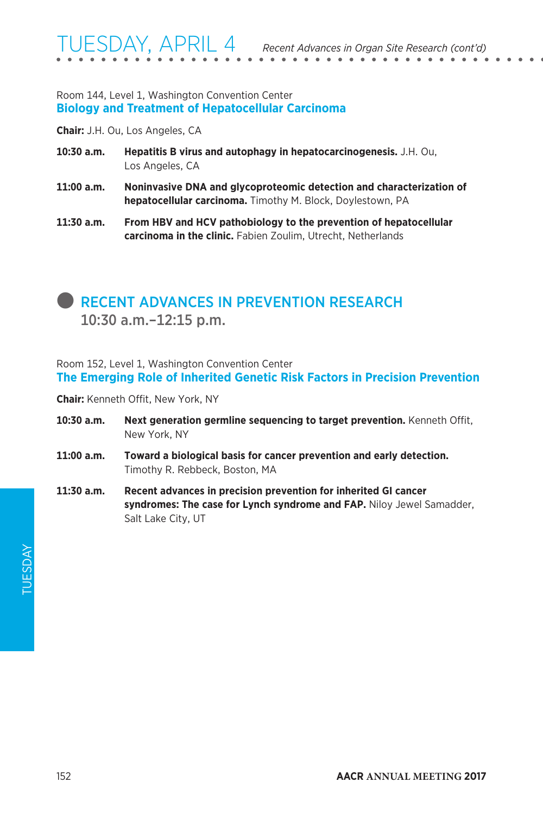### Room 144, Level 1, Washington Convention Center **Biology and Treatment of Hepatocellular Carcinoma**

**Chair:** J.H. Ou, Los Angeles, CA

- **10:30 a.m. Hepatitis B virus and autophagy in hepatocarcinogenesis.** J.H. Ou, Los Angeles, CA
- **11:00 a.m. Noninvasive DNA and glycoproteomic detection and characterization of hepatocellular carcinoma.** Timothy M. Block, Doylestown, PA
- **11:30 a.m. From HBV and HCV pathobiology to the prevention of hepatocellular carcinoma in the clinic.** Fabien Zoulim, Utrecht, Netherlands

## **RECENT ADVANCES IN PREVENTION RESEARCH** 10:30 a.m.–12:15 p.m.

Room 152, Level 1, Washington Convention Center **The Emerging Role of Inherited Genetic Risk Factors in Precision Prevention**

**Chair:** Kenneth Offit, New York, NY

- **10:30 a.m. Next generation germline sequencing to target prevention.** Kenneth Offit, New York, NY
- **11:00 a.m. Toward a biological basis for cancer prevention and early detection.**  Timothy R. Rebbeck, Boston, MA
- **11:30 a.m. Recent advances in precision prevention for inherited GI cancer syndromes: The case for Lynch syndrome and FAP.** Niloy Jewel Samadder, Salt Lake City, UT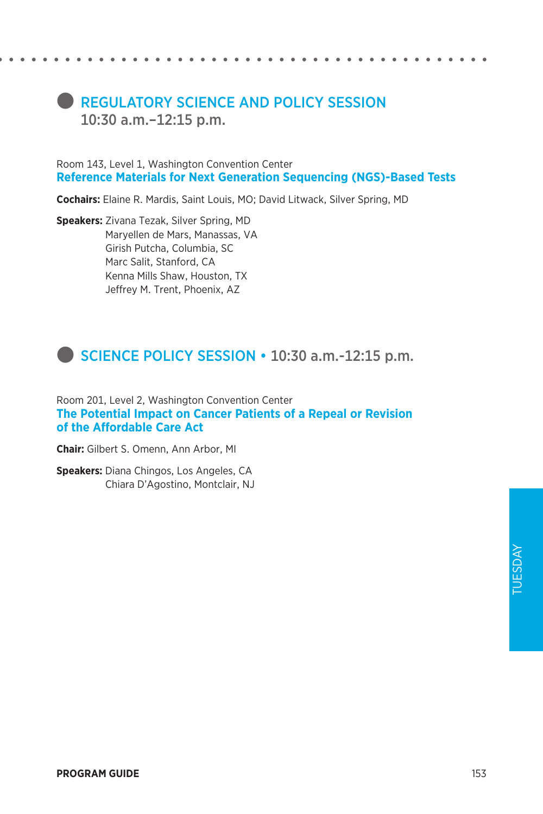# **REGULATORY SCIENCE AND POLICY SESSION** 10:30 a.m.–12:15 p.m.

Room 143, Level 1, Washington Convention Center **Reference Materials for Next Generation Sequencing (NGS)-Based Tests**

**Cochairs:** Elaine R. Mardis, Saint Louis, MO; David Litwack, Silver Spring, MD

**Speakers:** Zivana Tezak, Silver Spring, MD Maryellen de Mars, Manassas, VA Girish Putcha, Columbia, SC Marc Salit, Stanford, CA Kenna Mills Shaw, Houston, TX Jeffrey M. Trent, Phoenix, AZ

# **SCIENCE POLICY SESSION • 10:30 a.m.-12:15 p.m.**

Room 201, Level 2, Washington Convention Center **The Potential Impact on Cancer Patients of a Repeal or Revision of the Affordable Care Act**

**Chair:** Gilbert S. Omenn, Ann Arbor, MI

**Speakers:** Diana Chingos, Los Angeles, CA Chiara D'Agostino, Montclair, NJ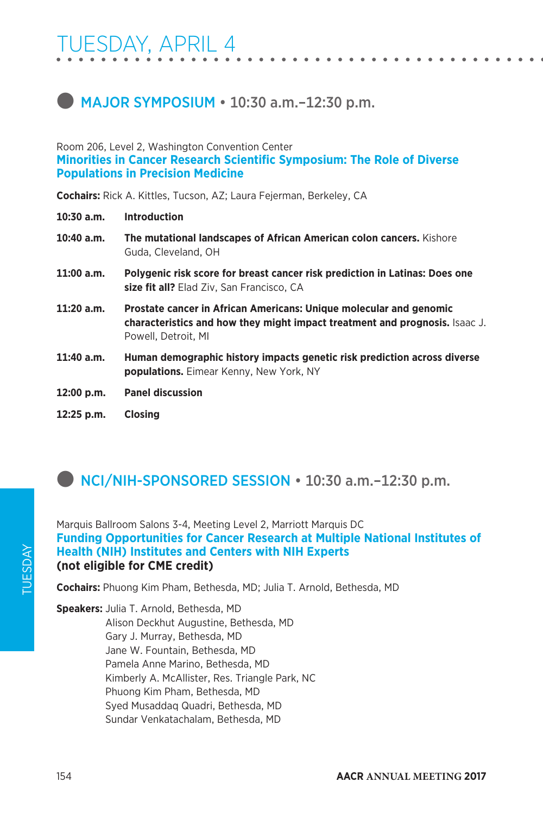# **MAJOR SYMPOSIUM • 10:30 a.m.-12:30 p.m.**

### Room 206, Level 2, Washington Convention Center **Minorities in Cancer Research Scientific Symposium: The Role of Diverse Populations in Precision Medicine**

**Cochairs:** Rick A. Kittles, Tucson, AZ; Laura Fejerman, Berkeley, CA

- **10:30 a.m. Introduction**
- **10:40 a.m. The mutational landscapes of African American colon cancers.** Kishore Guda, Cleveland, OH
- **11:00 a.m. Polygenic risk score for breast cancer risk prediction in Latinas: Does one size fit all?** Elad Ziv, San Francisco, CA
- **11:20 a.m. Prostate cancer in African Americans: Unique molecular and genomic characteristics and how they might impact treatment and prognosis.** Isaac J. Powell, Detroit, MI
- **11:40 a.m. Human demographic history impacts genetic risk prediction across diverse populations.** Eimear Kenny, New York, NY
- **12:00 p.m. Panel discussion**
- **12:25 p.m. Closing**

# **D** NCI/NIH-SPONSORED SESSION • 10:30 a.m.-12:30 p.m.

Marquis Ballroom Salons 3-4, Meeting Level 2, Marriott Marquis DC **Funding Opportunities for Cancer Research at Multiple National Institutes of Health (NIH) Institutes and Centers with NIH Experts (not eligible for CME credit)**

**Cochairs:** Phuong Kim Pham, Bethesda, MD; Julia T. Arnold, Bethesda, MD

**Speakers:** Julia T. Arnold, Bethesda, MD Alison Deckhut Augustine, Bethesda, MD Gary J. Murray, Bethesda, MD Jane W. Fountain, Bethesda, MD Pamela Anne Marino, Bethesda, MD Kimberly A. McAllister, Res. Triangle Park, NC Phuong Kim Pham, Bethesda, MD Syed Musaddaq Quadri, Bethesda, MD Sundar Venkatachalam, Bethesda, MD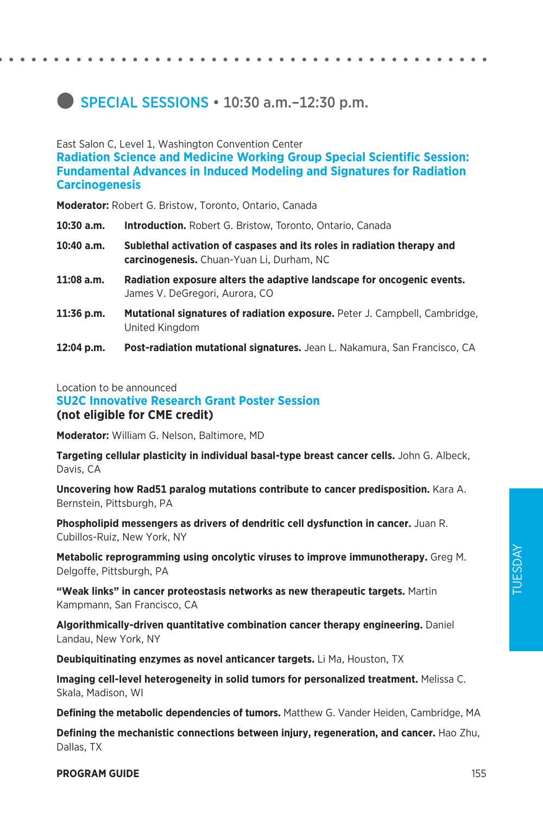# **SPECIAL SESSIONS • 10:30 a.m.-12:30 p.m.**

East Salon C, Level 1, Washington Convention Center **Radiation Science and Medicine Working Group Special Scientific Session: Fundamental Advances in Induced Modeling and Signatures for Radiation Carcinogenesis**

**Moderator:** Robert G. Bristow, Toronto, Ontario, Canada

- **10:30 a.m. Introduction.** Robert G. Bristow, Toronto, Ontario, Canada
- **10:40 a.m. Sublethal activation of caspases and its roles in radiation therapy and carcinogenesis.** Chuan-Yuan Li, Durham, NC
- **11:08 a.m. Radiation exposure alters the adaptive landscape for oncogenic events.**  James V. DeGregori, Aurora, CO
- 11:36 p.m. Mutational signatures of radiation exposure. Peter J. Campbell, Cambridge, United Kingdom
- **12:04 p.m. Post-radiation mutational signatures.** Jean L. Nakamura, San Francisco, CA

### Location to be announced

### **SU2C Innovative Research Grant Poster Session (not eligible for CME credit)**

**Moderator:** William G. Nelson, Baltimore, MD

**Targeting cellular plasticity in individual basal-type breast cancer cells.** John G. Albeck, Davis, CA

**Uncovering how Rad51 paralog mutations contribute to cancer predisposition.** Kara A. Bernstein, Pittsburgh, PA

**Phospholipid messengers as drivers of dendritic cell dysfunction in cancer.** Juan R. Cubillos-Ruiz, New York, NY

**Metabolic reprogramming using oncolytic viruses to improve immunotherapy.** Greg M. Delgoffe, Pittsburgh, PA

**"Weak links" in cancer proteostasis networks as new therapeutic targets.** Martin Kampmann, San Francisco, CA

**Algorithmically-driven quantitative combination cancer therapy engineering.** Daniel Landau, New York, NY

**Deubiquitinating enzymes as novel anticancer targets.** Li Ma, Houston, TX

**Imaging cell-level heterogeneity in solid tumors for personalized treatment.** Melissa C. Skala, Madison, WI

**Defining the metabolic dependencies of tumors.** Matthew G. Vander Heiden, Cambridge, MA

**Defining the mechanistic connections between injury, regeneration, and cancer.** Hao Zhu, Dallas, TX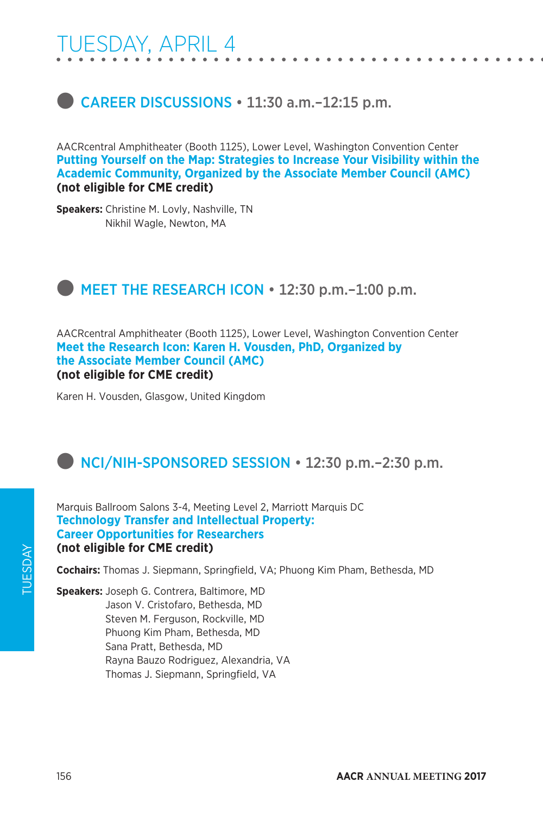# **CAREER DISCUSSIONS • 11:30 a.m.-12:15 p.m.**

AACRcentral Amphitheater (Booth 1125), Lower Level, Washington Convention Center **Putting Yourself on the Map: Strategies to Increase Your Visibility within the Academic Community, Organized by the Associate Member Council (AMC) (not eligible for CME credit)**

**Speakers:** Christine M. Lovly, Nashville, TN Nikhil Wagle, Newton, MA

# **EXECUTE:** MEET THE RESEARCH ICON . 12:30 p.m.-1:00 p.m.

AACRcentral Amphitheater (Booth 1125), Lower Level, Washington Convention Center **Meet the Research Icon: Karen H. Vousden, PhD, Organized by the Associate Member Council (AMC) (not eligible for CME credit)**

Karen H. Vousden, Glasgow, United Kingdom

# **NCI/NIH-SPONSORED SESSION • 12:30 p.m.–2:30 p.m.**

Marquis Ballroom Salons 3-4, Meeting Level 2, Marriott Marquis DC **Technology Transfer and Intellectual Property: Career Opportunities for Researchers (not eligible for CME credit)**

**Cochairs:** Thomas J. Siepmann, Springfield, VA; Phuong Kim Pham, Bethesda, MD

**Speakers:** Joseph G. Contrera, Baltimore, MD Jason V. Cristofaro, Bethesda, MD Steven M. Ferguson, Rockville, MD Phuong Kim Pham, Bethesda, MD Sana Pratt, Bethesda, MD Rayna Bauzo Rodriguez, Alexandria, VA Thomas J. Siepmann, Springfield, VA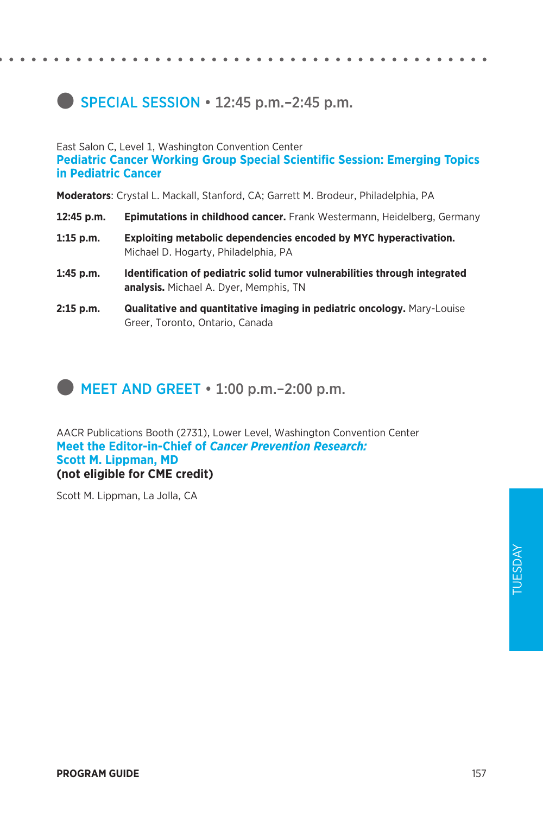## **SPECIAL SESSION**  $\cdot$  **12:45 p.m.**–2:45 p.m.

East Salon C, Level 1, Washington Convention Center **Pediatric Cancer Working Group Special Scientific Session: Emerging Topics in Pediatric Cancer**

**Moderators**: Crystal L. Mackall, Stanford, CA; Garrett M. Brodeur, Philadelphia, PA

- **12:45 p.m. Epimutations in childhood cancer.** Frank Westermann, Heidelberg, Germany
- **1:15 p.m. Exploiting metabolic dependencies encoded by MYC hyperactivation.**  Michael D. Hogarty, Philadelphia, PA
- **1:45 p.m. Identification of pediatric solid tumor vulnerabilities through integrated analysis.** Michael A. Dyer, Memphis, TN
- **2:15 p.m. Qualitative and quantitative imaging in pediatric oncology.** Mary-Louise Greer, Toronto, Ontario, Canada

### $\blacksquare$  MEET AND GREET  $\cdot$  1:00 p.m.–2:00 p.m.

AACR Publications Booth (2731), Lower Level, Washington Convention Center **Meet the Editor-in-Chief of** *Cancer Prevention Research:*  **Scott M. Lippman, MD (not eligible for CME credit)**

Scott M. Lippman, La Jolla, CA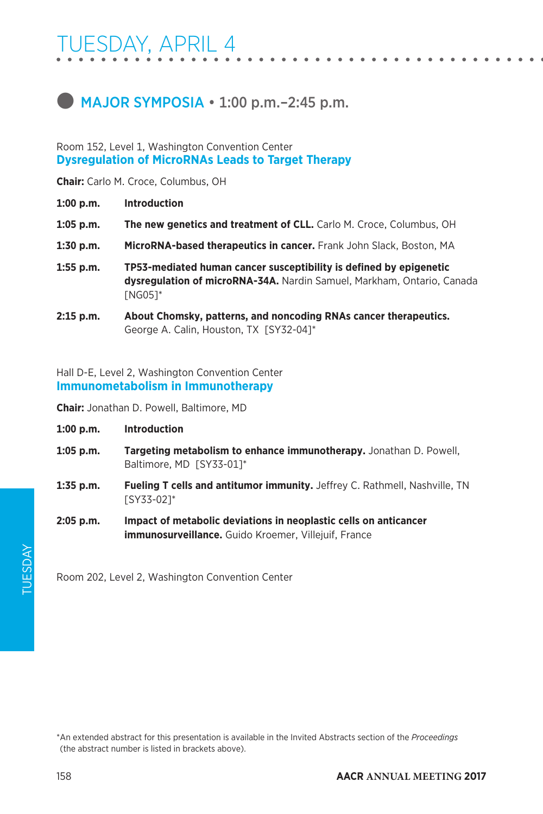# **MAJOR SYMPOSIA • 1:00 p.m.–2:45 p.m.**

### Room 152, Level 1, Washington Convention Center **Dysregulation of MicroRNAs Leads to Target Therapy**

**Chair:** Carlo M. Croce, Columbus, OH

- **1:00 p.m. Introduction**
- **1:05 p.m. The new genetics and treatment of CLL.** Carlo M. Croce, Columbus, OH
- **1:30 p.m. MicroRNA-based therapeutics in cancer.** Frank John Slack, Boston, MA
- **1:55 p.m. TP53-mediated human cancer susceptibility is defined by epigenetic dysregulation of microRNA-34A.** Nardin Samuel, Markham, Ontario, Canada [NG05]\*
- **2:15 p.m. About Chomsky, patterns, and noncoding RNAs cancer therapeutics.**  George A. Calin, Houston, TX [SY32-04]\*

Hall D-E, Level 2, Washington Convention Center **Immunometabolism in Immunotherapy**

**Chair:** Jonathan D. Powell, Baltimore, MD

- **1:00 p.m. Introduction**
- **1:05 p.m. Targeting metabolism to enhance immunotherapy.** Jonathan D. Powell, Baltimore, MD [SY33-01]\*
- **1:35 p.m. Fueling T cells and antitumor immunity.** Jeffrey C. Rathmell, Nashville, TN [SY33-02]\*
- **2:05 p.m. Impact of metabolic deviations in neoplastic cells on anticancer immunosurveillance.** Guido Kroemer, Villejuif, France

Room 202, Level 2, Washington Convention Center

\*An extended abstract for this presentation is available in the Invited Abstracts section of the *Proceedings*  (the abstract number is listed in brackets above).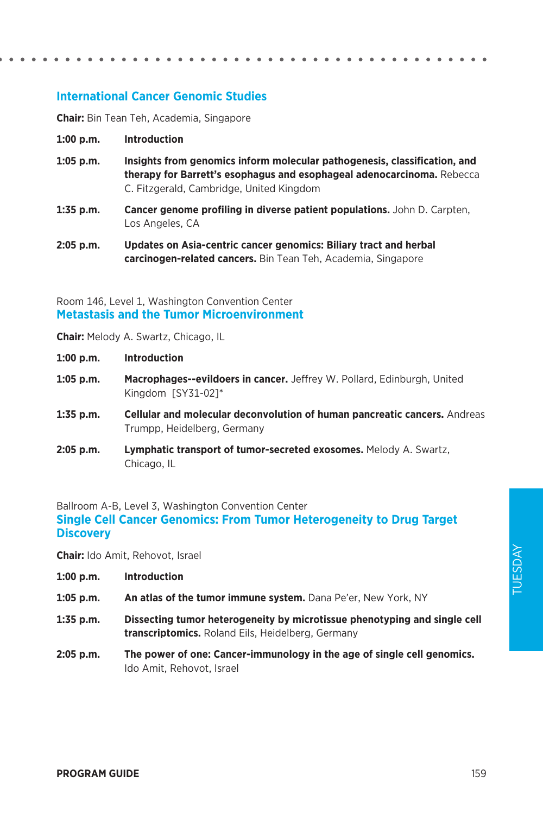### **International Cancer Genomic Studies**

**Chair:** Bin Tean Teh, Academia, Singapore

- **1:00 p.m. Introduction**
- **1:05 p.m. Insights from genomics inform molecular pathogenesis, classification, and therapy for Barrett's esophagus and esophageal adenocarcinoma.** Rebecca C. Fitzgerald, Cambridge, United Kingdom
- **1:35 p.m. Cancer genome profiling in diverse patient populations.** John D. Carpten, Los Angeles, CA
- **2:05 p.m. Updates on Asia-centric cancer genomics: Biliary tract and herbal carcinogen-related cancers.** Bin Tean Teh, Academia, Singapore

### Room 146, Level 1, Washington Convention Center **Metastasis and the Tumor Microenvironment**

**Chair:** Melody A. Swartz, Chicago, IL

**1:00 p.m. Introduction**

- **1:05 p.m. Macrophages--evildoers in cancer.** Jeffrey W. Pollard, Edinburgh, United Kingdom [SY31-02]\*
- **1:35 p.m. Cellular and molecular deconvolution of human pancreatic cancers.** Andreas Trumpp, Heidelberg, Germany
- **2:05 p.m. Lymphatic transport of tumor-secreted exosomes.** Melody A. Swartz, Chicago, IL

Ballroom A-B, Level 3, Washington Convention Center **Single Cell Cancer Genomics: From Tumor Heterogeneity to Drug Target Discovery**

**Chair:** Ido Amit, Rehovot, Israel

- **1:00 p.m. Introduction**
- **1:05 p.m. An atlas of the tumor immune system.** Dana Pe'er, New York, NY
- **1:35 p.m. Dissecting tumor heterogeneity by microtissue phenotyping and single cell transcriptomics.** Roland Eils, Heidelberg, Germany
- **2:05 p.m. The power of one: Cancer-immunology in the age of single cell genomics.**  Ido Amit, Rehovot, Israel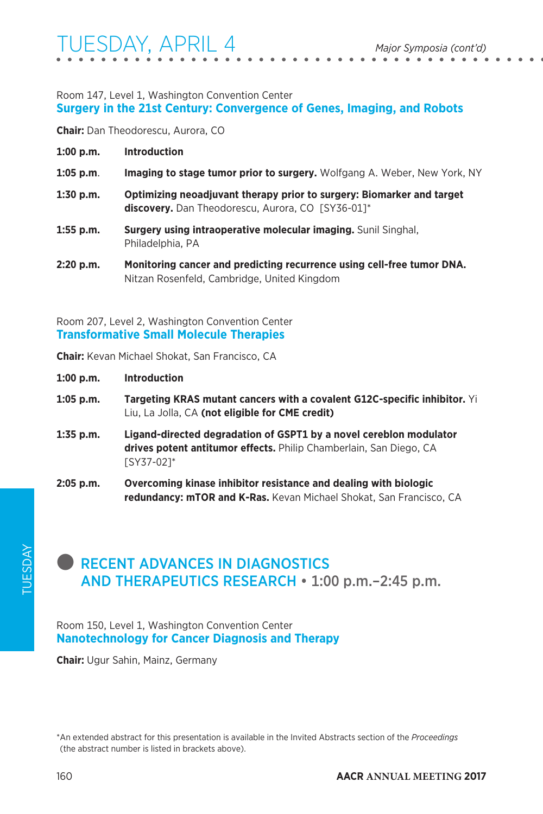### Room 147, Level 1, Washington Convention Center **Surgery in the 21st Century: Convergence of Genes, Imaging, and Robots**

**Chair:** Dan Theodorescu, Aurora, CO

| $1:00$ p.m. | <b>Introduction</b>                                                                                                        |
|-------------|----------------------------------------------------------------------------------------------------------------------------|
| $1:05$ p.m. | <b>Imaging to stage tumor prior to surgery.</b> Wolfgang A. Weber, New York, NY                                            |
| $1:30$ p.m. | Optimizing neoadjuvant therapy prior to surgery: Biomarker and target<br>discovery. Dan Theodorescu, Aurora, CO [SY36-01]* |
| $1:55$ p.m. | Surgery using intraoperative molecular imaging. Sunil Singhal,<br>Philadelphia, PA                                         |

**2:20 p.m. Monitoring cancer and predicting recurrence using cell-free tumor DNA.**  Nitzan Rosenfeld, Cambridge, United Kingdom

Room 207, Level 2, Washington Convention Center **Transformative Small Molecule Therapies**

**Chair:** Kevan Michael Shokat, San Francisco, CA

| 1:00 p.m.   | <b>Introduction</b>                                                                                                                                          |
|-------------|--------------------------------------------------------------------------------------------------------------------------------------------------------------|
| $1:05$ p.m. | <b>Targeting KRAS mutant cancers with a covalent G12C-specific inhibitor.</b> Yi<br>Liu, La Jolla, CA (not eligible for CME credit)                          |
| $1:35$ p.m. | Ligand-directed degradation of GSPT1 by a novel cereblon modulator<br>drives potent antitumor effects. Philip Chamberlain, San Diego, CA<br><b>SY37-021*</b> |
| $2:05$ p.m. | Overcoming kinase inhibitor resistance and dealing with biologic<br>redundancy: mTOR and K-Ras. Kevan Michael Shokat, San Francisco, CA                      |

### **RECENT ADVANCES IN DIAGNOSTICS** AND THERAPEUTICS RESEARCH • 1:00 p.m.–2:45 p.m.

#### Room 150, Level 1, Washington Convention Center **Nanotechnology for Cancer Diagnosis and Therapy**

**Chair:** Ugur Sahin, Mainz, Germany

\*An extended abstract for this presentation is available in the Invited Abstracts section of the *Proceedings*  (the abstract number is listed in brackets above).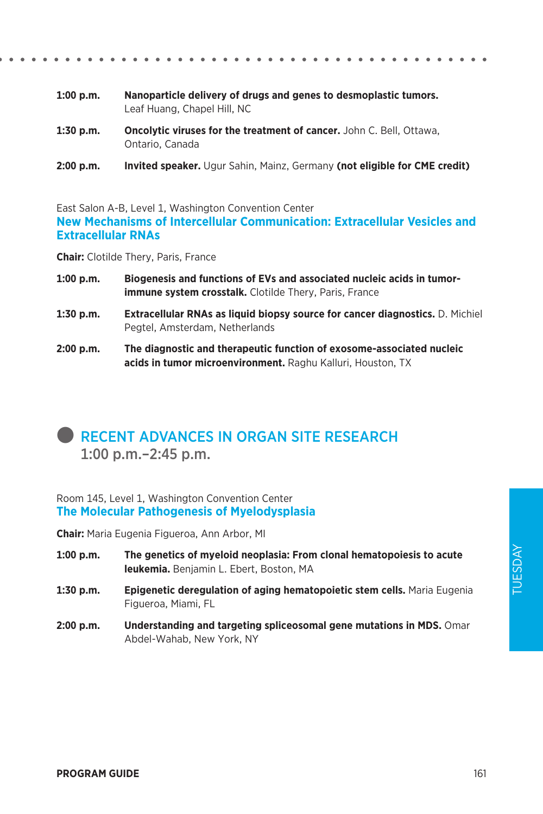- **1:00 p.m. Nanoparticle delivery of drugs and genes to desmoplastic tumors.**  Leaf Huang, Chapel Hill, NC
- **1:30 p.m. Oncolytic viruses for the treatment of cancer.** John C. Bell, Ottawa, Ontario, Canada
- **2:00 p.m. Invited speaker.** Ugur Sahin, Mainz, Germany **(not eligible for CME credit)**

East Salon A-B, Level 1, Washington Convention Center **New Mechanisms of Intercellular Communication: Extracellular Vesicles and Extracellular RNAs**

**Chair:** Clotilde Thery, Paris, France

- **1:00 p.m. Biogenesis and functions of EVs and associated nucleic acids in tumorimmune system crosstalk.** Clotilde Thery, Paris, France
- **1:30 p.m. Extracellular RNAs as liquid biopsy source for cancer diagnostics.** D. Michiel Pegtel, Amsterdam, Netherlands
- **2:00 p.m. The diagnostic and therapeutic function of exosome-associated nucleic acids in tumor microenvironment.** Raghu Kalluri, Houston, TX

### **RECENT ADVANCES IN ORGAN SITE RESEARCH** 1:00 p.m.–2:45 p.m.

#### Room 145, Level 1, Washington Convention Center **The Molecular Pathogenesis of Myelodysplasia**

**Chair:** Maria Eugenia Figueroa, Ann Arbor, MI

- **1:00 p.m. The genetics of myeloid neoplasia: From clonal hematopoiesis to acute leukemia.** Benjamin L. Ebert, Boston, MA
- **1:30 p.m. Epigenetic deregulation of aging hematopoietic stem cells.** Maria Eugenia Figueroa, Miami, FL
- **2:00 p.m. Understanding and targeting spliceosomal gene mutations in MDS.** Omar Abdel-Wahab, New York, NY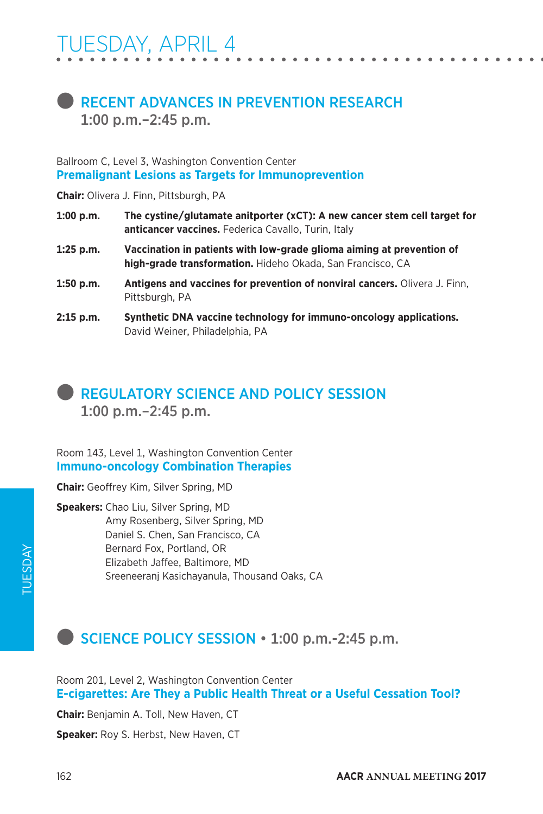### **RECENT ADVANCES IN PREVENTION RESEARCH** 1:00 p.m.–2:45 p.m.

Ballroom C, Level 3, Washington Convention Center **Premalignant Lesions as Targets for Immunoprevention**

**Chair:** Olivera J. Finn, Pittsburgh, PA

- **1:00 p.m. The cystine/glutamate anitporter (xCT): A new cancer stem cell target for anticancer vaccines.** Federica Cavallo, Turin, Italy
- **1:25 p.m. Vaccination in patients with low-grade glioma aiming at prevention of high-grade transformation.** Hideho Okada, San Francisco, CA
- **1:50 p.m. Antigens and vaccines for prevention of nonviral cancers.** Olivera J. Finn, Pittsburgh, PA
- **2:15 p.m. Synthetic DNA vaccine technology for immuno-oncology applications.**  David Weiner, Philadelphia, PA

### l REGULATORY SCIENCE AND POLICY SESSION 1:00 p.m.–2:45 p.m.

Room 143, Level 1, Washington Convention Center **Immuno-oncology Combination Therapies**

**Chair:** Geoffrey Kim, Silver Spring, MD

**Speakers:** Chao Liu, Silver Spring, MD Amy Rosenberg, Silver Spring, MD Daniel S. Chen, San Francisco, CA Bernard Fox, Portland, OR Elizabeth Jaffee, Baltimore, MD Sreeneeranj Kasichayanula, Thousand Oaks, CA

### **SCIENCE POLICY SESSION • 1:00 p.m.-2:45 p.m.**

Room 201, Level 2, Washington Convention Center **E-cigarettes: Are They a Public Health Threat or a Useful Cessation Tool?**

**Chair:** Benjamin A. Toll, New Haven, CT

**Speaker:** Roy S. Herbst, New Haven, CT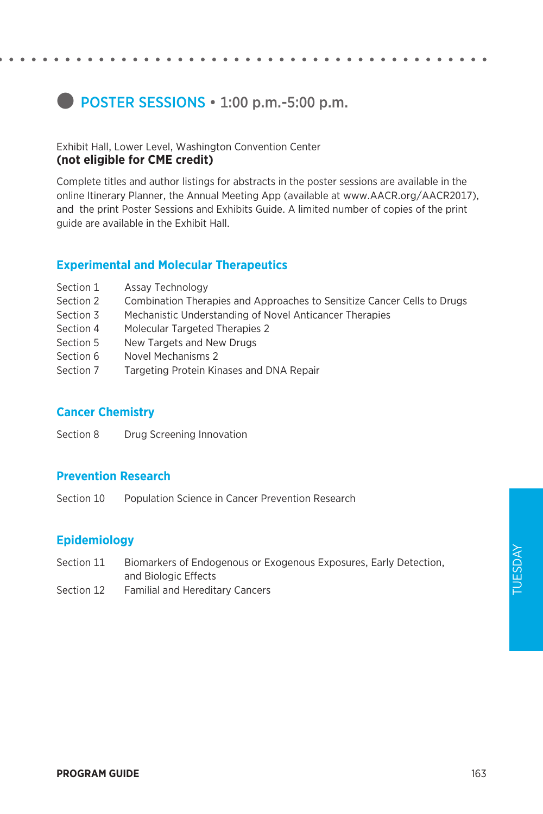### **D** POSTER SESSIONS • 1:00 p.m.-5:00 p.m.

#### Exhibit Hall, Lower Level, Washington Convention Center **(not eligible for CME credit)**

Complete titles and author listings for abstracts in the poster sessions are available in the online Itinerary Planner, the Annual Meeting App (available at www.AACR.org/AACR2017), and the print Poster Sessions and Exhibits Guide. A limited number of copies of the print guide are available in the Exhibit Hall.

### **Experimental and Molecular Therapeutics**

- Section 1 Assay Technology
- Section 2 Combination Therapies and Approaches to Sensitize Cancer Cells to Drugs
- Section 3 Mechanistic Understanding of Novel Anticancer Therapies
- Section 4 Molecular Targeted Therapies 2
- Section 5 New Targets and New Drugs
- Section 6 Novel Mechanisms 2
- Section 7 Targeting Protein Kinases and DNA Repair

### **Cancer Chemistry**

Section 8 Drug Screening Innovation

### **Prevention Research**

Section 10 Population Science in Cancer Prevention Research

### **Epidemiology**

Section 11 Biomarkers of Endogenous or Exogenous Exposures, Early Detection, and Biologic Effects Section 12 Familial and Hereditary Cancers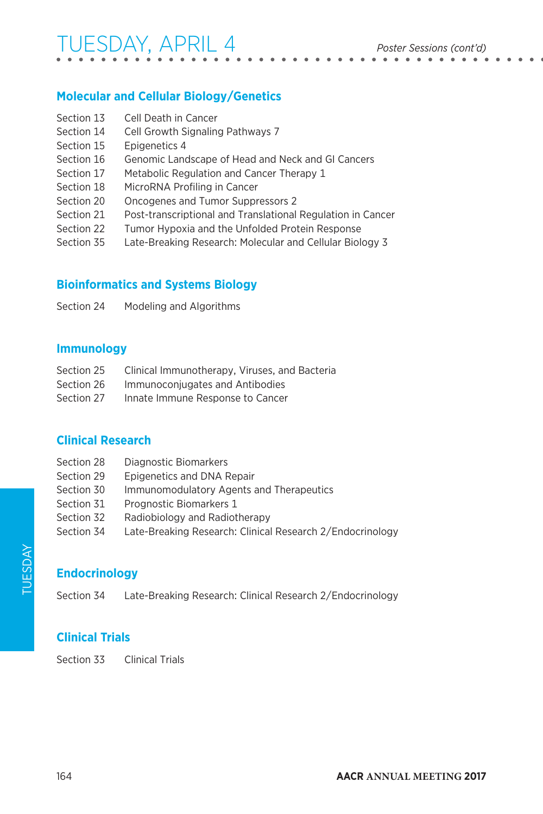## TUESDAY, APRIL 4 *Poster Sessions (cont'd)*

### **Molecular and Cellular Biology/Genetics**

| Section 13 | Cell Death in Cancer                                        |
|------------|-------------------------------------------------------------|
| Section 14 | Cell Growth Signaling Pathways 7                            |
| Section 15 | Epigenetics 4                                               |
| Section 16 | Genomic Landscape of Head and Neck and GI Cancers           |
| Section 17 | Metabolic Regulation and Cancer Therapy 1                   |
| Section 18 | MicroRNA Profiling in Cancer                                |
| Section 20 | Oncogenes and Tumor Suppressors 2                           |
| Section 21 | Post-transcriptional and Translational Regulation in Cancer |
| Section 22 | Tumor Hypoxia and the Unfolded Protein Response             |
| Section 35 | Late-Breaking Research: Molecular and Cellular Biology 3    |
|            |                                                             |

### **Bioinformatics and Systems Biology**

Section 24 Modeling and Algorithms

#### **Immunology**

- Section 25 Clinical Immunotherapy, Viruses, and Bacteria
- Section 26 Immunoconjugates and Antibodies
- Section 27 Innate Immune Response to Cancer

### **Clinical Research**

- Section 28 Diagnostic Biomarkers
- Section 29 Epigenetics and DNA Repair
- Section 30 Immunomodulatory Agents and Therapeutics
- Section 31 Prognostic Biomarkers 1
- Section 32 Radiobiology and Radiotherapy
- Section 34 Late-Breaking Research: Clinical Research 2/Endocrinology

### **Endocrinology**

Section 34 Late-Breaking Research: Clinical Research 2/Endocrinology

### **Clinical Trials**

Section 33 Clinical Trials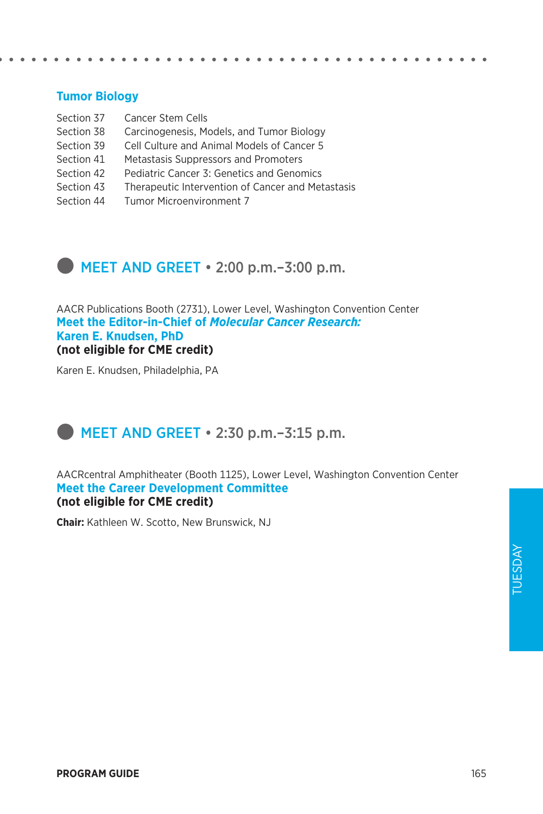### **Tumor Biology**

| Section 37 | <b>Cancer Stem Cells</b>                          |
|------------|---------------------------------------------------|
| Section 38 | Carcinogenesis, Models, and Tumor Biology         |
| Section 39 | Cell Culture and Animal Models of Cancer 5        |
| Section 41 | Metastasis Suppressors and Promoters              |
| Section 42 | Pediatric Cancer 3: Genetics and Genomics         |
| Section 43 | Therapeutic Intervention of Cancer and Metastasis |
| Section 44 | Tumor Microenvironment 7                          |

 $\bullet$  MEET AND GREET  $\cdot$  2:00 p.m.–3:00 p.m.

AACR Publications Booth (2731), Lower Level, Washington Convention Center **Meet the Editor-in-Chief of** *Molecular Cancer Research:*  **Karen E. Knudsen, PhD (not eligible for CME credit)**

Karen E. Knudsen, Philadelphia, PA

### MEET AND GREET  $\cdot$  2:30 p.m. -3:15 p.m.

AACRcentral Amphitheater (Booth 1125), Lower Level, Washington Convention Center **Meet the Career Development Committee (not eligible for CME credit)**

**Chair:** Kathleen W. Scotto, New Brunswick, NJ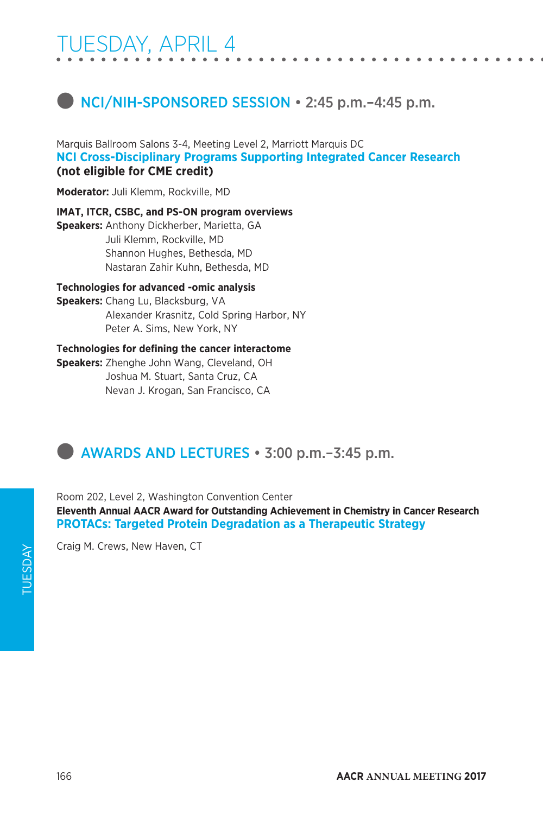## TUESDAY, APRIL 4



Marquis Ballroom Salons 3-4, Meeting Level 2, Marriott Marquis DC **NCI Cross-Disciplinary Programs Supporting Integrated Cancer Research (not eligible for CME credit)**

**Moderator:** Juli Klemm, Rockville, MD

**IMAT, ITCR, CSBC, and PS-ON program overviews**

**Speakers:** Anthony Dickherber, Marietta, GA Juli Klemm, Rockville, MD Shannon Hughes, Bethesda, MD Nastaran Zahir Kuhn, Bethesda, MD

**Technologies for advanced -omic analysis**

**Speakers:** Chang Lu, Blacksburg, VA Alexander Krasnitz, Cold Spring Harbor, NY Peter A. Sims, New York, NY

#### **Technologies for defining the cancer interactome**

**Speakers:** Zhenghe John Wang, Cleveland, OH Joshua M. Stuart, Santa Cruz, CA Nevan J. Krogan, San Francisco, CA



Room 202, Level 2, Washington Convention Center **Eleventh Annual AACR Award for Outstanding Achievement in Chemistry in Cancer Research PROTACs: Targeted Protein Degradation as a Therapeutic Strategy**

Craig M. Crews, New Haven, CT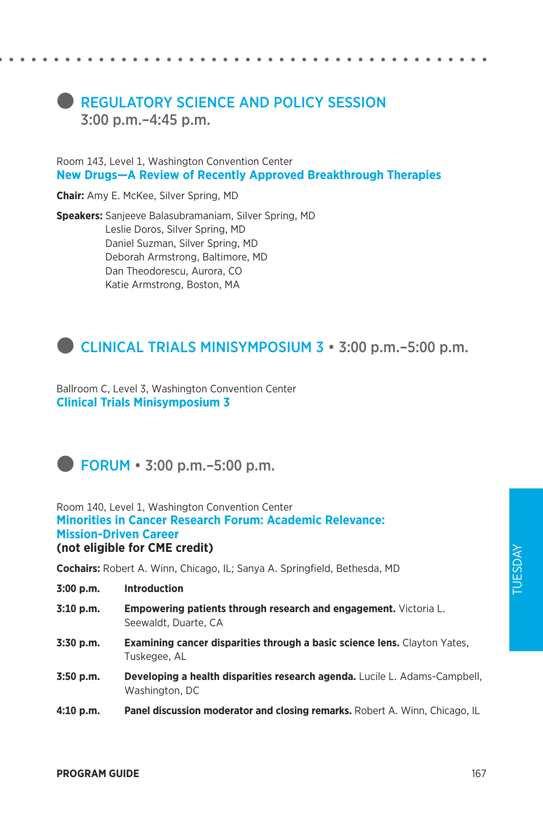### **REGULATORY SCIENCE AND POLICY SESSION** 3:00 p.m.–4:45 p.m.

Room 143, Level 1, Washington Convention Center **New Drugs—A Review of Recently Approved Breakthrough Therapies**

**Chair:** Amy E. McKee, Silver Spring, MD

**Speakers:** Sanjeeve Balasubramaniam, Silver Spring, MD Leslie Doros, Silver Spring, MD Daniel Suzman, Silver Spring, MD Deborah Armstrong, Baltimore, MD Dan Theodorescu, Aurora, CO Katie Armstrong, Boston, MA

### CLINICAL TRIALS MINISYMPOSIUM 3 · 3:00 p.m.–5:00 p.m.

Ballroom C, Level 3, Washington Convention Center **Clinical Trials Minisymposium 3**



Room 140, Level 1, Washington Convention Center **Minorities in Cancer Research Forum: Academic Relevance: Mission-Driven Career (not eligible for CME credit)**

**Cochairs:** Robert A. Winn, Chicago, IL; Sanya A. Springfield, Bethesda, MD

**3:00 p.m. Introduction**

- **3:10 p.m. Empowering patients through research and engagement.** Victoria L. Seewaldt, Duarte, CA
- **3:30 p.m. Examining cancer disparities through a basic science lens.** Clayton Yates, Tuskegee, AL
- **3:50 p.m. Developing a health disparities research agenda.** Lucile L. Adams-Campbell, Washington, DC
- **4:10 p.m. Panel discussion moderator and closing remarks.** Robert A. Winn, Chicago, IL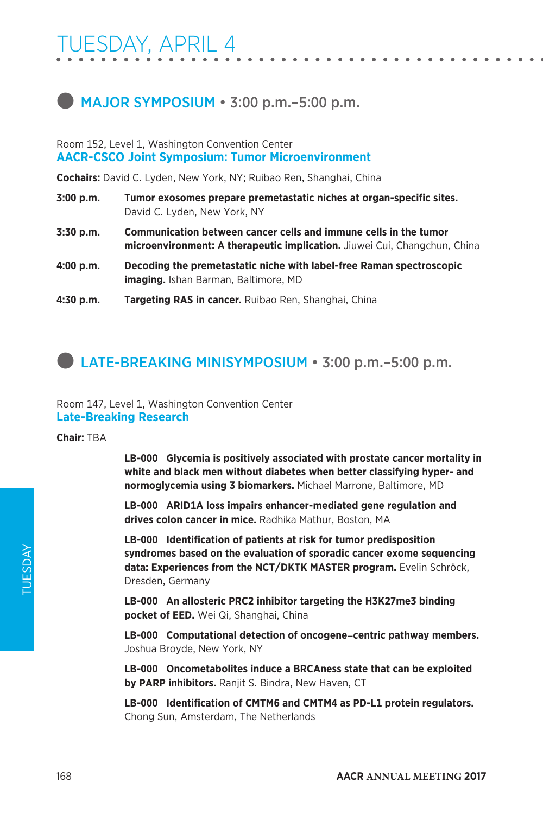### **MAJOR SYMPOSIUM • 3:00 p.m.–5:00 p.m.**

#### Room 152, Level 1, Washington Convention Center **AACR-CSCO Joint Symposium: Tumor Microenvironment**

**Cochairs:** David C. Lyden, New York, NY; Ruibao Ren, Shanghai, China

- **3:00 p.m. Tumor exosomes prepare premetastatic niches at organ-specific sites.**  David C. Lyden, New York, NY
- **3:30 p.m. Communication between cancer cells and immune cells in the tumor microenvironment: A therapeutic implication.** Jiuwei Cui, Changchun, China
- **4:00 p.m. Decoding the premetastatic niche with label-free Raman spectroscopic imaging.** Ishan Barman, Baltimore, MD
- **4:30 p.m. Targeting RAS in cancer.** Ruibao Ren, Shanghai, China

### **LATE-BREAKING MINISYMPOSIUM • 3:00 p.m.–5:00 p.m.**

Room 147, Level 1, Washington Convention Center **Late-Breaking Research**

**Chair:** TBA

**LB-000 Glycemia is positively associated with prostate cancer mortality in white and black men without diabetes when better classifying hyper- and normoglycemia using 3 biomarkers.** Michael Marrone, Baltimore, MD

**LB-000 ARID1A loss impairs enhancer-mediated gene regulation and drives colon cancer in mice.** Radhika Mathur, Boston, MA

**LB-000 Identification of patients at risk for tumor predisposition syndromes based on the evaluation of sporadic cancer exome sequencing data: Experiences from the NCT/DKTK MASTER program.** Evelin Schröck, Dresden, Germany

**LB-000 An allosteric PRC2 inhibitor targeting the H3K27me3 binding pocket of EED.** Wei Qi, Shanghai, China

**LB-000 Computational detection of oncogene**-**centric pathway members.** Joshua Broyde, New York, NY

**LB-000 Oncometabolites induce a BRCAness state that can be exploited by PARP inhibitors.** Ranjit S. Bindra, New Haven, CT

**LB-000 Identification of CMTM6 and CMTM4 as PD-L1 protein regulators.** Chong Sun, Amsterdam, The Netherlands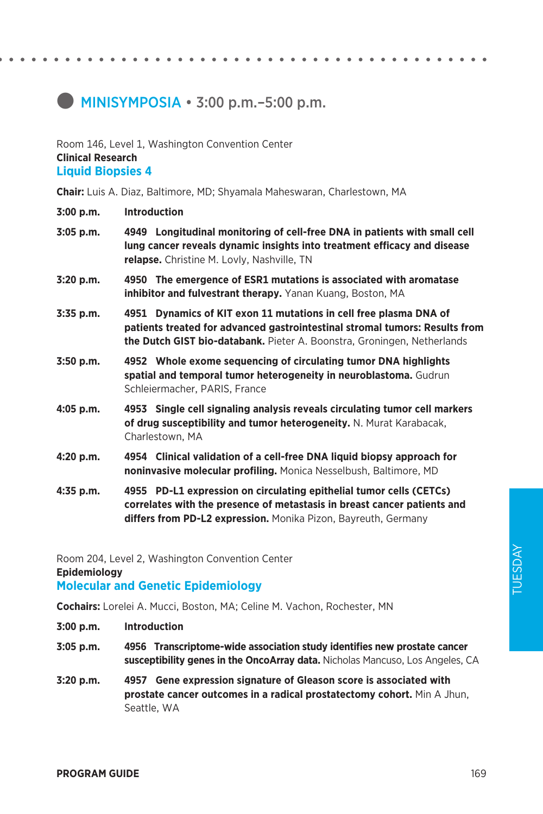### $\blacksquare$  MINISYMPOSIA  $\cdot$  3:00 p.m.–5:00 p.m.

#### Room 146, Level 1, Washington Convention Center **Clinical Research Liquid Biopsies 4**

**Chair:** Luis A. Diaz, Baltimore, MD; Shyamala Maheswaran, Charlestown, MA

- **3:05 p.m. 4949 Longitudinal monitoring of cell-free DNA in patients with small cell lung cancer reveals dynamic insights into treatment efficacy and disease relapse.** Christine M. Lovly, Nashville, TN
- **3:20 p.m. 4950 The emergence of ESR1 mutations is associated with aromatase inhibitor and fulvestrant therapy.** Yanan Kuang, Boston, MA
- **3:35 p.m. 4951 Dynamics of KIT exon 11 mutations in cell free plasma DNA of patients treated for advanced gastrointestinal stromal tumors: Results from the Dutch GIST bio-databank.** Pieter A. Boonstra, Groningen, Netherlands
- **3:50 p.m. 4952 Whole exome sequencing of circulating tumor DNA highlights spatial and temporal tumor heterogeneity in neuroblastoma.** Gudrun Schleiermacher, PARIS, France
- **4:05 p.m. 4953 Single cell signaling analysis reveals circulating tumor cell markers of drug susceptibility and tumor heterogeneity.** N. Murat Karabacak, Charlestown, MA
- **4:20 p.m. 4954 Clinical validation of a cell-free DNA liquid biopsy approach for noninvasive molecular profiling.** Monica Nesselbush, Baltimore, MD
- **4:35 p.m. 4955 PD-L1 expression on circulating epithelial tumor cells (CETCs) correlates with the presence of metastasis in breast cancer patients and differs from PD-L2 expression.** Monika Pizon, Bayreuth, Germany

Room 204, Level 2, Washington Convention Center

**Epidemiology**

#### **Molecular and Genetic Epidemiology**

**Cochairs:** Lorelei A. Mucci, Boston, MA; Celine M. Vachon, Rochester, MN

- **3:00 p.m. Introduction**
- **3:05 p.m. 4956 Transcriptome-wide association study identifies new prostate cancer susceptibility genes in the OncoArray data.** Nicholas Mancuso, Los Angeles, CA
- **3:20 p.m. 4957 Gene expression signature of Gleason score is associated with prostate cancer outcomes in a radical prostatectomy cohort.** Min A Jhun, Seattle, WA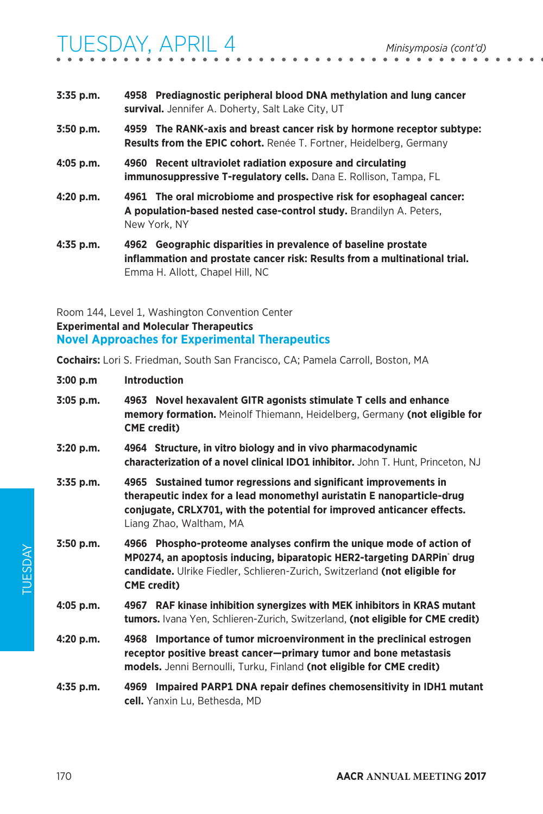| 3:35 p.m.   | 4958 Prediagnostic peripheral blood DNA methylation and lung cancer<br>survival. Jennifer A. Doherty, Salt Lake City, UT                                   |
|-------------|------------------------------------------------------------------------------------------------------------------------------------------------------------|
| $3:50$ p.m. | 4959 The RANK-axis and breast cancer risk by hormone receptor subtype:<br><b>Results from the EPIC cohort.</b> Renée T. Fortner, Heidelberg, Germany       |
| $4:05$ p.m. | 4960 Recent ultraviolet radiation exposure and circulating<br><b>immunosuppressive T-regulatory cells.</b> Dana E. Rollison, Tampa, FL                     |
| 4:20 p.m.   | 4961 The oral microbiome and prospective risk for esophageal cancer:<br>A population-based nested case-control study. Brandilyn A. Peters,<br>New York, NY |
| $4:35$ p.m. | Geographic disparities in prevalence of baseline prostate<br>4962                                                                                          |

**inflammation and prostate cancer risk: Results from a multinational trial.**  Emma H. Allott, Chapel Hill, NC

### Room 144, Level 1, Washington Convention Center **Experimental and Molecular Therapeutics Novel Approaches for Experimental Therapeutics**

**Cochairs:** Lori S. Friedman, South San Francisco, CA; Pamela Carroll, Boston, MA

| 3:00 p.m    | <b>Introduction</b>                                                                                                                                                                                                                                           |
|-------------|---------------------------------------------------------------------------------------------------------------------------------------------------------------------------------------------------------------------------------------------------------------|
| $3:05$ p.m. | 4963 Novel hexavalent GITR agonists stimulate T cells and enhance<br>memory formation. Meinolf Thiemann, Heidelberg, Germany (not eligible for<br><b>CME</b> credit)                                                                                          |
| $3:20$ p.m. | 4964 Structure, in vitro biology and in vivo pharmacodynamic<br>characterization of a novel clinical IDO1 inhibitor. John T. Hunt, Princeton, NJ                                                                                                              |
| 3:35 p.m.   | 4965 Sustained tumor regressions and significant improvements in<br>therapeutic index for a lead monomethyl auristatin E nanoparticle-drug<br>conjugate, CRLX701, with the potential for improved anticancer effects.<br>Liang Zhao, Waltham, MA              |
| $3:50$ p.m. | 4966 Phospho-proteome analyses confirm the unique mode of action of<br>MP0274, an apoptosis inducing, biparatopic HER2-targeting DARPin <sup>*</sup> drug<br>candidate. Ulrike Fiedler, Schlieren-Zurich, Switzerland (not eligible for<br><b>CME</b> credit) |
| $4:05$ p.m. | 4967 RAF kinase inhibition synergizes with MEK inhibitors in KRAS mutant<br>tumors. Ivana Yen, Schlieren-Zurich, Switzerland, (not eligible for CME credit)                                                                                                   |
| 4:20 p.m.   | 4968 Importance of tumor microenvironment in the preclinical estrogen<br>receptor positive breast cancer-primary tumor and bone metastasis<br>models. Jenni Bernoulli, Turku, Finland (not eligible for CME credit)                                           |
| 4:35 p.m.   | 4969 Impaired PARP1 DNA repair defines chemosensitivity in IDH1 mutant<br>cell. Yanxin Lu, Bethesda, MD                                                                                                                                                       |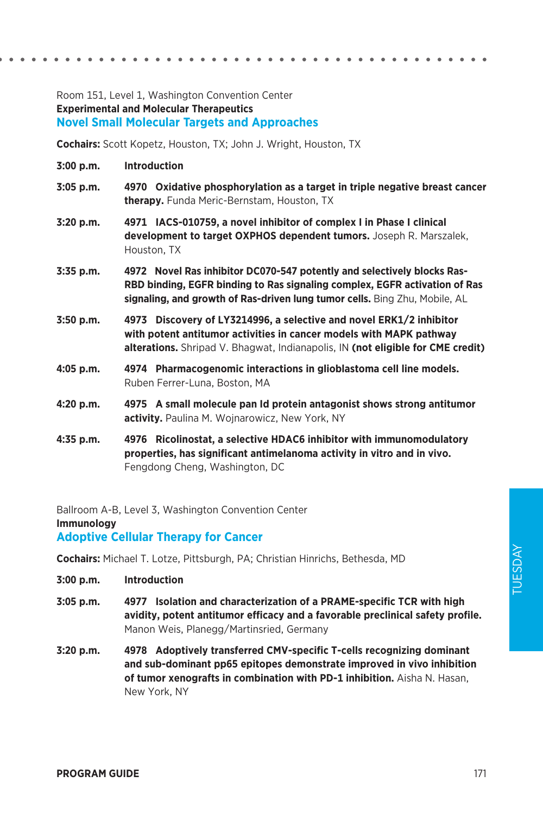#### Room 151, Level 1, Washington Convention Center **Experimental and Molecular Therapeutics Novel Small Molecular Targets and Approaches**

**Cochairs:** Scott Kopetz, Houston, TX; John J. Wright, Houston, TX

- **3:00 p.m. Introduction**
- **3:05 p.m. 4970 Oxidative phosphorylation as a target in triple negative breast cancer therapy.** Funda Meric-Bernstam, Houston, TX
- **3:20 p.m. 4971 IACS-010759, a novel inhibitor of complex I in Phase I clinical development to target OXPHOS dependent tumors.** Joseph R. Marszalek, Houston, TX
- **3:35 p.m. 4972 Novel Ras inhibitor DC070-547 potently and selectively blocks Ras-RBD binding, EGFR binding to Ras signaling complex, EGFR activation of Ras signaling, and growth of Ras-driven lung tumor cells.** Bing Zhu, Mobile, AL
- **3:50 p.m. 4973 Discovery of LY3214996, a selective and novel ERK1/2 inhibitor with potent antitumor activities in cancer models with MAPK pathway alterations.** Shripad V. Bhagwat, Indianapolis, IN **(not eligible for CME credit)**
- **4:05 p.m. 4974 Pharmacogenomic interactions in glioblastoma cell line models.**  Ruben Ferrer-Luna, Boston, MA
- **4:20 p.m. 4975 A small molecule pan Id protein antagonist shows strong antitumor activity.** Paulina M. Wojnarowicz, New York, NY
- **4:35 p.m. 4976 Ricolinostat, a selective HDAC6 inhibitor with immunomodulatory properties, has significant antimelanoma activity in vitro and in vivo.**  Fengdong Cheng, Washington, DC

Ballroom A-B, Level 3, Washington Convention Center

**Immunology**

#### **Adoptive Cellular Therapy for Cancer**

**Cochairs:** Michael T. Lotze, Pittsburgh, PA; Christian Hinrichs, Bethesda, MD

- **3:00 p.m. Introduction**
- **3:05 p.m. 4977 Isolation and characterization of a PRAME-specific TCR with high avidity, potent antitumor efficacy and a favorable preclinical safety profile.**  Manon Weis, Planegg/Martinsried, Germany
- **3:20 p.m. 4978 Adoptively transferred CMV-specific T-cells recognizing dominant and sub-dominant pp65 epitopes demonstrate improved in vivo inhibition of tumor xenografts in combination with PD-1 inhibition.** Aisha N. Hasan, New York, NY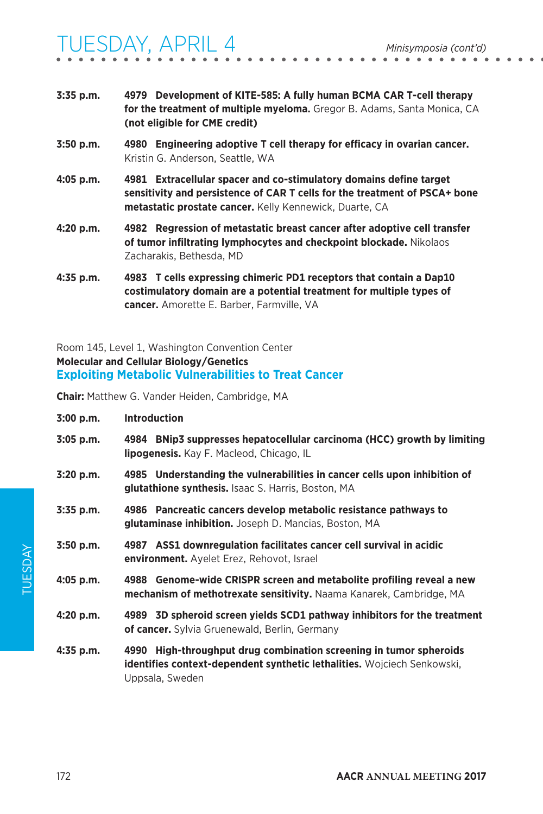- **3:35 p.m. 4979 Development of KITE-585: A fully human BCMA CAR T-cell therapy for the treatment of multiple myeloma.** Gregor B. Adams, Santa Monica, CA **(not eligible for CME credit) 3:50 p.m. 4980 Engineering adoptive T cell therapy for efficacy in ovarian cancer.**
- **4:05 p.m. 4981 Extracellular spacer and co-stimulatory domains define target sensitivity and persistence of CAR T cells for the treatment of PSCA+ bone metastatic prostate cancer.** Kelly Kennewick, Duarte, CA
- **4:20 p.m. 4982 Regression of metastatic breast cancer after adoptive cell transfer of tumor infiltrating lymphocytes and checkpoint blockade.** Nikolaos Zacharakis, Bethesda, MD
- **4:35 p.m. 4983 T cells expressing chimeric PD1 receptors that contain a Dap10 costimulatory domain are a potential treatment for multiple types of cancer.** Amorette E. Barber, Farmville, VA

### Room 145, Level 1, Washington Convention Center **Molecular and Cellular Biology/Genetics Exploiting Metabolic Vulnerabilities to Treat Cancer**

Kristin G. Anderson, Seattle, WA

**Chair:** Matthew G. Vander Heiden, Cambridge, MA

| 3:00 p.m.   | <b>Introduction</b>                                                                                                                                                     |
|-------------|-------------------------------------------------------------------------------------------------------------------------------------------------------------------------|
| $3:05$ p.m. | 4984 BNip3 suppresses hepatocellular carcinoma (HCC) growth by limiting<br><b>lipogenesis.</b> Kay F. Macleod, Chicago, IL                                              |
| $3:20$ p.m. | 4985 Understanding the vulnerabilities in cancer cells upon inhibition of<br>glutathione synthesis. Isaac S. Harris, Boston, MA                                         |
| $3:35$ p.m. | 4986 Pancreatic cancers develop metabolic resistance pathways to<br>glutaminase inhibition. Joseph D. Mancias, Boston, MA                                               |
| $3:50$ p.m. | 4987 ASS1 downregulation facilitates cancer cell survival in acidic<br>environment. Ayelet Erez, Rehovot, Israel                                                        |
| $4:05$ p.m. | 4988 Genome-wide CRISPR screen and metabolite profiling reveal a new<br>mechanism of methotrexate sensitivity. Naama Kanarek, Cambridge, MA                             |
| 4:20 p.m.   | 4989 3D spheroid screen yields SCD1 pathway inhibitors for the treatment<br>of cancer. Sylvia Gruenewald, Berlin, Germany                                               |
| $4:35$ p.m. | 4990 High-throughput drug combination screening in tumor spheroids<br><b>identifies context-dependent synthetic lethalities.</b> Wojciech Senkowski,<br>Uppsala, Sweden |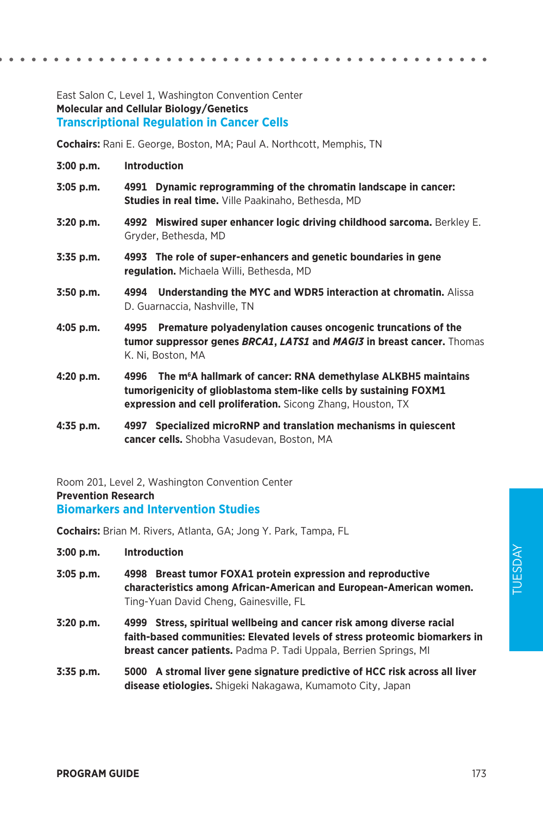#### East Salon C, Level 1, Washington Convention Center **Molecular and Cellular Biology/Genetics Transcriptional Regulation in Cancer Cells**

**Cochairs:** Rani E. George, Boston, MA; Paul A. Northcott, Memphis, TN

- **3:00 p.m. Introduction**
- **3:05 p.m. 4991 Dynamic reprogramming of the chromatin landscape in cancer: Studies in real time.** Ville Paakinaho, Bethesda, MD
- **3:20 p.m. 4992 Miswired super enhancer logic driving childhood sarcoma.** Berkley E. Gryder, Bethesda, MD
- **3:35 p.m. 4993 The role of super-enhancers and genetic boundaries in gene regulation.** Michaela Willi, Bethesda, MD
- **3:50 p.m. 4994 Understanding the MYC and WDR5 interaction at chromatin.** Alissa D. Guarnaccia, Nashville, TN
- **4:05 p.m. 4995 Premature polyadenylation causes oncogenic truncations of the tumor suppressor genes** *BRCA1***,** *LATS1* **and** *MAGI3* **in breast cancer.** Thomas K. Ni, Boston, MA
- **4:20 p.m. 4996 The m6 A hallmark of cancer: RNA demethylase ALKBH5 maintains tumorigenicity of glioblastoma stem-like cells by sustaining FOXM1 expression and cell proliferation.** Sicong Zhang, Houston, TX
- **4:35 p.m. 4997 Specialized microRNP and translation mechanisms in quiescent cancer cells.** Shobha Vasudevan, Boston, MA

Room 201, Level 2, Washington Convention Center **Prevention Research Biomarkers and Intervention Studies**

**Cochairs:** Brian M. Rivers, Atlanta, GA; Jong Y. Park, Tampa, FL

- **3:00 p.m. Introduction**
- **3:05 p.m. 4998 Breast tumor FOXA1 protein expression and reproductive characteristics among African-American and European-American women.**  Ting-Yuan David Cheng, Gainesville, FL
- **3:20 p.m. 4999 Stress, spiritual wellbeing and cancer risk among diverse racial faith-based communities: Elevated levels of stress proteomic biomarkers in breast cancer patients.** Padma P. Tadi Uppala, Berrien Springs, MI
- **3:35 p.m. 5000 A stromal liver gene signature predictive of HCC risk across all liver disease etiologies.** Shigeki Nakagawa, Kumamoto City, Japan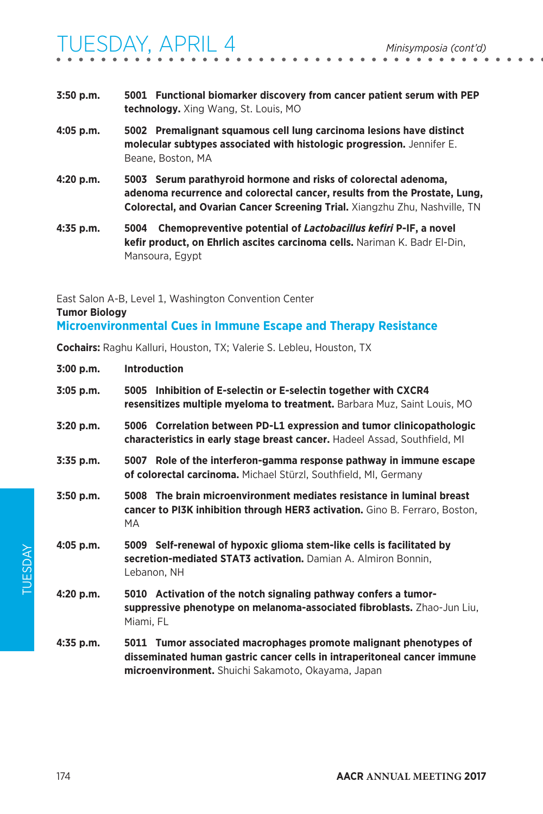- **3:50 p.m. 5001 Functional biomarker discovery from cancer patient serum with PEP technology.** Xing Wang, St. Louis, MO **4:05 p.m. 5002 Premalignant squamous cell lung carcinoma lesions have distinct molecular subtypes associated with histologic progression.** Jennifer E. Beane, Boston, MA
- **4:20 p.m. 5003 Serum parathyroid hormone and risks of colorectal adenoma, adenoma recurrence and colorectal cancer, results from the Prostate, Lung, Colorectal, and Ovarian Cancer Screening Trial.** Xiangzhu Zhu, Nashville, TN
- **4:35 p.m. 5004 Chemopreventive potential of** *Lactobacillus kefiri* **P-IF, a novel kefir product, on Ehrlich ascites carcinoma cells.** Nariman K. Badr El-Din, Mansoura, Egypt

East Salon A-B, Level 1, Washington Convention Center **Tumor Biology Microenvironmental Cues in Immune Escape and Therapy Resistance**

**Cochairs:** Raghu Kalluri, Houston, TX; Valerie S. Lebleu, Houston, TX

| 3:00 p.m.   | <b>Introduction</b>                                                                                                                                                                                 |
|-------------|-----------------------------------------------------------------------------------------------------------------------------------------------------------------------------------------------------|
| $3:05$ p.m. | 5005 Inhibition of E-selectin or E-selectin together with CXCR4<br>resensitizes multiple myeloma to treatment. Barbara Muz, Saint Louis, MO                                                         |
| $3:20$ p.m. | 5006 Correlation between PD-L1 expression and tumor clinicopathologic<br>characteristics in early stage breast cancer. Hadeel Assad, Southfield, MI                                                 |
| 3:35 p.m.   | 5007 Role of the interferon-gamma response pathway in immune escape<br>of colorectal carcinoma. Michael Stürzl, Southfield, MI, Germany                                                             |
| $3:50$ p.m. | 5008 The brain microenvironment mediates resistance in luminal breast<br><b>cancer to PI3K inhibition through HER3 activation.</b> Gino B. Ferraro, Boston,<br>MA.                                  |
| 4:05 p.m.   | 5009 Self-renewal of hypoxic glioma stem-like cells is facilitated by<br>secretion-mediated STAT3 activation. Damian A. Almiron Bonnin,<br>Lebanon, NH                                              |
| 4:20 p.m.   | 5010 Activation of the notch signaling pathway confers a tumor-<br>suppressive phenotype on melanoma-associated fibroblasts. Zhao-Jun Liu,<br>Miami, FL                                             |
| $4:35$ p.m. | 5011 Tumor associated macrophages promote malignant phenotypes of<br>disseminated human gastric cancer cells in intraperitoneal cancer immune<br>microenvironment. Shuichi Sakamoto, Okayama, Japan |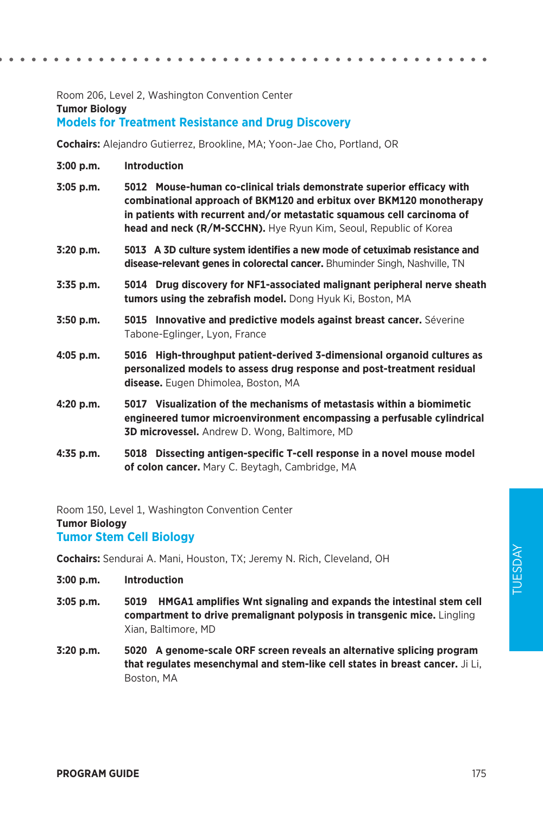Room 206, Level 2, Washington Convention Center **Tumor Biology Models for Treatment Resistance and Drug Discovery**

**Cochairs:** Alejandro Gutierrez, Brookline, MA; Yoon-Jae Cho, Portland, OR

- **3:00 p.m. Introduction**
- **3:05 p.m. 5012 Mouse-human co-clinical trials demonstrate superior efficacy with combinational approach of BKM120 and erbitux over BKM120 monotherapy in patients with recurrent and/or metastatic squamous cell carcinoma of head and neck (R/M-SCCHN).** Hye Ryun Kim, Seoul, Republic of Korea
- **3:20 p.m. 5013 A 3D culture system identifies a new mode of cetuximab resistance and disease-relevant genes in colorectal cancer.** Bhuminder Singh, Nashville, TN
- **3:35 p.m. 5014 Drug discovery for NF1-associated malignant peripheral nerve sheath tumors using the zebrafish model.** Dong Hyuk Ki, Boston, MA
- **3:50 p.m. 5015 Innovative and predictive models against breast cancer.** Séverine Tabone-Eglinger, Lyon, France
- **4:05 p.m. 5016 High-throughput patient-derived 3-dimensional organoid cultures as personalized models to assess drug response and post-treatment residual disease.** Eugen Dhimolea, Boston, MA
- **4:20 p.m. 5017 Visualization of the mechanisms of metastasis within a biomimetic engineered tumor microenvironment encompassing a perfusable cylindrical 3D microvessel.** Andrew D. Wong, Baltimore, MD
- **4:35 p.m. 5018 Dissecting antigen-specific T-cell response in a novel mouse model of colon cancer.** Mary C. Beytagh, Cambridge, MA

Room 150, Level 1, Washington Convention Center

**Tumor Biology**

**Tumor Stem Cell Biology**

**Cochairs:** Sendurai A. Mani, Houston, TX; Jeremy N. Rich, Cleveland, OH

- **3:00 p.m. Introduction**
- **3:05 p.m. 5019 HMGA1 amplifies Wnt signaling and expands the intestinal stem cell compartment to drive premalignant polyposis in transgenic mice.** Lingling Xian, Baltimore, MD
- **3:20 p.m. 5020 A genome-scale ORF screen reveals an alternative splicing program that regulates mesenchymal and stem-like cell states in breast cancer.** Ji Li, Boston, MA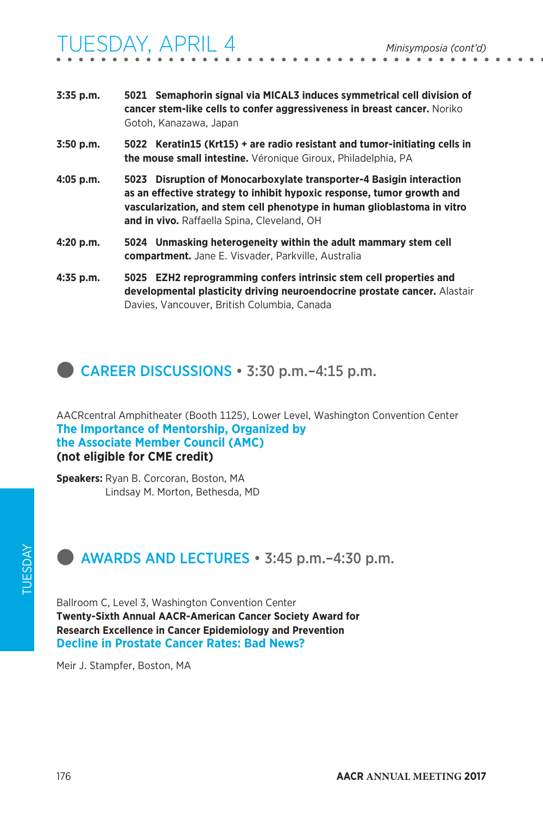| 3:35 p.m.   | 5021 Semaphorin signal via MICAL3 induces symmetrical cell division of<br>cancer stem-like cells to confer aggressiveness in breast cancer. Noriko<br>Gotoh, Kanazawa, Japan                                              |
|-------------|---------------------------------------------------------------------------------------------------------------------------------------------------------------------------------------------------------------------------|
| $3:50$ p.m. | 5022 Keratin15 (Krt15) + are radio resistant and tumor-initiating cells in<br>the mouse small intestine. Véronique Giroux, Philadelphia, PA                                                                               |
| $4:05$ p.m. | 5023 Disruption of Monocarboxylate transporter-4 Basigin interaction<br>as an effective strategy to inhibit hypoxic response, tumor growth and<br>vascularization, and stem cell phenotype in human glioblastoma in vitro |

- **4:20 p.m. 5024 Unmasking heterogeneity within the adult mammary stem cell compartment.** Jane E. Visvader, Parkville, Australia
- **4:35 p.m. 5025 EZH2 reprogramming confers intrinsic stem cell properties and developmental plasticity driving neuroendocrine prostate cancer.** Alastair Davies, Vancouver, British Columbia, Canada

### **CAREER DISCUSSIONS • 3:30 p.m. -4:15 p.m.**

**and in vivo.** Raffaella Spina, Cleveland, OH

AACRcentral Amphitheater (Booth 1125), Lower Level, Washington Convention Center **The Importance of Mentorship, Organized by the Associate Member Council (AMC) (not eligible for CME credit)**

**Speakers:** Ryan B. Corcoran, Boston, MA Lindsay M. Morton, Bethesda, MD

### **external AWARDS AND LECTURES • 3:45 p.m. –4:30 p.m.**

Ballroom C, Level 3, Washington Convention Center **Twenty-Sixth Annual AACR-American Cancer Society Award for Research Excellence in Cancer Epidemiology and Prevention Decline in Prostate Cancer Rates: Bad News?** 

Meir J. Stampfer, Boston, MA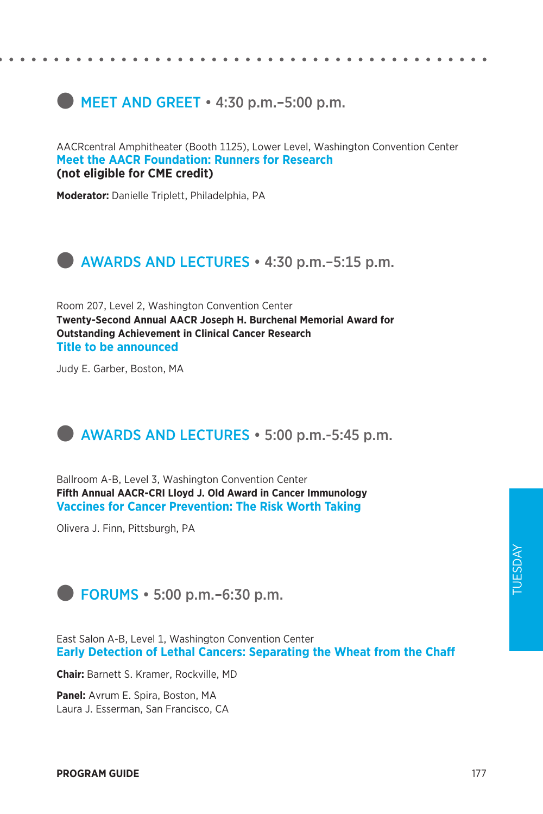### $\bullet$  MEET AND GREET  $\cdot$  4:30 p.m. –5:00 p.m.

AACRcentral Amphitheater (Booth 1125), Lower Level, Washington Convention Center **Meet the AACR Foundation: Runners for Research (not eligible for CME credit)**

**Moderator:** Danielle Triplett, Philadelphia, PA



Room 207, Level 2, Washington Convention Center **Twenty-Second Annual AACR Joseph H. Burchenal Memorial Award for Outstanding Achievement in Clinical Cancer Research Title to be announced**

Judy E. Garber, Boston, MA

### **external AWARDS AND LECTURES • 5:00 p.m.-5:45 p.m.**

Ballroom A-B, Level 3, Washington Convention Center **Fifth Annual AACR-CRI Lloyd J. Old Award in Cancer Immunology Vaccines for Cancer Prevention: The Risk Worth Taking**

Olivera J. Finn, Pittsburgh, PA



East Salon A-B, Level 1, Washington Convention Center **Early Detection of Lethal Cancers: Separating the Wheat from the Chaff**

**Chair:** Barnett S. Kramer, Rockville, MD

**Panel:** Avrum E. Spira, Boston, MA Laura J. Esserman, San Francisco, CA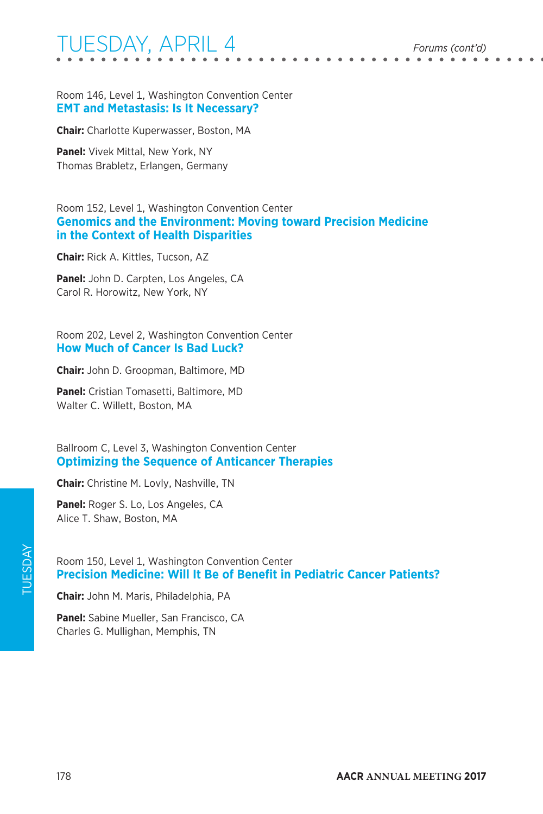Room 146, Level 1, Washington Convention Center **EMT and Metastasis: Is It Necessary?**

**Chair:** Charlotte Kuperwasser, Boston, MA

**Panel:** Vivek Mittal, New York, NY Thomas Brabletz, Erlangen, Germany

Room 152, Level 1, Washington Convention Center **Genomics and the Environment: Moving toward Precision Medicine in the Context of Health Disparities**

**Chair:** Rick A. Kittles, Tucson, AZ

**Panel:** John D. Carpten, Los Angeles, CA Carol R. Horowitz, New York, NY

Room 202, Level 2, Washington Convention Center **How Much of Cancer Is Bad Luck?**

**Chair:** John D. Groopman, Baltimore, MD

**Panel:** Cristian Tomasetti, Baltimore, MD Walter C. Willett, Boston, MA

Ballroom C, Level 3, Washington Convention Center **Optimizing the Sequence of Anticancer Therapies**

**Chair:** Christine M. Lovly, Nashville, TN

**Panel:** Roger S. Lo, Los Angeles, CA Alice T. Shaw, Boston, MA

Room 150, Level 1, Washington Convention Center **Precision Medicine: Will It Be of Benefit in Pediatric Cancer Patients?**

**Chair:** John M. Maris, Philadelphia, PA

**Panel:** Sabine Mueller, San Francisco, CA Charles G. Mullighan, Memphis, TN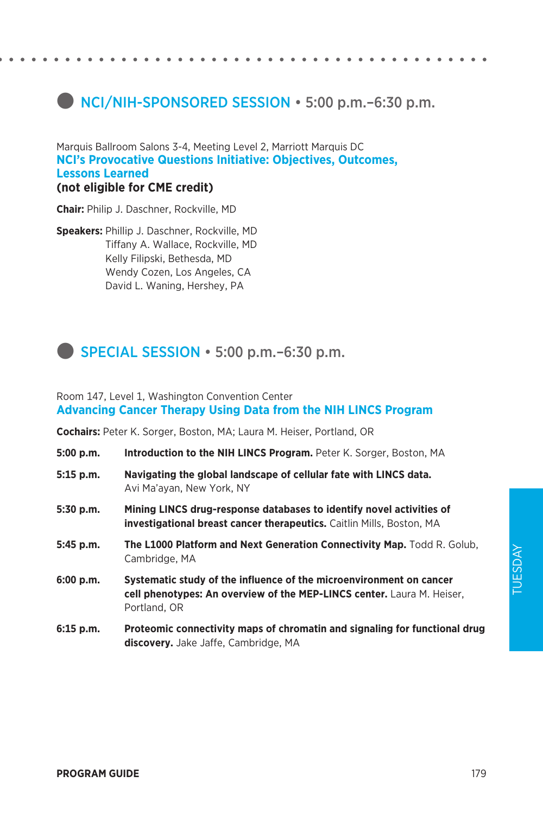### **NCI/NIH-SPONSORED SESSION • 5:00 p.m.–6:30 p.m.**

Marquis Ballroom Salons 3-4, Meeting Level 2, Marriott Marquis DC **NCI's Provocative Questions Initiative: Objectives, Outcomes, Lessons Learned (not eligible for CME credit)**

**Chair:** Philip J. Daschner, Rockville, MD

**Speakers:** Phillip J. Daschner, Rockville, MD Tiffany A. Wallace, Rockville, MD Kelly Filipski, Bethesda, MD Wendy Cozen, Los Angeles, CA David L. Waning, Hershey, PA



#### Room 147, Level 1, Washington Convention Center **Advancing Cancer Therapy Using Data from the NIH LINCS Program**

**Cochairs:** Peter K. Sorger, Boston, MA; Laura M. Heiser, Portland, OR

- **5:00 p.m. Introduction to the NIH LINCS Program.** Peter K. Sorger, Boston, MA
- **5:15 p.m. Navigating the global landscape of cellular fate with LINCS data.**  Avi Ma'ayan, New York, NY
- **5:30 p.m. Mining LINCS drug-response databases to identify novel activities of investigational breast cancer therapeutics.** Caitlin Mills, Boston, MA
- **5:45 p.m. The L1000 Platform and Next Generation Connectivity Map.** Todd R. Golub, Cambridge, MA
- **6:00 p.m. Systematic study of the influence of the microenvironment on cancer cell phenotypes: An overview of the MEP-LINCS center.** Laura M. Heiser, Portland, OR
- **6:15 p.m. Proteomic connectivity maps of chromatin and signaling for functional drug discovery.** Jake Jaffe, Cambridge, MA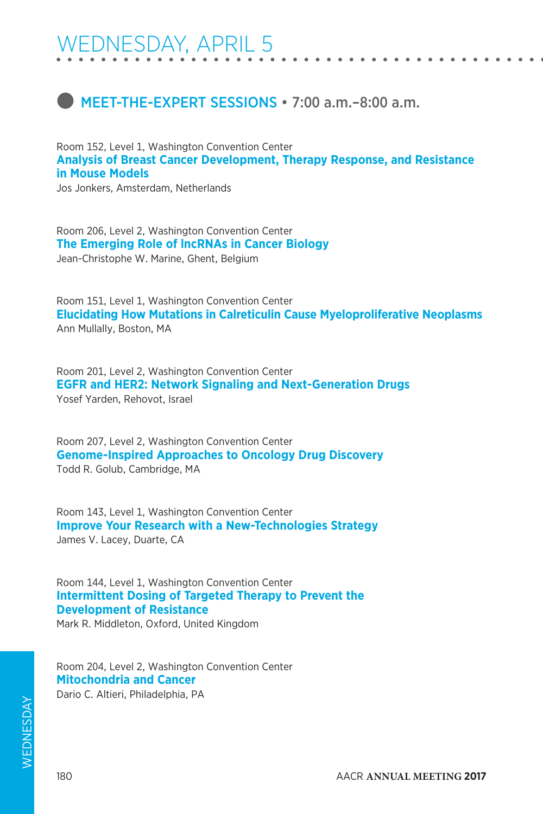### **C** MEET-THE-EXPERT SESSIONS • 7:00 a.m. –8:00 a.m.

Room 152, Level 1, Washington Convention Center **Analysis of Breast Cancer Development, Therapy Response, and Resistance in Mouse Models**

Jos Jonkers, Amsterdam, Netherlands

Room 206, Level 2, Washington Convention Center **The Emerging Role of lncRNAs in Cancer Biology**  Jean-Christophe W. Marine, Ghent, Belgium

Room 151, Level 1, Washington Convention Center **Elucidating How Mutations in Calreticulin Cause Myeloproliferative Neoplasms** Ann Mullally, Boston, MA

Room 201, Level 2, Washington Convention Center **EGFR and HER2: Network Signaling and Next-Generation Drugs** Yosef Yarden, Rehovot, Israel

Room 207, Level 2, Washington Convention Center **Genome-Inspired Approaches to Oncology Drug Discovery** Todd R. Golub, Cambridge, MA

Room 143, Level 1, Washington Convention Center **Improve Your Research with a New-Technologies Strategy** James V. Lacey, Duarte, CA

Room 144, Level 1, Washington Convention Center **Intermittent Dosing of Targeted Therapy to Prevent the Development of Resistance**

Mark R. Middleton, Oxford, United Kingdom

Room 204, Level 2, Washington Convention Center **Mitochondria and Cancer** Dario C. Altieri, Philadelphia, PA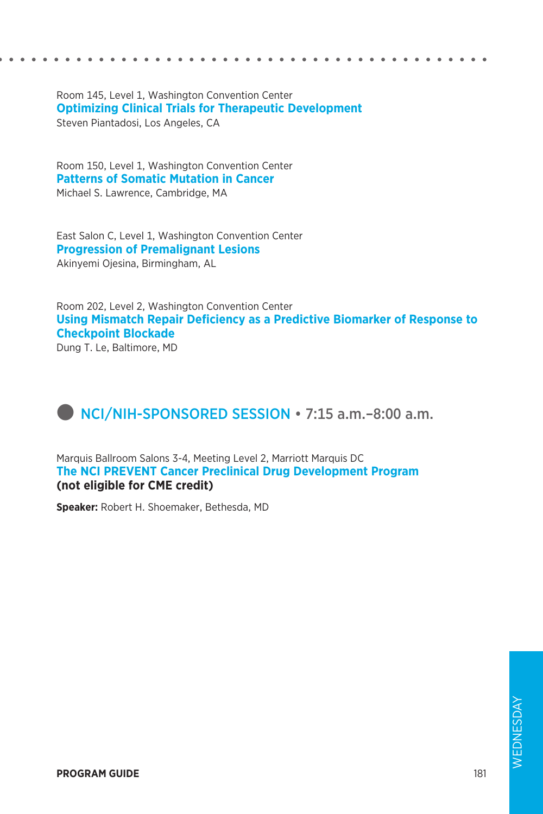Room 145, Level 1, Washington Convention Center **Optimizing Clinical Trials for Therapeutic Development** Steven Piantadosi, Los Angeles, CA

Room 150, Level 1, Washington Convention Center **Patterns of Somatic Mutation in Cancer** Michael S. Lawrence, Cambridge, MA

East Salon C, Level 1, Washington Convention Center **Progression of Premalignant Lesions** Akinyemi Ojesina, Birmingham, AL

Room 202, Level 2, Washington Convention Center **Using Mismatch Repair Deficiency as a Predictive Biomarker of Response to Checkpoint Blockade**

Dung T. Le, Baltimore, MD

## **D** NCI/NIH-SPONSORED SESSION • 7:15 a.m. -8:00 a.m.

Marquis Ballroom Salons 3-4, Meeting Level 2, Marriott Marquis DC **The NCI PREVENT Cancer Preclinical Drug Development Program (not eligible for CME credit)**

**Speaker:** Robert H. Shoemaker, Bethesda, MD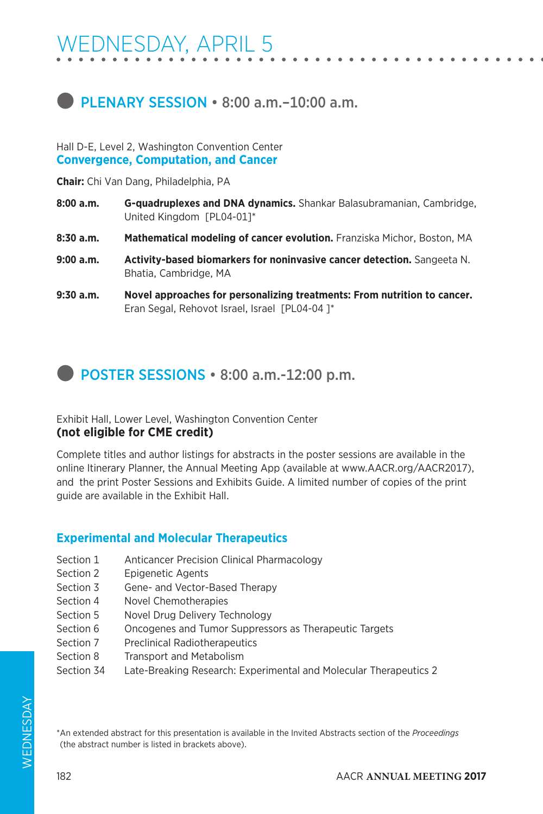### **D** PLENARY SESSION • 8:00 a.m. - 10:00 a.m.

Hall D-E, Level 2, Washington Convention Center **Convergence, Computation, and Cancer**

**Chair:** Chi Van Dang, Philadelphia, PA

- **8:00 a.m. G-quadruplexes and DNA dynamics.** Shankar Balasubramanian, Cambridge, United Kingdom [PL04-01]\*
- **8:30 a.m. Mathematical modeling of cancer evolution.** Franziska Michor, Boston, MA
- **9:00 a.m. Activity-based biomarkers for noninvasive cancer detection.** Sangeeta N. Bhatia, Cambridge, MA
- **9:30 a.m. Novel approaches for personalizing treatments: From nutrition to cancer.**  Eran Segal, Rehovot Israel, Israel [PL04-04 ]\*

**D** POSTER SESSIONS • 8:00 a.m.-12:00 p.m.

Exhibit Hall, Lower Level, Washington Convention Center **(not eligible for CME credit)**

Complete titles and author listings for abstracts in the poster sessions are available in the online Itinerary Planner, the Annual Meeting App (available at www.AACR.org/AACR2017), and the print Poster Sessions and Exhibits Guide. A limited number of copies of the print guide are available in the Exhibit Hall.

### **Experimental and Molecular Therapeutics**

- Section 1 Anticancer Precision Clinical Pharmacology
- Section 2 Epigenetic Agents
- Section 3 Gene- and Vector-Based Therapy
- Section 4 Novel Chemotherapies
- Section 5 Novel Drug Delivery Technology
- Section 6 Oncogenes and Tumor Suppressors as Therapeutic Targets
- Section 7 Preclinical Radiotherapeutics
- Section 8 Transport and Metabolism
- Section 34 Late-Breaking Research: Experimental and Molecular Therapeutics 2

\*An extended abstract for this presentation is available in the Invited Abstracts section of the *Proceedings*  (the abstract number is listed in brackets above).

182 AACR **ANNUAL MEETING 2017**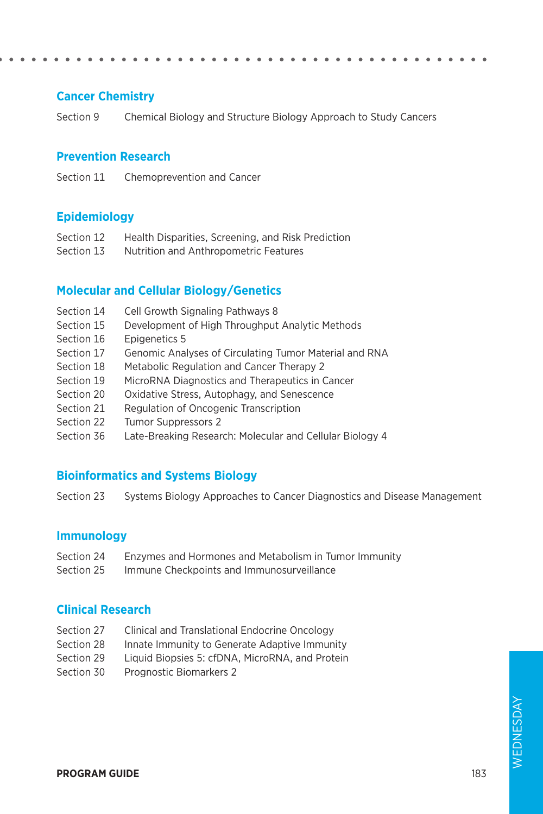### **Cancer Chemistry**

Section 9 Chemical Biology and Structure Biology Approach to Study Cancers

#### **Prevention Research**

Section 11 Chemoprevention and Cancer

#### **Epidemiology**

- Section 12 Health Disparities, Screening, and Risk Prediction
- Section 13 Nutrition and Anthropometric Features

#### **Molecular and Cellular Biology/Genetics**

- Section 14 Cell Growth Signaling Pathways 8
- Section 15 Development of High Throughput Analytic Methods
- Section 16 Epigenetics 5
- Section 17 Genomic Analyses of Circulating Tumor Material and RNA
- Section 18 Metabolic Regulation and Cancer Therapy 2
- Section 19 MicroRNA Diagnostics and Therapeutics in Cancer
- Section 20 Oxidative Stress, Autophagy, and Senescence
- Section 21 Regulation of Oncogenic Transcription
- Section 22 Tumor Suppressors 2
- Section 36 Late-Breaking Research: Molecular and Cellular Biology 4

#### **Bioinformatics and Systems Biology**

Section 23 Systems Biology Approaches to Cancer Diagnostics and Disease Management

#### **Immunology**

- Section 24 Enzymes and Hormones and Metabolism in Tumor Immunity
- Section 25 Immune Checkpoints and Immunosurveillance

#### **Clinical Research**

- Section 27 Clinical and Translational Endocrine Oncology
- Section 28 Innate Immunity to Generate Adaptive Immunity
- Section 29 Liquid Biopsies 5: cfDNA, MicroRNA, and Protein
- Section 30 Prognostic Biomarkers 2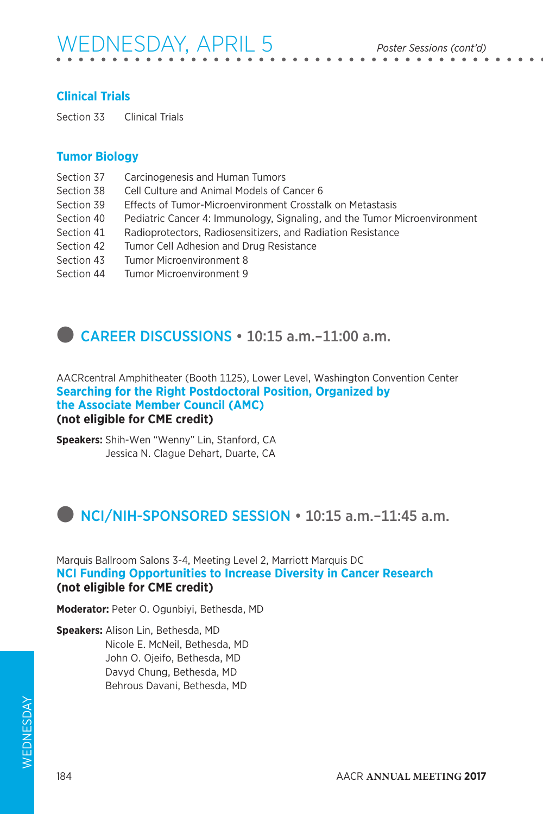# WEDNESDAY, APRIL 5 *Poster Sessions (cont'd)*

### **Clinical Trials**

Section 33 Clinical Trials

### **Tumor Biology**

- Section 37 Carcinogenesis and Human Tumors
- Section 38 Cell Culture and Animal Models of Cancer 6
- Section 39 Effects of Tumor-Microenvironment Crosstalk on Metastasis
- Section 40 Pediatric Cancer 4: Immunology, Signaling, and the Tumor Microenvironment
- Section 41 Radioprotectors, Radiosensitizers, and Radiation Resistance
- Section 42 Tumor Cell Adhesion and Drug Resistance
- Section 43 Tumor Microenvironment 8
- Section 44 Tumor Microenvironment 9

### **CAREER DISCUSSIONS • 10:15 a.m.-11:00 a.m.**

AACRcentral Amphitheater (Booth 1125), Lower Level, Washington Convention Center **Searching for the Right Postdoctoral Position, Organized by the Associate Member Council (AMC) (not eligible for CME credit)**

**Speakers:** Shih-Wen "Wenny" Lin, Stanford, CA Jessica N. Clague Dehart, Duarte, CA

### $\bullet$  NCI/NIH-SPONSORED SESSION  $\cdot$  10:15 a.m. –11:45 a.m.

Marquis Ballroom Salons 3-4, Meeting Level 2, Marriott Marquis DC **NCI Funding Opportunities to Increase Diversity in Cancer Research (not eligible for CME credit)**

**Moderator:** Peter O. Ogunbiyi, Bethesda, MD

**Speakers:** Alison Lin, Bethesda, MD Nicole E. McNeil, Bethesda, MD John O. Ojeifo, Bethesda, MD Davyd Chung, Bethesda, MD Behrous Davani, Bethesda, MD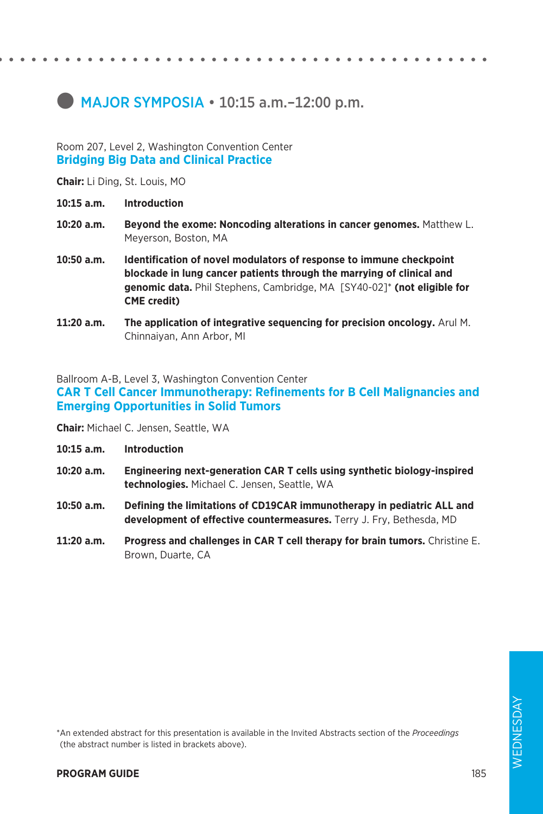### $\bullet$  MAJOR SYMPOSIA  $\cdot$  10:15 a.m. -12:00 p.m.

#### Room 207, Level 2, Washington Convention Center **Bridging Big Data and Clinical Practice**

**Chair:** Li Ding, St. Louis, MO

- **10:15 a.m. Introduction**
- **10:20 a.m. Beyond the exome: Noncoding alterations in cancer genomes.** Matthew L. Meyerson, Boston, MA
- **10:50 a.m. Identification of novel modulators of response to immune checkpoint blockade in lung cancer patients through the marrying of clinical and genomic data.** Phil Stephens, Cambridge, MA [SY40-02]\* **(not eligible for CME credit)**
- **11:20 a.m. The application of integrative sequencing for precision oncology.** Arul M. Chinnaiyan, Ann Arbor, MI

Ballroom A-B, Level 3, Washington Convention Center

**CAR T Cell Cancer Immunotherapy: Refinements for B Cell Malignancies and Emerging Opportunities in Solid Tumors**

**Chair:** Michael C. Jensen, Seattle, WA

- **10:15 a.m. Introduction**
- **10:20 a.m. Engineering next-generation CAR T cells using synthetic biology-inspired technologies.** Michael C. Jensen, Seattle, WA
- **10:50 a.m. Defining the limitations of CD19CAR immunotherapy in pediatric ALL and development of effective countermeasures.** Terry J. Fry, Bethesda, MD
- **11:20 a.m. Progress and challenges in CAR T cell therapy for brain tumors.** Christine E. Brown, Duarte, CA

\*An extended abstract for this presentation is available in the Invited Abstracts section of the *Proceedings*  (the abstract number is listed in brackets above).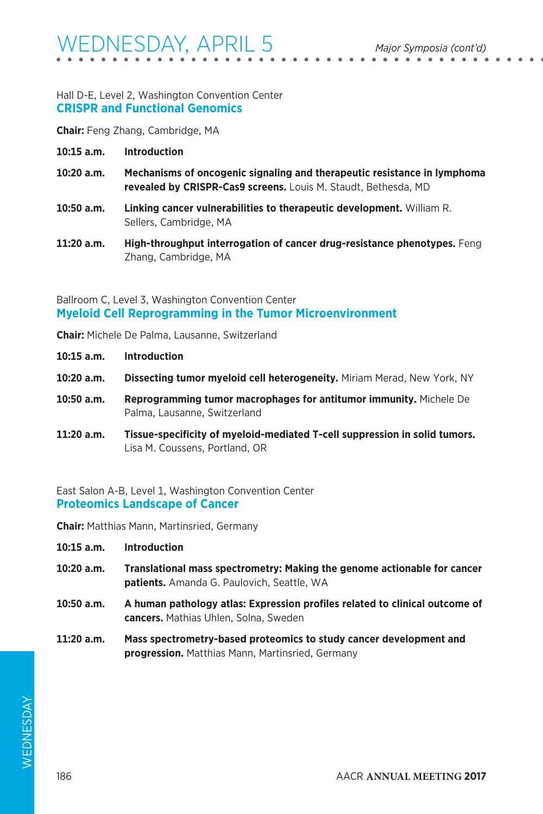#### Hall D-E, Level 2, Washington Convention Center **CRISPR and Functional Genomics**

**Chair:** Feng Zhang, Cambridge, MA

- **10:15 a.m. Introduction**
- **10:20 a.m. Mechanisms of oncogenic signaling and therapeutic resistance in lymphoma revealed by CRISPR-Cas9 screens.** Louis M. Staudt, Bethesda, MD
- **10:50 a.m. Linking cancer vulnerabilities to therapeutic development.** William R. Sellers, Cambridge, MA
- **11:20 a.m. High-throughput interrogation of cancer drug-resistance phenotypes.** Feng Zhang, Cambridge, MA

### Ballroom C, Level 3, Washington Convention Center **Myeloid Cell Reprogramming in the Tumor Microenvironment**

**Chair:** Michele De Palma, Lausanne, Switzerland

- **10:15 a.m. Introduction**
- **10:20 a.m. Dissecting tumor myeloid cell heterogeneity.** Miriam Merad, New York, NY
- **10:50 a.m. Reprogramming tumor macrophages for antitumor immunity.** Michele De Palma, Lausanne, Switzerland
- **11:20 a.m. Tissue-specificity of myeloid-mediated T-cell suppression in solid tumors.**  Lisa M. Coussens, Portland, OR

East Salon A-B, Level 1, Washington Convention Center **Proteomics Landscape of Cancer**

**Chair:** Matthias Mann, Martinsried, Germany

- **10:15 a.m. Introduction**
- **10:20 a.m. Translational mass spectrometry: Making the genome actionable for cancer patients.** Amanda G. Paulovich, Seattle, WA
- **10:50 a.m. A human pathology atlas: Expression profiles related to clinical outcome of cancers.** Mathias Uhlen, Solna, Sweden
- **11:20 a.m. Mass spectrometry-based proteomics to study cancer development and progression.** Matthias Mann, Martinsried, Germany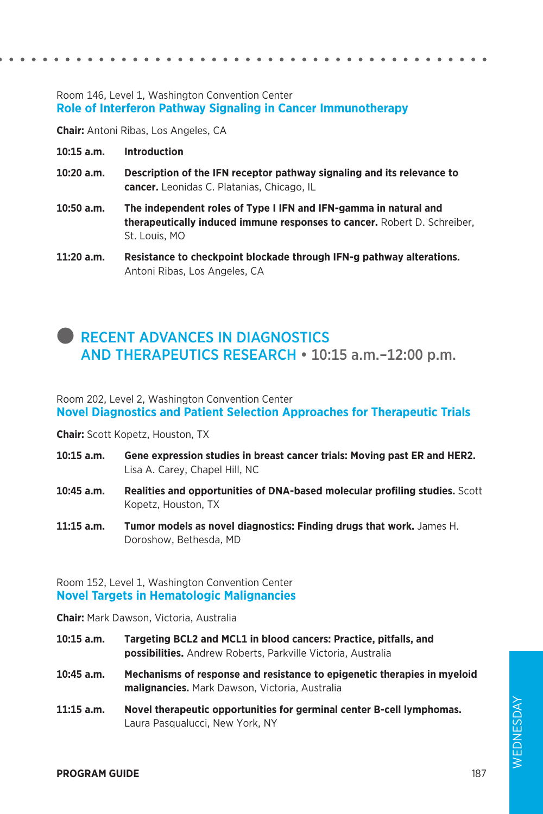#### Room 146, Level 1, Washington Convention Center **Role of Interferon Pathway Signaling in Cancer Immunotherapy**

**Chair:** Antoni Ribas, Los Angeles, CA

- **10:15 a.m. Introduction**
- **10:20 a.m. Description of the IFN receptor pathway signaling and its relevance to cancer.** Leonidas C. Platanias, Chicago, IL
- **10:50 a.m. The independent roles of Type I IFN and IFN-gamma in natural and therapeutically induced immune responses to cancer.** Robert D. Schreiber, St. Louis, MO
- **11:20 a.m. Resistance to checkpoint blockade through IFN-g pathway alterations.**  Antoni Ribas, Los Angeles, CA

### **RECENT ADVANCES IN DIAGNOSTICS** AND THERAPEUTICS RESEARCH • 10:15 a.m.–12:00 p.m.

Room 202, Level 2, Washington Convention Center **Novel Diagnostics and Patient Selection Approaches for Therapeutic Trials**

**Chair:** Scott Kopetz, Houston, TX

- **10:15 a.m. Gene expression studies in breast cancer trials: Moving past ER and HER2.**  Lisa A. Carey, Chapel Hill, NC
- **10:45 a.m. Realities and opportunities of DNA-based molecular profiling studies.** Scott Kopetz, Houston, TX
- **11:15 a.m. Tumor models as novel diagnostics: Finding drugs that work.** James H. Doroshow, Bethesda, MD

#### Room 152, Level 1, Washington Convention Center **Novel Targets in Hematologic Malignancies**

**Chair:** Mark Dawson, Victoria, Australia

- **10:15 a.m. Targeting BCL2 and MCL1 in blood cancers: Practice, pitfalls, and possibilities.** Andrew Roberts, Parkville Victoria, Australia
- **10:45 a.m. Mechanisms of response and resistance to epigenetic therapies in myeloid malignancies.** Mark Dawson, Victoria, Australia
- **11:15 a.m. Novel therapeutic opportunities for germinal center B-cell lymphomas.**  Laura Pasqualucci, New York, NY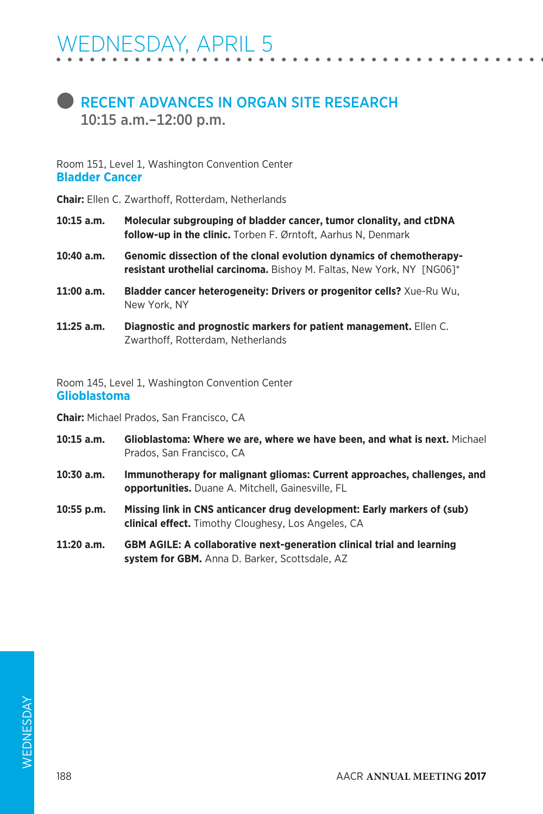### **RECENT ADVANCES IN ORGAN SITE RESEARCH** 10:15 a.m.–12:00 p.m.

Room 151, Level 1, Washington Convention Center **Bladder Cancer**

**Chair:** Ellen C. Zwarthoff, Rotterdam, Netherlands

- **10:15 a.m. Molecular subgrouping of bladder cancer, tumor clonality, and ctDNA follow-up in the clinic.** Torben F. Ørntoft, Aarhus N, Denmark
- **10:40 a.m. Genomic dissection of the clonal evolution dynamics of chemotherapyresistant urothelial carcinoma.** Bishoy M. Faltas, New York, NY [NG06]\*
- **11:00 a.m. Bladder cancer heterogeneity: Drivers or progenitor cells?** Xue-Ru Wu, New York, NY
- **11:25 a.m. Diagnostic and prognostic markers for patient management.** Ellen C. Zwarthoff, Rotterdam, Netherlands

Room 145, Level 1, Washington Convention Center **Glioblastoma**

**Chair:** Michael Prados, San Francisco, CA

- **10:15 a.m. Glioblastoma: Where we are, where we have been, and what is next.** Michael Prados, San Francisco, CA
- **10:30 a.m. Immunotherapy for malignant gliomas: Current approaches, challenges, and opportunities.** Duane A. Mitchell, Gainesville, FL
- **10:55 p.m. Missing link in CNS anticancer drug development: Early markers of (sub) clinical effect.** Timothy Cloughesy, Los Angeles, CA
- **11:20 a.m. GBM AGILE: A collaborative next-generation clinical trial and learning system for GBM.** Anna D. Barker, Scottsdale, AZ

188 AACR **ANNUAL MEETING 2017**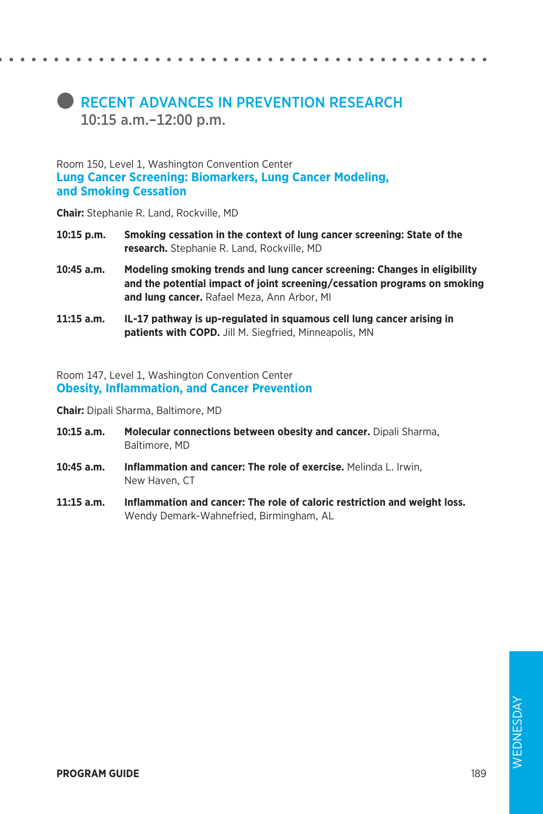### **RECENT ADVANCES IN PREVENTION RESEARCH** 10:15 a.m.–12:00 p.m.

Room 150, Level 1, Washington Convention Center **Lung Cancer Screening: Biomarkers, Lung Cancer Modeling, and Smoking Cessation**

**Chair:** Stephanie R. Land, Rockville, MD

- **10:15 p.m. Smoking cessation in the context of lung cancer screening: State of the research.** Stephanie R. Land, Rockville, MD
- **10:45 a.m. Modeling smoking trends and lung cancer screening: Changes in eligibility and the potential impact of joint screening/cessation programs on smoking and lung cancer.** Rafael Meza, Ann Arbor, MI
- **11:15 a.m. IL-17 pathway is up-regulated in squamous cell lung cancer arising in patients with COPD.** Jill M. Siegfried, Minneapolis, MN

Room 147, Level 1, Washington Convention Center **Obesity, Inflammation, and Cancer Prevention**

**Chair:** Dipali Sharma, Baltimore, MD

- **10:15 a.m. Molecular connections between obesity and cancer.** Dipali Sharma, Baltimore, MD
- **10:45 a.m. Inflammation and cancer: The role of exercise.** Melinda L. Irwin, New Haven, CT
- **11:15 a.m. Inflammation and cancer: The role of caloric restriction and weight loss.**  Wendy Demark-Wahnefried, Birmingham, AL